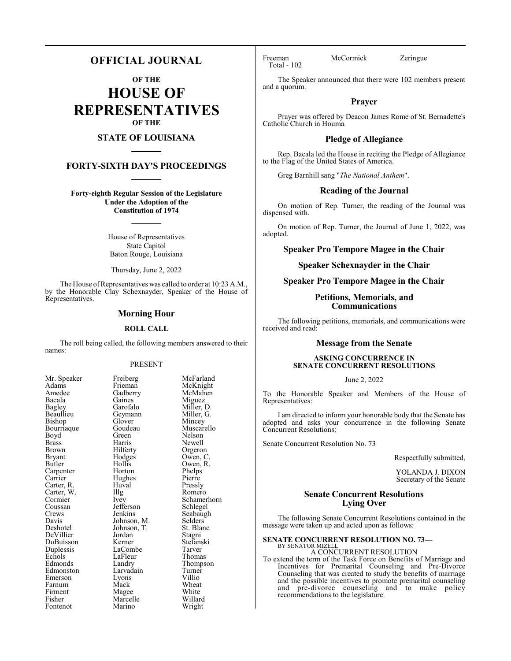## **OFFICIAL JOURNAL**

**OF THE**

**HOUSE OF REPRESENTATIVES OF THE**

## **STATE OF LOUISIANA**

## **FORTY-SIXTH DAY'S PROCEEDINGS**

**Forty-eighth Regular Session of the Legislature Under the Adoption of the Constitution of 1974**

> House of Representatives State Capitol Baton Rouge, Louisiana

Thursday, June 2, 2022

The House of Representatives was called to order at 10:23 A.M., by the Honorable Clay Schexnayder, Speaker of the House of Representatives.

## **Morning Hour**

#### **ROLL CALL**

The roll being called, the following members answered to their names:

## PRESENT

Gaines<br>Garofalo

Geymann<br>Glover

Hughes<br>Huyal

Jefferson<br>Jenkins

Jordan<br>Kerner

LaFleur<br>Landry

Marino

| Mr. Speaker                      |
|----------------------------------|
| Adams                            |
| Amedee                           |
| Bacala                           |
| Bagley                           |
| Beaullieu                        |
| Bishop                           |
| Bourriaque                       |
| Boyd                             |
| <b>Brass</b>                     |
| <b>Brown</b>                     |
| Bryant                           |
| Butler                           |
| Carpenter                        |
|                                  |
| Carrier<br>Carrier<br>Carter, R. |
| Carter, W.                       |
| Cormier                          |
| Coussan                          |
| Crews                            |
| Davis                            |
| Deshotel                         |
| DeVillier                        |
| DuBuisson                        |
| Duplessis                        |
| Echols                           |
| Edmonds                          |
| Edmonston                        |
| Emerson                          |
| Farnum                           |
| Firment                          |
| Fisher                           |
| Fontenot                         |

Freiberg McFarland<br>Frieman McKnight Frieman McKnight<br>Gadberry McMahen McMahen<br>Miguez Miller, D.<br>Miller, G. Glover Mincey<br>Goudeau Muscare Goudeau Muscarello<br>Green Nelson Green Nelson<br>Harris Newell Harris Newell<br>Hilferty Orgeror Hilferty Orgeron<br>Hodges Owen, C Hodges Owen, C.<br>Hollis Owen, R. Owen, R.<br>Phelps Horton Phelps<br>
Hughes Pierre Huval Pressly<br>
Illg Romerc Illg Romero<br>Ivey Schamer Schamerhorn<br>Schlegel Seabaugh<br>Selders Johnson, M. Selders<br>Johnson, T. St. Blanc Johnson, T. St. Blanch<br>Jordan Stagni Stefanski<br>Tarver LaCombe Tarver<br>
LaFleur Thomas Thompson<br>Turner Larvadain Turner<br>Lyons Villio Emerson Lyons Villio Farnum Mack Wheat Magee White<br>Marcelle Willard Marcelle Willard<br>
Marino Wright

Total - 102

Freeman McCormick Zeringue

The Speaker announced that there were 102 members present and a quorum.

## **Prayer**

Prayer was offered by Deacon James Rome of St. Bernadette's Catholic Church in Houma.

## **Pledge of Allegiance**

Rep. Bacala led the House in reciting the Pledge of Allegiance to the Flag of the United States of America.

Greg Barnhill sang "*The National Anthem*".

#### **Reading of the Journal**

On motion of Rep. Turner, the reading of the Journal was dispensed with.

On motion of Rep. Turner, the Journal of June 1, 2022, was adopted.

## **Speaker Pro Tempore Magee in the Chair**

## **Speaker Schexnayder in the Chair**

## **Speaker Pro Tempore Magee in the Chair**

## **Petitions, Memorials, and Communications**

The following petitions, memorials, and communications were received and read:

## **Message from the Senate**

## **ASKING CONCURRENCE IN SENATE CONCURRENT RESOLUTIONS**

#### June 2, 2022

To the Honorable Speaker and Members of the House of Representatives:

I am directed to inform your honorable body that the Senate has adopted and asks your concurrence in the following Senate Concurrent Resolutions:

Senate Concurrent Resolution No. 73

Respectfully submitted,

YOLANDA J. DIXON Secretary of the Senate

## **Senate Concurrent Resolutions Lying Over**

The following Senate Concurrent Resolutions contained in the message were taken up and acted upon as follows:

### **SENATE CONCURRENT RESOLUTION NO. 73—**

BY SENATOR MIZELL A CONCURRENT RESOLUTION

To extend the term of the Task Force on Benefits of Marriage and Incentives for Premarital Counseling and Pre-Divorce Counseling that was created to study the benefits of marriage and the possible incentives to promote premarital counseling and pre-divorce counseling and to make policy recommendations to the legislature.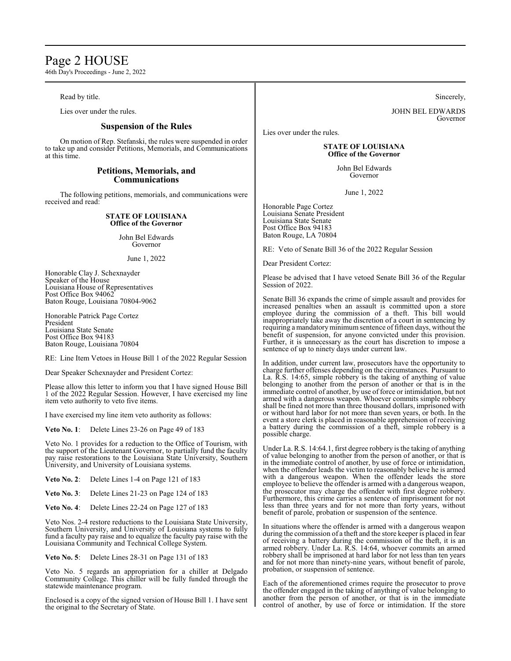# Page 2 HOUSE

46th Day's Proceedings - June 2, 2022

## Read by title.

Lies over under the rules.

## **Suspension of the Rules**

On motion of Rep. Stefanski, the rules were suspended in order to take up and consider Petitions, Memorials, and Communications at this time.

## **Petitions, Memorials, and Communications**

The following petitions, memorials, and communications were received and read:

## **STATE OF LOUISIANA Office of the Governor**

John Bel Edwards Governor

June 1, 2022

Honorable Clay J. Schexnayder Speaker of the House Louisiana House of Representatives Post Office Box 94062 Baton Rouge, Louisiana 70804-9062

Honorable Patrick Page Cortez President Louisiana State Senate Post Office Box 94183 Baton Rouge, Louisiana 70804

RE: Line Item Vetoes in House Bill 1 of the 2022 Regular Session

Dear Speaker Schexnayder and President Cortez:

Please allow this letter to inform you that I have signed House Bill 1 of the 2022 Regular Session. However, I have exercised my line item veto authority to veto five items.

I have exercised my line item veto authority as follows:

**Veto No. 1**: Delete Lines 23-26 on Page 49 of 183

Veto No. 1 provides for a reduction to the Office of Tourism, with the support of the Lieutenant Governor, to partially fund the faculty pay raise restorations to the Louisiana State University, Southern University, and University of Louisiana systems.

**Veto No. 2**: Delete Lines 1-4 on Page 121 of 183

**Veto No. 3**: Delete Lines 21-23 on Page 124 of 183

**Veto No. 4**: Delete Lines 22-24 on Page 127 of 183

Veto Nos. 2-4 restore reductions to the Louisiana State University, Southern University, and University of Louisiana systems to fully fund a faculty pay raise and to equalize the faculty pay raise with the Louisiana Community and Technical College System.

**Veto No. 5**: Delete Lines 28-31 on Page 131 of 183

Veto No. 5 regards an appropriation for a chiller at Delgado Community College. This chiller will be fully funded through the statewide maintenance program.

Enclosed is a copy of the signed version of House Bill 1. I have sent the original to the Secretary of State.

Sincerely,

JOHN BEL EDWARDS Governor

Lies over under the rules.

#### **STATE OF LOUISIANA Office of the Governor**

John Bel Edwards Governor

June 1, 2022

Honorable Page Cortez Louisiana Senate President Louisiana State Senate Post Office Box 94183 Baton Rouge, LA 70804

RE: Veto of Senate Bill 36 of the 2022 Regular Session

Dear President Cortez:

Please be advised that I have vetoed Senate Bill 36 of the Regular Session of 2022.

Senate Bill 36 expands the crime of simple assault and provides for increased penalties when an assault is committed upon a store employee during the commission of a theft. This bill would inappropriately take away the discretion of a court in sentencing by requiring a mandatory minimum sentence of fifteen days, without the benefit of suspension, for anyone convicted under this provision. Further, it is unnecessary as the court has discretion to impose a sentence of up to ninety days under current law.

In addition, under current law, prosecutors have the opportunity to charge further offenses depending on the circumstances. Pursuant to La. R.S. 14:65, simple robbery is the taking of anything of value belonging to another from the person of another or that is in the immediate control of another, by use of force or intimidation, but not armed with a dangerous weapon. Whoever commits simple robbery shall be fined not more than three thousand dollars, imprisoned with or without hard labor for not more than seven years, or both. In the event a store clerk is placed in reasonable apprehension of receiving a battery during the commission of a theft, simple robbery is a possible charge.

Under La. R.S. 14:64.1, first degree robbery is the taking of anything of value belonging to another from the person of another, or that is in the immediate control of another, by use of force or intimidation, when the offender leads the victim to reasonably believe he is armed with a dangerous weapon. When the offender leads the store employee to believe the offender is armed with a dangerous weapon, the prosecutor may charge the offender with first degree robbery. Furthermore, this crime carries a sentence of imprisonment for not less than three years and for not more than forty years, without benefit of parole, probation or suspension of the sentence.

In situations where the offender is armed with a dangerous weapon during the commission of a theft and the store keeper is placed in fear of receiving a battery during the commission of the theft, it is an armed robbery. Under La. R.S. 14:64, whoever commits an armed robbery shall be imprisoned at hard labor for not less than ten years and for not more than ninety-nine years, without benefit of parole, probation, or suspension of sentence.

Each of the aforementioned crimes require the prosecutor to prove the offender engaged in the taking of anything of value belonging to another from the person of another, or that is in the immediate control of another, by use of force or intimidation. If the store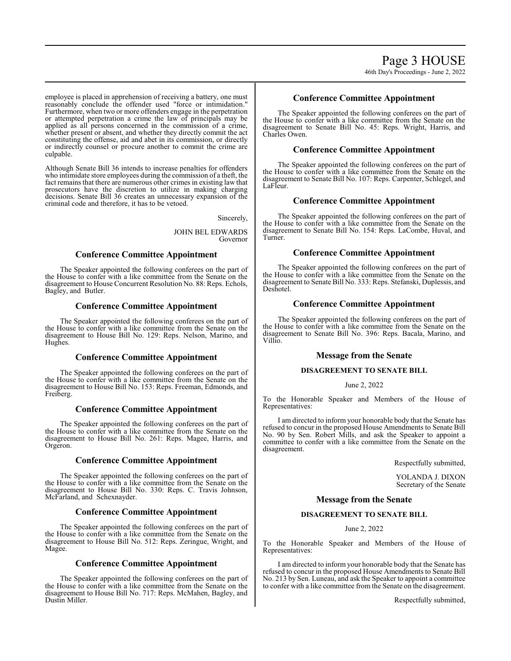employee is placed in apprehension of receiving a battery, one must reasonably conclude the offender used "force or intimidation." Furthermore, when two or more offenders engage in the perpetration or attempted perpetration a crime the law of principals may be applied as all persons concerned in the commission of a crime, whether present or absent, and whether they directly commit the act constituting the offense, aid and abet in its commission, or directly or indirectly counsel or procure another to commit the crime are culpable.

Although Senate Bill 36 intends to increase penalties for offenders who intimidate store employees during the commission of a theft, the fact remains that there are numerous other crimes in existing law that prosecutors have the discretion to utilize in making charging decisions. Senate Bill 36 creates an unnecessary expansion of the criminal code and therefore, it has to be vetoed.

Sincerely,

JOHN BEL EDWARDS Governor

## **Conference Committee Appointment**

The Speaker appointed the following conferees on the part of the House to confer with a like committee from the Senate on the disagreement to House Concurrent Resolution No. 88: Reps. Echols, Bagley, and Butler.

## **Conference Committee Appointment**

The Speaker appointed the following conferees on the part of the House to confer with a like committee from the Senate on the disagreement to House Bill No. 129: Reps. Nelson, Marino, and Hughes.

## **Conference Committee Appointment**

The Speaker appointed the following conferees on the part of the House to confer with a like committee from the Senate on the disagreement to House Bill No. 153: Reps. Freeman, Edmonds, and Freiberg.

## **Conference Committee Appointment**

The Speaker appointed the following conferees on the part of the House to confer with a like committee from the Senate on the disagreement to House Bill No. 261: Reps. Magee, Harris, and Orgeron.

## **Conference Committee Appointment**

The Speaker appointed the following conferees on the part of the House to confer with a like committee from the Senate on the disagreement to House Bill No. 330: Reps. C. Travis Johnson, McFarland, and Schexnayder.

## **Conference Committee Appointment**

The Speaker appointed the following conferees on the part of the House to confer with a like committee from the Senate on the disagreement to House Bill No. 512: Reps. Zeringue, Wright, and Magee.

## **Conference Committee Appointment**

The Speaker appointed the following conferees on the part of the House to confer with a like committee from the Senate on the disagreement to House Bill No. 717: Reps. McMahen, Bagley, and Dustin Miller.

## **Conference Committee Appointment**

The Speaker appointed the following conferees on the part of the House to confer with a like committee from the Senate on the disagreement to Senate Bill No. 45: Reps. Wright, Harris, and Charles Owen.

## **Conference Committee Appointment**

The Speaker appointed the following conferees on the part of the House to confer with a like committee from the Senate on the disagreement to Senate Bill No. 107: Reps. Carpenter, Schlegel, and LaFleur.

## **Conference Committee Appointment**

The Speaker appointed the following conferees on the part of the House to confer with a like committee from the Senate on the disagreement to Senate Bill No. 154: Reps. LaCombe, Huval, and Turner.

## **Conference Committee Appointment**

The Speaker appointed the following conferees on the part of the House to confer with a like committee from the Senate on the disagreement to Senate Bill No. 333: Reps. Stefanski, Duplessis, and Deshotel.

## **Conference Committee Appointment**

The Speaker appointed the following conferees on the part of the House to confer with a like committee from the Senate on the disagreement to Senate Bill No. 396: Reps. Bacala, Marino, and Villio.

## **Message from the Senate**

## **DISAGREEMENT TO SENATE BILL**

## June 2, 2022

To the Honorable Speaker and Members of the House of Representatives:

I am directed to inform your honorable body that the Senate has refused to concur in the proposed House Amendments to Senate Bill No. 90 by Sen. Robert Mills, and ask the Speaker to appoint a committee to confer with a like committee from the Senate on the disagreement.

Respectfully submitted,

YOLANDA J. DIXON Secretary of the Senate

## **Message from the Senate**

## **DISAGREEMENT TO SENATE BILL**

## June 2, 2022

To the Honorable Speaker and Members of the House of Representatives:

I am directed to inform your honorable body that the Senate has refused to concur in the proposed House Amendments to Senate Bill No. 213 by Sen. Luneau, and ask the Speaker to appoint a committee to confer with a like committee from the Senate on the disagreement.

Respectfully submitted,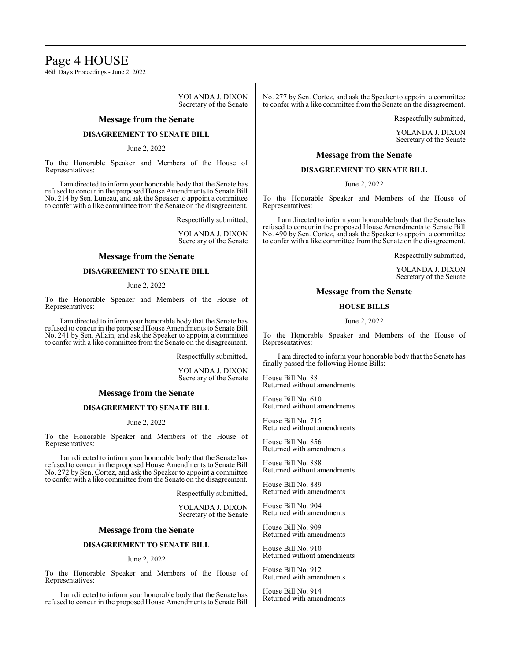Page 4 HOUSE 46th Day's Proceedings - June 2, 2022

> YOLANDA J. DIXON Secretary of the Senate

## **Message from the Senate**

## **DISAGREEMENT TO SENATE BILL**

June 2, 2022

To the Honorable Speaker and Members of the House of Representatives:

I am directed to inform your honorable body that the Senate has refused to concur in the proposed House Amendments to Senate Bill No. 214 by Sen. Luneau, and ask the Speaker to appoint a committee to confer with a like committee from the Senate on the disagreement.

Respectfully submitted,

YOLANDA J. DIXON Secretary of the Senate

## **Message from the Senate**

## **DISAGREEMENT TO SENATE BILL**

June 2, 2022

To the Honorable Speaker and Members of the House of Representatives:

I am directed to inform your honorable body that the Senate has refused to concur in the proposed House Amendments to Senate Bill No. 241 by Sen. Allain, and ask the Speaker to appoint a committee to confer with a like committee from the Senate on the disagreement.

Respectfully submitted,

YOLANDA J. DIXON Secretary of the Senate

## **Message from the Senate**

## **DISAGREEMENT TO SENATE BILL**

#### June 2, 2022

To the Honorable Speaker and Members of the House of Representatives:

I am directed to inform your honorable body that the Senate has refused to concur in the proposed House Amendments to Senate Bill No. 272 by Sen. Cortez, and ask the Speaker to appoint a committee to confer with a like committee from the Senate on the disagreement.

Respectfully submitted,

YOLANDA J. DIXON Secretary of the Senate

### **Message from the Senate**

## **DISAGREEMENT TO SENATE BILL**

#### June 2, 2022

To the Honorable Speaker and Members of the House of Representatives:

I am directed to inform your honorable body that the Senate has refused to concur in the proposed House Amendments to Senate Bill No. 277 by Sen. Cortez, and ask the Speaker to appoint a committee to confer with a like committee from the Senate on the disagreement.

Respectfully submitted,

YOLANDA J. DIXON Secretary of the Senate

## **Message from the Senate**

## **DISAGREEMENT TO SENATE BILL**

June 2, 2022

To the Honorable Speaker and Members of the House of Representatives:

I am directed to inform your honorable body that the Senate has refused to concur in the proposed House Amendments to Senate Bill No. 490 by Sen. Cortez, and ask the Speaker to appoint a committee to confer with a like committee from the Senate on the disagreement.

Respectfully submitted,

YOLANDA J. DIXON Secretary of the Senate

#### **Message from the Senate**

#### **HOUSE BILLS**

June 2, 2022

To the Honorable Speaker and Members of the House of Representatives:

I am directed to inform your honorable body that the Senate has finally passed the following House Bills:

House Bill No. 88 Returned without amendments

House Bill No. 610 Returned without amendments

House Bill No. 715 Returned without amendments

House Bill No. 856 Returned with amendments

House Bill No. 888 Returned without amendments

House Bill No. 889 Returned with amendments

House Bill No. 904 Returned with amendments

House Bill No. 909 Returned with amendments

House Bill No. 910 Returned without amendments

House Bill No. 912 Returned with amendments

House Bill No. 914 Returned with amendments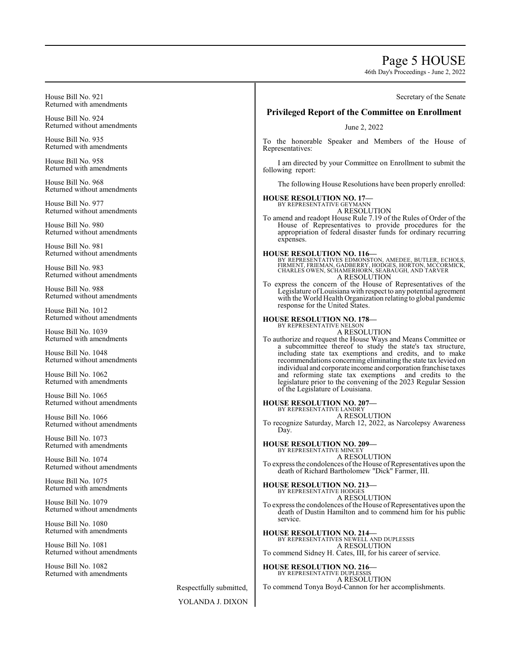# Page 5 HOUSE

46th Day's Proceedings - June 2, 2022

| House Bill No. 921                                 | Secretary of the Senate                                                                                                                                                                                                        |
|----------------------------------------------------|--------------------------------------------------------------------------------------------------------------------------------------------------------------------------------------------------------------------------------|
| Returned with amendments                           | <b>Privileged Report of the Committee on Enrollment</b>                                                                                                                                                                        |
| House Bill No. 924<br>Returned without amendments  | June 2, 2022                                                                                                                                                                                                                   |
| House Bill No. 935<br>Returned with amendments     | To the honorable Speaker and Members of the House of<br>Representatives:                                                                                                                                                       |
| House Bill No. 958<br>Returned with amendments     | I am directed by your Committee on Enrollment to submit the<br>following report:                                                                                                                                               |
| House Bill No. 968<br>Returned without amendments  | The following House Resolutions have been properly enrolled:                                                                                                                                                                   |
| House Bill No. 977<br>Returned without amendments  | <b>HOUSE RESOLUTION NO. 17-</b><br>BY REPRESENTATIVE GEYMANN<br>A RESOLUTION                                                                                                                                                   |
| House Bill No. 980<br>Returned without amendments  | To amend and readopt House Rule 7.19 of the Rules of Order of the<br>House of Representatives to provide procedures for the<br>appropriation of federal disaster funds for ordinary recurring<br>expenses.                     |
| House Bill No. 981<br>Returned without amendments  | <b>HOUSE RESOLUTION NO. 116-</b>                                                                                                                                                                                               |
| House Bill No. 983<br>Returned without amendments  | BY REPRESENTATIVES EDMONSTON, AMEDEE, BUTLER, ECHOLS, FIRMENT, FRIEMAN, GADBERRY, HODGES, HORTON, MCCORMICK, CHARLES OWEN, SCHAMERHORN, SEABAUGH, AND TARVER<br>A RESOLUTION                                                   |
| House Bill No. 988<br>Returned without amendments  | To express the concern of the House of Representatives of the<br>Legislature of Louisiana with respect to any potential agreement<br>with the World Health Organization relating to global pandemic                            |
| House Bill No. 1012<br>Returned without amendments | response for the United States.<br><b>HOUSE RESOLUTION NO. 178-</b>                                                                                                                                                            |
| House Bill No. 1039<br>Returned with amendments    | BY REPRESENTATIVE NELSON<br>A RESOLUTION<br>To authorize and request the House Ways and Means Committee or                                                                                                                     |
| House Bill No. 1048<br>Returned without amendments | a subcommittee thereof to study the state's tax structure,<br>including state tax exemptions and credits, and to make<br>recommendations concerning eliminating the state tax levied on                                        |
| House Bill No. 1062<br>Returned with amendments    | individual and corporate income and corporation franchise taxes<br>and reforming state tax exemptions and credits to the<br>legislature prior to the convening of the 2023 Regular Session<br>of the Legislature of Louisiana. |
| House Bill No. 1065<br>Returned without amendments | <b>HOUSE RESOLUTION NO. 207-</b><br>BY REPRESENTATIVE LANDRY                                                                                                                                                                   |
| House Bill No. 1066<br>Returned without amendments | A RESOLUTION<br>To recognize Saturday, March 12, 2022, as Narcolepsy Awareness<br>Day.                                                                                                                                         |
| House Bill No. 1073<br>Returned with amendments    | <b>HOUSE RESOLUTION NO. 209-</b><br>BY REPRESENTATIVE MINCEY                                                                                                                                                                   |
| House Bill No. 1074<br>Returned without amendments | A RESOLUTION<br>To express the condolences of the House of Representatives upon the<br>death of Richard Bartholomew "Dick" Farmer, III.                                                                                        |
| House Bill No. 1075<br>Returned with amendments    | <b>HOUSE RESOLUTION NO. 213-</b><br>BY REPRESENTATIVE HODGES                                                                                                                                                                   |
| House Bill No. 1079<br>Returned without amendments | A RESOLUTION<br>To express the condolences of the House of Representatives upon the<br>death of Dustin Hamilton and to commend him for his public                                                                              |
| House Bill No. 1080<br>Returned with amendments    | service.<br><b>HOUSE RESOLUTION NO. 214-</b>                                                                                                                                                                                   |
| House Bill No. 1081<br>Returned without amendments | BY REPRESENTATIVES NEWELL AND DUPLESSIS<br>A RESOLUTION<br>To commend Sidney H. Cates, III, for his career of service.                                                                                                         |
| House Bill No. 1082<br>Returned with amendments    | <b>HOUSE RESOLUTION NO. 216-</b><br>BY REPRESENTATIVE DUPLESSIS                                                                                                                                                                |
| Respectfully submitted,                            | A RESOLUTION<br>To commend Tonya Boyd-Cannon for her accomplishments.                                                                                                                                                          |
| YOLANDA J. DIXON                                   |                                                                                                                                                                                                                                |
|                                                    |                                                                                                                                                                                                                                |

 $\overline{a}$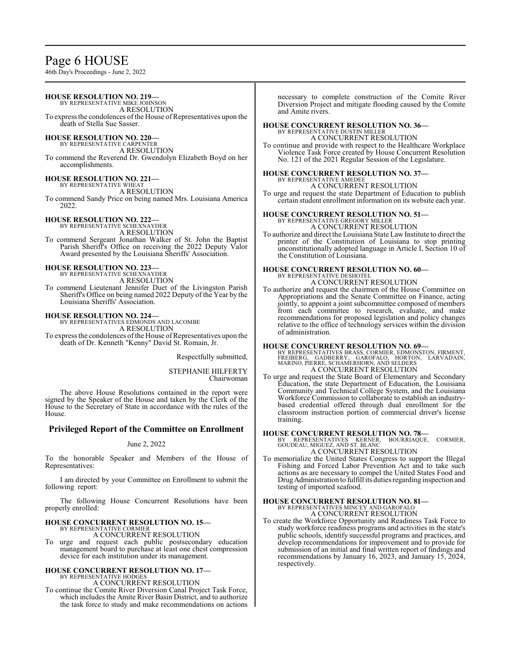# Page 6 HOUSE

46th Day's Proceedings - June 2, 2022

**HOUSE RESOLUTION NO. 219—** BY REPRESENTATIVE MIKE JOHNSON A RESOLUTION To express the condolences of the House of Representatives upon the death of Stella Sue Sasser. **HOUSE RESOLUTION NO. 220—** BY REPRESENTATIVE CARPENTER A RESOLUTION To commend the Reverend Dr. Gwendolyn Elizabeth Boyd on her accomplishments. **HOUSE RESOLUTION NO. 221—** BY REPRESENTATIVE WHEAT A RESOLUTION To commend Sandy Price on being named Mrs. Louisiana America 2022. **HOUSE RESOLUTION NO. 222—** BY REPRESENTATIVE SCHEXNAYDER A RESOLUTION To commend Sergeant Jonathan Walker of St. John the Baptist Parish Sheriff's Office on receiving the 2022 Deputy Valor Award presented by the Louisiana Sheriffs' Association. **HOUSE RESOLUTION NO. 223—** BY REPRESENTATIVE SCHEXNAYDER A RESOLUTION To commend Lieutenant Jennifer Duet of the Livingston Parish Sheriff's Office on being named 2022 Deputy of the Year by the Louisiana Sheriffs' Association. **HOUSE RESOLUTION NO. 224—** BY REPRESENTATIVES EDMONDS AND LACOMBE A RESOLUTION To express the condolences of the House of Representatives upon the death of Dr. Kenneth "Kenny" David St. Romain, Jr. Respectfully submitted, STEPHANIE HILFERTY Chairwoman The above House Resolutions contained in the report were signed by the Speaker of the House and taken by the Clerk of the House to the Secretary of State in accordance with the rules of the House. **Privileged Report of the Committee on Enrollment** June 2, 2022 To the honorable Speaker and Members of the House of Representatives: I am directed by your Committee on Enrollment to submit the following report: The following House Concurrent Resolutions have been properly enrolled: **HOUSE CONCURRENT RESOLUTION NO. 15—** BY REPRESENTATIVE CORMIER and Amite rivers. BY REPRESENTATIVE DUSTIN MILLER BY REPRESENTATIVE AMEDEE A CONCURRENT RESOLUTION of administration. training. testing of imported seafood.

A CONCURRENT RESOLUTION To urge and request each public postsecondary education management board to purchase at least one chest compression

## **HOUSE CONCURRENT RESOLUTION NO. 17—** BY REPRESENTATIVE HODGES

device for each institution under its management.

A CONCURRENT RESOLUTION

To continue the Comite River Diversion Canal Project Task Force, which includes the Amite River Basin District, and to authorize the task force to study and make recommendations on actions necessary to complete construction of the Comite River Diversion Project and mitigate flooding caused by the Comite

## **HOUSE CONCURRENT RESOLUTION NO. 36—**

A CONCURRENT RESOLUTION

To continue and provide with respect to the Healthcare Workplace Violence Task Force created by House Concurrent Resolution No. 121 of the 2021 Regular Session of the Legislature.

# **HOUSE CONCURRENT RESOLUTION NO. 37—**

To urge and request the state Department of Education to publish

certain student enrollment information on its website each year.

#### **HOUSE CONCURRENT RESOLUTION NO. 51—** BY REPRESENTATIVE GREGORY MILLER

A CONCURRENT RESOLUTION

To authorize and direct the Louisiana State Law Institute to direct the printer of the Constitution of Louisiana to stop printing unconstitutionally adopted language in Article I, Section 10 of the Constitution of Louisiana.

#### **HOUSE CONCURRENT RESOLUTION NO. 60—** BY REPRESENTATIVE DESHOTE A CONCURRENT RESOLUTION

To authorize and request the chairmen of the House Committee on Appropriations and the Senate Committee on Finance, acting jointly, to appoint a joint subcommittee composed of members from each committee to research, evaluate, and make recommendations for proposed legislation and policy changes relative to the office of technology services within the division

## **HOUSE CONCURRENT RESOLUTION NO. 69—**

BY REPRESENTATIVES BRASS, CORMIER, EDMONSTON, FIRMENT, FREIBERG, GADBERRY, GAROFALO, HORTON, LARVADAIN, MARINO, PIERRE, SCHAMERHORN, AND SELDERS A CONCURRENT RESOLUTION

To urge and request the State Board of Elementary and Secondary Education, the state Department of Education, the Louisiana Community and Technical College System, and the Louisiana Workforce Commission to collaborate to establish an industrybased credential offered through dual enrollment for the classroom instruction portion of commercial driver's license

## **HOUSE CONCURRENT RESOLUTION NO. 78—**

BY REPRESENTATIVES KERNER, BOURRIAQUE, CORMIER, GOUDEAU, MIGUEZ, AND ST. BLANC A CONCURRENT RESOLUTION

To memorialize the United States Congress to support the Illegal Fishing and Forced Labor Prevention Act and to take such actions as are necessary to compel the United States Food and DrugAdministration to fulfill its duties regarding inspection and

# **HOUSE CONCURRENT RESOLUTION NO. 81—** BY REPRESENTATIVES MINCEY AND GAROFALO A CONCURRENT RESOLUTION

To create the Workforce Opportunity and Readiness Task Force to study workforce readiness programs and activities in the state's public schools, identify successful programs and practices, and develop recommendations for improvement and to provide for submission of an initial and final written report of findings and recommendations by January 16, 2023, and January 15, 2024, respectively.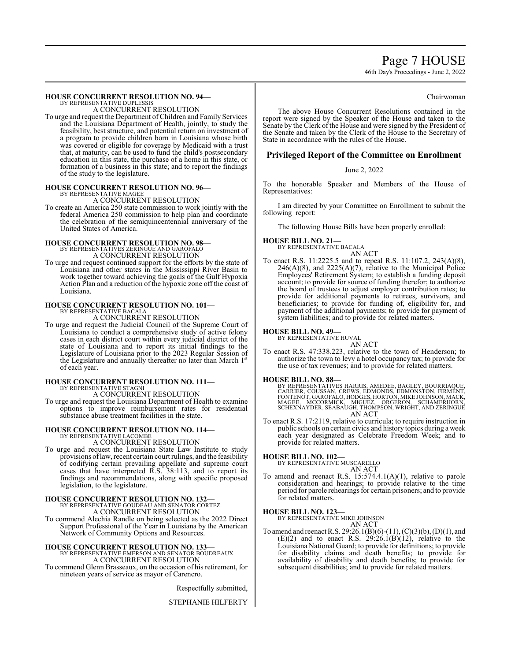# Page 7 HOUSE

46th Day's Proceedings - June 2, 2022

## **HOUSE CONCURRENT RESOLUTION NO. 94—**

BY REPRESENTATIVE DUPLESSIS A CONCURRENT RESOLUTION

To urge and request the Department ofChildren and Family Services and the Louisiana Department of Health, jointly, to study the feasibility, best structure, and potential return on investment of a program to provide children born in Louisiana whose birth was covered or eligible for coverage by Medicaid with a trust that, at maturity, can be used to fund the child's postsecondary education in this state, the purchase of a home in this state, or formation of a business in this state; and to report the findings of the study to the legislature.

# **HOUSE CONCURRENT RESOLUTION NO. 96—** BY REPRESENTATIVE MAGEE

A CONCURRENT RESOLUTION

To create an America 250 state commission to work jointly with the federal America 250 commission to help plan and coordinate the celebration of the semiquincentennial anniversary of the United States of America.

# **HOUSE CONCURRENT RESOLUTION NO. 98—** BY REPRESENTATIVES ZERINGUE AND GAROFALO

A CONCURRENT RESOLUTION

To urge and request continued support for the efforts by the state of Louisiana and other states in the Mississippi River Basin to work together toward achieving the goals of the Gulf Hypoxia Action Plan and a reduction of the hypoxic zone off the coast of Louisiana.

## **HOUSE CONCURRENT RESOLUTION NO. 101—**

BY REPRESENTATIVE BACALA A CONCURRENT RESOLUTION

To urge and request the Judicial Council of the Supreme Court of Louisiana to conduct a comprehensive study of active felony cases in each district court within every judicial district of the state of Louisiana and to report its initial findings to the Legislature of Louisiana prior to the 2023 Regular Session of the Legislature and annually thereafter no later than March 1st of each year.

# **HOUSE CONCURRENT RESOLUTION NO. 111—** BY REPRESENTATIVE STAGNI

A CONCURRENT RESOLUTION

To urge and request the Louisiana Department of Health to examine options to improve reimbursement rates for residential substance abuse treatment facilities in the state.

#### **HOUSE CONCURRENT RESOLUTION NO. 114—** BY REPRESENTATIVE LACOMBE

A CONCURRENT RESOLUTION

To urge and request the Louisiana State Law Institute to study provisions oflaw, recent certain court rulings, and the feasibility of codifying certain prevailing appellate and supreme court cases that have interpreted R.S. 38:113, and to report its findings and recommendations, along with specific proposed legislation, to the legislature.

# **HOUSE CONCURRENT RESOLUTION NO. 132—**<br>BY REPRESENTATIVE GOUDEAU AND SENATOR CORTEZ<br>A CONCURRENT RESOLUTION

To commend Alechia Randle on being selected as the 2022 Direct Support Professional of the Year in Louisiana by the American Network of Community Options and Resources.

# **HOUSE CONCURRENT RESOLUTION NO. 133—** BY REPRESENTATIVE EMERSON AND SENATOR BOUDREAUX A CONCURRENT RESOLUTION

To commend Glenn Brasseaux, on the occasion of his retirement, for nineteen years of service as mayor of Carencro.

Respectfully submitted,

STEPHANIE HILFERTY

#### Chairwoman

The above House Concurrent Resolutions contained in the report were signed by the Speaker of the House and taken to the Senate by the Clerk of the House and were signed by the President of the Senate and taken by the Clerk of the House to the Secretary of State in accordance with the rules of the House.

## **Privileged Report of the Committee on Enrollment**

## June 2, 2022

To the honorable Speaker and Members of the House of Representatives:

I am directed by your Committee on Enrollment to submit the following report:

The following House Bills have been properly enrolled:

# **HOUSE BILL NO. 21—** BY REPRESENTATIVE BACALA



To enact R.S. 11:2225.5 and to repeal R.S. 11:107.2, 243(A)(8),  $246(A)(8)$ , and  $2225(A)(7)$ , relative to the Municipal Police Employees' Retirement System; to establish a funding deposit account; to provide for source of funding therefor; to authorize the board of trustees to adjust employer contribution rates; to provide for additional payments to retirees, survivors, and beneficiaries; to provide for funding of, eligibility for, and payment of the additional payments; to provide for payment of system liabilities; and to provide for related matters.

## **HOUSE BILL NO. 49—**

BY REPRESENTATIVE HUVAL

- AN ACT
- To enact R.S. 47:338.223, relative to the town of Henderson; to authorize the town to levy a hotel occupancy tax; to provide for the use of tax revenues; and to provide for related matters.

**HOUSE BILL NO. 88—** BY REPRESENTATIVES HARRIS, AMEDEE, BAGLEY, BOURRIAQUE, CARRIER, COUSSAN, CREWS, EDMONDS, EDMONSTON, FIRMENT, FONTENOT, GAROFALO, HODGES, HORTON, MIKE JOHNSON, MACK, MAGEE, MCCORMICK, MIGUEZ, ORGERON, SCHAMERHORN, SCHEXNAYDER, SEABAUGH, THOMPSON, WRIGHT, AND ZERINGUE AN ACT

To enact R.S. 17:2119, relative to curricula; to require instruction in public schools on certain civics and history topics during a week each year designated as Celebrate Freedom Week; and to provide for related matters.

## **HOUSE BILL NO. 102—**

BY REPRESENTATIVE MUSCARELLO AN ACT

To amend and reenact R.S. 15:574.4.1(A)(1), relative to parole consideration and hearings; to provide relative to the time period for parole rehearings for certain prisoners; and to provide for related matters.

# **HOUSE BILL NO. 123—** BY REPRESENTATIVE MIKE JOHNSON

AN ACT

To amend and reenact R.S. 29:26.1(B)(6)-(11), (C)(3)(b), (D)(1), and  $(E)(2)$  and to enact R.S.  $29:26.1(B)(12)$ , relative to the Louisiana National Guard; to provide for definitions; to provide for disability claims and death benefits; to provide for availability of disability and death benefits; to provide for subsequent disabilities; and to provide for related matters.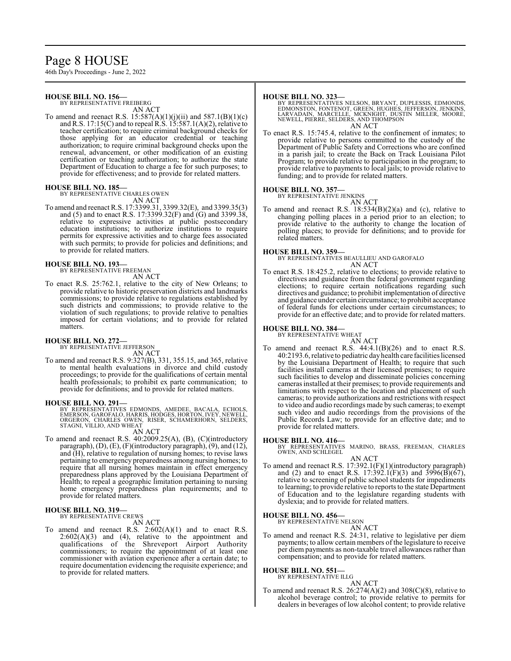# Page 8 HOUSE

46th Day's Proceedings - June 2, 2022

## **HOUSE BILL NO. 156—**

BY REPRESENTATIVE FREIBERG AN ACT

To amend and reenact R.S.  $15:587(A)(1)(j)(ii)$  and  $587.1(B)(1)(c)$ and R.S. 17:15(C) and to repeal  $R\hat{S}$ . 15:587.1(A)(2), relative to teacher certification; to require criminal background checks for those applying for an educator credential or teaching authorization; to require criminal background checks upon the renewal, advancement, or other modification of an existing certification or teaching authorization; to authorize the state Department of Education to charge a fee for such purposes; to provide for effectiveness; and to provide for related matters.

## **HOUSE BILL NO. 185—**

BY REPRESENTATIVE CHARLES OWEN AN ACT

To amend and reenact R.S. 17:3399.31, 3399.32(E), and 3399.35(3) and (5) and to enact R.S. 17:3399.32(F) and  $\tilde{G}$ ) and 3399.38, relative to expressive activities at public postsecondary education institutions; to authorize institutions to require permits for expressive activities and to charge fees associated with such permits; to provide for policies and definitions; and to provide for related matters.

#### **HOUSE BILL NO. 193—**

BY REPRESENTATIVE FREEMAN

- AN ACT
- To enact R.S. 25:762.1, relative to the city of New Orleans; to provide relative to historic preservation districts and landmarks commissions; to provide relative to regulations established by such districts and commissions; to provide relative to the violation of such regulations; to provide relative to penalties imposed for certain violations; and to provide for related matters.

## **HOUSE BILL NO. 272—**

BY REPRESENTATIVE JEFFERSON AN ACT

To amend and reenact R.S. 9:327(B), 331, 355.15, and 365, relative to mental health evaluations in divorce and child custody proceedings; to provide for the qualifications of certain mental health professionals; to prohibit ex parte communication; to provide for definitions; and to provide for related matters.

#### **HOUSE BILL NO. 291—**

BY REPRESENTATIVES EDMONDS, AMEDEE, BACALA, ECHOLS,<br>EMERSON, GAROFALO, HARRIS, HODGES, HORTON, IVEY, NEWELL,<br>ORGERON, CHARLES OWEN, RISER, SCHAMERHORN, SELDERS,<br>STAGNI, VILLIO, AND WHEAT

## AN ACT

To amend and reenact R.S. 40:2009.25(A), (B), (C)(introductory paragraph), (D), (E), (F)(introductory paragraph), (9), and (12), and (H), relative to regulation of nursing homes; to revise laws pertaining to emergency preparedness among nursing homes; to require that all nursing homes maintain in effect emergency preparedness plans approved by the Louisiana Department of Health; to repeal a geographic limitation pertaining to nursing home emergency preparedness plan requirements; and to provide for related matters.

## **HOUSE BILL NO. 319—**

BY REPRESENTATIVE CREWS

- AN ACT
- To amend and reenact R.S.  $2:602(A)(1)$  and to enact R.S.  $2:602(A)(3)$  and  $(4)$ , relative to the appointment and qualifications of the Shreveport Airport Authority commissioners; to require the appointment of at least one commissioner with aviation experience after a certain date; to require documentation evidencing the requisite experience; and to provide for related matters.

#### **HOUSE BILL NO. 323—**

BY REPRESENTATIVES NELSON, BRYANT, DUPLESSIS, EDMONDS,<br>EDMONSTON, FONTENOT, GREEN, HUGHES, JEFFERSON, JENKINS,<br>LARVADAIN, MARCELLE, MCKNIGHT, DUSTIN MILLER, MOORE,<br>NEWELL, PIERRE, SELDERS, AND THOMPSON AN ACT

To enact R.S. 15:745.4, relative to the confinement of inmates; to provide relative to persons committed to the custody of the Department of Public Safety and Corrections who are confined in a parish jail; to create the Back on Track Louisiana Pilot Program; to provide relative to participation in the program; to provide relative to payments to local jails; to provide relative to funding; and to provide for related matters.

## **HOUSE BILL NO. 357—**

BY REPRESENTATIVE JENKINS AN ACT

To amend and reenact R.S. 18:534(B)(2)(a) and (c), relative to changing polling places in a period prior to an election; to provide relative to the authority to change the location of polling places; to provide for definitions; and to provide for related matters.

## **HOUSE BILL NO. 359—**

BY REPRESENTATIVES BEAULLIEU AND GAROFALO AN ACT

To enact R.S. 18:425.2, relative to elections; to provide relative to directives and guidance from the federal government regarding elections; to require certain notifications regarding such directives and guidance; to prohibit implementation of directive and guidance under certain circumstance; to prohibit acceptance of federal funds for elections under certain circumstances; to provide for an effective date; and to provide for related matters.

## **HOUSE BILL NO. 384—**

BY REPRESENTATIVE WHEAT

AN ACT To amend and reenact R.S.  $44:4.1(B)(26)$  and to enact R.S. 40:2193.6, relative to pediatric dayhealth care facilities licensed by the Louisiana Department of Health; to require that such facilities install cameras at their licensed premises; to require such facilities to develop and disseminate policies concerning cameras installed at their premises; to provide requirements and limitations with respect to the location and placement of such cameras; to provide authorizations and restrictions with respect to video and audio recordings made by such cameras; to exempt such video and audio recordings from the provisions of the Public Records Law; to provide for an effective date; and to provide for related matters.

#### **HOUSE BILL NO. 416—**

BY REPRESENTATIVES MARINO, BRASS, FREEMAN, CHARLES OWEN, AND SCHLEGEL

AN ACT To amend and reenact R.S. 17:392.1(F)(1)(introductory paragraph) and (2) and to enact R.S. 17:392.1(F)(3) and 3996(B)(67), relative to screening of public school students for impediments to learning; to provide relative to reports to the state Department of Education and to the legislature regarding students with dyslexia; and to provide for related matters.

#### **HOUSE BILL NO. 456—** BY REPRESENTATIVE NELSON

AN ACT

To amend and reenact R.S. 24:31, relative to legislative per diem payments; to allow certain members of the legislature to receive per diem payments as non-taxable travel allowances rather than compensation; and to provide for related matters.

#### **HOUSE BILL NO. 551—** BY REPRESENTATIVE ILLG

AN ACT

To amend and reenact R.S.  $26:274(A)(2)$  and  $308(C)(8)$ , relative to alcohol beverage control; to provide relative to permits for dealers in beverages of low alcohol content; to provide relative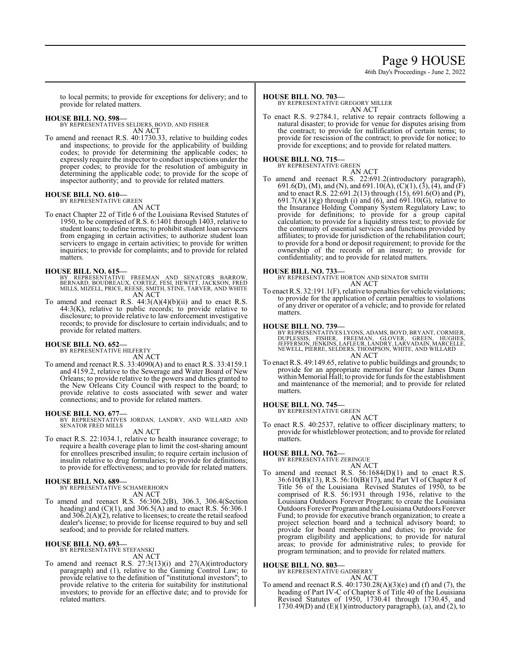# Page 9 HOUSE

46th Day's Proceedings - June 2, 2022

to local permits; to provide for exceptions for delivery; and to provide for related matters.

**HOUSE BILL NO. 598—** BY REPRESENTATIVES SELDERS, BOYD, AND FISHER AN ACT

To amend and reenact R.S. 40:1730.33, relative to building codes and inspections; to provide for the applicability of building codes; to provide for determining the applicable codes; to expressly require the inspector to conduct inspections under the proper codes; to provide for the resolution of ambiguity in determining the applicable code; to provide for the scope of inspector authority; and to provide for related matters.

# **HOUSE BILL NO. 610—** BY REPRESENTATIVE GREEN

AN ACT

To enact Chapter 22 of Title 6 of the Louisiana Revised Statutes of 1950, to be comprised of R.S. 6:1401 through 1403, relative to student loans; to define terms; to prohibit student loan servicers from engaging in certain activities; to authorize student loan servicers to engage in certain activities; to provide for written inquiries; to provide for complaints; and to provide for related matters.

- **HOUSE BILL NO. 615—**<br>BY REPRESENTATIVE FREEMAN AND SENATORS BARROW,<br>BERNARD, BOUDREAUX, CORTEZ, FESI, HEWITT, JACKSON, FRED<br>MILLS, MIZELL, PRICE, REESE, SMITH, STINE, TARVER, AND WHITE AN ACT
- To amend and reenact R.S.  $44:3(A)(4)(b)(ii)$  and to enact R.S. 44:3(K), relative to public records; to provide relative to disclosure; to provide relative to law enforcement investigative records; to provide for disclosure to certain individuals; and to provide for related matters.

## **HOUSE BILL NO. 652—**

BY REPRESENTATIVE HILFERTY

AN ACT

To amend and reenact R.S. 33:4090(A) and to enact R.S. 33:4159.1 and 4159.2, relative to the Sewerage and Water Board of New Orleans; to provide relative to the powers and duties granted to the New Orleans City Council with respect to the board; to provide relative to costs associated with sewer and water connections; and to provide for related matters.

## **HOUSE BILL NO. 677—**

BY REPRESENTATIVES JORDAN, LANDRY, AND WILLARD AND SENATOR FRED MILLS

- AN ACT
- To enact R.S. 22:1034.1, relative to health insurance coverage; to require a health coverage plan to limit the cost-sharing amount for enrollees prescribed insulin; to require certain inclusion of insulin relative to drug formularies; to provide for definitions; to provide for effectiveness; and to provide for related matters.

## **HOUSE BILL NO. 689—**

BY REPRESENTATIVE SCHAMERHORN AN ACT

To amend and reenact R.S. 56:306.2(B), 306.3, 306.4(Section heading) and (C)(1), and 306.5(A) and to enact R.S. 56:306.1 and 306.2(A)(2), relative to licenses; to create the retail seafood dealer's license; to provide for license required to buy and sell seafood; and to provide for related matters.

#### **HOUSE BILL NO. 693—** BY REPRESENTATIVE STEFANSKI

AN ACT

To amend and reenact R.S. 27:3(13)(i) and 27(A)(introductory paragraph) and (1), relative to the Gaming Control Law; to provide relative to the definition of "institutional investors"; to provide relative to the criteria for suitability for institutional investors; to provide for an effective date; and to provide for related matters.

## **HOUSE BILL NO. 703—**

BY REPRESENTATIVE GREGORY MILLER AN ACT

To enact R.S. 9:2784.1, relative to repair contracts following a natural disaster; to provide for venue for disputes arising from the contract; to provide for nullification of certain terms; to provide for rescission of the contract; to provide for notice; to provide for exceptions; and to provide for related matters.

# **HOUSE BILL NO. 715—** BY REPRESENTATIVE GREEN

AN ACT To amend and reenact R.S. 22:691.2(introductory paragraph), 691.6(D), (M), and (N), and 691.10(A), (C)(1), (3), (4), and (F) and to enact R.S. 22:691.2(13) through (15), 691.6(O) and (P),  $691.7(A)(1)(g)$  through (i) and (6), and  $691.10(G)$ , relative to the Insurance Holding Company System Regulatory Law; to provide for definitions; to provide for a group capital calculation; to provide for a liquidity stress test; to provide for the continuity of essential services and functions provided by affiliates; to provide for jurisdiction of the rehabilitation court; to provide for a bond or deposit requirement; to provide for the ownership of the records of an insurer; to provide for confidentiality; and to provide for related matters.

## **HOUSE BILL NO. 733—**

BY REPRESENTATIVE HORTON AND SENATOR SMITH AN ACT

To enact R.S. 32:191.1(F), relative to penalties for vehicle violations; to provide for the application of certain penalties to violations of any driver or operator of a vehicle; and to provide for related matters.

**HOUSE BILL NO. 739—** BY REPRESENTATIVES LYONS, ADAMS, BOYD, BRYANT, CORMIER, DUPLESSIS, FISHER, FREEMAN, GLOVER, GREEN, HUGHES,<br>JEFFERSON,JENKINS,LAFLEUR,LANDRY,LARVADAIN,MARCELLE,<br>NEWELL,PIERRE,SELDERS,THOMPSON,WHITE,AND WILLARD AN ACT

To enact R.S. 49:149.65, relative to public buildings and grounds; to provide for an appropriate memorial for Oscar James Dunn within Memorial Hall; to provide for funds for the establishment and maintenance of the memorial; and to provide for related matters.

## **HOUSE BILL NO. 745—**

BY REPRESENTATIVE GREEN AN ACT

To enact R.S. 40:2537, relative to officer disciplinary matters; to provide for whistleblower protection; and to provide for related matters.

**HOUSE BILL NO. 762—** BY REPRESENTATIVE ZERINGUE AN ACT

To amend and reenact R.S. 56:1684(D)(1) and to enact R.S. 36:610(B)(13), R.S. 56:10(B)(17), and Part VI of Chapter 8 of Title 56 of the Louisiana Revised Statutes of 1950, to be comprised of R.S. 56:1931 through 1936, relative to the Louisiana Outdoors Forever Program; to create the Louisiana Outdoors Forever Programand the Louisiana Outdoors Forever Fund; to provide for executive branch organization; to create a project selection board and a technical advisory board; to provide for board membership and duties; to provide for program eligibility and applications; to provide for natural areas; to provide for administrative rules; to provide for program termination; and to provide for related matters.

**HOUSE BILL NO. 803—** BY REPRESENTATIVE GADBERRY

AN ACT

To amend and reenact R.S.  $40:1730.28(A)(3)(e)$  and (f) and (7), the heading of Part IV-C of Chapter 8 of Title 40 of the Louisiana Revised Statutes of 1950, 1730.41 through 1730.45, and  $1730.49(D)$  and  $(E)(1)$ (introductory paragraph), (a), and (2), to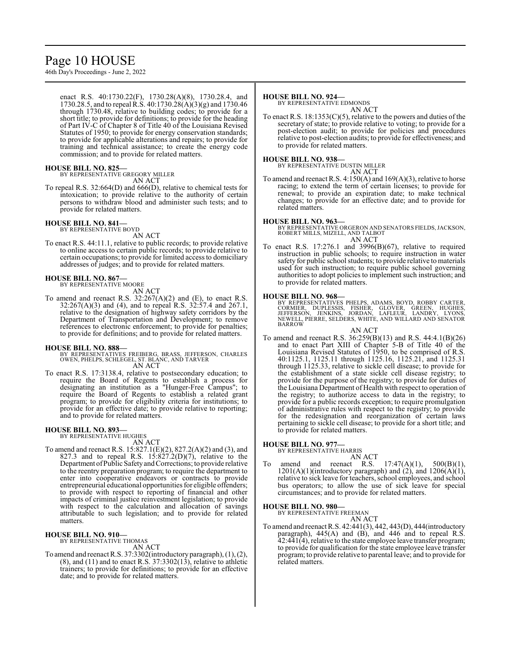# Page 10 HOUSE

46th Day's Proceedings - June 2, 2022

enact R.S. 40:1730.22(F), 1730.28(A)(8), 1730.28.4, and 1730.28.5, and to repeal R.S. 40:1730.28(A)(3)(g) and 1730.46 through 1730.48, relative to building codes; to provide for a short title; to provide for definitions; to provide for the heading of Part IV-C of Chapter 8 of Title 40 of the Louisiana Revised Statutes of 1950; to provide for energy conservation standards; to provide for applicable alterations and repairs; to provide for training and technical assistance; to create the energy code commission; and to provide for related matters.

# **HOUSE BILL NO. 825—** BY REPRESENTATIVE GREGORY MILLER

AN ACT

To repeal R.S. 32:664(D) and 666(D), relative to chemical tests for intoxication; to provide relative to the authority of certain persons to withdraw blood and administer such tests; and to provide for related matters.

# **HOUSE BILL NO. 841—** BY REPRESENTATIVE BOYD

AN ACT

To enact R.S. 44:11.1, relative to public records; to provide relative to online access to certain public records; to provide relative to certain occupations; to provide for limited access to domiciliary addresses of judges; and to provide for related matters.

# **HOUSE BILL NO. 867—** BY REPRESENTATIVE MOORE

AN ACT

To amend and reenact R.S.  $32:267(A)(2)$  and (E), to enact R.S. 32:267(A)(3) and (4), and to repeal R.S. 32:57.4 and 267.1, relative to the designation of highway safety corridors by the Department of Transportation and Development; to remove references to electronic enforcement; to provide for penalties; to provide for definitions; and to provide for related matters.

## **HOUSE BILL NO. 888—**

- BY REPRESENTATIVES FREIBERG, BRASS, JEFFERSON, CHARLES OWEN, PHELPS, SCHLEGEL, ST. BLANC, AND TARVER AN ACT
- To enact R.S. 17:3138.4, relative to postsecondary education; to require the Board of Regents to establish a process for designating an institution as a "Hunger-Free Campus"; to require the Board of Regents to establish a related grant program; to provide for eligibility criteria for institutions; to provide for an effective date; to provide relative to reporting; and to provide for related matters.

## **HOUSE BILL NO. 893—**

BY REPRESENTATIVE HUGHES

AN ACT

To amend and reenact R.S. 15:827.1(E)(2), 827.2(A)(2) and (3), and 827.3 and to repeal R.S.  $15:827.2(D)(7)$ , relative to the Department ofPublic Safetyand Corrections; to provide relative to the reentry preparation program; to require the department to enter into cooperative endeavors or contracts to provide entrepreneurial educational opportunities for eligible offenders; to provide with respect to reporting of financial and other impacts of criminal justice reinvestment legislation; to provide with respect to the calculation and allocation of savings attributable to such legislation; and to provide for related matters.

## **HOUSE BILL NO. 910—**

BY REPRESENTATIVE THOMAS AN ACT

To amend and reenact R.S. 37:3302(introductory paragraph), (1), (2),  $(8)$ , and  $(11)$  and to enact R.S. 37:3302 $(13)$ , relative to athletic trainers; to provide for definitions; to provide for an effective date; and to provide for related matters.

## **HOUSE BILL NO. 924—**

BY REPRESENTATIVE EDMONDS AN ACT

To enact R.S.  $18:1353(C)(5)$ , relative to the powers and duties of the secretary of state; to provide relative to voting; to provide for a post-election audit; to provide for policies and procedures relative to post-election audits; to provide for effectiveness; and to provide for related matters.

# **HOUSE BILL NO. 938—** BY REPRESENTATIVE DUSTIN MILLER

AN ACT

To amend and reenact R.S. 4:150(A) and 169(A)(3), relative to horse racing; to extend the term of certain licenses; to provide for renewal; to provide an expiration date; to make technical changes; to provide for an effective date; and to provide for related matters.

**HOUSE BILL NO. 963—** BY REPRESENTATIVE ORGERON AND SENATORS FIELDS,JACKSON, ROBERT MILLS, MIZELL, AND TALBOT AN ACT

To enact R.S.  $17:276.1$  and  $3996(B)(67)$ , relative to required instruction in public schools; to require instruction in water safety for public school students; to provide relative to materials used for such instruction; to require public school governing authorities to adopt policies to implement such instruction; and to provide for related matters.

## **HOUSE BILL NO. 968—**

BY REPRESENTATIVES PHELPS, ADAMS, BOYD, ROBBY CARTER,<br>CORMIER, DUPLESSIS, FISHER, GLOVER, GREEN, HUGHES,<br>JEFFERSON, JENKINS, JORDAN, LAFLEUR, LANDRY, LYONS, NEWELL, PIERRE, SELDERS, WHITE, AND WILLARD AND SENATOR BARROW

#### AN ACT

To amend and reenact R.S. 36:259(B)(13) and R.S. 44:4.1(B)(26) and to enact Part XIII of Chapter 5-B of Title 40 of the Louisiana Revised Statutes of 1950, to be comprised of R.S. 40:1125.1, 1125.11 through 1125.16, 1125.21, and 1125.31 through 1125.33, relative to sickle cell disease; to provide for the establishment of a state sickle cell disease registry; to provide for the purpose of the registry; to provide for duties of the Louisiana Department of Health with respect to operation of the registry; to authorize access to data in the registry; to provide for a public records exception; to require promulgation of administrative rules with respect to the registry; to provide for the redesignation and reorganization of certain laws pertaining to sickle cell disease; to provide for a short title; and to provide for related matters.

## **HOUSE BILL NO. 977—**

BY REPRESENTATIVE HARRIS

AN ACT

To amend and reenact R.S. 17:47(A)(1), 500(B)(1),  $1201(A)(1)$ (introductory paragraph) and  $(2)$ , and  $1206(A)(1)$ , relative to sick leave for teachers, school employees, and school bus operators; to allow the use of sick leave for special circumstances; and to provide for related matters.

## **HOUSE BILL NO. 980—**

BY REPRESENTATIVE FREEMAN AN ACT

To amend and reenact R.S. 42:441(3), 442, 443(D), 444(introductory paragraph),  $445(A)$  and  $(B)$ , and  $446$  and to repeal R.S. 42:441(4), relative to the state employee leave transfer program; to provide for qualification for the state employee leave transfer program; to provide relative to parental leave; and to provide for related matters.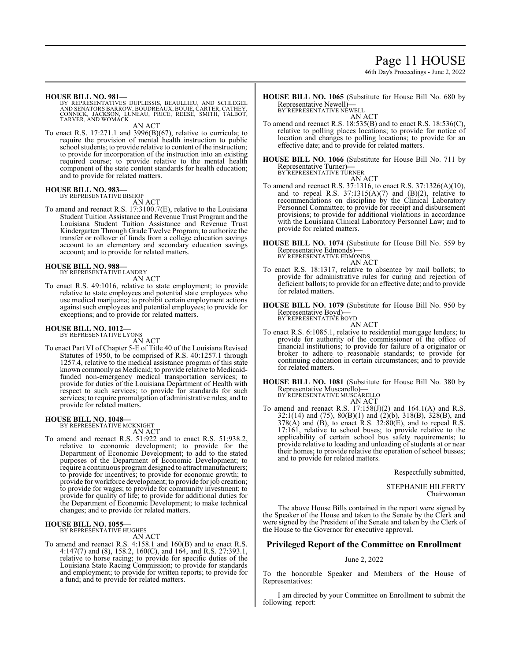# Page 11 HOUSE

46th Day's Proceedings - June 2, 2022

**HOUSE BILL NO. 981—**

BY REPRESENTATIVES DUPLESSIS, BEAULLIEU, AND SCHLEGEL<br>AND SENATORS BARROW, BOUDREAUX, BOUIE, CARTER, CATHEY,<br>CONNICK, JACKSON, LUNEAU, PRICE, REESE, SMITH, TALBOT, TARVER, AND WOMACK

AN ACT

To enact R.S. 17:271.1 and 3996(B)(67), relative to curricula; to require the provision of mental health instruction to public school students; to provide relative to content of the instruction; to provide for incorporation of the instruction into an existing required course; to provide relative to the mental health component of the state content standards for health education; and to provide for related matters.

#### **HOUSE BILL NO. 983—** BY REPRESENTATIVE BISHOP

AN ACT

To amend and reenact R.S. 17:3100.7(E), relative to the Louisiana Student Tuition Assistance and Revenue Trust Program and the Louisiana Student Tuition Assistance and Revenue Trust Kindergarten Through Grade Twelve Program; to authorize the transfer or rollover of funds from a college education savings account to an elementary and secondary education savings account; and to provide for related matters.

#### **HOUSE BILL NO. 988—**

BY REPRESENTATIVE LANDRY

AN ACT

To enact R.S. 49:1016, relative to state employment; to provide relative to state employees and potential state employees who use medical marijuana; to prohibit certain employment actions against such employees and potential employees; to provide for exceptions; and to provide for related matters.

#### **HOUSE BILL NO. 1012—** BY REPRESENTATIVE LYONS

AN ACT

To enact Part VI of Chapter 5-E of Title 40 of the Louisiana Revised Statutes of 1950, to be comprised of R.S. 40:1257.1 through 1257.4, relative to the medical assistance program of this state known commonly as Medicaid; to provide relative to Medicaidfunded non-emergency medical transportation services; to provide for duties of the Louisiana Department of Health with respect to such services; to provide for standards for such services; to require promulgation of administrative rules; and to provide for related matters.

# **HOUSE BILL NO. 1048—** BY REPRESENTATIVE MCKNIGHT

AN ACT To amend and reenact R.S. 51:922 and to enact R.S. 51:938.2, relative to economic development; to provide for the Department of Economic Development; to add to the stated purposes of the Department of Economic Development; to require a continuous programdesigned to attract manufacturers; to provide for incentives; to provide for economic growth; to provide for workforce development; to provide for job creation; to provide for wages; to provide for community investment; to provide for quality of life; to provide for additional duties for the Department of Economic Development; to make technical changes; and to provide for related matters.

## **HOUSE BILL NO. 1055—**

BY REPRESENTATIVE HUGHES

AN ACT

To amend and reenact R.S. 4:158.1 and 160(B) and to enact R.S. 4:147(7) and (8), 158.2, 160(C), and 164, and R.S. 27:393.1, relative to horse racing; to provide for specific duties of the Louisiana State Racing Commission; to provide for standards and employment; to provide for written reports; to provide for a fund; and to provide for related matters.

**HOUSE BILL NO. 1065** (Substitute for House Bill No. 680 by Representative Newell)**—** BY REPRESENTATIVE NEWELL

AN ACT

To amend and reenact R.S. 18:535(B) and to enact R.S. 18:536(C), relative to polling places locations; to provide for notice of location and changes to polling locations; to provide for an effective date; and to provide for related matters.

**HOUSE BILL NO. 1066** (Substitute for House Bill No. 711 by Representative Turner)**—** BY REPRESENTATIVE TURNER

AN ACT

- To amend and reenact R.S. 37:1316, to enact R.S. 37:1326(A)(10), and to repeal R.S.  $37:1315(A)(7)$  and  $(B)(2)$ , relative to recommendations on discipline by the Clinical Laboratory Personnel Committee; to provide for receipt and disbursement provisions; to provide for additional violations in accordance with the Louisiana Clinical Laboratory Personnel Law; and to provide for related matters.
- **HOUSE BILL NO. 1074** (Substitute for House Bill No. 559 by Representative Edmonds)**—** BY REPRESENTATIVE EDMONDS

AN ACT

To enact R.S. 18:1317, relative to absentee by mail ballots; to provide for administrative rules for curing and rejection of deficient ballots; to provide for an effective date; and to provide for related matters.

**HOUSE BILL NO. 1079** (Substitute for House Bill No. 950 by Representative Boyd)**—** BY REPRESENTATIVE BOYD

AN ACT

- To enact R.S. 6:1085.1, relative to residential mortgage lenders; to provide for authority of the commissioner of the office of financial institutions; to provide for failure of a originator or broker to adhere to reasonable standards; to provide for continuing education in certain circumstances; and to provide for related matters.
- **HOUSE BILL NO. 1081** (Substitute for House Bill No. 380 by Representative Muscarello)**—** BY REPRESENTATIVE MUSCARELLO

AN ACT

To amend and reenact R.S. 17:158(J)(2) and 164.1(A) and R.S. 32:1(14) and (75), 80(B)(1) and (2)(b), 318(B), 328(B), and  $378(A)$  and (B), to enact R.S.  $32:80(E)$ , and to repeal R.S. 17:161, relative to school buses; to provide relative to the applicability of certain school bus safety requirements; to provide relative to loading and unloading of students at or near their homes; to provide relative the operation of school busses; and to provide for related matters.

Respectfully submitted,

STEPHANIE HILFERTY Chairwoman

The above House Bills contained in the report were signed by the Speaker of the House and taken to the Senate by the Clerk and were signed by the President of the Senate and taken by the Clerk of the House to the Governor for executive approval.

## **Privileged Report of the Committee on Enrollment**

#### June 2, 2022

To the honorable Speaker and Members of the House of Representatives:

I am directed by your Committee on Enrollment to submit the following report: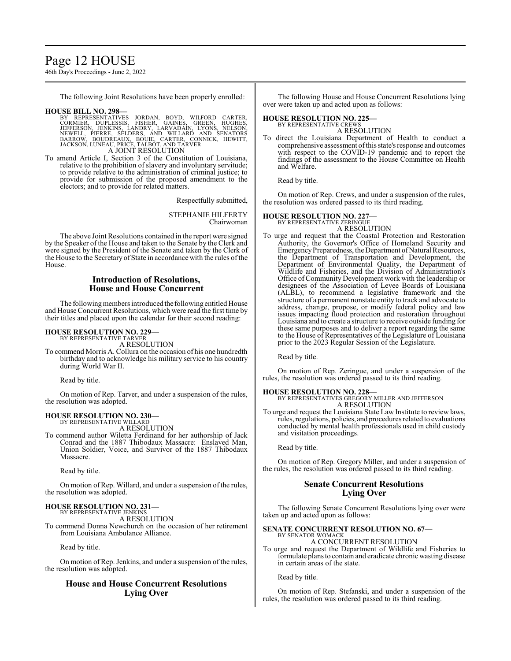# Page 12 HOUSE

46th Day's Proceedings - June 2, 2022

The following Joint Resolutions have been properly enrolled:

## **HOUSE BILL NO. 298—**

- BY REPRESENTATIVES JORDAN, BOYD, WILFORD CARTER,<br>CORMIER, DUPLESSIS, FISHER, GAINES, GREEN, HUGHES,<br>JEFFERSON, JENKINS, LANDRY, LARVADAIN, LYONS, NELSON,<br>NEWELL, PIERRE, SELDERS, AND WILLARD AND SENATORS<br>BARROW, BOUDREAUX, A JOINT RESOLUTION
- To amend Article I, Section 3 of the Constitution of Louisiana, relative to the prohibition of slavery and involuntary servitude; to provide relative to the administration of criminal justice; to provide for submission of the proposed amendment to the electors; and to provide for related matters.

Respectfully submitted,

STEPHANIE HILFERTY Chairwoman

The above Joint Resolutions contained in the report were signed by the Speaker of the House and taken to the Senate by the Clerk and were signed by the President of the Senate and taken by the Clerk of the House to the Secretary of State in accordance with the rules of the House.

## **Introduction of Resolutions, House and House Concurrent**

The following members introduced the following entitled House and House Concurrent Resolutions, which were read the first time by their titles and placed upon the calendar for their second reading:

## **HOUSE RESOLUTION NO. 229—**

BY REPRESENTATIVE TARVER A RESOLUTION

To commend Morris A. Collura on the occasion of his one hundredth birthday and to acknowledge his military service to his country during World War II.

Read by title.

On motion of Rep. Tarver, and under a suspension of the rules, the resolution was adopted.

# **HOUSE RESOLUTION NO. 230—** BY REPRESENTATIVE WILLARD

A RESOLUTION

To commend author Wiletta Ferdinand for her authorship of Jack Conrad and the 1887 Thibodaux Massacre: Enslaved Man, Union Soldier, Voice, and Survivor of the 1887 Thibodaux Massacre.

Read by title.

On motion of Rep. Willard, and under a suspension of the rules, the resolution was adopted.

#### **HOUSE RESOLUTION NO. 231—** BY REPRESENTATIVE JENKINS

A RESOLUTION

To commend Donna Newchurch on the occasion of her retirement from Louisiana Ambulance Alliance.

Read by title.

On motion of Rep. Jenkins, and under a suspension of the rules, the resolution was adopted.

## **House and House Concurrent Resolutions Lying Over**

The following House and House Concurrent Resolutions lying over were taken up and acted upon as follows:

## **HOUSE RESOLUTION NO. 225—**

BY REPRESENTATIVE CREWS A RESOLUTION

To direct the Louisiana Department of Health to conduct a comprehensive assessment ofthis state's response and outcomes with respect to the COVID-19 pandemic and to report the findings of the assessment to the House Committee on Health and Welfare.

Read by title.

On motion of Rep. Crews, and under a suspension of the rules, the resolution was ordered passed to its third reading.

## **HOUSE RESOLUTION NO. 227—**

BY REPRESENTATIVE ZERINGUE A RESOLUTION

To urge and request that the Coastal Protection and Restoration Authority, the Governor's Office of Homeland Security and Emergency Preparedness, the Department of Natural Resources, the Department of Transportation and Development, the Department of Environmental Quality, the Department of Wildlife and Fisheries, and the Division of Administration's Office of Community Development work with the leadership or designees of the Association of Levee Boards of Louisiana (ALBL), to recommend a legislative framework and the structure of a permanent nonstate entity to track and advocate to address, change, propose, or modify federal policy and law issues impacting flood protection and restoration throughout Louisiana and to create a structure to receive outside funding for these same purposes and to deliver a report regarding the same to the House of Representatives of the Legislature of Louisiana prior to the 2023 Regular Session of the Legislature.

Read by title.

On motion of Rep. Zeringue, and under a suspension of the rules, the resolution was ordered passed to its third reading.

**HOUSE RESOLUTION NO. 228—** BY REPRESENTATIVES GREGORY MILLER AND JEFFERSON A RESOLUTION

To urge and request the Louisiana State Law Institute to review laws, rules, regulations, policies, and procedures related to evaluations conducted by mental health professionals used in child custody and visitation proceedings.

Read by title.

On motion of Rep. Gregory Miller, and under a suspension of the rules, the resolution was ordered passed to its third reading.

## **Senate Concurrent Resolutions Lying Over**

The following Senate Concurrent Resolutions lying over were taken up and acted upon as follows:

## **SENATE CONCURRENT RESOLUTION NO. 67—**

BY SENATOR WOMACK A CONCURRENT RESOLUTION

To urge and request the Department of Wildlife and Fisheries to formulate plans to contain and eradicate chronic wasting disease in certain areas of the state.

Read by title.

On motion of Rep. Stefanski, and under a suspension of the rules, the resolution was ordered passed to its third reading.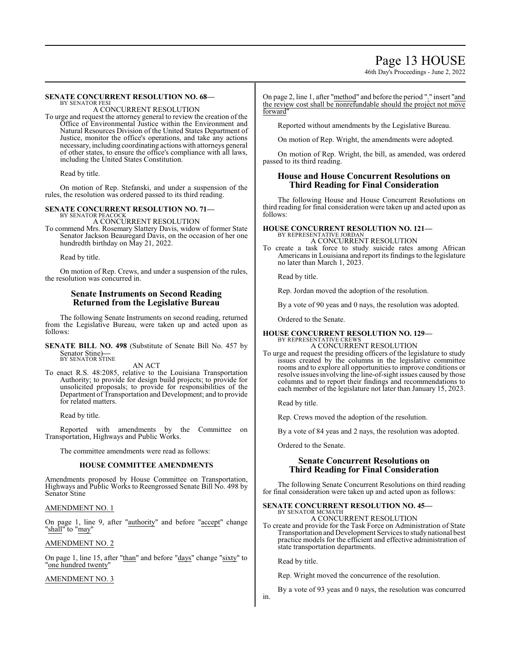# Page 13 HOUSE

46th Day's Proceedings - June 2, 2022

#### **SENATE CONCURRENT RESOLUTION NO. 68—** BY SENATOR FESI

A CONCURRENT RESOLUTION

To urge and request the attorney general to review the creation of the Office of Environmental Justice within the Environment and Natural Resources Division of the United States Department of Justice, monitor the office's operations, and take any actions necessary, including coordinating actions with attorneys general of other states, to ensure the office's compliance with all laws, including the United States Constitution.

Read by title.

On motion of Rep. Stefanski, and under a suspension of the rules, the resolution was ordered passed to its third reading.

## **SENATE CONCURRENT RESOLUTION NO. 71—**

BY SENATOR PEACOCK A CONCURRENT RESOLUTION

To commend Mrs. Rosemary Slattery Davis, widow of former State Senator Jackson Beauregard Davis, on the occasion of her one hundredth birthday on May 21, 2022.

Read by title.

On motion of Rep. Crews, and under a suspension of the rules, the resolution was concurred in.

## **Senate Instruments on Second Reading Returned from the Legislative Bureau**

The following Senate Instruments on second reading, returned from the Legislative Bureau, were taken up and acted upon as follows:

**SENATE BILL NO. 498** (Substitute of Senate Bill No. 457 by Senator Stine)**—** BY SENATOR STINE

AN ACT

To enact R.S. 48:2085, relative to the Louisiana Transportation Authority; to provide for design build projects; to provide for unsolicited proposals; to provide for responsibilities of the Department of Transportation and Development; and to provide for related matters.

Read by title.

Reported with amendments by the Committee on Transportation, Highways and Public Works.

The committee amendments were read as follows:

## **HOUSE COMMITTEE AMENDMENTS**

Amendments proposed by House Committee on Transportation, Highways and Public Works to Reengrossed Senate Bill No. 498 by Senator Stine

## AMENDMENT NO. 1

On page 1, line 9, after "authority" and before "accept" change 'shall" to "may"

AMENDMENT NO. 2

On page 1, line 15, after "than" and before "days" change "sixty" to "one hundred twenty"

AMENDMENT NO. 3

On page 2, line 1, after "method" and before the period "." insert "and the review cost shall be nonrefundable should the project not move forward"

Reported without amendments by the Legislative Bureau.

On motion of Rep. Wright, the amendments were adopted.

On motion of Rep. Wright, the bill, as amended, was ordered passed to its third reading.

## **House and House Concurrent Resolutions on Third Reading for Final Consideration**

The following House and House Concurrent Resolutions on third reading for final consideration were taken up and acted upon as follows:

#### **HOUSE CONCURRENT RESOLUTION NO. 121—** BY REPRESENTATIVE JORDAN A CONCURRENT RESOLUTION

To create a task force to study suicide rates among African Americans in Louisiana and report its findings to the legislature no later than March 1, 2023.

Read by title.

Rep. Jordan moved the adoption of the resolution.

By a vote of 90 yeas and 0 nays, the resolution was adopted.

Ordered to the Senate.

# **HOUSE CONCURRENT RESOLUTION NO. 129—** BY REPRESENTATIVE CREWS

- A CONCURRENT RESOLUTION To urge and request the presiding officers of the legislature to study issues created by the columns in the legislative committee
	- rooms and to explore all opportunities to improve conditions or resolve issues involving the line-of-sight issues caused by those columns and to report their findings and recommendations to each member of the legislature not later than January 15, 2023.

Read by title.

Rep. Crews moved the adoption of the resolution.

By a vote of 84 yeas and 2 nays, the resolution was adopted.

Ordered to the Senate.

## **Senate Concurrent Resolutions on Third Reading for Final Consideration**

The following Senate Concurrent Resolutions on third reading for final consideration were taken up and acted upon as follows:

#### **SENATE CONCURRENT RESOLUTION NO. 45—** BY SENATOR MCMATH A CONCURRENT RESOLUTION

To create and provide for the Task Force on Administration of State Transportation and Development Services to study national best practice models for the efficient and effective administration of state transportation departments.

Read by title.

Rep. Wright moved the concurrence of the resolution.

By a vote of 93 yeas and 0 nays, the resolution was concurred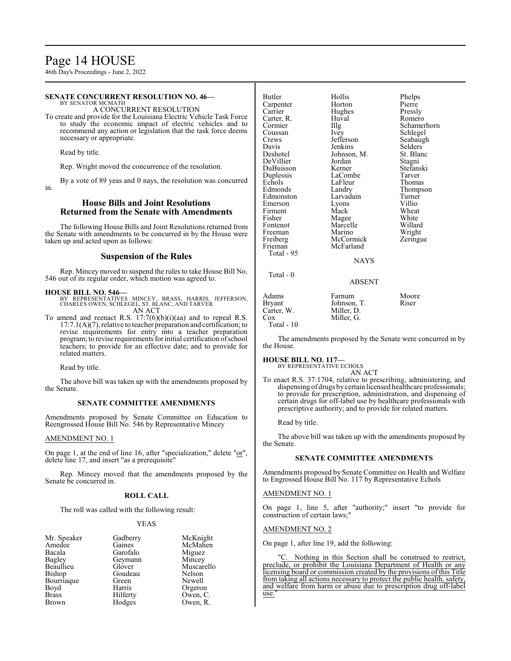# Page 14 HOUSE

46th Day's Proceedings - June 2, 2022

#### **SENATE CONCURRENT RESOLUTION NO. 46—** BY SENATOR MCMATH

A CONCURRENT RESOLUTION

To create and provide for the Louisiana Electric Vehicle Task Force to study the economic impact of electric vehicles and to recommend any action or legislation that the task force deems necessary or appropriate.

Read by title.

Rep. Wright moved the concurrence of the resolution.

By a vote of 89 yeas and 0 nays, the resolution was concurred in.

## **House Bills and Joint Resolutions Returned from the Senate with Amendments**

The following House Bills and Joint Resolutions returned from the Senate with amendments to be concurred in by the House were taken up and acted upon as follows:

## **Suspension of the Rules**

Rep. Mincey moved to suspend the rules to take House Bill No. 546 out of its regular order, which motion was agreed to.

## **HOUSE BILL NO. 546—**

BY REPRESENTATIVES MINCEY, BRASS, HARRIS, JEFFERSON, CHARLES OWEN, SCHLEGEL, ST. BLANC, AND TARVER AN ACT

To amend and reenact R.S.  $17:7(6)(b)(i)(aa)$  and to repeal R.S. 17:7.1(A)(7), relative to teacher preparation and certification; to revise requirements for entry into a teacher preparation program; to revise requirements for initial certification ofschool teachers; to provide for an effective date; and to provide for related matters.

Read by title.

The above bill was taken up with the amendments proposed by the Senate.

## **SENATE COMMITTEE AMENDMENTS**

Amendments proposed by Senate Committee on Education to Reengrossed House Bill No. 546 by Representative Mincey

## AMENDMENT NO. 1

On page 1, at the end of line 16, after "specialization," delete "or", delete line 17, and insert "as a prerequisite"

Rep. Mincey moved that the amendments proposed by the Senate be concurred in.

## **ROLL CALL**

The roll was called with the following result:

## YEAS

| Mr. Speaker  | Gadberry | McKnight   |
|--------------|----------|------------|
| Amedee       | Gaines   | McMahen    |
| Bacala       | Garofalo | Miguez     |
| Bagley       | Geymann  | Mincey     |
| Beaullieu    | Glover   | Muscarello |
| Bishop       | Goudeau  | Nelson     |
| Bourriaque   | Green    | Newell     |
| Boyd         | Harris   | Orgeron    |
| <b>Brass</b> | Hilferty | Owen, C.   |
| Brown        | Hodges   | Owen, R.   |

| <b>Butler</b><br>Carpenter<br>Carrier<br>Carter, R.<br>Cormier<br>Coussan<br>Crews<br>Davis<br>Deshotel<br>DeVillier<br>DuBuisson<br>Duplessis<br>Echols<br>Edmonds<br>Edmonston<br>Emerson<br>Firment<br>Fisher<br>Fontenot<br>Freeman<br>Freiberg<br>Frieman<br>Total - 95 | Hollis<br>Horton<br>Hughes<br>Huval<br>Illg<br>Ivey<br>Jefferson<br>Jenkins<br>Johnson, M.<br>Jordan<br>Kerner<br>LaCombe<br>LaFleur<br>Landry<br>Larvadain<br>Lyons<br>Mack<br>Magee<br>Marcelle<br>Marino<br>McCormick<br>McFarland | Phelps<br>Pierre<br>Pressly<br>Romero<br>Schamerhorn<br>Schlegel<br>Seabaugh<br>Selders<br>St. Blanc<br>Stagni<br>Stefanski<br>Tarver<br>Thomas<br>Thompson<br>Turner<br>Villio<br>Wheat<br>White<br>Willard<br>Wright<br>Zeringue |
|------------------------------------------------------------------------------------------------------------------------------------------------------------------------------------------------------------------------------------------------------------------------------|---------------------------------------------------------------------------------------------------------------------------------------------------------------------------------------------------------------------------------------|------------------------------------------------------------------------------------------------------------------------------------------------------------------------------------------------------------------------------------|
|                                                                                                                                                                                                                                                                              | <b>NAYS</b>                                                                                                                                                                                                                           |                                                                                                                                                                                                                                    |
| Total - 0                                                                                                                                                                                                                                                                    | <b>ABSENT</b>                                                                                                                                                                                                                         |                                                                                                                                                                                                                                    |
| Adams<br>Bryant<br>Carter, W.<br>Cox                                                                                                                                                                                                                                         | Farnum<br>Johnson, T.<br>Miller, D.<br>Miller. G.                                                                                                                                                                                     | Moore<br>Riser                                                                                                                                                                                                                     |

Total - 10

The amendments proposed by the Senate were concurred in by the House.

# **HOUSE BILL NO. 117—** BY REPRESENTATIVE ECHOLS

AN ACT

To enact R.S. 37:1704, relative to prescribing, administering, and dispensing of drugs by certain licensed healthcare professionals; to provide for prescription, administration, and dispensing of certain drugs for off-label use by healthcare professionals with prescriptive authority; and to provide for related matters.

Read by title.

The above bill was taken up with the amendments proposed by the Senate.

## **SENATE COMMITTEE AMENDMENTS**

Amendments proposed by Senate Committee on Health and Welfare to Engrossed House Bill No. 117 by Representative Echols

## AMENDMENT NO. 1

On page 1, line 5, after "authority;" insert "to provide for construction of certain laws;"

#### AMENDMENT NO. 2

On page 1, after line 19, add the following:

Nothing in this Section shall be construed to restrict, preclude, or prohibit the Louisiana Department of Health or any licensing board or commission created by the provisions of this Title from taking all actions necessary to protect the public health, safety, and welfare from harm or abuse due to prescription drug off-label use.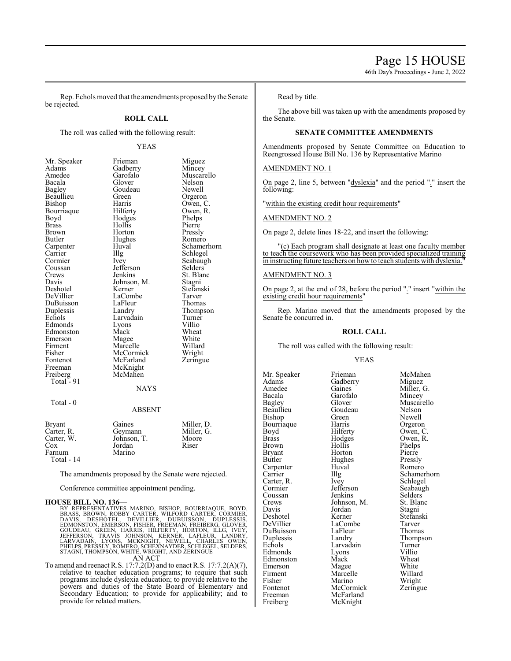46th Day's Proceedings - June 2, 2022

Rep. Echols moved that the amendments proposed by the Senate be rejected.

## **ROLL CALL**

The roll was called with the following result:

## YEAS

| Mr. Speaker   | Frieman       | Miguez      |
|---------------|---------------|-------------|
| Adams         | Gadberry      | Mincey      |
| Amedee        | Garofalo      | Muscarello  |
| Bacala        | Glover        | Nelson      |
| Bagley        | Goudeau       | Newell      |
| Beaullieu     | Green         | Orgeron     |
| Bishop        | Harris        | Owen, C.    |
| Bourriaque    | Hilferty      | Owen, R.    |
| Boyd          | Hodges        | Phelps      |
| <b>Brass</b>  | Hollis        | Pierre      |
| Brown         | Horton        | Pressly     |
| Butler        | Hughes        | Romero      |
| Carpenter     | Huval         | Schamerhorn |
| Carrier       | Illg          | Schlegel    |
| Cormier       | Ivey          | Seabaugh    |
| Coussan       | Jefferson     | Selders     |
| Crews         | Jenkins       | St. Blanc   |
| Davis         | Johnson, M.   | Stagni      |
| Deshotel      | Kerner        | Stefanski   |
| DeVillier     | LaCombe       | Tarver      |
| DuBuisson     | LaFleur       | Thomas      |
| Duplessis     | Landry        | Thompson    |
| Echols        | Larvadain     | Turner      |
| Edmonds       | Lyons         | Villio      |
| Edmonston     | Mack          | Wheat       |
| Emerson       | Magee         | White       |
| Firment       | Marcelle      | Willard     |
| Fisher        | McCormick     | Wright      |
| Fontenot      | McFarland     | Zeringue    |
| Freeman       | McKnight      |             |
| Freiberg      | McMahen       |             |
| Total - 91    |               |             |
|               | NAYS          |             |
| Total - 0     |               |             |
|               | <b>ABSENT</b> |             |
| <b>Bryant</b> | Gaines        | Miller, D.  |
|               |               |             |

| <b>Bryant</b> | Gaines      | Miller. D. |
|---------------|-------------|------------|
| Carter, R.    | Geymann     | Miller, G. |
| Carter, W.    | Johnson, T. | Moore      |
| Cox           | Jordan      | Riser      |
| Farnum        | Marino      |            |
| Total - 14    |             |            |

The amendments proposed by the Senate were rejected.

Conference committee appointment pending.

**HOUSE BILL NO. 136—**<br>BY REPRESENTATIVES MARINO, BISHOP, BOURRIAQUE, BOYD, BRASS, BROWN, ROBBY CARTER, WILFORD CARTER, CORMIER,<br>DAVIS, DESHOTEL, DEVILLIER, DUBUISSON, DUPLESSIS,<br>EDMONSTON, EMERSON, FISHER, FREEMAN, FREIBER

To amend and reenact R.S. 17:7.2(D) and to enact R.S. 17:7.2(A)(7), relative to teacher education programs; to require that such programs include dyslexia education; to provide relative to the powers and duties of the State Board of Elementary and Secondary Education; to provide for applicability; and to provide for related matters.

Read by title.

The above bill was taken up with the amendments proposed by the Senate.

## **SENATE COMMITTEE AMENDMENTS**

Amendments proposed by Senate Committee on Education to Reengrossed House Bill No. 136 by Representative Marino

## AMENDMENT NO. 1

On page 2, line 5, between "dyslexia" and the period "." insert the following:

"within the existing credit hour requirements"

## AMENDMENT NO. 2

On page 2, delete lines 18-22, and insert the following:

"(c) Each program shall designate at least one faculty member to teach the coursework who has been provided specialized training in instructing future teachers on how to teach students with dyslexia.

## AMENDMENT NO. 3

On page 2, at the end of 28, before the period "." insert "within the existing credit hour requirements"

Rep. Marino moved that the amendments proposed by the Senate be concurred in.

## **ROLL CALL**

The roll was called with the following result:

#### YEAS

Mr. Speaker Frieman McMahen<br>Adams Gadberry Miguez Adams Gadberry<br>Amedee Gaines Amedee Gaines Miller, G.<br>Bacala Garofalo Mincey Bacala Garofalo Mincey Bishop Green Newell<br>Bourriaque Harris Orgeron Bourriaque Harris<br>Boyd Hilferty Boyd Hilferty Owen, C.<br>Brass Hodges Owen, R. Brass Hodges Owen, R.<br>Brown Hollis Phelps Bryant Horton Pierre<br>Butler Hughes Pressly Carpenter Huval Romer Huval Romer Huval Romer Huval Romer Huval Romer Huval Romer Huval Romer Huval Romer Huval Romer Huval Romer Huval Romer Huval Romer Huval Romer Huval Romer Huval Romer Huval Romer Huval Romer Huval Ro Carter, R. Ivey Schlegel<br>
Cormier Jefferson Seabaugl Coussan Jenkins Selders<br>Crews Johnson, M. St. Blanc Crews Johnson, M. St. Blanck<br>Davis Jordan Stagni Davis Jordan Stagni Deshotel Kerner Stefanski DuBuisson LaFleur<br>
Duplessis Landry Duplessis Landry Thompson Edmonds Lyons Villio Edmonston Mack Wheat<br>
Emerson Magee White Emerson Magee White<br>
Firment Marcelle Willard Firment Marcelle Willard<br>
Fisher Marino Wright Fisher Marino Wright<br>Fontenot McCormick Zeringue Fontenot McCormick<br>Freeman McFarland

Goudeau Nelson<br>Green Newell Larvadain Turner<br>Lyons Villio McFarland Freiberg McKnight

Bagley Glover Muscarello<br>Beaullieu Goudeau Nelson Carrier Illg Schamerhorn<br>Carter R. Ivev Schlegel

Hollis Phelps<br>
Horton Pierre Hughes Pressly<br>Huval Romero Jefferson Seabaugh<br>Jenkins Selders LaCombe Tarver<br>
LaFleur Thomas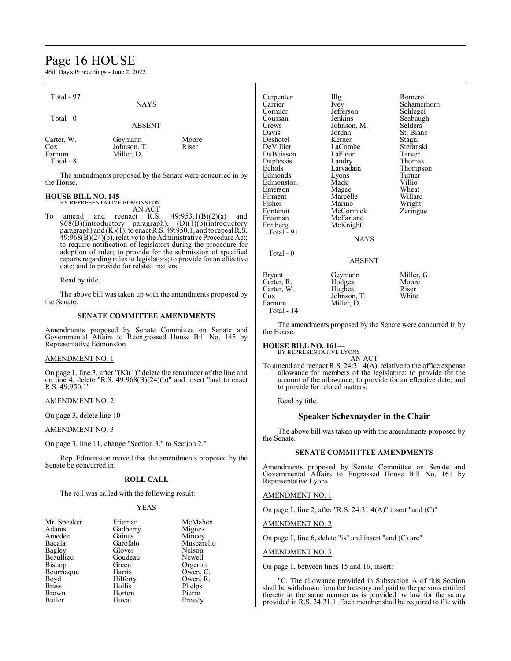# Page 16 HOUSE

46th Day's Proceedings - June 2, 2022

| Total - 97                               | <b>NAYS</b>                          |                |
|------------------------------------------|--------------------------------------|----------------|
| Total $-0$                               | <b>ABSENT</b>                        |                |
| Carter, W.<br>Cox<br>Farnum<br>Total - 8 | Geymann<br>Johnson, T.<br>Miller, D. | Moore<br>Riser |

The amendments proposed by the Senate were concurred in by the House.

## **HOUSE BILL NO. 145—**

BY REPRESENTATIVE EDMONSTON

AN ACT<br>reenact R.S. To amend and reenact R.S.  $49:953.1(B)(2)(a)$  and 968(B)(introductory paragraph), (D)(1)(b)(introductory paragraph) and (K)(1), to enact R.S. 49:950.1, and to repeal R.S. 49:968(B)(24)(b), relative to the Administrative Procedure Act; to require notification of legislators during the procedure for adoption of rules; to provide for the submission of specified reports regarding rules to legislators; to provide for an effective date; and to provide for related matters.

Read by title.

The above bill was taken up with the amendments proposed by the Senate.

## **SENATE COMMITTEE AMENDMENTS**

Amendments proposed by Senate Committee on Senate and Governmental Affairs to Reengrossed House Bill No. 145 by Representative Edmonston

## AMENDMENT NO. 1

On page 1, line 3, after " $(K)(1)$ " delete the remainder of the line and on line 4, delete "R.S.  $49:968(B)(24)(b)$ " and insert "and to enact R.S. 49:950.1"

## AMENDMENT NO. 2

On page 3, delete line 10

## AMENDMENT NO. 3

On page 3, line 11, change "Section 3." to Section 2."

Rep. Edmonston moved that the amendments proposed by the Senate be concurred in.

## **ROLL CALL**

The roll was called with the following result:

## YEAS

| Frieman  | McMaher  |
|----------|----------|
| Gadberry | Miguez   |
| Gaines   | Mincey   |
| Garofalo | Muscarel |
| Glover   | Nelson   |
| Goudeau  | Newell   |
| Green    | Orgeron  |
| Harris   | Owen, C. |
| Hilferty | Owen, R. |
| Hollis   | Phelps   |
| Horton   | Pierre   |
| Huval    | Pressly  |
|          |          |

:Mahen<br>guez ncey<br><sub>Iscarello</sub><br>Ison ven, R.<br>elps

| Carpenter<br>Carrier<br>Cormier<br>Coussan<br>Crews<br>Davis<br>Deshotel<br>DeVillier<br>DuBuisson<br>Duplessis<br>Echols<br>Edmonds<br>Edmonston<br>Emerson<br>Firment<br>Fisher<br>Fontenot<br>Freeman<br>Freiberg | Illg<br>Ivey<br>Jefferson<br>Jenkins<br>Johnson, M.<br>Jordan<br>Kerner<br>LaCombe<br>LaFleur<br>Landry<br>Larvadain<br>Lyons<br>Mack<br>Magee<br>Marcelle<br>Marino<br>McCormick<br>McFarland<br>McKnight | Romero<br>Schamerhorn<br>Schlegel<br>Seabaugh<br>Selders<br>St. Blanc<br>Stagni<br>Stefanski<br>Tarver<br>Thomas<br>Thompson<br>Turner<br>Villio<br>Wheat<br>Willard<br>Wright<br>Zeringue |
|----------------------------------------------------------------------------------------------------------------------------------------------------------------------------------------------------------------------|------------------------------------------------------------------------------------------------------------------------------------------------------------------------------------------------------------|--------------------------------------------------------------------------------------------------------------------------------------------------------------------------------------------|
| Total - 91                                                                                                                                                                                                           | <b>NAYS</b>                                                                                                                                                                                                |                                                                                                                                                                                            |
| Total - 0                                                                                                                                                                                                            | ABSENT                                                                                                                                                                                                     |                                                                                                                                                                                            |
| Bryant<br>Carter, R.<br>Carter, W.<br>Cox<br>Farnum<br>Total - 14                                                                                                                                                    | Geymann<br>Hodges<br>Hughes<br>Johnson, T.<br>Miller, D.                                                                                                                                                   | Miller, G.<br>Moore<br>Riser<br>White                                                                                                                                                      |

The amendments proposed by the Senate were concurred in by the House.

## **HOUSE BILL NO. 161—**

BY REPRESENTATIVE LYONS

AN ACT To amend and reenact R.S. 24:31.4(A), relative to the office expense allowance for members of the legislature; to provide for the amount of the allowance; to provide for an effective date; and to provide for related matters.

Read by title.

## **Speaker Schexnayder in the Chair**

The above bill was taken up with the amendments proposed by the Senate.

## **SENATE COMMITTEE AMENDMENTS**

Amendments proposed by Senate Committee on Senate and Governmental Affairs to Engrossed House Bill No. 161 by Representative Lyons

AMENDMENT NO. 1

On page 1, line 2, after "R.S. 24:31.4(A)" insert "and (C)"

AMENDMENT NO. 2

On page 1, line 6, delete "is" and insert "and (C) are"

## AMENDMENT NO. 3

On page 1, between lines 15 and 16, insert:

"C. The allowance provided in Subsection A of this Section shall be withdrawn from the treasury and paid to the persons entitled thereto in the same manner as is provided by law for the salary provided in R.S. 24:31.1. Each member shall be required to file with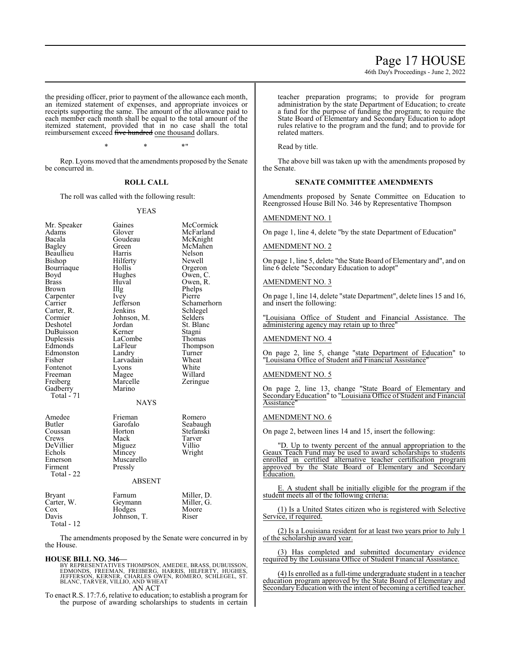46th Day's Proceedings - June 2, 2022

the presiding officer, prior to payment of the allowance each month, an itemized statement of expenses, and appropriate invoices or receipts supporting the same. The amount of the allowance paid to each member each month shall be equal to the total amount of the itemized statement, provided that in no case shall the total reimbursement exceed five hundred one thousand dollars.

\* \* \*"

Rep. Lyons moved that the amendments proposed by the Senate be concurred in.

## **ROLL CALL**

The roll was called with the following result:

#### YEAS

| Mr. Speaker<br>Adams<br>Bacala<br>Bagley<br>Beaullieu<br>Bishop<br>Bourriaque<br>Boyd<br><b>Brass</b><br><b>Brown</b><br>Carpenter<br>Carrier<br>Carter, R.<br>Cormier<br>Deshotel<br>DuBuisson<br>Duplessis<br>Edmonds<br>Edmonston<br>Fisher<br>Fontenot<br>Freeman<br>Freiberg<br>Gadberry<br><b>Total - 71</b> | Gaines<br>Glover<br>Goudeau<br>Green<br>Harris<br>Hilferty<br>Hollis<br>Hughes<br>Huval<br>Illg<br><i>lvey</i><br>Jefferson<br>Jenkins<br>Johnson, M.<br>Jordan<br>Kerner<br>LaCombe<br>LaFleur<br>Landry<br>Larvadain<br>Lyons<br>Magee<br>Marcelle<br>Marino<br><b>NAYS</b> | McCormick<br>McFarland<br>McKnight<br>McMahen<br>Nelson<br>Newell<br>Orgeron<br>Owen, C.<br>Owen, R.<br>Phelps<br>Pierre<br>Schamerhorn<br>Schlegel<br>Selders<br>St. Blanc<br>Stagni<br>Thomas<br>Thompson<br>Turner<br>Wheat<br>White<br>Willard<br>Zeringue |
|--------------------------------------------------------------------------------------------------------------------------------------------------------------------------------------------------------------------------------------------------------------------------------------------------------------------|-------------------------------------------------------------------------------------------------------------------------------------------------------------------------------------------------------------------------------------------------------------------------------|----------------------------------------------------------------------------------------------------------------------------------------------------------------------------------------------------------------------------------------------------------------|
| Amedee<br>Butler<br>Coussan<br>Crews<br>DeVillier<br>Echols<br>Emerson<br>Firment<br>Total - 22<br><b>Bryant</b>                                                                                                                                                                                                   | Frieman<br>Garofalo<br>Horton<br>Mack<br>Miguez<br>Mincey<br>Muscarello<br>Pressly<br>ABSENT<br>Farnum                                                                                                                                                                        | Romero<br>Seabaugh<br>Stefanski<br>Tarver<br>Villio<br>Wright<br>Miller, D.                                                                                                                                                                                    |
| Carter, W.<br>Cox<br>Davis<br>Total - 12                                                                                                                                                                                                                                                                           | Geymann<br>Hodges<br>Johnson, T.                                                                                                                                                                                                                                              | Miller, G.<br>Moore<br>Riser                                                                                                                                                                                                                                   |

The amendments proposed by the Senate were concurred in by the House.

#### **HOUSE BILL NO. 346—**

BY REPRESENTATIVES THOMPSON, AMEDEE, BRASS, DUBUISSON,<br>EDMONDS, FREEMAN, FREIBERG, HARRIS, HILFERTY, HUGHES,<br>JEFFERSON, KERNER, CHARLES OWEN, ROMERO, SCHLEGEL, ST.<br>BLANC, TARVER, VILLIO, AND WHEAT AN ACT

To enact R.S. 17:7.6, relative to education; to establish a program for the purpose of awarding scholarships to students in certain

teacher preparation programs; to provide for program administration by the state Department of Education; to create a fund for the purpose of funding the program; to require the State Board of Elementary and Secondary Education to adopt rules relative to the program and the fund; and to provide for related matters.

Read by title.

The above bill was taken up with the amendments proposed by the Senate.

## **SENATE COMMITTEE AMENDMENTS**

Amendments proposed by Senate Committee on Education to Reengrossed House Bill No. 346 by Representative Thompson

#### AMENDMENT NO. 1

On page 1, line 4, delete "by the state Department of Education"

## AMENDMENT NO. 2

On page 1, line 5, delete "the State Board of Elementary and", and on line 6 delete "Secondary Education to adopt"

#### AMENDMENT NO. 3

On page 1, line 14, delete "state Department", delete lines 15 and 16, and insert the following:

"Louisiana Office of Student and Financial Assistance. The administering agency may retain up to three'

## AMENDMENT NO. 4

On page 2, line 5, change "state Department of Education" to "Louisiana Office of Student and Financial Assistance"

#### AMENDMENT NO. 5

On page 2, line 13, change "State Board of Elementary and Secondary Education" to "Louisiana Office of Student and Financial **Assistance** 

## AMENDMENT NO. 6

On page 2, between lines 14 and 15, insert the following:

"D. Up to twenty percent of the annual appropriation to the Geaux Teach Fund may be used to award scholarships to students enrolled in certified alternative teacher certification program approved by the State Board of Elementary and Secondary Education.

E. A student shall be initially eligible for the program if the student meets all of the following criteria:

(1) Is a United States citizen who is registered with Selective Service, if required.

(2) Is a Louisiana resident for at least two years prior to July 1 of the scholarship award year.

(3) Has completed and submitted documentary evidence required by the Louisiana Office of Student Financial Assistance.

(4) Is enrolled as a full-time undergraduate student in a teacher education program approved by the State Board of Elementary and Secondary Education with the intent of becoming a certified teacher.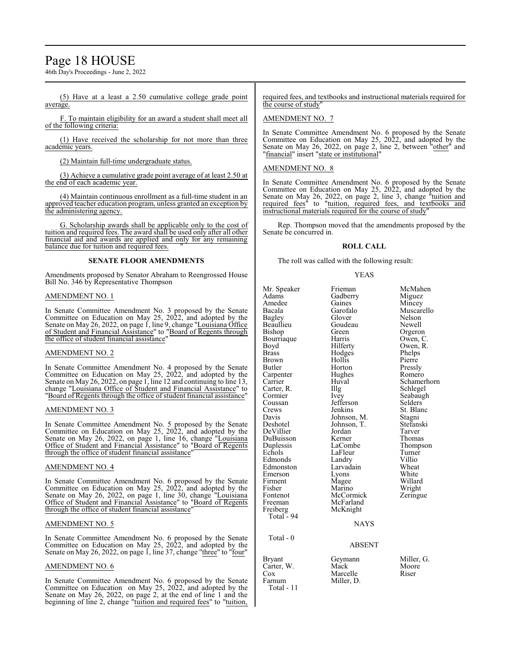# Page 18 HOUSE

46th Day's Proceedings - June 2, 2022

(5) Have at a least a 2.50 cumulative college grade point average.

F. To maintain eligibility for an award a student shall meet all of the following criteria:

(1) Have received the scholarship for not more than three academic years.

(2) Maintain full-time undergraduate status.

(3) Achieve a cumulative grade point average of at least 2.50 at the end of each academic year.

(4) Maintain continuous enrollment as a full-time student in an approved teacher education program, unless granted an exception by the administering agency.

G. Scholarship awards shall be applicable only to the cost of tuition and required fees. The award shall be used only after all other financial aid and awards are applied and only for any remaining balance due for tuition and required fees.

## **SENATE FLOOR AMENDMENTS**

Amendments proposed by Senator Abraham to Reengrossed House Bill No. 346 by Representative Thompson

## AMENDMENT NO. 1

In Senate Committee Amendment No. 3 proposed by the Senate Committee on Education on May 25, 2022, and adopted by the Senate on May 26, 2022, on page 1, line 9, change "Louisiana Office of Student and Financial Assistance" to "Board of Regents through the office of student financial assistance"

## AMENDMENT NO. 2

In Senate Committee Amendment No. 4 proposed by the Senate Committee on Education on May 25, 2022, and adopted by the Senate on May 26, 2022, on page 1, line 12 and continuing to line 13, change "Louisiana Office of Student and Financial Assistance" to "Board of Regents through the office of student financial assistance"

## AMENDMENT NO. 3

In Senate Committee Amendment No. 5 proposed by the Senate Committee on Education on May 25, 2022, and adopted by the Senate on May 26, 2022, on page 1, line 16, change "Louisiana Office of Student and Financial Assistance" to "Board of Regents through the office of student financial assistance"

## AMENDMENT NO. 4

In Senate Committee Amendment No. 6 proposed by the Senate Committee on Education on May 25, 2022, and adopted by the Senate on May 26, 2022, on page 1, line 30, change "Louisiana Office of Student and Financial Assistance" to "Board of Regents through the office of student financial assistance"

## AMENDMENT NO. 5

In Senate Committee Amendment No. 6 proposed by the Senate Committee on Education on May 25, 2022, and adopted by the Senate on May 26, 2022, on page 1, line 37, change "three" to "four"

## AMENDMENT NO. 6

In Senate Committee Amendment No. 6 proposed by the Senate Committee on Education on May 25, 2022, and adopted by the Senate on May 26, 2022, on page 2, at the end of line 1 and the beginning of line 2, change "tuition and required fees" to "tuition, required fees, and textbooks and instructional materials required for the course of study"

## AMENDMENT NO. 7

In Senate Committee Amendment No. 6 proposed by the Senate Committee on Education on May 25, 2022, and adopted by the Senate on May 26, 2022, on page 2, line 2, between "other" and "financial" insert "state or institutional"

## AMENDMENT NO. 8

In Senate Committee Amendment No. 6 proposed by the Senate Committee on Education on May 25, 2022, and adopted by the Senate on May 26, 2022, on page 2, line 3, change "tuition and required fees<sup>"</sup> to "tuition, required fees, and textbooks and instructional materials required for the course of study

Rep. Thompson moved that the amendments proposed by the Senate be concurred in.

## **ROLL CALL**

The roll was called with the following result:

Hodges

#### YEAS

Mr. Speaker Frieman McMahen<br>Adams Gadberry Miguez Adams Gadberry<br>Amedee Gaines Amedee Gaines Mincey<br>Bacala Garofalo Muscar Bagley Glover Nelson Bishop Green Green Orgeron<br>Bourriaque Harris Owen, C. Bourriaque Harris<br>Boyd Hilferty Boyd Hilferty Owen, R.<br>Brass Hodges Phelps Brown Hollis Pierre<br>Butler Horton Pressly Carpenter Hughe<br>Carrier Huval Carter, R. Illg<br>Cormier Ivey Cormier Ivey Seabaugh<br>
Coussan Jefferson Selders Coussan Jefferson<br>Crews Jenkins Crews Jenkins St. Blanc<br>Davis Johnson, M. Stagni Davis Johnson, M. Stagni DeVillier Jordan Tarver DuBuisson Kerner<br>
Duplessis LaCombe Duplessis LaCombe Thompson<br>
Echols LaFleur Turner Echols LaFleur Turner<br>Edmonds Landry Villio Edmonston Larvadain Wheat<br>
Emerson Lyons White Emerson Lyons White<br>
Firment Magee Willard Firment Magee Willard<br>Fisher Marino Wright Fisher Marino Wright<br>Fontenot McCormick Zeringue Fontenot McCormick<br>Freeman McFarland Freeman McFarland<br>Freiberg McKnight Total  $-94$  Total - 0 Bryant Geymann Miller, G.<br>Carter. W. Mack Moore Carter, W. Mack Moor<br>Cox Marcelle Riser

Garofalo Muscarello<br>Glover Nelson Goudeau Newell<br>Green Orgeron Horton Pressly<br>Hughes Romero Huval Schamerhorn<br>Illg Schlegel Johnson, T. Stefans<br>Jordan Tarver Landry Villio<br>Larvadain Wheat

NAYS

McKnight

Miller, D.

## ABSENT

Cox Marcelle<br>Farnum Miller, D Total - 11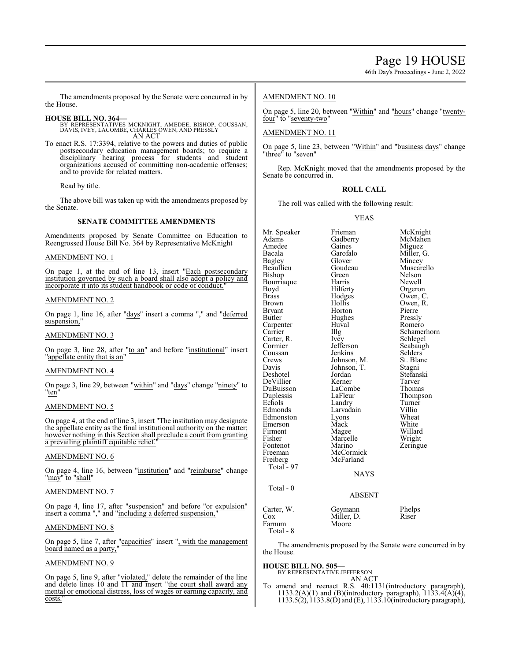46th Day's Proceedings - June 2, 2022

The amendments proposed by the Senate were concurred in by the House.

- **HOUSE BILL NO. 364—** BY REPRESENTATIVES MCKNIGHT, AMEDEE, BISHOP, COUSSAN, DAVIS, IVEY, LACOMBE, CHARLES OWEN, AND PRESSLY AN ACT
- To enact R.S. 17:3394, relative to the powers and duties of public postsecondary education management boards; to require a disciplinary hearing process for students and student organizations accused of committing non-academic offenses; and to provide for related matters.

Read by title.

The above bill was taken up with the amendments proposed by the Senate.

## **SENATE COMMITTEE AMENDMENTS**

Amendments proposed by Senate Committee on Education to Reengrossed House Bill No. 364 by Representative McKnight

## AMENDMENT NO. 1

On page 1, at the end of line 13, insert "Each postsecondary institution governed by such a board shall also adopt a policy and incorporate it into its student handbook or code of conduct.

## AMENDMENT NO. 2

On page 1, line 16, after "days" insert a comma "," and "deferred suspension,'

## AMENDMENT NO. 3

On page 3, line 28, after "to an" and before "institutional" insert "appellate entity that is an"

## AMENDMENT NO. 4

On page 3, line 29, between "within" and "days" change "ninety" to "ten"

## AMENDMENT NO. 5

On page 4, at the end of line 3, insert "The institution may designate the appellate entity as the final institutional authority on the matter; however nothing in this Section shall preclude a court from granting a prevailing plaintiff equitable relief.

## AMENDMENT NO. 6

On page 4, line 16, between "institution" and "reimburse" change "may" to "shall"

## AMENDMENT NO. 7

On page 4, line 17, after "suspension" and before "or expulsion" insert a comma "," and "including a deferred suspension,

## AMENDMENT NO. 8

On page 5, line 7, after "capacities" insert ", with the management board named as a party,"

## AMENDMENT NO. 9

On page 5, line 9, after "violated," delete the remainder of the line and delete lines 10 and 11 and insert "the court shall award any mental or emotional distress, loss of wages or earning capacity, and costs."

## AMENDMENT NO. 10

On page 5, line 20, between "Within" and "hours" change "twentyfour" to "seventy-two"

## AMENDMENT NO. 11

On page 5, line 23, between "Within" and "business days" change "three" to "seven"

Rep. McKnight moved that the amendments proposed by the Senate be concurred in.

## **ROLL CALL**

The roll was called with the following result:

YEAS

| Mr. Speaker   | Frieman       | McKnight    |
|---------------|---------------|-------------|
| Adams         | Gadberry      | McMahen     |
| Amedee        | Gaines        | Miguez      |
| Bacala        | Garofalo      | Miller, G.  |
| <b>Bagley</b> | Glover        | Mincey      |
| Beaullieu     | Goudeau       | Muscarello  |
| Bishop        | Green         | Nelson      |
| Bourriaque    | Harris        | Newell      |
| Boyd          | Hilferty      | Orgeron     |
| <b>Brass</b>  | Hodges        | Owen, C.    |
| <b>Brown</b>  | Hollis        | Owen, R.    |
| Bryant        | Horton        | Pierre      |
| Butler        | Hughes        | Pressly     |
| Carpenter     | Huval         | Romero      |
| Carrier       | Illg          | Schamerhorn |
| Carter, R.    | Ivey          | Schlegel    |
| Cormier       | Jefferson     | Seabaugh    |
| Coussan       | Jenkins       | Selders     |
| Crews         | Johnson, M.   | St. Blanc   |
| Davis         | Johnson, T.   | Stagni      |
| Deshotel      | Jordan        | Stefanski   |
| DeVillier     | Kerner        | Tarver      |
| DuBuisson     | LaCombe       | Thomas      |
| Duplessis     | LaFleur       | Thompson    |
| Echols        | Landry        | Turner      |
| Edmonds       | Larvadain     | Villio      |
| Edmonston     | Lyons         | Wheat       |
| Emerson       | Mack          | White       |
| Firment       | Magee         | Willard     |
| Fisher        | Marcelle      | Wright      |
| Fontenot      | Marino        | Zeringue    |
| Freeman       | McCormick     |             |
| Freiberg      | McFarland     |             |
| Total - 97    |               |             |
|               | <b>NAYS</b>   |             |
| Total - 0     |               |             |
|               | <b>ABSENT</b> |             |
| Carter, W.    | Geymann       | Phelps      |
| Cox           | Miller, D.    | Riser       |
| Farnum        | Moore         |             |

The amendments proposed by the Senate were concurred in by the House.

#### **HOUSE BILL NO. 505—**

Total - 8

BY REPRESENTATIVE JEFFERSON

AN ACT To amend and reenact R.S. 40:1131(introductory paragraph), 1133.2(A)(1) and (B)(introductory paragraph),  $1133.4(A)(4)$ , 1133.5(2),1133.8(D) and (E), 1133.10(introductory paragraph),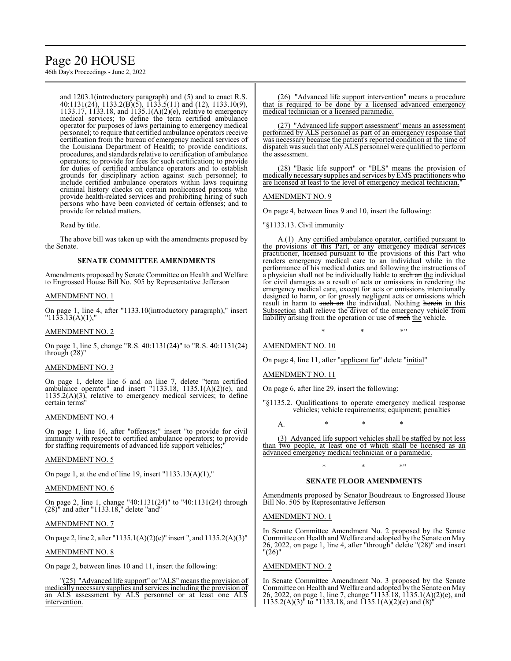# Page 20 HOUSE

46th Day's Proceedings - June 2, 2022

and 1203.1(introductory paragraph) and (5) and to enact R.S. 40:1131(24), 1133.2(B)(5), 1133.5(11) and (12), 1133.10(9), 1133.17, 1133.18, and 1135.1(A)(2)(e), relative to emergency medical services; to define the term certified ambulance operator for purposes of laws pertaining to emergency medical personnel; to require that certified ambulance operators receive certification from the bureau of emergency medical services of the Louisiana Department of Health; to provide conditions, procedures, and standards relative to certification of ambulance operators; to provide for fees for such certification; to provide for duties of certified ambulance operators and to establish grounds for disciplinary action against such personnel; to include certified ambulance operators within laws requiring criminal history checks on certain nonlicensed persons who provide health-related services and prohibiting hiring of such persons who have been convicted of certain offenses; and to provide for related matters.

Read by title.

The above bill was taken up with the amendments proposed by the Senate.

## **SENATE COMMITTEE AMENDMENTS**

Amendments proposed by Senate Committee on Health and Welfare to Engrossed House Bill No. 505 by Representative Jefferson

## AMENDMENT NO. 1

On page 1, line 4, after "1133.10(introductory paragraph)," insert  $"11\overline{3}3.\overline{1}3(\AA)(1),"$ 

## AMENDMENT NO. 2

On page 1, line 5, change "R.S. 40:1131(24)" to "R.S. 40:1131(24) through (28)"

## AMENDMENT NO. 3

On page 1, delete line 6 and on line 7, delete "term certified ambulance operator" and insert "1133.18, 1135.1(A)(2)(e), and 1135.2(A)(3), relative to emergency medical services; to define certain terms"

## AMENDMENT NO. 4

On page 1, line 16, after "offenses;" insert "to provide for civil immunity with respect to certified ambulance operators; to provide for staffing requirements of advanced life support vehicles;

## AMENDMENT NO. 5

On page 1, at the end of line 19, insert  $"1133.13(A)(1),"$ 

## AMENDMENT NO. 6

On page 2, line 1, change "40:1131(24)" to "40:1131(24) through (28)" and after "1133.18," delete "and"

## AMENDMENT NO. 7

On page 2, line 2, after "1135.1(A)(2)(e)" insert ", and 1135.2(A)(3)"

## AMENDMENT NO. 8

On page 2, between lines 10 and 11, insert the following:

"(25) "Advanced life support" or "ALS" means the provision of medically necessary supplies and services including the provision of an ALS assessment by ALS personnel or at least one ALS intervention.

(26) "Advanced life support intervention" means a procedure that is required to be done by a licensed advanced emergency medical technician or a licensed paramedic.

(27) "Advanced life support assessment" means an assessment performed by ALS personnel as part of an emergency response that was necessary because the patient's reported condition at the time of dispatch was such that only ALS personnel were qualified to perform the assessment.

(28) "Basic life support" or "BLS" means the provision of medically necessary supplies and services by EMS practitioners who are licensed at least to the level of emergency medical technician."

## AMENDMENT NO. 9

On page 4, between lines 9 and 10, insert the following:

"§1133.13. Civil immunity

A.(1) Any certified ambulance operator, certified pursuant to the provisions of this Part, or any emergency medical services practitioner, licensed pursuant to the provisions of this Part who renders emergency medical care to an individual while in the performance of his medical duties and following the instructions of a physician shall not be individually liable to such an the individual for civil damages as a result of acts or omissions in rendering the emergency medical care, except for acts or omissions intentionally designed to harm, or for grossly negligent acts or omissions which result in harm to such an the individual. Nothing herein in this Subsection shall relieve the driver of the emergency vehicle from liability arising from the operation or use of such the vehicle.

 $*$  \*  $*$  \*

## AMENDMENT NO. 10

On page 4, line 11, after "applicant for" delete "initial"

## AMENDMENT NO. 11

On page 6, after line 29, insert the following:

"§1135.2. Qualifications to operate emergency medical response vehicles; vehicle requirements; equipment; penalties

A. \* \* \*

(3) Advanced life support vehicles shall be staffed by not less than two people, at least one of which shall be licensed as an advanced emergency medical technician or a paramedic.

## \* \* \*" **SENATE FLOOR AMENDMENTS**

Amendments proposed by Senator Boudreaux to Engrossed House Bill No. 505 by Representative Jefferson

## AMENDMENT NO. 1

In Senate Committee Amendment No. 2 proposed by the Senate Committee on Health and Welfare and adopted by the Senate on May 26, 2022, on page 1, line 4, after "through" delete "(28)" and insert "(26)"

## AMENDMENT NO. 2

In Senate Committee Amendment No. 3 proposed by the Senate Committee on Health and Welfare and adopted by the Senate on May 26, 2022, on page 1, line 7, change "1133.18, 1135.1(A)(2)(e), and  $1135.2(A)(3)^{n}$  to "1133.18, and  $1135.1(A)(2)(e)$  and  $(8)^{n}$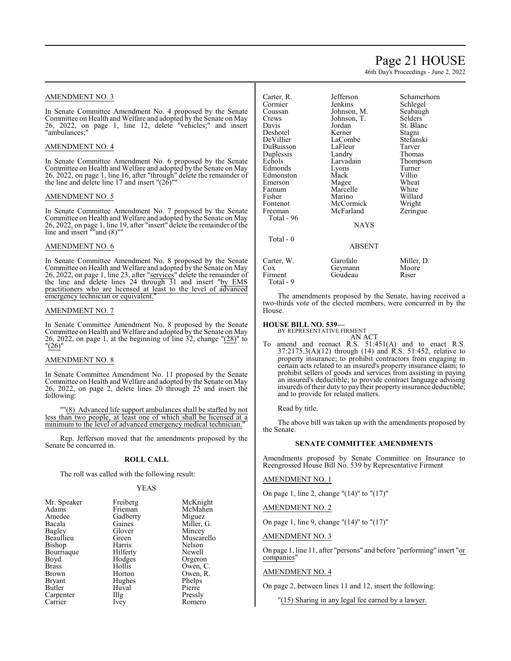# Page 21 HOUSE

46th Day's Proceedings - June 2, 2022

## AMENDMENT NO. 3

In Senate Committee Amendment No. 4 proposed by the Senate Committee on Health and Welfare and adopted by the Senate on May 26, 2022, on page 1, line 12, delete "vehicles;" and insert "ambulances;"

## AMENDMENT NO. 4

In Senate Committee Amendment No. 6 proposed by the Senate Committee on Health and Welfare and adopted by the Senate on May 26, 2022, on page 1, line 16, after "through" delete the remainder of the line and delete line 17 and insert  $"({26})"$ 

#### AMENDMENT NO. 5

In Senate Committee Amendment No. 7 proposed by the Senate Committee on Health and Welfare and adopted by the Senate on May 26, 2022, on page 1, line 19, after "insert" delete the remainder of the line and insert ""and (8)""

## AMENDMENT NO. 6

In Senate Committee Amendment No. 8 proposed by the Senate Committee on Health and Welfare and adopted by the Senate on May 26, 2022, on page 1, line 23, after "services" delete the remainder of the line and delete lines 24 through 31 and insert "by EMS practitioners who are licensed at least to the level of advanced emergency technician or equivalent.

## AMENDMENT NO. 7

In Senate Committee Amendment No. 8 proposed by the Senate Committee on Health and Welfare and adopted by the Senate on May 26, 2022, on page 1, at the beginning of line  $32$ , change " $(28)$ " to "(26)"

#### AMENDMENT NO. 8

In Senate Committee Amendment No. 11 proposed by the Senate Committee on Health and Welfare and adopted by the Senate on May 26, 2022, on page 2, delete lines 20 through 25 and insert the following:

""(8) Advanced life support ambulances shall be staffed by not less than two people, at least one of which shall be licensed at a minimum to the level of advanced emergency medical technician."

Rep. Jefferson moved that the amendments proposed by the Senate be concurred in.

## **ROLL CALL**

The roll was called with the following result:

## YEAS

| Mr. Speaker   | Freiberg | McKnight   |
|---------------|----------|------------|
| Adams         | Frieman  | McMahen    |
| Amedee        | Gadberry | Miguez     |
| Bacala        | Gaines   | Miller, G. |
| Bagley        | Glover   | Mincey     |
| Beaullieu     | Green    | Muscarello |
| Bishop        | Harris   | Nelson     |
| Bourriaque    | Hilferty | Newell     |
| Boyd          | Hodges   | Orgeron    |
| <b>Brass</b>  | Hollis   | Owen, C.   |
| Brown         | Horton   | Owen, R.   |
| <b>Bryant</b> | Hughes   | Phelps     |
| Butler        | Huval    | Pierre     |
| Carpenter     | Illg     | Pressly    |
| Carrier       | Ivey     | Romero     |

| Carter, R.<br>Cormier<br>Coussan<br>Crews<br>Davis<br>Deshotel<br>DeVillier<br>DuBuisson<br>Duplessis<br>Echols<br>Edmonds<br>Edmonston<br>Emerson<br>Farnum<br>Fisher<br>Fontenot<br>Freeman<br>Total - 96<br>Total - 0 | Jefferson<br>Jenkins<br>Johnson, M.<br>Johnson, T.<br>Jordan<br>Kerner<br>LaCombe<br>LaFleur<br>Landry<br>Larvadain<br>Lyons<br>Mack<br>Magee<br>Marcelle<br>Marino<br>McCormick<br>McFarland<br><b>NAYS</b> | Schamerhorn<br>Schlegel<br>Seabaugh<br>Selders <sup>®</sup><br>St. Blanc<br>Stagni<br>Stefanski<br>Tarver<br>Thomas<br>Thompson<br>Turner<br>Villio<br>Wheat<br>White<br>Willard<br>Wright<br>Zeringue |
|--------------------------------------------------------------------------------------------------------------------------------------------------------------------------------------------------------------------------|--------------------------------------------------------------------------------------------------------------------------------------------------------------------------------------------------------------|--------------------------------------------------------------------------------------------------------------------------------------------------------------------------------------------------------|
|                                                                                                                                                                                                                          | <b>ABSENT</b>                                                                                                                                                                                                |                                                                                                                                                                                                        |
| Carter, W.<br>Cox<br>Firment<br>Total - 9                                                                                                                                                                                | Garofalo<br>Geymann<br>Goudeau                                                                                                                                                                               | Miller, D.<br>Moore<br>Riser                                                                                                                                                                           |

The amendments proposed by the Senate, having received a two-thirds vote of the elected members, were concurred in by the House.

# **HOUSE BILL NO. 539—** BY REPRESENTATIVE FIRMENT

AN ACT To amend and reenact R.S. 51:451(A) and to enact R.S. 37:2175.3(A)(12) through (14) and R.S. 51:452, relative to property insurance; to prohibit contractors from engaging in certain acts related to an insured's property insurance claim; to prohibit sellers of goods and services from assisting in paying an insured's deductible; to provide contract language advising insureds of their duty to pay their property insurance deductible; and to provide for related matters.

Read by title.

The above bill was taken up with the amendments proposed by the Senate.

## **SENATE COMMITTEE AMENDMENTS**

Amendments proposed by Senate Committee on Insurance to Reengrossed House Bill No. 539 by Representative Firment

AMENDMENT NO. 1

On page 1, line 2, change "(14)" to "(17)"

AMENDMENT NO. 2

On page 1, line 9, change "(14)" to "(17)"

AMENDMENT NO. 3

On page 1, line 11, after "persons" and before "performing" insert "or companies"

## AMENDMENT NO. 4

On page 2, between lines 11 and 12, insert the following:

"(15) Sharing in any legal fee earned by a lawyer.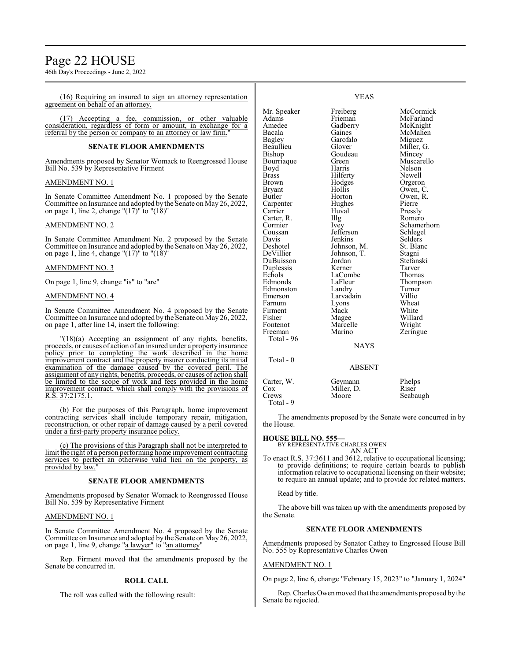# Page 22 HOUSE

46th Day's Proceedings - June 2, 2022

(16) Requiring an insured to sign an attorney representation agreement on behalf of an attorney.

(17) Accepting a fee, commission, or other valuable consideration, regardless of form or amount, in exchange for a referral by the person or company to an attorney or law firm.

## **SENATE FLOOR AMENDMENTS**

Amendments proposed by Senator Womack to Reengrossed House Bill No. 539 by Representative Firment

## AMENDMENT NO. 1

In Senate Committee Amendment No. 1 proposed by the Senate Committee on Insurance and adopted by the Senate on May 26, 2022, on page 1, line 2, change " $(17)$ " to " $(18)$ "

## AMENDMENT NO. 2

In Senate Committee Amendment No. 2 proposed by the Senate Committee on Insurance and adopted by the Senate on May 26, 2022, on page 1, line 4, change "(17)" to "(18)"

## AMENDMENT NO. 3

On page 1, line 9, change "is" to "are"

#### AMENDMENT NO. 4

In Senate Committee Amendment No. 4 proposed by the Senate Committee on Insurance and adopted by the Senate on May 26, 2022, on page 1, after line 14, insert the following:

"(18)(a) Accepting an assignment of any rights, benefits, proceeds, or causes of action of an insured under a property insurance policy prior to completing the work described in the home improvement contract and the property insurer conducting its initial examination of the damage caused by the covered peril. The assignment of any rights, benefits, proceeds, or causes of action shall be limited to the scope of work and fees provided in the home improvement contract, which shall comply with the provisions of R.S. 37:2175.1.

(b) For the purposes of this Paragraph, home improvement contracting services shall include temporary repair, mitigation, reconstruction, or other repair of damage caused by a peril covered under a first-party property insurance policy.

(c) The provisions of this Paragraph shall not be interpreted to limit the right of a person performing home improvement contracting services to perfect an otherwise valid lien on the property, as provided by law.

## **SENATE FLOOR AMENDMENTS**

Amendments proposed by Senator Womack to Reengrossed House Bill No. 539 by Representative Firment

## AMENDMENT NO. 1

In Senate Committee Amendment No. 4 proposed by the Senate Committee on Insurance and adopted by the Senate on May 26, 2022, on page 1, line 9, change "a lawyer" to "an attorney"

Rep. Firment moved that the amendments proposed by the Senate be concurred in.

### **ROLL CALL**

The roll was called with the following result:

Mr. Speaker Freiberg McCormick<br>Adams Frieman McFarland Adams Frieman McFarland Amedee Gadberry McKnight<br>
Racala Gaines McMahen Bagley Garofalo Miguez<br>Beaullieu Glover Miller, Beaullieu Glover Miller, G.<br>Bishop Goudeau Mincey Bourriaque Green<br>Boyd Harris Boyd Harris Nelson<br>Brass Hilferty Newell Brass Hilferty<br>Brown Hodges Brown Hodges Orgeron<br>Bryant Hollis Owen, C Bryant Hollis Owen, C.<br>Butler Horton Owen, R. Carpenter Hughes Pierre<br>Carrier Huval Pressly Carter, R. Illg<br>Cormier Ivey Cormier Ivey Schamerhorn<br>
Coussan Jefferson Schlegel Coussan Jefferson Schlege<br>Davis Jenkins Selders Davis Jenkins Selders<br>Deshotel Johnson, M. St. Blanc Deshotel Johnson, M. St. Blanck St. Blanck Johnson, T. Stagni DuBuisson Jordan Stefan:<br>Duplessis Kerner Tarver Duplessis Kerner Tarver<br>
Echols LaCombe Thomas Echols LaCombe<br>Edmonds LaFleur Edmonston Landry Turner<br>
Emerson Larvadain Villio Emerson Larvadain Villio<br>Farnum Lyons Wheat Firment Mack White<br>Fisher Magee Willard Fisher Magee Willard<br>Fontenot Marcelle Wright Fontenot Marcelle<br>Freeman Marino Total - 96 Total - 0

McMahen Goudeau Mincey<br>Green Muscarello Horton Owen, R.<br>Hughes Pierre Huval Pressly<br>
Illg Romero Johnson, T. Stagni<br>Jordan Stefanski LaFleur Thompson<br>Landrv Turner Lyons Wheat<br>Mack White Zeringue

NAYS

## ABSENT

| Carter, W. | Geymann    | Phelps   |
|------------|------------|----------|
| Cox        | Miller, D. | Riser    |
| Crews      | Moore      | Seabaugh |
| Total - 9  |            |          |

The amendments proposed by the Senate were concurred in by the House.

#### **HOUSE BILL NO. 555—**

BY REPRESENTATIVE CHARLES OWEN AN ACT

To enact R.S. 37:3611 and 3612, relative to occupational licensing; to provide definitions; to require certain boards to publish information relative to occupational licensing on their website; to require an annual update; and to provide for related matters.

Read by title.

The above bill was taken up with the amendments proposed by the Senate.

### **SENATE FLOOR AMENDMENTS**

Amendments proposed by Senator Cathey to Engrossed House Bill No. 555 by Representative Charles Owen

## AMENDMENT NO. 1

On page 2, line 6, change "February 15, 2023" to "January 1, 2024"

Rep. Charles Owenmoved that the amendments proposed bythe Senate be rejected.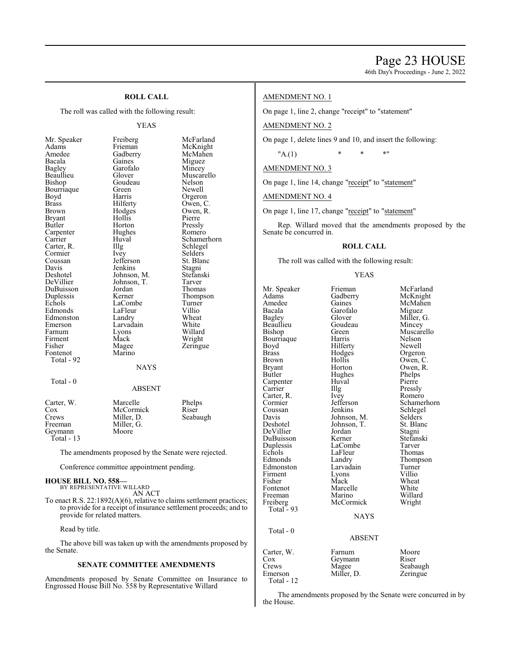46th Day's Proceedings - June 2, 2022

## **ROLL CALL**

The roll was called with the following result:

#### YEAS

| Mr. Speaker                                             | Freiberg                                             | McFarland   |
|---------------------------------------------------------|------------------------------------------------------|-------------|
| Adams                                                   | Frieman                                              | McKnight    |
| Amedee                                                  | Gadberry                                             | McMahen     |
| Bacala                                                  | Gaines                                               | Miguez      |
| Bagley                                                  | Garofalo                                             | Mincey      |
| Beaullieu                                               | Glover                                               | Muscarello  |
| Bishop                                                  | Goudeau                                              | Nelson      |
| Bourriaque                                              | Green                                                | Newell      |
| Boyd                                                    | Harris                                               | Orgeron     |
| Brass                                                   | Hilferty                                             | Owen, C.    |
| Brown                                                   | Hodges                                               | Owen, R.    |
| <b>Bryant</b>                                           | Hollis                                               | Pierre      |
| Butler                                                  | Horton                                               | Pressly     |
| Carpenter                                               | Hughes                                               | Romero      |
| Carrier                                                 | Huval                                                | Schamerhorn |
| Carter, R.                                              | Illg                                                 | Schlegel    |
| Cormier                                                 | Ivey                                                 | Selders     |
| Coussan                                                 | Jefferson                                            | St. Blanc   |
| Davis                                                   | Jenkins                                              | Stagni      |
| Deshotel                                                | Johnson, M.                                          | Stefanski   |
| DeVillier                                               | Johnson, T.                                          | Tarver      |
| DuBuisson                                               | Jordan                                               | Thomas      |
| Duplessis                                               | Kerner                                               | Thompson    |
| Echols                                                  | LaCombe                                              | Turner      |
| Edmonds                                                 | LaFleur                                              | Villio      |
| Edmonston                                               | Landry                                               | Wheat       |
| Emerson                                                 | Larvadain                                            | White       |
| Farnum                                                  | Lyons                                                | Willard     |
| Firment                                                 | Mack                                                 | Wright      |
| Fisher                                                  | Magee                                                | Zeringue    |
| Fontenot                                                | Marino                                               |             |
| Total - 92                                              |                                                      |             |
|                                                         | NAYS                                                 |             |
|                                                         |                                                      |             |
| Total - 0                                               |                                                      |             |
|                                                         | <b>ABSENT</b>                                        |             |
|                                                         |                                                      |             |
| Carter, W.                                              | Marcelle                                             | Phelps      |
| Cox                                                     | McCormick                                            | Riser       |
| Crews                                                   | Miller, D.                                           | Seabaugh    |
| Freeman                                                 | Miller, G.                                           |             |
| Geymann                                                 | Moore                                                |             |
| Total - 13                                              |                                                      |             |
|                                                         |                                                      |             |
|                                                         | The amendments proposed by the Senate were rejected. |             |
|                                                         | Conference committee appointment pending.            |             |
| <b>HOUSE BILL NO. 558-</b><br>BY REPRESENTATIVE WILLARD |                                                      |             |
| AN ACT                                                  |                                                      |             |

To enact R.S. 22:1892(A)(6), relative to claims settlement practices; to provide for a receipt of insurance settlement proceeds; and to provide for related matters.

Read by title.

The above bill was taken up with the amendments proposed by the Senate.

## **SENATE COMMITTEE AMENDMENTS**

Amendments proposed by Senate Committee on Insurance to Engrossed House Bill No. 558 by Representative Willard

## AMENDMENT NO. 1

On page 1, line 2, change "receipt" to "statement"

AMENDMENT NO. 2

On page 1, delete lines 9 and 10, and insert the following:

 $"A(1)$  \* \* \* \*

AMENDMENT NO. 3

On page 1, line 14, change "receipt" to "statement"

AMENDMENT NO. 4

On page 1, line 17, change "receipt" to "statement"

Rep. Willard moved that the amendments proposed by the Senate be concurred in.

## **ROLL CALL**

The roll was called with the following result:

YEAS

Mr. Speaker Frieman McFarland<br>Adams Gadberry McKnight Adams Gadberry<br>Amedee Gaines Amedee Gaines McMahen<br>Bacala Garofalo Miguez Bacala Garofalo<br>Bagley Glover Bagley Glover Miller, G.<br>Beaullieu Goudeau Mincey Beaullieu Goudeau<br>Bishop Green Bourriaque Harris Nelson<br>Boyd Hilferty Newell Boyd Hilferty<br>Brass Hodges Brown Hollis Owen, C.<br>Bryant Horton Owen, R. Bryant Horton Owen, R.<br>Butler Hughes Phelps Carpenter Huv<br>Carrier Huy Carter, R. Ivey<br>Cormier Jefferson Cormier Jefferson Schamerhorn<br>
Coussan Jenkins Schlegel Coussan Jenkins Schlegel<br>
Davis Johnson, M. Selders Davis Johnson, M. Selders<br>Deshotel Johnson, T. St. Blanc DeVillier Jordan Stagni DuBuisson Kerner Stefans<br>Duplessis LaCombe Tarver Duplessis LaCombe Tarver Echols LaFleur<br>Edmonds Landry Edmonston Larvadain Turner Firment Lyons Villio<br>
Fisher Mack Wheat Fisher Mack Wheat Fontenot Marcelle White<br>
Freeman Marino Willard Freeman Marino Willard<br>
Freiberg McCormick Wright Freiberg McCormick Wright Total - 93 NAYS Total - 0

Green Muscarello<br>
Harris Nelson Hodges Orgeron<br>Hollis Owen, C Hughes Phelps<br>Huval Pierre The Pressly<br>
Ivey Romero Johnson, T. St. Bla<br>Jordan Stagni Landry Thompson<br>Larvadain Turner

## ABSENT

| Carter, W.            | Farnum              | Moore    |
|-----------------------|---------------------|----------|
| Cox                   | Geymann             | Riser    |
| Crews                 | Magee<br>Miller, D. | Seabaugh |
| Emerson<br>Total - 12 |                     | Zeringue |

The amendments proposed by the Senate were concurred in by the House.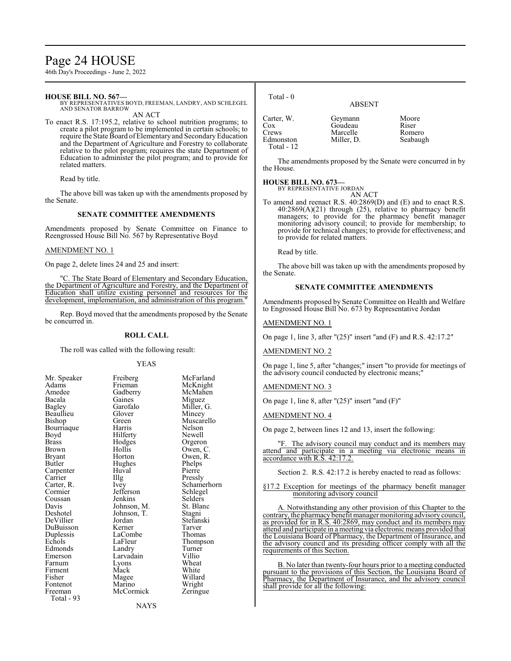# Page 24 HOUSE

46th Day's Proceedings - June 2, 2022

## **HOUSE BILL NO. 567—**

BY REPRESENTATIVES BOYD, FREEMAN, LANDRY, AND SCHLEGEL AND SENATOR BARROW AN ACT

To enact R.S. 17:195.2, relative to school nutrition programs; to create a pilot program to be implemented in certain schools; to require the State Board of Elementary and Secondary Education and the Department of Agriculture and Forestry to collaborate relative to the pilot program; requires the state Department of Education to administer the pilot program; and to provide for related matters.

Read by title.

The above bill was taken up with the amendments proposed by the Senate.

## **SENATE COMMITTEE AMENDMENTS**

Amendments proposed by Senate Committee on Finance to Reengrossed House Bill No. 567 by Representative Boyd

#### AMENDMENT NO. 1

On page 2, delete lines 24 and 25 and insert:

"C. The State Board of Elementary and Secondary Education, the Department of Agriculture and Forestry, and the Department of Education shall utilize existing personnel and resources for the development, implementation, and administration of this program.

Rep. Boyd moved that the amendments proposed by the Senate be concurred in.

## **ROLL CALL**

The roll was called with the following result:

YEAS

McFarland McKnight McMahen Miguez Miller, G. Mincey Muscarello Nelson Newell Orgeron Owen, C. Owen, R. Phelps Pierre Pressly Schamerhorn Schlegel Selders St. Blanc Stagni Stefanski<br>Tarver

Thomas Thompson Turner<br>Villio

White Willard Wright Zeringue

| Mr. Speaker   | Freiberg    | McFar   |
|---------------|-------------|---------|
| Adams         | Frieman     | McKn    |
| Amedee        | Gadberry    | McMa    |
| Bacala        | Gaines      | Migue   |
| <b>Bagley</b> | Garofalo    | Miller  |
| Beaullieu     | Glover      | Mince   |
| Bishop        | Green       | Musca   |
| Bourriaque    | Harris      | Nelson  |
| Boyd          | Hilferty    | Newel   |
| <b>Brass</b>  | Hodges      | Orgero  |
| <b>Brown</b>  | Hollis      | Owen,   |
| <b>Bryant</b> | Horton      | Owen,   |
| Butler        | Hughes      | Phelps  |
| Carpenter     | Huval       | Pierre  |
| Carrier       | Illg        | Pressly |
| Carter, R.    | <i>Ivey</i> | Scham   |
| Cormier       | Jefferson   | Schleg  |
| Coussan       | Jenkins     | Selder  |
| Davis         | Johnson, M. | St. Bla |
| Deshotel      | Johnson, T. | Stagni  |
| DeVillier     | Jordan      | Stefan  |
| DuBuisson     | Kerner      | Tarver  |
| Duplessis     | LaCombe     | Thoma   |
| Echols        | LaFleur     | Thomp   |
| Edmonds       | Landry      | Turnei  |
| Emerson       | Larvadain   | Villio  |
| Farnum        | Lyons       | Wheat   |
| Firment       | Mack        | White   |
| Fisher        | Magee       | Willar  |
| Fontenot      | Marino      | Wrigh   |
| Freeman       | McCormick   | Zering  |
| Total - 93    |             |         |

| Total - 0                                                  | <b>ABSENT</b>                                |                                      |
|------------------------------------------------------------|----------------------------------------------|--------------------------------------|
| Carter, W.<br>$\cos$<br>Crews<br>Edmonston<br>Total - $12$ | Geymann<br>Goudeau<br>Marcelle<br>Miller, D. | Moore<br>Riser<br>Romero<br>Seabaugh |

The amendments proposed by the Senate were concurred in by the House.

## **HOUSE BILL NO. 673—**

BY REPRESENTATIVE JORDAN

- AN ACT
- To amend and reenact R.S. 40:2869(D) and (E) and to enact R.S. 40:2869(A)(21) through (25), relative to pharmacy benefit managers; to provide for the pharmacy benefit manager monitoring advisory council; to provide for membership; to provide for technical changes; to provide for effectiveness; and to provide for related matters.

Read by title.

The above bill was taken up with the amendments proposed by the Senate.

## **SENATE COMMITTEE AMENDMENTS**

Amendments proposed by Senate Committee on Health and Welfare to Engrossed House Bill No. 673 by Representative Jordan

## AMENDMENT NO. 1

On page 1, line 3, after "(25)" insert "and (F) and R.S. 42:17.2"

## AMENDMENT NO. 2

On page 1, line 5, after "changes;" insert "to provide for meetings of the advisory council conducted by electronic means;"

AMENDMENT NO. 3

On page 1, line 8, after  $"(25)"$  insert "and  $(F)"$ 

AMENDMENT NO. 4

On page 2, between lines 12 and 13, insert the following:

The advisory council may conduct and its members may attend and participate in a meeting via electronic means in accordance with R.S. 42:17.2.

Section 2. R.S. 42:17.2 is hereby enacted to read as follows:

§17.2 Exception for meetings of the pharmacy benefit manager monitoring advisory council

A. Notwithstanding any other provision of this Chapter to the contrary, the pharmacy benefit manager monitoring advisory council, as provided for in R.S. 40:2869, may conduct and its members may attend and participate in a meeting via electronic means provided that the Louisiana Board of Pharmacy, the Department of Insurance, and the advisory council and its presiding officer comply with all the requirements of this Section.

B. No later than twenty-four hours prior to a meeting conducted pursuant to the provisions of this Section, the Louisiana Board of Pharmacy, the Department of Insurance, and the advisory council shall provide for all the following: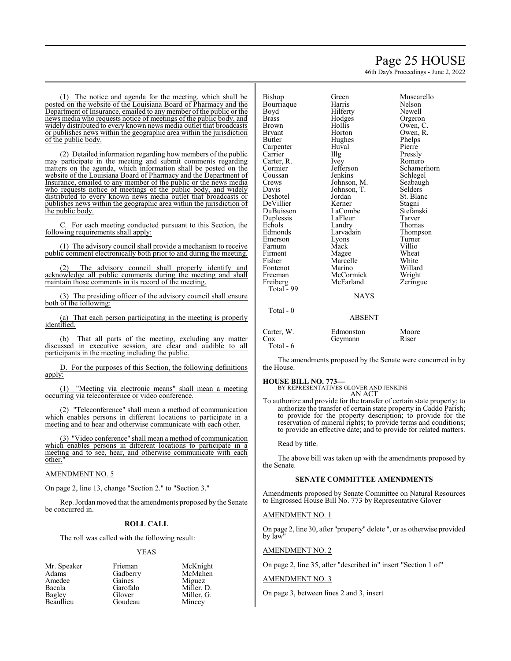# Page 25 HOUSE

46th Day's Proceedings - June 2, 2022

(1) The notice and agenda for the meeting, which shall be posted on the website of the Louisiana Board of Pharmacy and the Department of Insurance, emailed to any member of the public or the news media who requests notice of meetings of the public body, and widely distributed to every known news media outlet that broadcasts or publishes news within the geographic area within the jurisdiction of the public body.

(2) Detailed information regarding how members of the public may participate in the meeting and submit comments regarding matters on the agenda, which information shall be posted on the website of the Louisiana Board of Pharmacy and the Department of Insurance, emailed to any member of the public or the news media who requests notice of meetings of the public body, and widely distributed to every known news media outlet that broadcasts or publishes news within the geographic area within the jurisdiction of the public body.

C. For each meeting conducted pursuant to this Section, the following requirements shall apply:

(1) The advisory council shall provide a mechanism to receive public comment electronically both prior to and during the meeting.

The advisory council shall properly identify and acknowledge all public comments during the meeting and shall maintain those comments in its record of the meeting.

(3) The presiding officer of the advisory council shall ensure both of the following:

(a) That each person participating in the meeting is properly identified.

(b) That all parts of the meeting, excluding any matter discussed in executive session, are clear and audible to all participants in the meeting including the public.

D. For the purposes of this Section, the following definitions apply:

(1) "Meeting via electronic means" shall mean a meeting occurring via teleconference or video conference.

(2) "Teleconference" shall mean a method of communication which enables persons in different locations to participate in a meeting and to hear and otherwise communicate with each other.

(3) "Video conference" shall mean a method of communication which enables persons in different locations to participate in a meeting and to see, hear, and otherwise communicate with each other.

## AMENDMENT NO. 5

On page 2, line 13, change "Section 2." to "Section 3."

Rep. Jordanmoved that the amendments proposed by the Senate be concurred in.

## **ROLL CALL**

The roll was called with the following result:

## YEAS

Mr. Speaker Frieman McKnight<br>Adams Gadberry McMahen Amedee Gaines<br>Bacala Garofalo Bacala Garofalo Miller, D. Beaullieu Goudeau Mincey

Gadberry McMahendra<br>Gaines Miguez Glover Miller, G.<br>Goudeau Mincev

| Bishop       | Green       | Muscar  |
|--------------|-------------|---------|
| Bourriaque   | Harris      | Nelson  |
| Boyd         | Hilferty    | Newell  |
| <b>Brass</b> | Hodges      | Orgero  |
| Brown        | Hollis      | Owen,   |
| Bryant       | Horton      | Owen,   |
| Butler       | Hughes      | Phelps  |
| Carpenter    | Huval       | Pierre  |
| Carrier      | Illg        | Pressly |
| Carter, R.   | Ivey        | Romer   |
| Cormier      | Jefferson   | Scham   |
| Coussan      | Jenkins     | Schleg  |
| Crews        | Johnson, M. | Seabau  |
| Davis        | Johnson, T. | Selders |
| Deshotel     | Jordan      | St. Bla |
| DeVillier    | Kerner      | Stagni  |
| DuBuisson    | LaCombe     | Stefans |
| Duplessis    | LaFleur     | Tarver  |
| Echols       | Landry      | Thoma   |
| Edmonds      | Larvadain   | Thomp   |
| Emerson      | Lyons       | Turner  |
| Farnum       | Mack        | Villio  |
| Firment      | Magee       | Wheat   |
| Fisher       | Marcelle    | White   |
| Fontenot     | Marino      | Willard |
| Freeman      | McCormick   | Wright  |
| Freiberg     | McFarland   | Zering  |
| Total - 99   |             |         |
|              | <b>NAVS</b> |         |

Muscarello<br>Nelson Newell Orgeron Owen, C. Owen, R. Phelps Pierre Pressly Romero n Schamerhorn Schlegel<br>M. Seabaugl, R. Seabaugh<br>T. Selders Selders St. Blanc e Stefanski Tarver External Thomas<br>
External Thomas Thompson Turner Villio Wheat<br>White Willard<br>New Wright nick Wright<br>Ind Zeringu Zeringue

#### NAYS

ABSENT

| Carter, W. | Edmonston | Moore |
|------------|-----------|-------|
| Cox        | Geymann   | Riser |
| Total - 6  |           |       |

The amendments proposed by the Senate were concurred in by the House.

## **HOUSE BILL NO. 773—**

Total - 0

BY REPRESENTATIVES GLOVER AND JENKINS AN ACT

To authorize and provide for the transfer of certain state property; to authorize the transfer of certain state property in Caddo Parish; to provide for the property description; to provide for the reservation of mineral rights; to provide terms and conditions; to provide an effective date; and to provide for related matters.

Read by title.

The above bill was taken up with the amendments proposed by the Senate.

## **SENATE COMMITTEE AMENDMENTS**

Amendments proposed by Senate Committee on Natural Resources to Engrossed House Bill No. 773 by Representative Glover

## AMENDMENT NO. 1

On page 2, line 30, after "property" delete ", or as otherwise provided by law"

## AMENDMENT NO. 2

On page 2, line 35, after "described in" insert "Section 1 of"

#### AMENDMENT NO. 3

On page 3, between lines 2 and 3, insert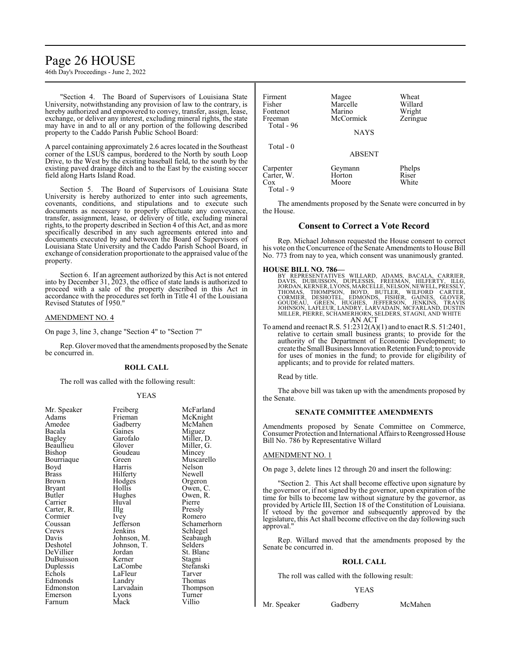# Page 26 HOUSE

46th Day's Proceedings - June 2, 2022

"Section 4. The Board of Supervisors of Louisiana State University, notwithstanding any provision of law to the contrary, is hereby authorized and empowered to convey, transfer, assign, lease, exchange, or deliver any interest, excluding mineral rights, the state may have in and to all or any portion of the following described property to the Caddo Parish Public School Board:

A parcel containing approximately 2.6 acres located in the Southeast corner of the LSUS campus, bordered to the North by south Loop Drive, to the West by the existing baseball field, to the south by the existing paved drainage ditch and to the East by the existing soccer field along Harts Island Road.

Section 5. The Board of Supervisors of Louisiana State University is hereby authorized to enter into such agreements, covenants, conditions, and stipulations and to execute such documents as necessary to properly effectuate any conveyance, transfer, assignment, lease, or delivery of title, excluding mineral rights, to the property described in Section 4 of this Act, and as more specifically described in any such agreements entered into and documents executed by and between the Board of Supervisors of Louisiana State University and the Caddo Parish School Board, in exchange of consideration proportionate to the appraised value ofthe property.

Section 6. If an agreement authorized by this Act is not entered into by December 31, 2023, the office of state lands is authorized to proceed with a sale of the property described in this Act in accordance with the procedures set forth in Title 41 of the Louisiana Revised Statutes of 1950."

#### AMENDMENT NO. 4

On page 3, line 3, change "Section 4" to "Section 7"

Rep. Glover moved that the amendments proposed by the Senate be concurred in.

#### **ROLL CALL**

The roll was called with the following result:

## YEAS

| Mr. Speaker | Freiberg    | McFarland   |
|-------------|-------------|-------------|
| Adams       | Frieman     | McKnight    |
| Amedee      | Gadberry    | McMahen     |
| Bacala      | Gaines      | Miguez      |
| Bagley      | Garofalo    | Miller, D.  |
| Beaullieu   | Glover      | Miller, G.  |
| Bishop      | Goudeau     | Mincey      |
| Bourriaque  | Green       | Muscarello  |
| Boyd        | Harris      | Nelson      |
| Brass       | Hilferty    | Newell      |
| Brown       | Hodges      | Orgeron     |
| Bryant      | Hollis      | Owen, C.    |
| Butler      | Hughes      | Owen, R.    |
| Carrier     | Huval       | Pierre      |
| Carter, R.  | Illg        | Pressly     |
| Cormier     | Ivey        | Romero      |
| Coussan     | Jefferson   | Schamerhorn |
| Crews       | Jenkins     |             |
| Davis       |             | Schlegel    |
|             | Johnson, M. | Seabaugh    |
| Deshotel    | Johnson, T. | Selders     |
| DeVillier   | Jordan      | St. Blanc   |
| DuBuisson   | Kerner      | Stagni      |
| Duplessis   | LaCombe     | Stefanski   |
| Echols      | LaFleur     | Tarver      |
| Edmonds     | Landry      | Thomas      |
| Edmonston   | Larvadain   | Thompson    |
| Emerson     | Lyons       | Turner      |
| Farnum      | Mack        | Villio      |
|             |             |             |

Firment Magee Wheat<br>
Fisher Marcelle Willard Marcelle Willard<br>
Marino Wright Fontenot Marino Wright<br>
Freeman McCormick Zeringue McCormick Total - 96 **NAYS**  Total - 0 ABSENT Carpenter Geymann Phelps<br>Carter, W. Horton Riser Carter, W. Horton Riser<br>Cox Moore White Moore

Total - 9

The amendments proposed by the Senate were concurred in by the House.

## **Consent to Correct a Vote Record**

Rep. Michael Johnson requested the House consent to correct his vote on the Concurrence of the Senate Amendments to House Bill No. 773 from nay to yea, which consent was unanimously granted.

## **HOUSE BILL NO. 786—**

- BY REPRESENTATIVES WILLARD, ADAMS, BACALA, CARRIER,<br>DAVIS, DUBUISSON, DUPLESSIS, FREEMAN, HILFERTY, ILLG,<br>JORDAN,KERNER,LYONS,MARCELLE,NELSON,NEWELL,PRESSLY, THOMAS, THOMPSON, BOYD, BUTLER, WILFORD CARTER,<br>CORMIER, DESHOTEL, EDMONDS, FISHER, GAINES, GLOVER,<br>GOUDEAU, GREEN, HUGHES, JEFFERSON, JENKINS, TRAVIS<br>JOHNSON,LAFLEUR,LANDRY,LARVADAIN,MCFARLAND,DUSTIN<br>MILLER,PIERRE,SCHAMER
- To amend and reenact R.S. 51:2312(A)(1) and to enact R.S. 51:2401, relative to certain small business grants; to provide for the authority of the Department of Economic Development; to create the Small Business Innovation Retention Fund; to provide for uses of monies in the fund; to provide for eligibility of applicants; and to provide for related matters.

Read by title.

The above bill was taken up with the amendments proposed by the Senate.

## **SENATE COMMITTEE AMENDMENTS**

Amendments proposed by Senate Committee on Commerce, Consumer Protection and International Affairs to Reengrossed House Bill No. 786 by Representative Willard

## AMENDMENT NO. 1

On page 3, delete lines 12 through 20 and insert the following:

"Section 2. This Act shall become effective upon signature by the governor or, if not signed by the governor, upon expiration of the time for bills to become law without signature by the governor, as provided by Article III, Section 18 of the Constitution of Louisiana. If vetoed by the governor and subsequently approved by the legislature, this Act shall become effective on the day following such approval."

Rep. Willard moved that the amendments proposed by the Senate be concurred in.

#### **ROLL CALL**

The roll was called with the following result:

#### YEAS

Mr. Speaker Gadberry McMahen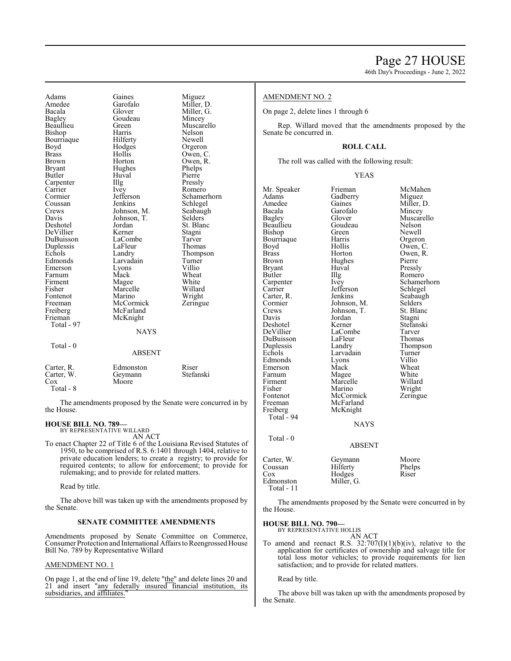Amedee Garofalo<br>Bacala Glover Bagley Goudeau<br>Beaullieu Green Beaullieu Green<br>Bishop Harris Bishop Bourriaque Hilferty<br>Boyd Hodges Boyd Hodges<br>Brass Hollis Brass Hollis<br>Brown Hortor Brown Horton<br>Bryant Hughes Bryant Hughes<br>Butler Huval Carpenter Illg<br>Carrier Ivey Carrier<br>Cormier Coussan<br>Crews Crews Johnson, M.<br>Davis Johnson, T. Deshotel Jordan<br>DeVillier Kerner DeVillier Kerner<br>DuBuisson LaCombe DuBuisson LaComb<br>
Duplessis LaFleur Duplessis<br>Echols Echols Landry<br>Edmonds Larvada Emerson Lyons<br>Farnum Mack Farnum<br>Firment Firment Magee<br>Fisher Marcel Fontenot<br>Freeman Freeman McCormick<br>Freiberg McFarland Freiberg McFarland<br>Frieman McKnight Total - 97 Total - 0

Adams Gaines Mi<br>Amedee Garofalo Mi Bacala Glover Miller, G. Huval<br>Illg Jefferson<br>Jenkins Johnson, T.<br>Jordan Larvadain<br>Lyons Marcelle<br>Marino McKnight **NAYS** ABSENT

| Miguez      |
|-------------|
| Miller, D.  |
| Miller, G.  |
| Mincey      |
| Muscarello  |
| Nelson      |
| Newell      |
| Orgeron     |
| Owen, C.    |
| Owen, R.    |
| Phelps      |
| Pierre      |
| Pressly     |
| Romero      |
| Schamerhorn |
| Schlegel    |
| Seabaugh    |
| Selders     |
| St. Blanc   |
| Stagni      |
| Tarver      |
| Thomas      |
| Thompson    |
| Turner      |
| Villio      |
| Wheat       |
| White       |
| Willard     |
| Wright      |
| Zeringue    |
|             |
|             |
|             |
|             |
|             |
|             |
|             |
|             |

| Carter, R. | Edmonston | Riser     |
|------------|-----------|-----------|
| Carter, W. | Geymann   | Stefanski |
| Cox        | Moore     |           |
| Total - 8  |           |           |

The amendments proposed by the Senate were concurred in by the House.

## **HOUSE BILL NO. 789—**

BY REPRESENTATIVE WILLARD AN ACT

To enact Chapter 22 of Title 6 of the Louisiana Revised Statutes of 1950, to be comprised of R.S. 6:1401 through 1404, relative to private education lenders; to create a registry; to provide for required contents; to allow for enforcement; to provide for rulemaking; and to provide for related matters.

Read by title.

The above bill was taken up with the amendments proposed by the Senate.

## **SENATE COMMITTEE AMENDMENTS**

Amendments proposed by Senate Committee on Commerce, Consumer Protection and International Affairs to Reengrossed House Bill No. 789 by Representative Willard

## AMENDMENT NO. 1

On page 1, at the end of line 19, delete "the" and delete lines 20 and 21 and insert "any federally insured financial institution, its subsidiaries, and affiliates."

## AMENDMENT NO. 2

On page 2, delete lines 1 through 6

Rep. Willard moved that the amendments proposed by the Senate be concurred in.

## **ROLL CALL**

The roll was called with the following result:

#### YEAS

Mr. Speaker Frieman McMahen<br>Adams Gadberry Miguez Adams Gadberry<br>Amedee Gaines Amedee Gaines Miller, D. Bacala Garofalo Mincey Bacala Garofalo<br>Bagley Glover Glover Muscarello<br>Goudeau Nelson Beaullieu Goudeau Nelson<br>Bishop Green Newell Bishop Green Newell<br>Bourriaque Harris Orgeron Bourriaque Harris<br>Boyd Hollis Boyd Hollis Owen, C.<br>Brass Horton Owen, R. Brass Horton Owen, R.<br>Brown Hughes Pierre Brown Hughes<br>Bryant Huval Bryant Huval Pressly<br>Butler Hllg Romerc Butler IIIg Romero<br>
Carpenter Ivev Schame Carpenter Ivey Schamerhorn<br>Carrier Jefferson Schlegel Jefferson Schlegel<br>Jenkins Seabaugh Carter, R. Jenkins Seabaughter, R. Seabaughter Schwarzer, N. Selders Cormier Johnson, M. Selders<br>Crews Johnson, T. St. Blanc Crews Johnson, T. St. Blanch<br>Davis Jordan Stagni Davis Jordan<br>Deshotel Kerner Deshotel Kerner Stefanski LaCombe Tarver<br>
LaFleur Thomas DuBuisson LaFleur<br>Duplessis Landry Duplessis Landry Thompson<br>
Echols Larvadain Turner Larvadain Turner<br>
Lyons Villio Edmonds Lyons Villio<br>Emerson Mack Wheat Emerson Mack Wheat<br>
Farnum Magee White Farnum Magee White<br>Firment Marcelle Willard Firment Marcelle<br>Fisher Marino Fisher Marino Wright<br>Fontenot McCormick Zeringue Fontenot McCormick<br>Freeman McFarland McFarland<br>McKnight Freiberg McKnight Total - 94 NAYS Total - 0 ABSENT Carter, W. Geymann Moore<br>
Coussan Hilferty Phelps Coussan Hilferty Phelp<br>Cox Hodges Riser Edmonston

Hodges<br>Miller, G.

The amendments proposed by the Senate were concurred in by the House.

**HOUSE BILL NO. 790—** BY REPRESENTATIVE HOLLIS

AN ACT

To amend and reenact R.S.  $32:707(I)(1)(b)(iv)$ , relative to the application for certificates of ownership and salvage title for total loss motor vehicles; to provide requirements for lien satisfaction; and to provide for related matters.

## Read by title.

Total - 11

The above bill was taken up with the amendments proposed by the Senate.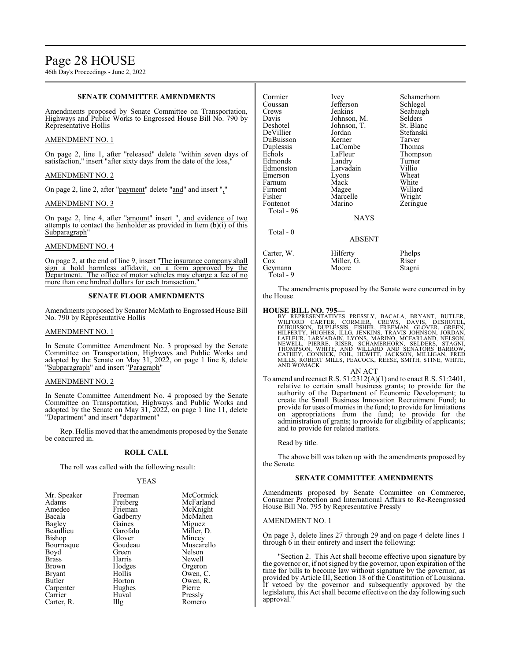46th Day's Proceedings - June 2, 2022

## **SENATE COMMITTEE AMENDMENTS**

Amendments proposed by Senate Committee on Transportation, Highways and Public Works to Engrossed House Bill No. 790 by Representative Hollis

## AMENDMENT NO. 1

On page 2, line 1, after "released" delete "within seven days of satisfaction," insert "after sixty days from the date of the loss,"

## AMENDMENT NO. 2

On page 2, line 2, after "payment" delete "and" and insert ","

## AMENDMENT NO. 3

On page 2, line 4, after "amount" insert ", and evidence of two attempts to contact the lienholder as provided in Item  $(b)(i)$  of this Subparagraph"

## AMENDMENT NO. 4

On page 2, at the end of line 9, insert "The insurance company shall sign a hold harmless affidavit, on a form approved by the Department. The office of motor vehicles may charge a fee of no more than one hndred dollars for each transaction.

## **SENATE FLOOR AMENDMENTS**

Amendments proposed by Senator McMath to Engrossed House Bill No. 790 by Representative Hollis

## AMENDMENT NO. 1

In Senate Committee Amendment No. 3 proposed by the Senate Committee on Transportation, Highways and Public Works and adopted by the Senate on May 31, 2022, on page 1 line 8, delete "Subparagraph" and insert "Paragraph"

## AMENDMENT NO. 2

In Senate Committee Amendment No. 4 proposed by the Senate Committee on Transportation, Highways and Public Works and adopted by the Senate on May 31, 2022, on page 1 line 11, delete "Department" and insert "department"

Rep. Hollis moved that the amendments proposed by the Senate be concurred in.

## **ROLL CALL**

The roll was called with the following result:

## YEAS

| Freeman  | McCormick  |
|----------|------------|
| Freiberg | McFarland  |
| Frieman  | McKnight   |
| Gadberry | McMahen    |
| Gaines   | Miguez     |
| Garofalo | Miller, D. |
| Glover   | Mincey     |
| Goudeau  | Muscarello |
| Green    | Nelson     |
| Harris   | Newell     |
| Hodges   | Orgeron    |
| Hollis   | Owen, C.   |
| Horton   | Owen, R.   |
| Hughes   | Pierre     |
| Huval    | Pressly    |
| Illg     | Romero     |
|          |            |

| Cormier<br>Coussan<br>Crews<br>Davis<br>Deshotel<br>DeVillier<br>DuBuisson<br>Duplessis<br>Echols<br>Edmonds<br>Edmonston<br>Emerson<br>Farnum<br>Firment<br>Fisher<br>Fontenot<br>Total - 96 | Ivey<br>Jefferson<br>Jenkins<br>Johnson, M.<br>Johnson, T.<br>Jordan<br>Kerner<br>LaCombe<br>LaFleur<br>Landry<br>Larvadain<br>Lyons<br>Mack<br>Magee<br>Marcelle<br>Marino | Schamerhorn<br>Schlegel<br>Seabaugh<br>Selders<br>St. Blanc<br>Stefanski<br>Tarver<br>Thomas<br>Thompson<br>Turner<br>Villio<br>Wheat<br>White<br>Willard<br>Wright<br>Zeringue |
|-----------------------------------------------------------------------------------------------------------------------------------------------------------------------------------------------|-----------------------------------------------------------------------------------------------------------------------------------------------------------------------------|---------------------------------------------------------------------------------------------------------------------------------------------------------------------------------|
|                                                                                                                                                                                               | <b>NAYS</b>                                                                                                                                                                 |                                                                                                                                                                                 |
| Total - 0                                                                                                                                                                                     | <b>ABSENT</b>                                                                                                                                                               |                                                                                                                                                                                 |
| Carter, W.<br>Cox<br>Geymann                                                                                                                                                                  | Hilferty<br>Miller, G.<br>Moore                                                                                                                                             | Phelps<br>Riser<br>Stagni                                                                                                                                                       |

Total - 9

The amendments proposed by the Senate were concurred in by the House.

## **HOUSE BILL NO. 795—**

BY REPRESENTATIVES PRESSLY, BACALA, BRYANT, BUTLER,<br>WILFORD CARTER, CORMIER, CREWS, DAVIS, DESHOTEL,<br>DUBUISSON, DUPLESSIS, FISHER, FREEMAN, GLOVER, GREEN,<br>HILFERTY, HUGHES, ILLG, JENKINS, TRAVIS JOHNSON, JORDAN,<br>LAFLEUR, L AND WOMACK

#### AN ACT

To amend and reenact R.S. 51:2312(A)(1) and to enact R.S. 51:2401, relative to certain small business grants; to provide for the authority of the Department of Economic Development; to create the Small Business Innovation Recruitment Fund; to provide for uses of monies in the fund; to provide for limitations on appropriations from the fund; to provide for the administration of grants; to provide for eligibility of applicants; and to provide for related matters.

Read by title.

The above bill was taken up with the amendments proposed by the Senate.

## **SENATE COMMITTEE AMENDMENTS**

Amendments proposed by Senate Committee on Commerce, Consumer Protection and International Affairs to Re-Reengrossed House Bill No. 795 by Representative Pressly

## AMENDMENT NO. 1

On page 3, delete lines 27 through 29 and on page 4 delete lines 1 through 6 in their entirety and insert the following:

"Section 2. This Act shall become effective upon signature by the governor or, if not signed by the governor, upon expiration of the time for bills to become law without signature by the governor, as provided by Article III, Section 18 of the Constitution of Louisiana. If vetoed by the governor and subsequently approved by the legislature, this Act shall become effective on the day following such approval."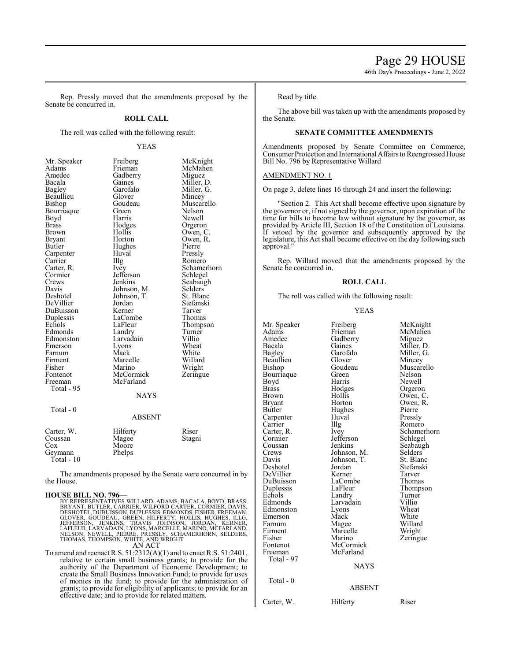46th Day's Proceedings - June 2, 2022

Rep. Pressly moved that the amendments proposed by the Senate be concurred in.

## **ROLL CALL**

The roll was called with the following result:

### YEAS

| Mr. Speaker<br>Adams<br>Amedee<br>Bacala<br>Bagley<br>Beaullieu<br>Bishop<br>Bourriaque<br>Boyd<br>Brass<br><b>Brown</b><br>Bryant<br>Butler<br>Carpenter<br>Carrier<br>Carter, R.<br>Cormier<br>Crews<br>Davis<br>Deshotel<br>DeVillier<br>DuBuisson<br>Duplessis<br>Echols<br>Edmonds<br>Edmonston<br>Emerson<br>Farnum<br>Firment<br>Fisher<br>Fontenot | Freiberg<br>Frieman<br>Gadberry<br>Gaines<br>Garofalo<br>Glover<br>Goudeau<br>Green<br>Harris<br>Hodges<br>Hollis<br>Horton<br>Hughes<br>Huval<br>Illg<br>Ivey<br>Jefferson<br>Jenkins<br>Johnson, M.<br>Johnson, T.<br>Jordan<br>Kerner<br>LaCombe<br>LaFleur<br>Landry<br>Larvadain<br>Lyons<br>Mack<br>Marcelle<br>Marino<br>McCormick | McKnight<br>McMahen<br>Miguez<br>Miller, D.<br>Miller, G.<br>Mincey<br>Muscarello<br>Nelson<br>Newell<br>Orgeron<br>Owen, C.<br>Owen, R.<br>Pierre<br>Pressly<br>Romero<br>Schamerhorn<br>Schlegel<br>Seabaugh<br>Selders<br>St. Blanc<br>Stefanski<br>Tarver<br>Thomas<br>Thompson<br>Turner<br>Villio<br>Wheat<br>White<br>Willard<br>Wright<br>Zeringue |
|------------------------------------------------------------------------------------------------------------------------------------------------------------------------------------------------------------------------------------------------------------------------------------------------------------------------------------------------------------|-------------------------------------------------------------------------------------------------------------------------------------------------------------------------------------------------------------------------------------------------------------------------------------------------------------------------------------------|------------------------------------------------------------------------------------------------------------------------------------------------------------------------------------------------------------------------------------------------------------------------------------------------------------------------------------------------------------|
| Freeman<br>Total - 95                                                                                                                                                                                                                                                                                                                                      | McFarland<br><b>NAYS</b>                                                                                                                                                                                                                                                                                                                  |                                                                                                                                                                                                                                                                                                                                                            |
| Total - 0                                                                                                                                                                                                                                                                                                                                                  | <b>ABSENT</b>                                                                                                                                                                                                                                                                                                                             |                                                                                                                                                                                                                                                                                                                                                            |
| Carter, W.<br>Coussan<br>Cox<br>Geymann<br>Total - 10                                                                                                                                                                                                                                                                                                      | Hilferty<br>Magee<br>Moore<br>Phelps                                                                                                                                                                                                                                                                                                      | Riser<br>Stagni                                                                                                                                                                                                                                                                                                                                            |

The amendments proposed by the Senate were concurred in by the House.

## **HOUSE BILL NO. 796—**

BY REPRESENTATIVES WILLARD, ADAMS, BACALA, BOYD, BRASS, BRESENTATIVES WILLARD, DESHOTER, CORMER, DAVIS,<br>DESHOTEL, DUBUISSON, DUPLESSIS, EDMONDS, FISHER, FREEMAN,<br>DESHOTEL, DUBUISSON, DUPLESSIS, EDMONDS, FISHER, FREEMAN,<br>GE AN ACT

To amend and reenact R.S. 51:2312(A)(1) and to enact R.S. 51:2401, relative to certain small business grants; to provide for the authority of the Department of Economic Development; to create the Small Business Innovation Fund; to provide for uses of monies in the fund; to provide for the administration of grants; to provide for eligibility of applicants; to provide for an effective date; and to provide for related matters.

Read by title.

The above bill was taken up with the amendments proposed by the Senate.

## **SENATE COMMITTEE AMENDMENTS**

Amendments proposed by Senate Committee on Commerce, Consumer Protection and International Affairs to Reengrossed House Bill No. 796 by Representative Willard

#### AMENDMENT NO. 1

On page 3, delete lines 16 through 24 and insert the following:

"Section 2. This Act shall become effective upon signature by the governor or, if not signed by the governor, upon expiration of the time for bills to become law without signature by the governor, as provided by Article III, Section 18 of the Constitution of Louisiana. If vetoed by the governor and subsequently approved by the legislature, this Act shall become effective on the day following such approval."

Rep. Willard moved that the amendments proposed by the Senate be concurred in.

### **ROLL CALL**

The roll was called with the following result:

#### YEAS

|                      | Freiberg    | McKnight    |
|----------------------|-------------|-------------|
| Mr. Speaker<br>Adams | Frieman     | McMahen     |
| Amedee               | Gadberry    | Miguez      |
| Bacala               | Gaines      |             |
|                      | Garofalo    | Miller, D.  |
| Bagley               |             | Miller, G.  |
| Beaullieu            | Glover      | Mincey      |
| Bishop               | Goudeau     | Muscarello  |
| Bourriaque           | Green       | Nelson      |
| Boyd                 | Harris      | Newell      |
| <b>Brass</b>         | Hodges      | Orgeron     |
| Brown                | Hollis      | Owen, C.    |
| Bryant               | Horton      | Owen, R.    |
| Butler               | Hughes      | Pierre      |
| Carpenter            | Huval       | Pressly     |
| Carrier              | Illg        | Romero      |
| Carter, R.           | Ivey        | Schamerhorn |
| Cormier              | Jefferson   | Schlegel    |
| Coussan              | Jenkins     | Seabaugh    |
| Crews                | Johnson, M. | Selders     |
| Davis                | Johnson, T. | St. Blanc   |
| Deshotel             | Jordan      | Stefanski   |
| DeVillier            | Kerner      | Tarver      |
| DuBuisson            | LaCombe     | Thomas      |
| Duplessis            | LaFleur     | Thompson    |
| Echols               | Landry      | Turner      |
| Edmonds              | Larvadain   | Villio      |
| Edmonston            | Lyons       | Wheat       |
| Emerson              | Mack        | White       |
| Farnum               | Magee       | Willard     |
| Firment              | Marcelle    | Wright      |
| Fisher               | Marino      | Zeringue    |
| Fontenot             | McCormick   |             |
| Freeman              | McFarland   |             |
|                      |             |             |
| Total - 97           |             |             |
|                      | <b>NAYS</b> |             |
| Total - 0            |             |             |
|                      | ABSENT      |             |
| Carter, W.           | Hilferty    | Riser       |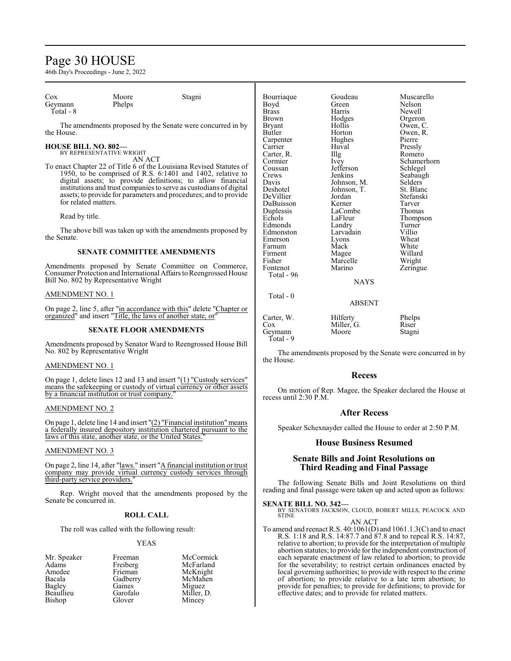# Page 30 HOUSE

46th Day's Proceedings - June 2, 2022

| $\cos$<br>Moore<br>Stagni<br>Bourriaque<br>Goudeau                                                              | Muscarello         |
|-----------------------------------------------------------------------------------------------------------------|--------------------|
| Phelps<br>Green<br>Geymann<br>Boyd                                                                              | Nelson             |
| Total - 8<br>Harris<br><b>Brass</b>                                                                             | Newell             |
| Hodges<br>Brown                                                                                                 | Orgeron            |
| Hollis<br>The amendments proposed by the Senate were concurred in by<br><b>Bryant</b>                           | Owen, C.           |
| the House.<br>Butler<br>Horton                                                                                  | Owen, R.           |
| Hughes<br>Carpenter                                                                                             | Pierre             |
| <b>HOUSE BILL NO. 802-</b><br>Carrier<br>Huval                                                                  | Pressly            |
| BY REPRESENTATIVE WRIGHT<br>Carter, R.<br>$\prod_{i=1}^{n}$                                                     | Romero             |
| AN ACT<br>Cormier<br>Ivey                                                                                       | Schamerhorn        |
| To enact Chapter 22 of Title 6 of the Louisiana Revised Statutes of<br>Jefferson<br>Coussan                     | Schlegel           |
| 1950, to be comprised of R.S. 6:1401 and 1402, relative to<br>Jenkins<br>Crews                                  | Seabaugh           |
| digital assets; to provide definitions; to allow financial<br>Johnson, M.<br>Davis                              | Selders            |
| institutions and trust companies to serve as custodians of digital<br>Deshotel<br>Johnson, T.                   | St. Blanc          |
| assets; to provide for parameters and procedures; and to provide<br>DeVillier<br>Jordan<br>for related matters. | Stefanski          |
| DuBuisson<br>Kerner                                                                                             | Tarver             |
| LaCombe<br>Duplessis<br>Read by title.                                                                          | Thomas             |
| Echols<br>LaFleur                                                                                               | Thompson           |
| Edmonds<br>Landry<br>The above bill was taken up with the amendments proposed by                                | Turner             |
| Edmonston<br>Larvadain<br>the Senate.                                                                           | Villio             |
| Emerson<br>Lyons<br>Mack                                                                                        | Wheat              |
| Farnum<br><b>SENATE COMMITTEE AMENDMENTS</b><br>Firment                                                         | White              |
| Magee<br>Fisher<br>Marcelle                                                                                     | Willard            |
| Amendments proposed by Senate Committee on Commerce,<br>Marino<br>Fontenot                                      | Wright<br>Zeringue |
| Consumer Protection and International Affairs to Reengrossed House<br>Total - 96                                |                    |
| Bill No. 802 by Representative Wright                                                                           | <b>NAYS</b>        |
|                                                                                                                 |                    |
| <b>AMENDMENT NO. 1</b><br>Total $-0$                                                                            |                    |
|                                                                                                                 | <b>ABSENT</b>      |
| On page 2, line 5, after "in accordance with this" delete "Chapter or                                           |                    |
| organized" and insert "Title, the laws of another state, or"<br>Hilferty<br>Carter, W.                          | Phelps             |
| Miller, G.<br>Cox<br>CENTIBE ELOOP INTENDED TECH                                                                | Riser              |

#### **SENATE FLOOR AMENDMENTS**

Amendments proposed by Senator Ward to Reengrossed House Bill No. 802 by Representative Wright

## AMENDMENT NO. 1

On page 1, delete lines 12 and 13 and insert "(1) "Custody services" means the safekeeping or custody of virtual currency or other assets by a financial institution or trust company."

## AMENDMENT NO. 2

On page 1, delete line 14 and insert  $!(2)$  "Financial institution" means a federally insured depository institution chartered pursuant to the laws of this state, another state, or the United States.

## AMENDMENT NO. 3

On page 2, line 14, after "laws." insert "A financial institution or trust company may provide virtual currency custody services through third-party service providers."

Rep. Wright moved that the amendments proposed by the Senate be concurred in.

## **ROLL CALL**

The roll was called with the following result:

#### YEAS

| Mr. Speaker | Freeman  | McCormick  |
|-------------|----------|------------|
| Adams       | Freiberg | McFarland  |
| Amedee      | Frieman  | McKnight   |
| Bacala      | Gadberry | McMahen    |
| Bagley      | Gaines   | Miguez     |
| Beaullieu   | Garofalo | Miller, D. |
| Bishop      | Glover   | Mincey     |

| Firment<br>Fisher<br>Fontenot<br>Total - 96  | Magee<br>Marcelle<br>Marino     | Willar<br>Wrigh<br>Zering |
|----------------------------------------------|---------------------------------|---------------------------|
|                                              | <b>NAYS</b>                     |                           |
| Total - 0                                    | <b>ABSENT</b>                   |                           |
| Carter, W.<br>$\cos$<br>Geymann<br>Total - 9 | Hilferty<br>Miller, G.<br>Moore | Phelps<br>Riser<br>Stagni |
|                                              | $\cdots$                        |                           |

The amendments proposed by the Senate were concurred in by the House.

#### **Recess**

On motion of Rep. Magee, the Speaker declared the House at recess until 2:30 P.M.

## **After Recess**

Speaker Schexnayder called the House to order at 2:50 P.M.

## **House Business Resumed**

## **Senate Bills and Joint Resolutions on Third Reading and Final Passage**

The following Senate Bills and Joint Resolutions on third reading and final passage were taken up and acted upon as follows:

#### **SENATE BILL NO. 342—**

BY SENATORS JACKSON, CLOUD, ROBERT MILLS, PEACOCK AND **STINE** 

AN ACT

To amend and reenact R.S. 40:1061(D) and 1061.1.3(C) and to enact R.S. 1:18 and R.S. 14:87.7 and 87.8 and to repeal R.S. 14:87, relative to abortion; to provide for the interpretation of multiple abortion statutes; to provide for the independent construction of each separate enactment of law related to abortion; to provide for the severability; to restrict certain ordinances enacted by local governing authorities; to provide with respect to the crime of abortion; to provide relative to a late term abortion; to provide for penalties; to provide for definitions; to provide for effective dates; and to provide for related matters.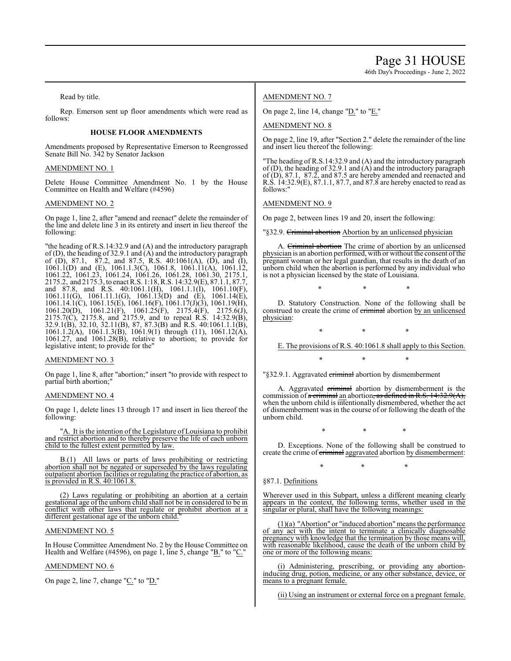Page 31 HOUSE 46th Day's Proceedings - June 2, 2022

Read by title.

Rep. Emerson sent up floor amendments which were read as follows:

## **HOUSE FLOOR AMENDMENTS**

Amendments proposed by Representative Emerson to Reengrossed Senate Bill No. 342 by Senator Jackson

### AMENDMENT NO. 1

Delete House Committee Amendment No. 1 by the House Committee on Health and Welfare (#4596)

#### AMENDMENT NO. 2

On page 1, line 2, after "amend and reenact" delete the remainder of the line and delete line 3 in its entirety and insert in lieu thereof the following:

"the heading of R.S.14:32.9 and (A) and the introductory paragraph of (D), the heading of 32.9.1 and (A) and the introductory paragraph of (D), 87.1, 87.2, and 87.5, R.S. 40:1061(A), (D), and (I), 1061.1(D) and (E), 1061.1.3(C), 1061.8, 1061.11(A), 1061.12, 1061.22, 1061.23, 1061.24, 1061.26, 1061.28, 1061.30, 2175.1, 2175.2, and 2175.3, to enact R.S. 1:18, R.S. 14:32.9(E), 87.1.1, 87.7, and 87.8, and R.S. 40:1061.1(H), 1061.1.1(I), 1061.10(F), 1061.11(G), 1061.11.1(G), 1061.13(D) and (E), 1061.14(E), 1061.14.1(C), 1061.15(E), 1061.16(F), 1061.17(J)(3), 1061.19(H), 1061.20(D), 1061.21(F), 1061.25(F), 2175.4(F), 2175.6(J), 2175.7(C), 2175.8, and 2175.9, and to repeal R.S. 14:32.9(B), 32.9.1(B), 32.10, 32.11(B), 87, 87.3(B) and R.S. 40:1061.1.1(B), 1061.1.2(A), 1061.1.3(B), 1061.9(1) through (11), 1061.12(A), 1061.27, and 1061.28(B), relative to abortion; to provide for legislative intent; to provide for the"

#### AMENDMENT NO. 3

On page 1, line 8, after "abortion;" insert "to provide with respect to partial birth abortion;"

## AMENDMENT NO. 4

On page 1, delete lines 13 through 17 and insert in lieu thereof the following:

A. It is the intention of the Legislature of Louisiana to prohibit and restrict abortion and to thereby preserve the life of each unborn child to the fullest extent permitted by law.

B.(1) All laws or parts of laws prohibiting or restricting abortion shall not be negated or superseded by the laws regulating outpatient abortion facilities or regulating the practice of abortion, as is provided in R.S. 40:1061.8.

(2) Laws regulating or prohibiting an abortion at a certain gestational age of the unborn child shall not be in considered to be in conflict with other laws that regulate or prohibit abortion at a different gestational age of the unborn child.

## AMENDMENT NO. 5

In House Committee Amendment No. 2 by the House Committee on Health and Welfare (#4596), on page 1, line 5, change "B." to "C."

## AMENDMENT NO. 6

On page 2, line 7, change " $C$ ." to " $D$ ."

## AMENDMENT NO. 7

On page 2, line 14, change "D." to "E."

#### AMENDMENT NO. 8

On page 2, line 19, after "Section 2." delete the remainder of the line and insert lieu thereof the following:

"The heading of R.S.14:32.9 and (A) and the introductory paragraph of (D), the heading of 32.9.1 and (A) and the introductory paragraph of (D), 87.1, 87.2, and 87.5 are hereby amended and reenacted and R.S. 14:32.9(E), 87.1.1, 87.7, and 87.8 are hereby enacted to read as follows:"

### AMENDMENT NO. 9

On page 2, between lines 19 and 20, insert the following:

'§32.9. Criminal abortion Abortion by an unlicensed physician

A. Criminal abortion The crime of abortion by an unlicensed physician is an abortion performed, with or without the consent ofthe pregnant woman or her legal guardian, that results in the death of an unborn child when the abortion is performed by any individual who is not a physician licensed by the state of Louisiana.

\* \* \*

D. Statutory Construction. None of the following shall be construed to create the crime of criminal abortion by an unlicensed physician:

\* \* \*

\* \* \*

E. The provisions of R.S. 40:1061.8 shall apply to this Section.

"§32.9.1. Aggravated *eriminal* abortion by dismemberment

A. Aggravated criminal abortion by dismemberment is the commission of  $\alpha$  criminal an abortion, as defined in R.S. 14:32.9(A), when the unborn child is intentionally dismembered, whether the act of dismemberment was in the course of or following the death of the unborn child.

\* \* \*

D. Exceptions. None of the following shall be construed to create the crime of criminal aggravated abortion by dismemberment:

\* \* \*

§87.1. Definitions

Wherever used in this Subpart, unless a different meaning clearly appears in the context, the following terms, whether used in the singular or plural, shall have the following meanings:

(1)(a) "Abortion" or "induced abortion" means the performance of any act with the intent to terminate a clinically diagnosable pregnancy with knowledge that the termination by those means will, with reasonable likelihood, cause the death of the unborn child by one or more of the following means:

(i) Administering, prescribing, or providing any abortioninducing drug, potion, medicine, or any other substance, device, or means to a pregnant female.

(ii) Using an instrument or external force on a pregnant female.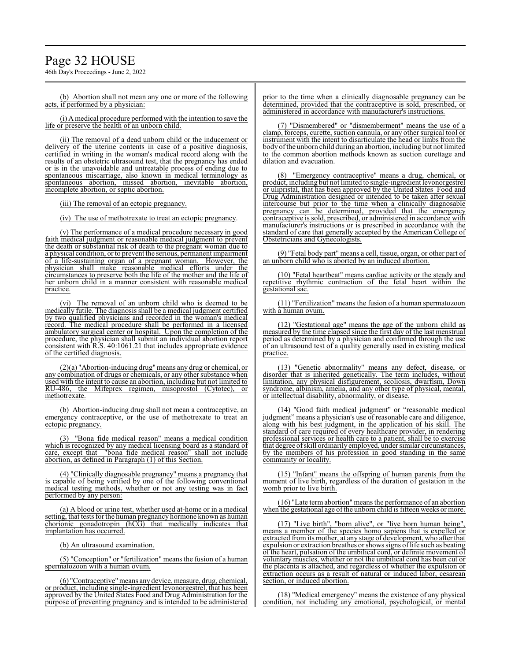# Page 32 HOUSE

46th Day's Proceedings - June 2, 2022

(b) Abortion shall not mean any one or more of the following acts, if performed by a physician:

(i) A medical procedure performed with the intention to save the life or preserve the health of an unborn child.

(ii) The removal of a dead unborn child or the inducement or delivery of the uterine contents in case of a positive diagnosis, certified in writing in the woman's medical record along with the results of an obstetric ultrasound test, that the pregnancy has ended or is in the unavoidable and untreatable process of ending due to spontaneous miscarriage, also known in medical terminology as spontaneous abortion, missed abortion, inevitable abortion, incomplete abortion, or septic abortion.

(iii) The removal of an ectopic pregnancy.

(iv) The use of methotrexate to treat an ectopic pregnancy.

(v) The performance of a medical procedure necessary in good faith medical judgment or reasonable medical judgment to prevent the death or substantial risk of death to the pregnant woman due to a physical condition, or to prevent the serious, permanent impairment of a life-sustaining organ of a pregnant woman. However, the physician shall make reasonable medical efforts under the circumstances to preserve both the life of the mother and the life of her unborn child in a manner consistent with reasonable medical practice.

(vi) The removal of an unborn child who is deemed to be medically futile. The diagnosis shall be a medical judgment certified by two qualified physicians and recorded in the woman's medical record. The medical procedure shall be performed in a licensed ambulatory surgical center or hospital. Upon the completion of the procedure, the physician shall submit an individual abortion report consistent with R.S. 40:1061.21 that includes appropriate evidence of the certified diagnosis.

(2)(a) "Abortion-inducing drug"means any drug or chemical, or any combination of drugs or chemicals, or any other substance when used with the intent to cause an abortion, including but not limited to RU-486, the Mifeprex regimen, misoprostol (Cytotec), or methotrexate.

(b) Abortion-inducing drug shall not mean a contraceptive, an emergency contraceptive, or the use of methotrexate to treat an ectopic pregnancy.

(3) "Bona fide medical reason" means a medical condition which is recognized by any medical licensing board as a standard of care, except that "bona fide medical reason" shall not include care, except that "bona fide medical reason" shall abortion, as defined in Paragraph (1) of this Section.

(4) "Clinically diagnosable pregnancy" means a pregnancy that is capable of being verified by one of the following conventional medical testing methods, whether or not any testing was in fact performed by any person:

(a) A blood or urine test, whether used at-home or in a medical setting, that tests for the human pregnancy hormone known as human<br>chorionic gonadotropin (hCG) that medically indicates that chorionic gonadotropin (hCG) that medically indicates implantation has occurred.

(b) An ultrasound examination.

(5) "Conception" or "fertilization" means the fusion of a human spermatozoon with a human ovum.

(6) "Contraceptive"means any device, measure, drug, chemical, or product, including single-ingredient levonorgestrel, that has been approved by the United States Food and Drug Administration for the purpose of preventing pregnancy and is intended to be administered prior to the time when a clinically diagnosable pregnancy can be determined, provided that the contraceptive is sold, prescribed, or administered in accordance with manufacturer's instructions.

(7) "Dismembered" or "dismemberment" means the use of a clamp, forceps, curette, suction cannula, or any other surgical tool or instrument with the intent to disarticulate the head or limbs from the body of the unborn child during an abortion, including but not limited to the common abortion methods known as suction curettage and dilation and evacuation.

(8) "Emergency contraceptive" means a drug, chemical, or product, including but not limited to single-ingredient levonorgestrel or ulipristal, that has been approved by the United States Food and Drug Administration designed or intended to be taken after sexual intercourse but prior to the time when a clinically diagnosable pregnancy can be determined, provided that the emergency contraceptive is sold, prescribed, or administered in accordance with manufacturer's instructions or is prescribed in accordance with the standard of care that generally accepted by the American College of Obstetricians and Gynecologists.

(9) "Fetal body part" means a cell, tissue, organ, or other part of an unborn child who is aborted by an induced abortion.

(10) "Fetal heartbeat" means cardiac activity or the steady and repetitive rhythmic contraction of the fetal heart within the gestational sac.

(11) "Fertilization" means the fusion of a human spermatozoon with a human ovum.

(12) "Gestational age" means the age of the unborn child as measured by the time elapsed since the first day of the last menstrual period as determined by a physician and confirmed through the use of an ultrasound test of a quality generally used in existing medical practice.

(13) "Genetic abnormality" means any defect, disease, or disorder that is inherited genetically. The term includes, without limitation, any physical disfigurement, scoliosis, dwarfism, Down syndrome, albinism, amelia, and any other type of physical, mental, or intellectual disability, abnormality, or disease.

(14) "Good faith medical judgment" or "reasonable medical judgment" means a physician's use of reasonable care and diligence, along with his best judgment, in the application of his skill. The standard of care required of every healthcare provider, in rendering professional services or health care to a patient, shall be to exercise that degree ofskill ordinarily employed, under similar circumstances, by the members of his profession in good standing in the same community or locality.

(15) "Infant" means the offspring of human parents from the moment of live birth, regardless of the duration of gestation in the womb prior to live birth.

(16) "Late termabortion" means the performance of an abortion when the gestational age of the unborn child is fifteen weeks or more.

(17) "Live birth", "born alive", or "live born human being", means a member of the species homo sapiens that is expelled or extracted from its mother, at any stage of development, who after that expulsion or extraction breathes or shows signs of life such as beating of the heart, pulsation of the umbilical cord, or definite movement of voluntary muscles, whether or not the umbilical cord has been cut or the placenta is attached, and regardless of whether the expulsion or extraction occurs as a result of natural or induced labor, cesarean section, or induced abortion.

(18) "Medical emergency" means the existence of any physical condition, not including any emotional, psychological, or mental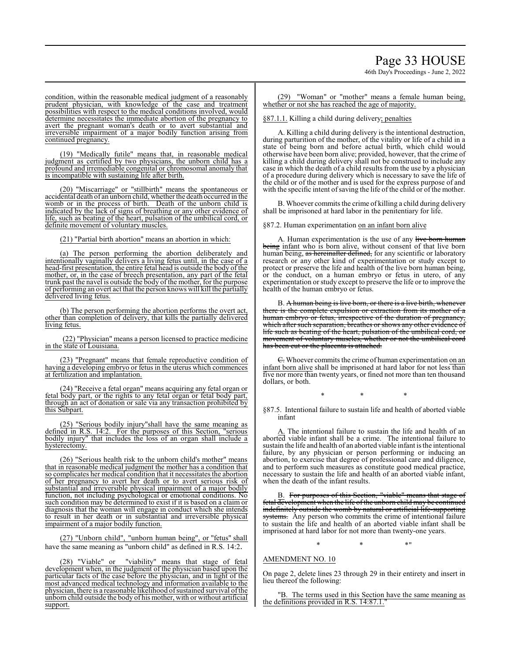46th Day's Proceedings - June 2, 2022

condition, within the reasonable medical judgment of a reasonably prudent physician, with knowledge of the case and treatment possibilities with respect to the medical conditions involved, would determine necessitates the immediate abortion of the pregnancy to avert the pregnant woman's death or to avert substantial and irreversible impairment of a major bodily function arising from continued pregnancy.

(19) "Medically futile" means that, in reasonable medical judgment as certified by two physicians, the unborn child has a profound and irremediable congenital or chromosomal anomaly that is incompatible with sustaining life after birth.

(20) "Miscarriage" or "stillbirth" means the spontaneous or accidental death of an unborn child, whether the death occurred in the womb or in the process of birth. Death of the unborn child is indicated by the lack of signs of breathing or any other evidence of life, such as beating of the heart, pulsation of the umbilical cord, or definite movement of voluntary muscles.

(21) "Partial birth abortion" means an abortion in which:

(a) The person performing the abortion deliberately and intentionally vaginally delivers a living fetus until, in the case of a head-first presentation, the entire fetal head is outside the body of the mother, or, in the case of breech presentation, any part of the fetal trunk past the navel is outside the body of the mother, for the purpose of performing an overt act that the person knows will kill the partially delivered living fetus.

(b) The person performing the abortion performs the overt act, other than completion of delivery, that kills the partially delivered living fetus.

(22) "Physician" means a person licensed to practice medicine in the state of Louisiana.

(23) "Pregnant" means that female reproductive condition of having a developing embryo or fetus in the uterus which commences at fertilization and implantation.

24) "Receive a fetal organ" means acquiring any fetal organ or fetal body part, or the rights to any fetal organ or fetal body part, through an act of donation or sale via any transaction prohibited by this Subpart.

(25) "Serious bodily injury"shall have the same meaning as defined in R.S. 14:2. For the purposes of this Section, "serious bodily injury" that includes the loss of an organ shall include a hysterectomy.

(26) "Serious health risk to the unborn child's mother" means that in reasonable medical judgment the mother has a condition that so complicates her medical condition that it necessitates the abortion of her pregnancy to avert her death or to avert serious risk of substantial and irreversible physical impairment of a major bodily function, not including psychological or emotional conditions. No such condition may be determined to exist if it is based on a claim or diagnosis that the woman will engage in conduct which she intends to result in her death or in substantial and irreversible physical impairment of a major bodily function.

 (27) "Unborn child", "unborn human being", or "fetus" shall have the same meaning as "unborn child" as defined in R.S. 14:2.

(28) "Viable" or "viability" means that stage of fetal development when, in the judgment of the physician based upon the particular facts of the case before the physician, and in light of the most advanced medical technology and information available to the physician, there is a reasonable likelihood of sustained survival of the unborn child outside the body of his mother, with or without artificial support.

(29) "Woman" or "mother" means a female human being, whether or not she has reached the age of majority.

§87.1.1. Killing a child during delivery; penalties

A. Killing a child during delivery is the intentional destruction, during parturition of the mother, of the vitality or life of a child in a state of being born and before actual birth, which child would otherwise have been born alive; provided, however, that the crime of killing a child during delivery shall not be construed to include any case in which the death of a child results from the use by a physician of a procedure during delivery which is necessary to save the life of the child or of the mother and is used for the express purpose of and with the specific intent of saving the life of the child or of the mother.

B. Whoever commits the crime of killing a child during delivery shall be imprisoned at hard labor in the penitentiary for life.

§87.2. Human experimentation on an infant born alive

A. Human experimentation is the use of any live born human being infant who is born alive, without consent of that live born human being, as hereinafter defined, for any scientific or laboratory research or any other kind of experimentation or study except to protect or preserve the life and health of the live born human being, or the conduct, on a human embryo or fetus in utero, of any experimentation or study except to preserve the life or to improve the health of the human embryo or fetus.

B. A human being is live born, or there is a live birth, whenever there is the complete expulsion or extraction from its mother of a human embryo or fetus, irrespective of the duration of pregnancy, which after such separation, breathes or shows any other evidence of life such as beating of the heart, pulsation of the umbilical cord, or movement of voluntary muscles, whether or not the umbilical cord has been cut or the placenta is attached.

 $\overline{C}$ . Whoever commits the crime of human experimentation on an infant born alive shall be imprisoned at hard labor for not less than five nor more than twenty years, or fined not more than ten thousand dollars, or both.

\* \* \*

§87.5. Intentional failure to sustain life and health of aborted viable infant

A. The intentional failure to sustain the life and health of an aborted viable infant shall be a crime. The intentional failure to sustain the life and health of an aborted viable infant is the intentional failure, by any physician or person performing or inducing an abortion, to exercise that degree of professional care and diligence, and to perform such measures as constitute good medical practice, necessary to sustain the life and health of an aborted viable infant, when the death of the infant results.

B. For purposes of this Section, "viable" means that stage of fetal development when the life of the unborn child may be continued indefinitely outside the womb by natural or artificial life-supporting systems. Any person who commits the crime of intentional failure to sustain the life and health of an aborted viable infant shall be imprisoned at hard labor for not more than twenty-one years.

 $*$  \*  $*$  \*

## AMENDMENT NO. 10

On page 2, delete lines 23 through 29 in their entirety and insert in lieu thereof the following:

"B. The terms used in this Section have the same meaning as the definitions provided in R.S. 14:87.1.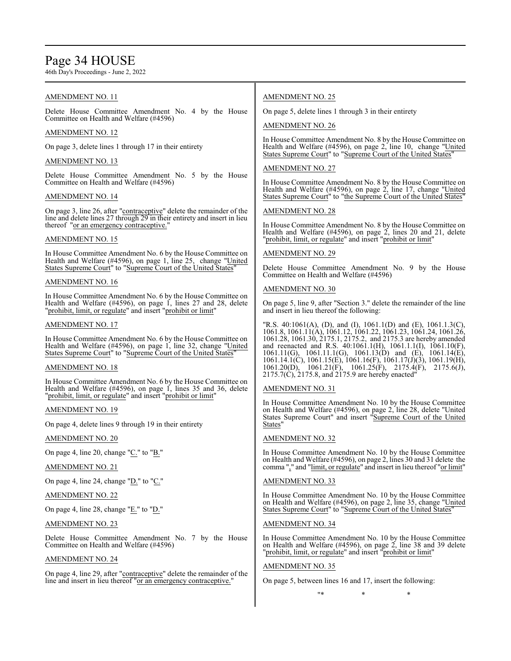# Page 34 HOUSE

46th Day's Proceedings - June 2, 2022

## AMENDMENT NO. 11

Delete House Committee Amendment No. 4 by the House Committee on Health and Welfare (#4596)

## AMENDMENT NO. 12

On page 3, delete lines 1 through 17 in their entirety

## AMENDMENT NO. 13

Delete House Committee Amendment No. 5 by the House Committee on Health and Welfare (#4596)

## AMENDMENT NO. 14

On page 3, line 26, after "contraceptive" delete the remainder of the line and delete lines 27 through 29 in their entirety and insert in lieu thereof "or an emergency contraceptive."

## AMENDMENT NO. 15

In House Committee Amendment No. 6 by the House Committee on Health and Welfare (#4596), on page 1, line 25, change "United States Supreme Court" to "Supreme Court of the United States"

## AMENDMENT NO. 16

In House Committee Amendment No. 6 by the House Committee on Health and Welfare (#4596), on page 1, lines 27 and 28, delete "prohibit, limit, or regulate" and insert "prohibit or limit"

## AMENDMENT NO. 17

In House Committee Amendment No. 6 by the House Committee on Health and Welfare (#4596), on page 1, line 32, change "United States Supreme Court" to "Supreme Court of the United States"

## AMENDMENT NO. 18

In House Committee Amendment No. 6 by the House Committee on Health and Welfare (#4596), on page 1, lines 35 and 36, delete "prohibit, limit, or regulate" and insert "prohibit or limit"

## AMENDMENT NO. 19

On page 4, delete lines 9 through 19 in their entirety

## AMENDMENT NO. 20

On page 4, line 20, change "C." to "B."

## AMENDMENT NO. 21

On page 4, line 24, change "D." to "C."

## AMENDMENT NO. 22

On page 4, line 28, change " $E$ ." to " $D$ ."

## AMENDMENT NO. 23

Delete House Committee Amendment No. 7 by the House Committee on Health and Welfare (#4596)

## AMENDMENT NO. 24

On page 4, line 29, after "contraceptive" delete the remainder of the line and insert in lieu thereof "or an emergency contraceptive."

## AMENDMENT NO. 25

On page 5, delete lines 1 through 3 in their entirety

## AMENDMENT NO. 26

In House Committee Amendment No. 8 by the House Committee on Health and Welfare (#4596), on page 2, line 10, change "United States Supreme Court" to "Supreme Court of the United States"

## AMENDMENT NO. 27

In House Committee Amendment No. 8 by the House Committee on Health and Welfare (#4596), on page 2, line 17, change "United States Supreme Court" to "the Supreme Court of the United States"

## AMENDMENT NO. 28

In House Committee Amendment No. 8 by the House Committee on Health and Welfare (#4596), on page 2, lines 20 and 21, delete "prohibit, limit, or regulate" and insert "prohibit or limit"

## AMENDMENT NO. 29

Delete House Committee Amendment No. 9 by the House Committee on Health and Welfare (#4596)

## AMENDMENT NO. 30

On page 5, line 9, after "Section 3." delete the remainder of the line and insert in lieu thereof the following:

"R.S. 40:1061(A), (D), and (I), 1061.1(D) and (E), 1061.1.3(C), 1061.8, 1061.11(A), 1061.12, 1061.22, 1061.23, 1061.24, 1061.26, 1061.28, 1061.30, 2175.1, 2175.2, and 2175.3 are hereby amended and reenacted and R.S. 40:1061.1(H), 1061.1.1(I), 1061.10(F), 1061.11(G), 1061.11.1(G), 1061.13(D) and (E), 1061.14(E), 1061.14.1(C), 1061.15(E), 1061.16(F), 1061.17(J)(3), 1061.19(H), 1061.20(D), 1061.21(F), 1061.25(F), 2175.4(F), 2175.6(J), 2175.7(C), 2175.8, and 2175.9 are hereby enacted"

## AMENDMENT NO. 31

In House Committee Amendment No. 10 by the House Committee on Health and Welfare (#4596), on page 2, line 28, delete "United States Supreme Court" and insert "Supreme Court of the United States"

## AMENDMENT NO. 32

In House Committee Amendment No. 10 by the House Committee on Health and Welfare (#4596), on page 2, lines 30 and 31 delete the comma "," and "limit, or regulate" and insert in lieu thereof "or limit"

## AMENDMENT NO. 33

In House Committee Amendment No. 10 by the House Committee on Health and Welfare (#4596), on page 2, line 35, change "United States Supreme Court" to "Supreme Court of the United States"

## AMENDMENT NO. 34

In House Committee Amendment No. 10 by the House Committee on Health and Welfare (#4596), on page 2, line 38 and 39 delete "prohibit, limit, or regulate" and insert "prohibit or limit"

## AMENDMENT NO. 35

On page 5, between lines 16 and 17, insert the following:

\* \* \* \* \*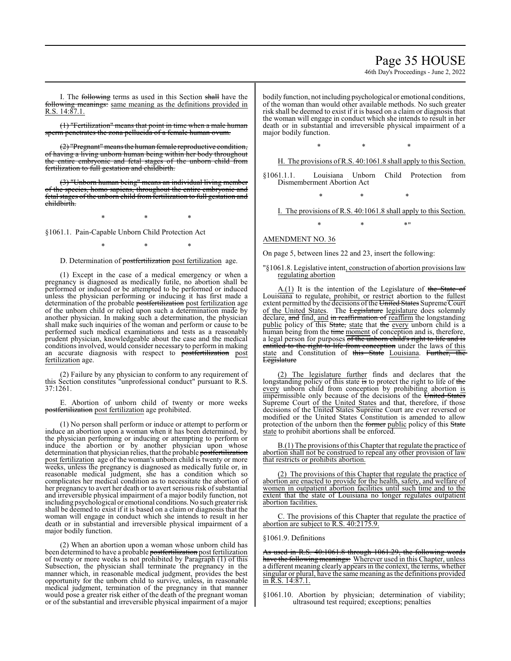# Page 35 HOUSE

46th Day's Proceedings - June 2, 2022

I. The following terms as used in this Section shall have the following meanings: same meaning as the definitions provided in R.S. 14:87.1.

(1) "Fertilization" means that point in time when a male human sperm penetrates the zona pellucida of a female human ovum.

(2) "Pregnant" meansthe human female reproductive condition, of having a living unborn human being within her body throughout the entire embryonic and fetal stages of the unborn child from fertilization to full gestation and childbirth.

(3) "Unborn human being" means an individual living member of the species, homo sapiens, throughout the entire embryonic and fetal stages of the unborn child from fertilization to full gestation and childbirth.

\* \* \*

§1061.1. Pain-Capable Unborn Child Protection Act

\* \* \*

## D. Determination of postfertilization post fertilization age.

(1) Except in the case of a medical emergency or when a pregnancy is diagnosed as medically futile, no abortion shall be performed or induced or be attempted to be performed or induced unless the physician performing or inducing it has first made a determination of the probable postfertilization post fertilization age of the unborn child or relied upon such a determination made by another physician. In making such a determination, the physician shall make such inquiries of the woman and perform or cause to be performed such medical examinations and tests as a reasonably prudent physician, knowledgeable about the case and the medical conditions involved, would consider necessary to perform in making an accurate diagnosis with respect to postfertilization post fertilization age.

(2) Failure by any physician to conform to any requirement of this Section constitutes "unprofessional conduct" pursuant to R.S. 37:1261.

E. Abortion of unborn child of twenty or more weeks postfertilization post fertilization age prohibited.

(1) No person shall perform or induce or attempt to perform or induce an abortion upon a woman when it has been determined, by the physician performing or inducing or attempting to perform or induce the abortion or by another physician upon whose determination that physician relies, that the probable postfertilization post fertilization age of the woman's unborn child is twenty or more weeks, unless the pregnancy is diagnosed as medically futile or, in reasonable medical judgment, she has a condition which so complicates her medical condition as to necessitate the abortion of her pregnancy to avert her death or to avert serious risk of substantial and irreversible physical impairment of a major bodily function, not including psychological or emotional conditions.No such greater risk shall be deemed to exist if it is based on a claim or diagnosis that the woman will engage in conduct which she intends to result in her death or in substantial and irreversible physical impairment of a major bodily function.

(2) When an abortion upon a woman whose unborn child has been determined to have a probable postfertilization post fertilization of twenty or more weeks is not prohibited by Paragraph (1) of this Subsection, the physician shall terminate the pregnancy in the manner which, in reasonable medical judgment, provides the best opportunity for the unborn child to survive, unless, in reasonable medical judgment, termination of the pregnancy in that manner would pose a greater risk either of the death of the pregnant woman or of the substantial and irreversible physical impairment of a major bodily function, not including psychological or emotional conditions, of the woman than would other available methods. No such greater risk shall be deemed to exist if it is based on a claim or diagnosis that the woman will engage in conduct which she intends to result in her death or in substantial and irreversible physical impairment of a major bodily function.

\* \* \*

H. The provisions of R.S. 40:1061.8 shall apply to this Section.

§1061.1.1. Louisiana Unborn Child Protection from Dismemberment Abortion Act

\* \* \*

I. The provisions of R.S. 40:1061.8 shall apply to this Section.

 $*$  \*  $*$  \*

## AMENDMENT NO. 36

On page 5, between lines 22 and 23, insert the following:

#### "§1061.8. Legislative intent, construction of abortion provisions law regulating abortion

A.(1) It is the intention of the Legislature of the State of Louisiana to regulate, prohibit, or restrict abortion to the fullest extent permitted by the decisions of the United States Supreme Court of the United States. The Legislature legislature does solemnly declare, and find, and in reaffirmation of reaffirm the longstanding public policy of this State, state that the every unborn child is a human being from the time moment of conception and is, therefore, a legal person for purposes of the unborn child's right to life and is entitled to the right to life from conception under the laws of this state and Constitution of this State Louisiana. Further, the Legislature

(2) The legislature further finds and declares that the longstanding policy of this state is to protect the right to life of the every unborn child from conception by prohibiting abortion is impermissible only because of the decisions of the United States Supreme Court of the United States and that, therefore, if those decisions of the United States Supreme Court are ever reversed or modified or the United States Constitution is amended to allow protection of the unborn then the former public policy of this State state to prohibit abortions shall be enforced.

B.(1) The provisions ofthis Chapter that regulate the practice of abortion shall not be construed to repeal any other provision of law that restricts or prohibits abortion.

(2) The provisions of this Chapter that regulate the practice of abortion are enacted to provide for the health, safety, and welfare of women in outpatient abortion facilities until such time and to the extent that the state of Louisiana no longer regulates outpatient abortion facilities.

C. The provisions of this Chapter that regulate the practice of abortion are subject to R.S. 40:2175.9.

#### §1061.9. Definitions

As used in R.S. 40:1061.8 through 1061.29, the following words have the following meanings: Wherever used in this Chapter, unless a different meaning clearly appears in the context, the terms, whether singular or plural, have the same meaning as the definitions provided in R.S. 14:87.1.

§1061.10. Abortion by physician; determination of viability; ultrasound test required; exceptions; penalties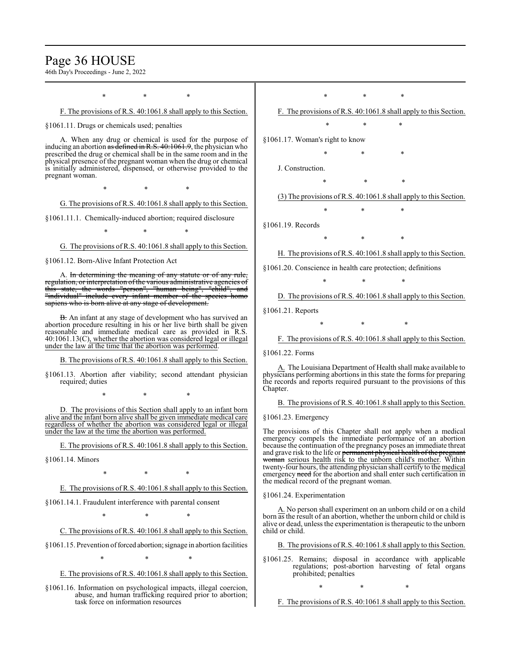# Page 36 HOUSE

46th Day's Proceedings - June 2, 2022

\* \* \* F. The provisions of R.S. 40:1061.8 shall apply to this Section. §1061.11. Drugs or chemicals used; penalties A. When any drug or chemical is used for the purpose of inducing an abortion as defined in R.S.  $40:1061.9$ , the physician who prescribed the drug or chemical shall be in the same room and in the physical presence of the pregnant woman when the drug or chemical is initially administered, dispensed, or otherwise provided to the pregnant woman. \* \* \* G. The provisions of R.S. 40:1061.8 shall apply to this Section. §1061.11.1. Chemically-induced abortion; required disclosure \* \* \* G. The provisions of R.S. 40:1061.8 shall apply to this Section. §1061.12. Born-Alive Infant Protection Act A. In determining the meaning of any statute or of any rule, regulation, or interpretation of the various administrative agencies of this state, the words "person", "human being", "child", and words "person", "human being", "child", "individual" include every infant member of the species homo sapiens who is born alive at any stage of development. B. An infant at any stage of development who has survived an abortion procedure resulting in his or her live birth shall be given reasonable and immediate medical care as provided in R.S. 40:1061.13(C), whether the abortion was considered legal or illegal under the law at the time that the abortion was performed. B. The provisions of R.S. 40:1061.8 shall apply to this Section. §1061.13. Abortion after viability; second attendant physician required; duties \* \* \* D. The provisions of this Section shall apply to an infant born alive and the infant born alive shall be given immediate medical care regardless of whether the abortion was considered legal or illegal under the law at the time the abortion was performed. E. The provisions of R.S. 40:1061.8 shall apply to this Section. §1061.14. Minors \* \* \* E. The provisions of R.S. 40:1061.8 shall apply to this Section. §1061.14.1. Fraudulent interference with parental consent \* \* \* C. The provisions of R.S. 40:1061.8 shall apply to this Section. §1061.15. Prevention of forced abortion; signage in abortion facilities \* \* \* E. The provisions of R.S. 40:1061.8 shall apply to this Section. §1061.16. Information on psychological impacts, illegal coercion, abuse, and human trafficking required prior to abortion; task force on information resources \* \* \* F. The provisions of R.S. 40:1061.8 shall apply to this Section. \* \* \* §1061.17. Woman's right to know \* \* \* J. Construction. \* \* \* (3) The provisions ofR.S. 40:1061.8 shall apply to this Section. \* \* \* §1061.19. Records \* \* \* H. The provisions of R.S. 40:1061.8 shall apply to this Section. §1061.20. Conscience in health care protection; definitions \* \* \* D. The provisions of R.S. 40:1061.8 shall apply to this Section. §1061.21. Reports \* \* \* F. The provisions of R.S. 40:1061.8 shall apply to this Section. §1061.22. Forms A. The Louisiana Department of Health shall make available to physicians performing abortions in this state the forms for preparing the records and reports required pursuant to the provisions of this Chapter. B. The provisions of R.S. 40:1061.8 shall apply to this Section. §1061.23. Emergency The provisions of this Chapter shall not apply when a medical emergency compels the immediate performance of an abortion because the continuation of the pregnancy poses an immediate threat and grave risk to the life or permanent physical health of the pregnant woman serious health risk to the unborn child's mother. Within twenty-four hours, the attending physician shall certify to the medical emergency need for the abortion and shall enter such certification in the medical record of the pregnant woman. §1061.24. Experimentation A. No person shall experiment on an unborn child or on a child born as the result of an abortion, whether the unborn child or child is alive or dead, unless the experimentation is therapeutic to the unborn child or child. B. The provisions of R.S. 40:1061.8 shall apply to this Section. §1061.25. Remains; disposal in accordance with applicable regulations; post-abortion harvesting of fetal organs prohibited; penalties \* \* \* F. The provisions of R.S. 40:1061.8 shall apply to this Section.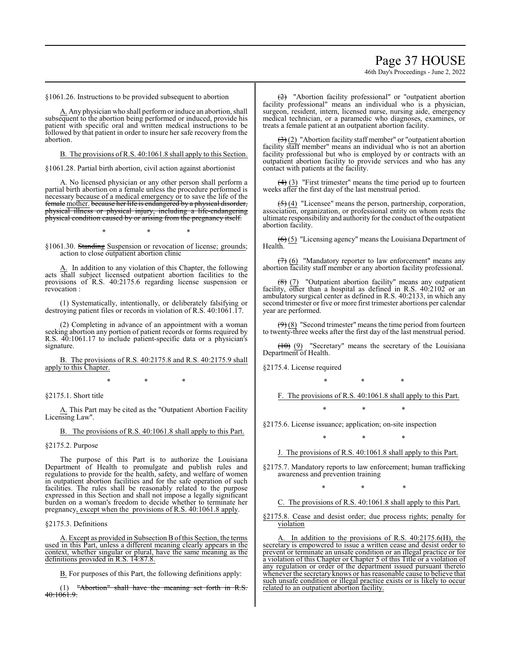# Page 37 HOUSE

46th Day's Proceedings - June 2, 2022

§1061.26. Instructions to be provided subsequent to abortion

A. Any physician who shall perform or induce an abortion, shall subsequent to the abortion being performed or induced, provide his patient with specific oral and written medical instructions to be followed by that patient in order to insure her safe recovery from the abortion.

B. The provisions of R.S. 40:1061.8 shall apply to this Section.

§1061.28. Partial birth abortion, civil action against abortionist

A. No licensed physician or any other person shall perform a partial birth abortion on a female unless the procedure performed is necessary because of a medical emergency or to save the life of the female mother. because her life is endangered by a physical disorder, physical illness or physical injury, including a life-endangering physical condition caused by or arising from the pregnancy itself.

\* \* \*

§1061.30. Standing Suspension or revocation of license; grounds; action to close outpatient abortion clinic

In addition to any violation of this Chapter, the following acts shall subject licensed outpatient abortion facilities to the provisions of R.S. 40:2175.6 regarding license suspension or revocation :

(1) Systematically, intentionally, or deliberately falsifying or destroying patient files or records in violation of R.S. 40:1061.17.

(2) Completing in advance of an appointment with a woman seeking abortion any portion of patient records or forms required by R.S. 40:1061.17 to include patient-specific data or a physician's signature.

B. The provisions of R.S. 40:2175.8 and R.S. 40:2175.9 shall apply to this Chapter.

\* \* \*

# §2175.1. Short title

A. This Part may be cited as the "Outpatient Abortion Facility Licensing Law".

B. The provisions of R.S. 40:1061.8 shall apply to this Part.

#### §2175.2. Purpose

The purpose of this Part is to authorize the Louisiana Department of Health to promulgate and publish rules and regulations to provide for the health, safety, and welfare of women in outpatient abortion facilities and for the safe operation of such facilities. The rules shall be reasonably related to the purpose expressed in this Section and shall not impose a legally significant burden on a woman's freedom to decide whether to terminate her pregnancy, except when the provisions of R.S. 40:1061.8 apply.

§2175.3. Definitions

A. Except as provided in Subsection B ofthis Section, the terms used in this Part, unless a different meaning clearly appears in the context, whether singular or plural, have the same meaning as the definitions provided in R.S. 14:87.8.

B. For purposes of this Part, the following definitions apply:

(1) "Abortion" shall have the meaning set forth in R.S. 40:1061.9.

(2) "Abortion facility professional" or "outpatient abortion facility professional" means an individual who is a physician, surgeon, resident, intern, licensed nurse, nursing aide, emergency medical technician, or a paramedic who diagnoses, examines, or treats a female patient at an outpatient abortion facility.

 $\left(\frac{1}{2}\right)$  "Abortion facility staff member" or "outpatient abortion facility staff member" means an individual who is not an abortion facility professional but who is employed by or contracts with an outpatient abortion facility to provide services and who has any contact with patients at the facility.

 $(4)$  (3) "First trimester" means the time period up to fourteen weeks after the first day of the last menstrual period.

 $(5)$  (4) "Licensee" means the person, partnership, corporation, association, organization, or professional entity on whom rests the ultimate responsibility and authority for the conduct of the outpatient abortion facility.

 $(6)$  (5) "Licensing agency" means the Louisiana Department of Health.

 $(7)$  (6) "Mandatory reporter to law enforcement" means any abortion facility staff member or any abortion facility professional.

 $(8)$  (7) "Outpatient abortion facility" means any outpatient facility, other than a hospital as defined in R.S. 40:2102 or an ambulatory surgical center as defined in R.S. 40:2133, in which any second trimester or five or more first trimester abortions per calendar year are performed.

 $(9)$  (8) "Second trimester" means the time period from fourteen to twenty-three weeks after the first day of the last menstrual period.

 $(10)$  (9) "Secretary" means the secretary of the Louisiana Department of Health.

§2175.4. License required

\* \* \* F. The provisions of R.S. 40:1061.8 shall apply to this Part.

\* \* \*

§2175.6. License issuance; application; on-site inspection

\* \* \*

J. The provisions of R.S. 40:1061.8 shall apply to this Part.

§2175.7. Mandatory reports to law enforcement; human trafficking awareness and prevention training

\* \* \*

C. The provisions of R.S. 40:1061.8 shall apply to this Part.

§2175.8. Cease and desist order; due process rights; penalty for violation

A. In addition to the provisions of R.S. 40:2175.6(H), the secretary is empowered to issue a written cease and desist order to prevent or terminate an unsafe condition or an illegal practice or for a violation of this Chapter or Chapter 5 of this Title or a violation of any regulation or order of the department issued pursuant thereto whenever the secretary knows or has reasonable cause to believe that such unsafe condition or illegal practice exists or is likely to occur related to an outpatient abortion facility.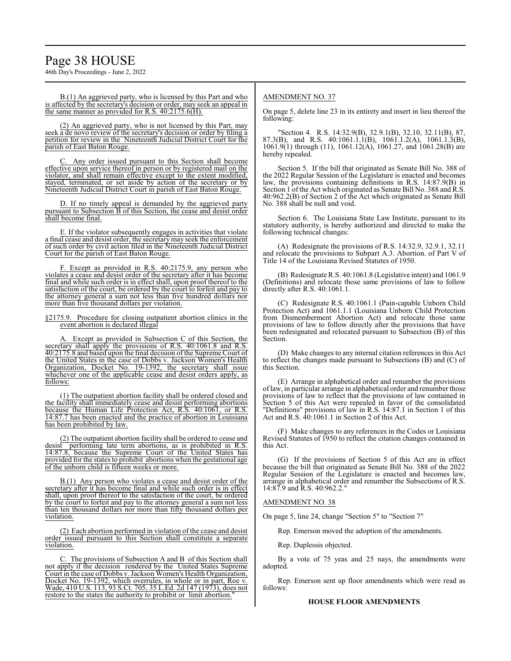46th Day's Proceedings - June 2, 2022

B.(1) An aggrieved party, who is licensed by this Part and who is affected by the secretary's decision or order, may seek an appeal in the same manner as provided for R.S. 40:2175.6(H).

(2) An aggrieved party, who is not licensed by this Part, may seek a de novo review of the secretary's decision or order by filing a petition for review in the Nineteenth Judicial District Court for the parish of East Baton Rouge.

Any order issued pursuant to this Section shall become effective upon service thereof in person or by registered mail on the violator, and shall remain effective except to the extent modified, stayed, terminated, or set aside by action of the secretary or by Nineteenth Judicial District Court in parish of East Baton Rouge.

D. If no timely appeal is demanded by the aggrieved party pursuant to Subsection B of this Section, the cease and desist order shall become final.

E. If the violator subsequently engages in activities that violate a final cease and desist order, the secretarymay seek the enforcement of such order by civil action filed in the Nineteenth Judicial District Court for the parish of East Baton Rouge.

F. Except as provided in R.S. 40:2175.9, any person who violates a cease and desist order of the secretary after it has become final and while such order is in effect shall, upon proof thereof to the satisfaction of the court, be ordered by the court to forfeit and pay to the attorney general a sum not less than five hundred dollars nor more than five thousand dollars per violation.

#### §2175.9. Procedure for closing outpatient abortion clinics in the event abortion is declared illegal

A. Except as provided in Subsection C of this Section, the secretary shall apply the provisions of R.S. 40:1061.8 and R.S. 40:2175.8 and based upon the final decision ofthe Supreme Court of the United States in the case of Dobbs v. Jackson Women's Health Organization, Docket No. 19-1392, the secretary shall issue whichever one of the applicable cease and desist orders apply, as follows:

(1) The outpatient abortion facility shall be ordered closed and the facility shall immediately cease and desist performing abortions because the Human Life Protection Act, R.S. 40:1061, or R.S. 14:87.7 has been enacted and the practice of abortion in Louisiana has been prohibited by law.

(2) The outpatient abortion facility shall be ordered to cease and desist performing late term abortions, as is prohibited in R.S. 14:87.8, because the Supreme Court of the United States has provided for the states to prohibit abortions when the gestational age of the unborn child is fifteen weeks or more.

B.(1) Any person who violates a cease and desist order of the secretary after it has become final and while such order is in effect shall, upon proof thereof to the satisfaction of the court, be ordered by the court to forfeit and pay to the attorney general a sum not less than ten thousand dollars nor more than fifty thousand dollars per violation.

(2) Each abortion performed in violation of the cease and desist order issued pursuant to this Section shall constitute a separate violation.

C. The provisions of Subsection A and B of this Section shall not apply if the decision rendered by the United States Supreme Court in the case of Dobbs v. Jackson Women's Health Organization, Docket No. 19-1392, which overrules, in whole or in part, Roe v. Wade, 410 U.S. 113, 93 S.Ct. 705, 35 L.Ed. 2d 147 (1973), does not restore to the states the authority to prohibit or limit abortion.

# AMENDMENT NO. 37

On page 5, delete line 23 in its entirety and insert in lieu thereof the following:

"Section 4. R.S. 14:32.9(B), 32.9.1(B), 32.10, 32.11(B), 87, 87.3(B), and R.S. 40:1061.1.1(B), 1061.1.2(A), 1061.1.3(B), 1061.9(1) through (11), 1061.12(A), 1061.27, and 1061.28(B) are hereby repealed.

Section 5. If the bill that originated as Senate Bill No. 388 of the 2022 Regular Session of the Legislature is enacted and becomes law, the provisions containing definitions in R.S. 14:87.9(B) in Section 1 of the Act which originated as Senate Bill No. 388 and R.S. 40:962.2(B) of Section 2 of the Act which originated as Senate Bill No. 388 shall be null and void.

Section 6. The Louisiana State Law Institute, pursuant to its statutory authority, is hereby authorized and directed to make the following technical changes:

(A) Redesignate the provisions of R.S. 14:32.9, 32.9.1, 32.11 and relocate the provisions to Subpart A.3. Abortion. of Part V of Title 14 of the Louisiana Revised Statutes of 1950.

(B) Redesignate R.S. 40:1061.8 (Legislative intent) and 1061.9 (Definitions) and relocate those same provisions of law to follow directly after R.S. 40:1061.1.

(C) Redesignate R.S. 40:1061.1 (Pain-capable Unborn Child Protection Act) and 1061.1.1 (Louisiana Unborn Child Protection from Dismemberment Abortion Act) and relocate those same provisions of law to follow directly after the provisions that have been redesignated and relocated pursuant to Subsection (B) of this Section.

(D) Make changes to any internal citation references in this Act to reflect the changes made pursuant to Subsections (B) and (C) of this Section.

(E) Arrange in alphabetical order and renumber the provisions oflaw, in particular arrange in alphabetical order and renumber those provisions of law to reflect that the provisions of law contained in Section 5 of this Act were repealed in favor of the consolidated "Definitions" provisions of law in R.S. 14:87.1 in Section 1 of this Act and R.S. 40:1061.1 in Section 2 of this Act.

(F) Make changes to any references in the Codes or Louisiana Revised Statutes of 1950 to reflect the citation changes contained in this Act.

(G) If the provisions of Section 5 of this Act are in effect because the bill that originated as Senate Bill No. 388 of the 2022 Regular Session of the Legislature is enacted and becomes law, arrange in alphabetical order and renumber the Subsections of R.S. 14:87.9 and R.S. 40:962.2."

### AMENDMENT NO. 38

On page 5, line 24, change "Section 5" to "Section 7"

Rep. Emerson moved the adoption of the amendments.

Rep. Duplessis objected.

By a vote of 75 yeas and 25 nays, the amendments were adopted.

Rep. Emerson sent up floor amendments which were read as follows:

# **HOUSE FLOOR AMENDMENTS**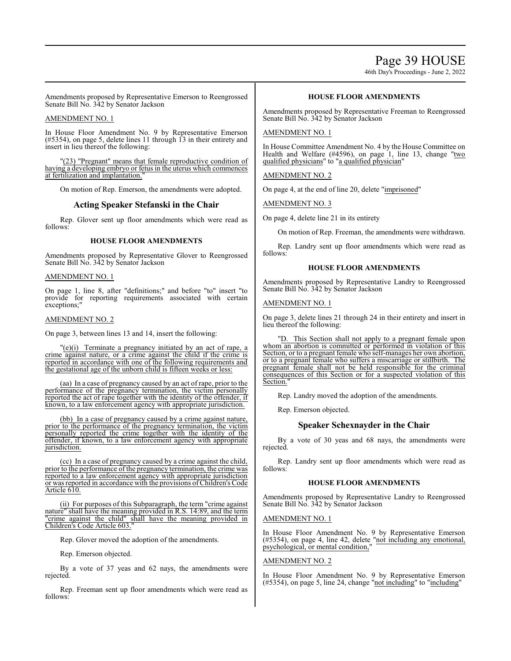Page 39 HOUSE

46th Day's Proceedings - June 2, 2022

Amendments proposed by Representative Emerson to Reengrossed Senate Bill No. 342 by Senator Jackson

### AMENDMENT NO. 1

In House Floor Amendment No. 9 by Representative Emerson (#5354), on page 5, delete lines 11 through 13 in their entirety and insert in lieu thereof the following:

"(23) "Pregnant" means that female reproductive condition of having a developing embryo or fetus in the uterus which commences at fertilization and implantation.

On motion of Rep. Emerson, the amendments were adopted.

# **Acting Speaker Stefanski in the Chair**

Rep. Glover sent up floor amendments which were read as follows:

### **HOUSE FLOOR AMENDMENTS**

Amendments proposed by Representative Glover to Reengrossed Senate Bill No. 342 by Senator Jackson

#### AMENDMENT NO. 1

On page 1, line 8, after "definitions;" and before "to" insert "to provide for reporting requirements associated with certain exceptions;'

#### AMENDMENT NO. 2

On page 3, between lines 13 and 14, insert the following:

"(e)(i) Terminate a pregnancy initiated by an act of rape, a crime against nature, or a crime against the child if the crime is reported in accordance with one of the following requirements and the gestational age of the unborn child is fifteen weeks or less:

(aa) In a case of pregnancy caused by an act of rape, prior to the performance of the pregnancy termination, the victim personally reported the act of rape together with the identity of the offender, if known, to a law enforcement agency with appropriate jurisdiction.

(bb) In a case of pregnancy caused by a crime against nature, prior to the performance of the pregnancy termination, the victim personally reported the crime together with the identity of the offender, if known, to a law enforcement agency with appropriate jurisdiction.

(cc) In a case of pregnancy caused by a crime against the child, prior to the performance of the pregnancy termination, the crime was reported to a law enforcement agency with appropriate jurisdiction or was reported in accordance with the provisions ofChildren's Code Article 610.

(ii) For purposes of this Subparagraph, the term "crime against nature" shall have the meaning provided in R.S. 14:89, and the term "crime against the child" shall have the meaning provided in Children's Code Article 603."

Rep. Glover moved the adoption of the amendments.

Rep. Emerson objected.

By a vote of 37 yeas and 62 nays, the amendments were rejected.

Rep. Freeman sent up floor amendments which were read as follows:

# **HOUSE FLOOR AMENDMENTS**

Amendments proposed by Representative Freeman to Reengrossed Senate Bill No. 342 by Senator Jackson

#### AMENDMENT NO. 1

In House Committee Amendment No. 4 by the House Committee on Health and Welfare (#4596), on page 1, line 13, change "two qualified physicians" to "a qualified physician"

AMENDMENT NO. 2

On page 4, at the end of line 20, delete "imprisoned"

AMENDMENT NO. 3

On page 4, delete line 21 in its entirety

On motion of Rep. Freeman, the amendments were withdrawn.

Rep. Landry sent up floor amendments which were read as follows:

#### **HOUSE FLOOR AMENDMENTS**

Amendments proposed by Representative Landry to Reengrossed Senate Bill No. 342 by Senator Jackson

# AMENDMENT NO. 1

On page 3, delete lines 21 through 24 in their entirety and insert in lieu thereof the following:

"D. This Section shall not apply to a pregnant female upon whom an abortion is committed or performed in violation of this Section, or to a pregnant female who self-manages her own abortion, or to a pregnant female who suffers a miscarriage or stillbirth. The pregnant female shall not be held responsible for the criminal consequences of this Section or for a suspected violation of this Section.

Rep. Landry moved the adoption of the amendments.

Rep. Emerson objected.

# **Speaker Schexnayder in the Chair**

By a vote of 30 yeas and 68 nays, the amendments were rejected.

Rep. Landry sent up floor amendments which were read as follows:

# **HOUSE FLOOR AMENDMENTS**

Amendments proposed by Representative Landry to Reengrossed Senate Bill No. 342 by Senator Jackson

# AMENDMENT NO. 1

In House Floor Amendment No. 9 by Representative Emerson (#5354), on page 4, line 42, delete "not including any emotional, psychological, or mental condition,"

# AMENDMENT NO. 2

In House Floor Amendment No. 9 by Representative Emerson (#5354), on page 5, line 24, change "not including" to "including"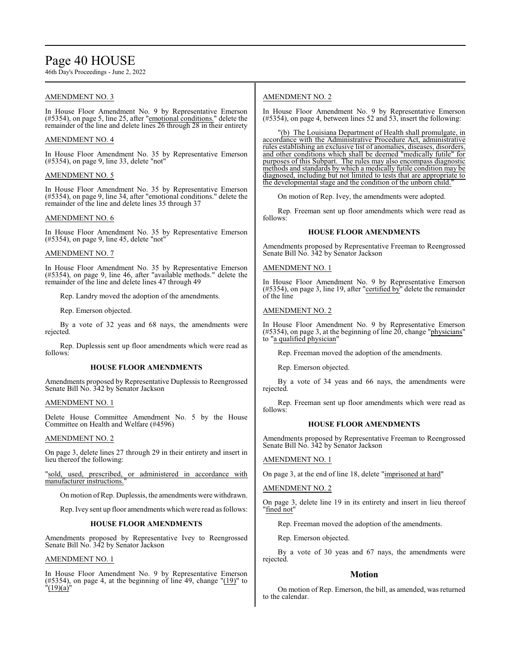# Page 40 HOUSE

46th Day's Proceedings - June 2, 2022

# AMENDMENT NO. 3

In House Floor Amendment No. 9 by Representative Emerson (#5354), on page 5, line 25, after "emotional conditions." delete the remainder of the line and delete lines 26 through 28 in their entirety

# AMENDMENT NO. 4

In House Floor Amendment No. 35 by Representative Emerson (#5354), on page 9, line 33, delete "not"

# AMENDMENT NO. 5

In House Floor Amendment No. 35 by Representative Emerson (#5354), on page 9, line 34, after "emotional conditions." delete the remainder of the line and delete lines 35 through 37

# AMENDMENT NO. 6

In House Floor Amendment No. 35 by Representative Emerson (#5354), on page 9, line 45, delete "not"

# AMENDMENT NO. 7

In House Floor Amendment No. 35 by Representative Emerson (#5354), on page 9, line 46, after "available methods." delete the remainder of the line and delete lines 47 through 49

Rep. Landry moved the adoption of the amendments.

Rep. Emerson objected.

By a vote of 32 yeas and 68 nays, the amendments were rejected.

Rep. Duplessis sent up floor amendments which were read as follows:

### **HOUSE FLOOR AMENDMENTS**

Amendments proposed by Representative Duplessis to Reengrossed Senate Bill No. 342 by Senator Jackson

### AMENDMENT NO. 1

Delete House Committee Amendment No. 5 by the House Committee on Health and Welfare (#4596)

### AMENDMENT NO. 2

On page 3, delete lines 27 through 29 in their entirety and insert in lieu thereof the following:

"sold, used, prescribed, or administered in accordance with manufacturer instructions.

On motion ofRep. Duplessis, the amendments were withdrawn.

Rep. Ivey sent up floor amendments which were read as follows:

### **HOUSE FLOOR AMENDMENTS**

Amendments proposed by Representative Ivey to Reengrossed Senate Bill No. 342 by Senator Jackson

### AMENDMENT NO. 1

In House Floor Amendment No. 9 by Representative Emerson  $(\text{\#5354})$ , on page 4, at the beginning of line 49, change " $(19)$ " to "(19)(a)"

# AMENDMENT NO. 2

In House Floor Amendment No. 9 by Representative Emerson (#5354), on page 4, between lines 52 and 53, insert the following:

(b) The Louisiana Department of Health shall promulgate, in accordance with the Administrative Procedure Act, administrative rules establishing an exclusive list of anomalies, diseases, disorders, and other conditions which shall be deemed "medically futile" for purposes of this Subpart. The rules may also encompass diagnostic methods and standards by which a medically futile condition may be diagnosed, including but not limited to tests that are appropriate to the developmental stage and the condition of the unborn child."

On motion of Rep. Ivey, the amendments were adopted.

Rep. Freeman sent up floor amendments which were read as follows:

# **HOUSE FLOOR AMENDMENTS**

Amendments proposed by Representative Freeman to Reengrossed Senate Bill No. 342 by Senator Jackson

AMENDMENT NO. 1

In House Floor Amendment No. 9 by Representative Emerson  $(#5354)$ , on page 3, line 19, after "certified by" delete the remainder of the line

# AMENDMENT NO. 2

In House Floor Amendment No. 9 by Representative Emerson  $(\#5354)$ , on page 3, at the beginning of line 20, change "physicians" to "a qualified physician"

Rep. Freeman moved the adoption of the amendments.

Rep. Emerson objected.

By a vote of 34 yeas and 66 nays, the amendments were rejected.

Rep. Freeman sent up floor amendments which were read as follows:

### **HOUSE FLOOR AMENDMENTS**

Amendments proposed by Representative Freeman to Reengrossed Senate Bill No. 342 by Senator Jackson

# AMENDMENT NO. 1

On page 3, at the end of line 18, delete "imprisoned at hard"

# AMENDMENT NO. 2

On page 3, delete line 19 in its entirety and insert in lieu thereof "fined not"

Rep. Freeman moved the adoption of the amendments.

Rep. Emerson objected.

By a vote of 30 yeas and 67 nays, the amendments were rejected.

# **Motion**

On motion of Rep. Emerson, the bill, as amended, was returned to the calendar.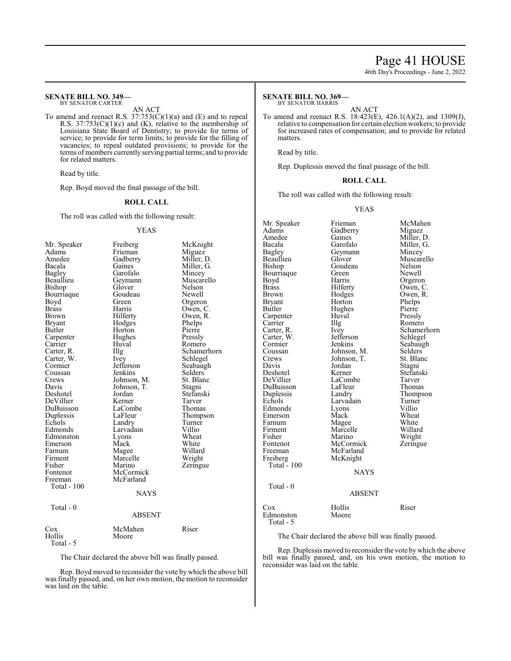# Page 41 HOUSE

46th Day's Proceedings - June 2, 2022

#### **SENATE BILL NO. 349—** BY SENATOR CARTER

AN ACT

To amend and reenact R.S.  $37:753(C)(1)(a)$  and (E) and to repeal R.S. 37:753(C)(1)(c) and (K), relative to the membership of Louisiana State Board of Dentistry; to provide for terms of service; to provide for term limits; to provide for the filling of vacancies; to repeal outdated provisions; to provide for the terms of members currently serving partial terms; and to provide for related matters.

Read by title.

Rep. Boyd moved the final passage of the bill.

#### **ROLL CALL**

The roll was called with the following result:

#### YEAS

| Mr. Speaker   | Freiberg    | McKnight    |
|---------------|-------------|-------------|
| Adams         | Frieman     | Miguez      |
| Amedee        | Gadberry    | Miller, D.  |
| Bacala        | Gaines      | Miller, G.  |
| <b>Bagley</b> | Garofalo    | Mincey      |
| Beaullieu     | Geymann     | Muscarello  |
| Bishop        | Glover      | Nelson      |
| Bourriaque    | Goudeau     | Newell      |
| Boyd          | Green       | Orgeron     |
| <b>Brass</b>  | Harris      | Owen, C.    |
| <b>Brown</b>  | Hilferty    | Owen, R.    |
| Bryant        | Hodges      | Phelps      |
| Butler        | Horton      | Pierre      |
| Carpenter     | Hughes      | Pressly     |
| Carrier       | Huval       | Romero      |
| Carter, R.    | Illg        | Schamerhorn |
| Carter, W.    | Ivey        | Schlegel    |
| Cormier       | Jefferson   | Seabaugh    |
| Coussan       | Jenkins     | Selders     |
| Crews         | Johnson, M. | St. Blanc   |
| Davis         | Johnson, T. | Stagni      |
| Deshotel      | Jordan      | Stefanski   |
| DeVillier     | Kerner      | Tarver      |
| DuBuisson     | LaCombe     | Thomas      |
| Duplessis     | LaFleur     | Thompson    |
| Echols        | Landry      | Turner      |
| Edmonds       | Larvadain   | Villio      |
| Edmonston     | Lyons       | Wheat       |
| Emerson       | Mack        | White       |
| Farnum        | Magee       | Willard     |
| Firment       | Marcelle    | Wright      |
| Fisher        | Marino      | Zeringue    |
| Fontenot      | McCormick   |             |
| Freeman       | McFarland   |             |
| Total - 100   |             |             |
|               | <b>NAYS</b> |             |
| Total - 0     |             |             |
|               | ABSENT      |             |
| $\cos$        | McMahen     | Riser       |
| Hollis        | Moore       |             |
| Total - 5     |             |             |

The Chair declared the above bill was finally passed.

Rep. Boyd moved to reconsider the vote by which the above bill was finally passed, and, on her own motion, the motion to reconsider was laid on the table.

#### **SENATE BILL NO. 369—** BY SENATOR HARRIS

AN ACT

To amend and reenact R.S. 18:423(E), 426.1(A)(2), and 1309(J), relative to compensation for certain election workers; to provide for increased rates of compensation; and to provide for related matters.

Read by title.

Rep. Duplessis moved the final passage of the bill.

#### **ROLL CALL**

The roll was called with the following result:

#### YEAS

Mr. Speaker Frieman McMahen<br>Adams Gadberry Miguez Adams Gadberry<br>Amedee Gaines Amedee Gaines Miller, D.<br>Bacala Garofalo Miller, G. Bacala Garofalo Miller, G.<br>Bagley Geymann Mincey Bagley Geymann<br>Beaullieu Glover Beaullieu Glover Muscarello<br>Bishop Goudeau Nelson Goudeau Nelson<br>Green Newell Bourriaque Green<br>Boyd Harris Boyd Harris Orgeron<br>Brass Hilferty Owen, C Brass Hilferty Owen, C.<br>Brown Hodges Owen, R. Brown Hodges Owen, R.<br>Bryant Horton Phelps Bryant Horton Phelps<br>Butler Hughes Pierre Hughes Pierre<br>Huval Pressly Carpenter Huv<br>Carrier Hllg Carrier IIIg Romero<br>Carter, R. Ivey Schame Ivey Schamerhorn<br>Jefferson Schlegel Carter, W. Jefferson<br>Cormier Jenkins Cormier Jenkins Seabaugh<br>
Coussan Iohnson M Selders Coussan Johnson, M. Selders<br>Crews Johnson, T. St. Blanc Crews Johnson, T. St. Blanch<br>Davis Jordan Stagni Davis Jordan<br>Deshotel Kerner Deshotel Kerner Stefanski LaCombe Tarver<br>
LaFleur Thomas DuBuisson LaFleur<br>Duplessis Landry Duplessis Landry Thompson<br>
Echols Larvadain Turner Larvadain Turner<br>Lyons Villio Edmonds Lyons Villio<br>Emerson Mack Wheat Emerson Mack Wheat<br>
Farnum Magee White Farnum Magee White<br>
Firment Marcelle Willard Firment Marcelle<br>Fisher Marino Fisher Marino Wright<br>
Fontenot McCormick Zeringue Fontenot McCormick<br>Freeman McFarland Freeman McFarland<br>Freiberg McKnight McKnight Total  $-100$ NAYS Total - 0 ABSENT Cox Hollis Riser Edmonston Moore Total - 5

The Chair declared the above bill was finally passed.

Rep. Duplessis moved to reconsider the vote bywhich the above bill was finally passed, and, on his own motion, the motion to reconsider was laid on the table.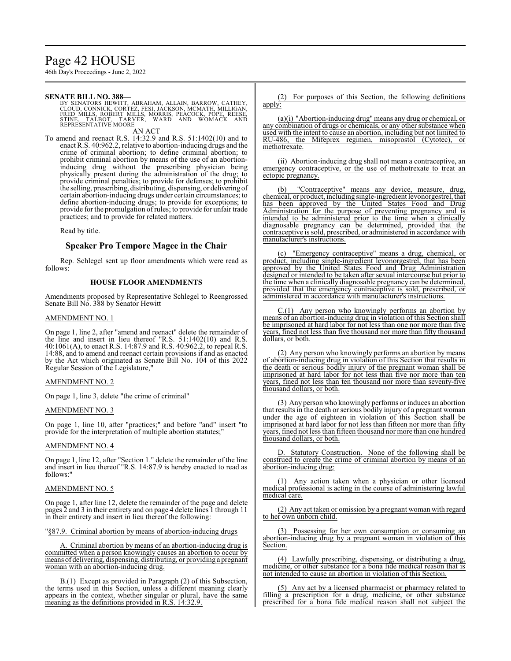# Page 42 HOUSE

46th Day's Proceedings - June 2, 2022

### **SENATE BILL NO. 388—**

BY SENATORS HEWITT, ABRAHAM, ALLAIN, BARROW, CATHEY,<br>CLOUD, CONNICK, CORTEZ, FESI, JACKSON, MCMATH, MILLIGAN,<br>FRED MILLS, ROBERT MILLS, MORRIS, PEACOCK, POPE, REESE,<br>STINE, TALBOT, TARVER, WARD AND WOMACK AND<br>R AN ACT

To amend and reenact R.S. 14:32.9 and R.S. 51:1402(10) and to enact R.S. 40:962.2, relative to abortion-inducing drugs and the crime of criminal abortion; to define criminal abortion; to prohibit criminal abortion by means of the use of an abortioninducing drug without the prescribing physician being physically present during the administration of the drug; to provide criminal penalties; to provide for defenses; to prohibit the selling, prescribing, distributing, dispensing, or delivering of certain abortion-inducing drugs under certain circumstances; to define abortion-inducing drugs; to provide for exceptions; to provide for the promulgation ofrules; to provide for unfair trade practices; and to provide for related matters.

Read by title.

# **Speaker Pro Tempore Magee in the Chair**

Rep. Schlegel sent up floor amendments which were read as follows:

# **HOUSE FLOOR AMENDMENTS**

Amendments proposed by Representative Schlegel to Reengrossed Senate Bill No. 388 by Senator Hewitt

# AMENDMENT NO. 1

On page 1, line 2, after "amend and reenact" delete the remainder of the line and insert in lieu thereof "R.S. 51:1402(10) and R.S. 40:1061(A), to enact R.S. 14:87.9 and R.S. 40:962.2, to repeal R.S. 14:88, and to amend and reenact certain provisions if and as enacted by the Act which originated as Senate Bill No. 104 of this 2022 Regular Session of the Legislature,"

# AMENDMENT NO. 2

On page 1, line 3, delete "the crime of criminal"

### AMENDMENT NO. 3

On page 1, line 10, after "practices;" and before "and" insert "to provide for the interpretation of multiple abortion statutes;"

# AMENDMENT NO. 4

On page 1, line 12, after "Section 1." delete the remainder of the line and insert in lieu thereof "R.S. 14:87.9 is hereby enacted to read as follows:"

### AMENDMENT NO. 5

On page 1, after line 12, delete the remainder of the page and delete pages 2 and 3 in their entirety and on page 4 delete lines 1 through 11 in their entirety and insert in lieu thereof the following:

"§87.9. Criminal abortion by means of abortion-inducing drugs

A. Criminal abortion by means of an abortion-inducing drug is committed when a person knowingly causes an abortion to occur by means of delivering, dispensing, distributing, or providing a pregnant woman with an abortion-inducing drug.

B.(1) Except as provided in Paragraph (2) of this Subsection, the terms used in this Section, unless a different meaning clearly appears in the context, whether singular or plural, have the same meaning as the definitions provided in R.S. 14:32.9.

(2) For purposes of this Section, the following definitions apply:

(a)(i) "Abortion-inducing drug" means any drug or chemical, or any combination of drugs or chemicals, or any other substance when used with the intent to cause an abortion, including but not limited to RU-486, the Mifeprex regimen, misoprostol (Cytotec), or methotrexate.

(ii) Abortion-inducing drug shall not mean a contraceptive, an emergency contraceptive, or the use of methotrexate to treat an ectopic pregnancy.

(b) "Contraceptive" means any device, measure, drug, chemical, or product, including single-ingredient levonorgestrel, that has been approved by the United States Food and Drug Administration for the purpose of preventing pregnancy and is intended to be administered prior to the time when a clinically diagnosable pregnancy can be determined, provided that the contraceptive is sold, prescribed, or administered in accordance with manufacturer's instructions.

"Emergency contraceptive" means a drug, chemical, or product, including single-ingredient levonorgestrel, that has been approved by the United States Food and Drug Administration designed or intended to be taken after sexual intercourse but prior to the time when a clinically diagnosable pregnancy can be determined, provided that the emergency contraceptive is sold, prescribed, or administered in accordance with manufacturer's instructions.

 $C(1)$  Any person who knowingly performs an abortion by means of an abortion-inducing drug in violation of this Section shall be imprisoned at hard labor for not less than one nor more than five years, fined not less than five thousand nor more than fifty thousand dollars, or both.

(2) Any person who knowingly performs an abortion by means of abortion-inducing drug in violation of this Section that results in the death or serious bodily injury of the pregnant woman shall be imprisoned at hard labor for not less than five nor more than ten years, fined not less than ten thousand nor more than seventy-five thousand dollars, or both.

(3) Any person who knowingly performs or induces an abortion that results in the death or serious bodily injury of a pregnant woman under the age of eighteen in violation of this Section shall be imprisoned at hard labor for not less than fifteen nor more than fifty years, fined not less than fifteen thousand nor more than one hundred thousand dollars, or both.

D. Statutory Construction. None of the following shall be construed to create the crime of criminal abortion by means of an abortion-inducing drug:

(1) Any action taken when a physician or other licensed medical professional is acting in the course of administering lawful medical care.

(2) Any act taken or omission by a pregnant woman with regard to her own unborn child.

(3) Possessing for her own consumption or consuming an abortion-inducing drug by a pregnant woman in violation of this Section.

(4) Lawfully prescribing, dispensing, or distributing a drug, medicine, or other substance for a bona fide medical reason that is not intended to cause an abortion in violation of this Section.

(5) Any act by a licensed pharmacist or pharmacy related to filling a prescription for a drug, medicine, or other substance prescribed for a bona fide medical reason shall not subject the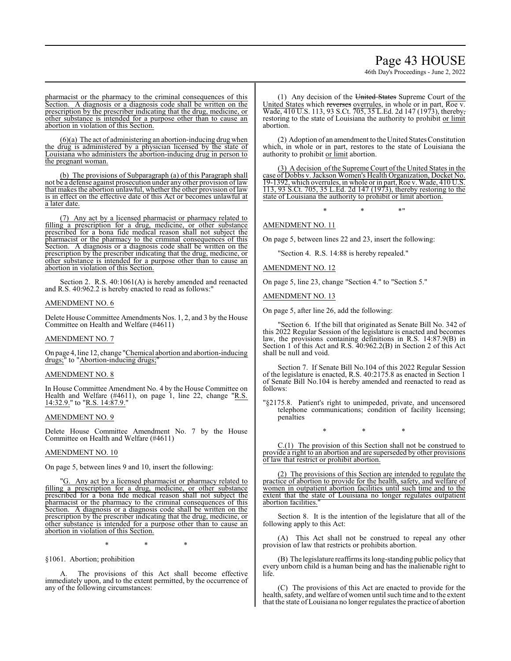# Page 43 HOUSE

46th Day's Proceedings - June 2, 2022

pharmacist or the pharmacy to the criminal consequences of this Section. A diagnosis or a diagnosis code shall be written on the prescription by the prescriber indicating that the drug, medicine, or other substance is intended for a purpose other than to cause an abortion in violation of this Section.

(6)(a) The act of administering an abortion-inducing drug when the drug is administered by a physician licensed by the state of Louisiana who administers the abortion-inducing drug in person to the pregnant woman.

(b) The provisions of Subparagraph (a) of this Paragraph shall not be a defense against prosecution under any other provision oflaw that makes the abortion unlawful, whether the other provision of law is in effect on the effective date of this Act or becomes unlawful at a later date.

(7) Any act by a licensed pharmacist or pharmacy related to filling a prescription for a drug, medicine, or other substance prescribed for a bona fide medical reason shall not subject the pharmacist or the pharmacy to the criminal consequences of this Section. A diagnosis or a diagnosis code shall be written on the A diagnosis or a diagnosis code shall be written on the prescription by the prescriber indicating that the drug, medicine, or other substance is intended for a purpose other than to cause an abortion in violation of this Section.

Section 2. R.S. 40:1061(A) is hereby amended and reenacted and R.S. 40:962.2 is hereby enacted to read as follows:"

#### AMENDMENT NO. 6

Delete House Committee Amendments Nos. 1, 2, and 3 by the House Committee on Health and Welfare (#4611)

#### AMENDMENT NO. 7

On page 4, line 12, change "Chemical abortion and abortion-inducing drugs;" to "Abortion-inducing drugs;"

#### AMENDMENT NO. 8

In House Committee Amendment No. 4 by the House Committee on Health and Welfare (#4611), on page 1, line 22, change "R.S.  $14:32.9."$  to "R.S. 14:87.9."

# AMENDMENT NO. 9

Delete House Committee Amendment No. 7 by the House Committee on Health and Welfare (#4611)

# AMENDMENT NO. 10

On page 5, between lines 9 and 10, insert the following:

"G. Any act by a licensed pharmacist or pharmacy related to filling a prescription for a drug, medicine, or other substance prescribed for a bona fide medical reason shall not subject the pharmacist or the pharmacy to the criminal consequences of this Section. A diagnosis or a diagnosis code shall be written on the prescription by the prescriber indicating that the drug, medicine, or other substance is intended for a purpose other than to cause an abortion in violation of this Section.

\* \* \*

§1061. Abortion; prohibition

A. The provisions of this Act shall become effective immediately upon, and to the extent permitted, by the occurrence of any of the following circumstances:

(1) Any decision of the United States Supreme Court of the United States which reverses overrules, in whole or in part, Roe v. Wade, 410 U.S. 113, 93 S.Ct. 705, 35 L.Ed. 2d 147 (1973), thereby, restoring to the state of Louisiana the authority to prohibit or limit abortion.

(2) Adoption of an amendment to the United States Constitution which, in whole or in part, restores to the state of Louisiana the authority to prohibit or limit abortion.

(3) A decision ofthe Supreme Court of the United States in the case of Dobbs v. Jackson Women's Health Organization, Docket No. 19-1392, which overrules, in whole or in part, Roe v. Wade, 410 U.S. 113, 93 S.Ct. 705, 35 L.Ed. 2d 147 (1973), thereby restoring to the state of Louisiana the authority to prohibit or limit abortion.

 $*$  \*  $*$  \*

# AMENDMENT NO. 11

On page 5, between lines 22 and 23, insert the following:

"Section 4. R.S. 14:88 is hereby repealed."

### AMENDMENT NO. 12

On page 5, line 23, change "Section 4." to "Section 5."

AMENDMENT NO. 13

On page 5, after line 26, add the following:

"Section 6. If the bill that originated as Senate Bill No. 342 of this 2022 Regular Session of the legislature is enacted and becomes law, the provisions containing definitions in R.S. 14:87.9(B) in Section 1 of this Act and R.S. 40:962.2(B) in Section 2 of this Act shall be null and void.

Section 7. If Senate Bill No.104 of this 2022 Regular Session of the legislature is enacted, R.S. 40:2175.8 as enacted in Section 1 of Senate Bill No.104 is hereby amended and reenacted to read as follows:

"§2175.8. Patient's right to unimpeded, private, and uncensored telephone communications; condition of facility licensing; penalties

\* \* \*

C.(1) The provision of this Section shall not be construed to provide a right to an abortion and are superseded by other provisions of law that restrict or prohibit abortion.

(2) The provisions of this Section are intended to regulate the practice of abortion to provide for the health, safety, and welfare of women in outpatient abortion facilities until such time and to the extent that the state of Louisiana no longer regulates outpatient abortion facilities."

Section 8. It is the intention of the legislature that all of the following apply to this Act:

(A) This Act shall not be construed to repeal any other provision of law that restricts or prohibits abortion.

(B) The legislature reaffirms its long-standing public policy that every unborn child is a human being and has the inalienable right to life.

(C) The provisions of this Act are enacted to provide for the health, safety, and welfare of women until such time and to the extent that the state of Louisiana no longer regulates the practice of abortion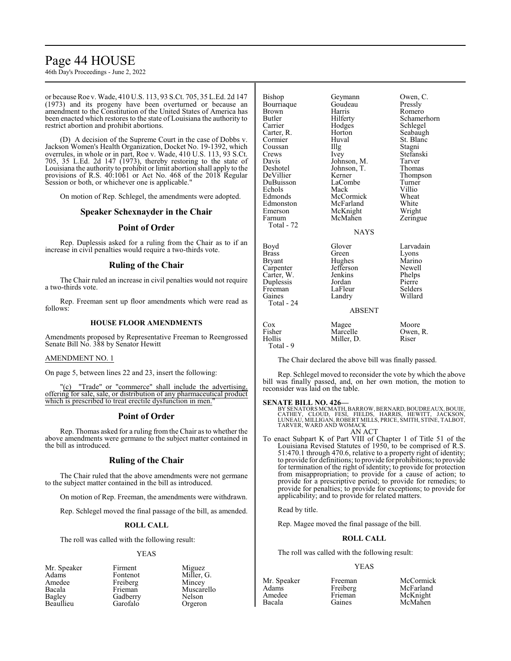# Page 44 HOUSE

46th Day's Proceedings - June 2, 2022

or because Roe v. Wade, 410 U.S. 113, 93 S.Ct. 705, 35 L.Ed. 2d 147 (1973) and its progeny have been overturned or because an amendment to the Constitution of the United States of America has been enacted which restores to the state of Louisiana the authority to restrict abortion and prohibit abortions.

(D) A decision of the Supreme Court in the case of Dobbs v. Jackson Women's Health Organization, Docket No. 19-1392, which overrules, in whole or in part, Roe v. Wade, 410 U.S. 113, 93 S.Ct. 705, 35 L.Ed. 2d 147 (1973), thereby restoring to the state of Louisiana the authority to prohibit or limit abortion shall apply to the provisions of R.S. 40:1061 or Act No. 468 of the 2018 Regular Session or both, or whichever one is applicable."

On motion of Rep. Schlegel, the amendments were adopted.

# **Speaker Schexnayder in the Chair**

# **Point of Order**

Rep. Duplessis asked for a ruling from the Chair as to if an increase in civil penalties would require a two-thirds vote.

# **Ruling of the Chair**

The Chair ruled an increase in civil penalties would not require a two-thirds vote.

Rep. Freeman sent up floor amendments which were read as follows:

#### **HOUSE FLOOR AMENDMENTS**

Amendments proposed by Representative Freeman to Reengrossed Senate Bill No. 388 by Senator Hewitt

#### AMENDMENT NO. 1

On page 5, between lines 22 and 23, insert the following:

"(c) "Trade" or "commerce" shall include the advertising, offering for sale, sale, or distribution of any pharmaceutical product which is prescribed to treat erectile dysfunction in men."

# **Point of Order**

Rep. Thomas asked for a ruling from the Chair as to whether the above amendments were germane to the subject matter contained in the bill as introduced.

# **Ruling of the Chair**

The Chair ruled that the above amendments were not germane to the subject matter contained in the bill as introduced.

On motion of Rep. Freeman, the amendments were withdrawn.

Rep. Schlegel moved the final passage of the bill, as amended.

### **ROLL CALL**

The roll was called with the following result:

### YEAS

Mr. Speaker Firment Miguez<br>Adams Fontenot Miller, Adams Fontenot Miller, G.<br>Amedee Freiberg Mincey Amedee Freiberg<br>Bacala Frieman Bacala Frieman Muscarello Beaullieu

Gadberry Nelson<br>Garofalo Orgeron

Bishop Geymann Owen, C.<br>Bourriaque Goudeau Pressly Bourriaque Goude<br>Brown Harris Brown Harris Romero<br>
Butler Hilferty Schame Butler Hilferty Schamerhorn Carrier Hodges Schlegel<br>Carter R Horton Seabaugh Cormier Huval St. Blanc<br>
Coussan Illg Stagni Coussan Illg<br>Crews Ivey Crews Ivey Stefanski<br>
Davis Johnson, M. Tarver Davis Johnson, M. Tarver<br>Deshotel Johnson, T. Thomas Deshotel Johnson, T.<br>DeVillier Kerner Kerner Thompson<br>LaCombe Turner DuBuisson LaCombe Turner Echols Mack Villio<br>Edmonds McCormick Wheat McCormick Wheat<br>
McFarland White Edmonston McFarland White<br>
Emerson McKnight Wright Emerson McKnight Wright<br>
Farnum McMahen Zeringue McMahen Total - 72 **NAYS** Boyd Glover Larvadain<br>Brass Green Lyons Brass Green Lyons<br>Bryant Hughes Marino Hughes Marino<br>Jefferson Newell Carpenter Jefferson Newell<br>Carter, W. Jenkins Phelps Carter, W. Jenkins Phelps Duplessis Jordan Pierre Freeman LaFleur Selders<br>
Gaines Landry Willard Landry Total - 24 ABSENT

| Cox       | Magee      | Moore    |
|-----------|------------|----------|
| Fisher    | Marcelle   | Owen, R. |
| Hollis    | Miller, D. | Riser    |
| Total - 9 |            |          |

The Chair declared the above bill was finally passed.

Rep. Schlegel moved to reconsider the vote by which the above bill was finally passed, and, on her own motion, the motion to reconsider was laid on the table.

#### **SENATE BILL NO. 426—**

BY SENATORS MCMATH, BARROW, BERNARD, BOUDREAUX, BOUIE,<br>CATHEY, CLOUD, FESI, FIELDS, HARRIS, HEWITT, JACKSON,<br>LUNEAU, MILLIGAN, ROBERT MILLS, PRICE, SMITH, STINE, TALBOT,<br>TARVER, WARD AND WOMACK AN ACT

To enact Subpart K of Part VIII of Chapter 1 of Title 51 of the Louisiana Revised Statutes of 1950, to be comprised of R.S. 51:470.1 through 470.6, relative to a property right of identity; to provide for definitions; to provide for prohibitions; to provide for termination of the right of identity; to provide for protection from misappropriation; to provide for a cause of action; to provide for a prescriptive period; to provide for remedies; to provide for penalties; to provide for exceptions; to provide for applicability; and to provide for related matters.

Read by title.

Rep. Magee moved the final passage of the bill.

# **ROLL CALL**

The roll was called with the following result:

#### YEAS

| vir. Speak |
|------------|
| Adams      |
| Amedee     |
| Bacala     |
|            |

1<br>
Recording McCormick<br>
Freiberg McFarland Freiberg McFarland<br>Frieman McKnight Gaines McMahen

McKnight

Seabaugh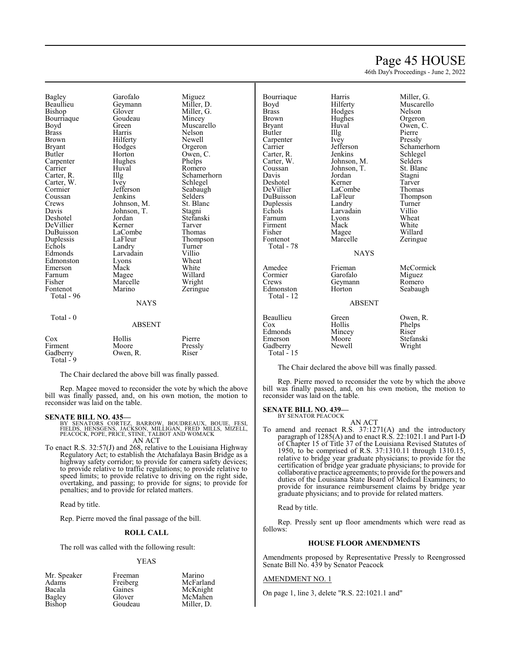# Page 45 HOUSE

46th Day's Proceedings - June 2, 2022

Bagley Garofalo Miguez<br>Beaullieu Geymann Miller, l Beaullieu Geymann Miller, D. Bourriaque Goude<br>Boyd Green Boyd Green Muscarello<br>Brass Harris Nelson Brown Hilferty Newell<br>Bryant Hodges Orgero Bryant Hodges Orgeron<br>Butler Horton Owen, C Carpenter Hughe<br>Carrier Huval Carrier Huval Romero<br>Carter, R. Illg Schame Carter, W. Ivey<br>Cormier Jefferson Coussan Jenkins Selders<br>Crews Johnson, M. St. Blanc Crews Johnson, M. St. Blanch<br>Davis Johnson, T. Stagni Davis Johnson, T.<br>Deshotel Jordan DeVillier Kerner Tarver DuBuisson LaComb<br>
Duplessis LaFleur Duplessis LaFleur Thompson<br>
Echols Landry Turner Echols Landry Turner<br>Edmonds Larvadain Villio Edmonston Lyons Wheat<br>
Emerson Mack White Emerson Mack White<br>
Farnum Magee Willard Farnum Magee Willard Fisher Marcelle<br>Fontenot Marino Total - 96 Total - 0

Glover Miller, G.<br>Goudeau Mincey Horton Owen, C.<br>Hughes Phelps Illg Schamerhorn<br>Ivey Schlegel Jefferson Seabaugh<br>Jenkins Selders Jordan Stefanski<br>Kerner Tarver Larvadain Villio<br>Lyons Wheat **NAYS** 

Nelson Zeringue

### ABSENT

| Cox       | Hollis   | Pierre  |
|-----------|----------|---------|
| Firment   | Moore    | Pressly |
| Gadberry  | Owen, R. | Riser   |
| Total - 9 |          |         |

The Chair declared the above bill was finally passed.

Rep. Magee moved to reconsider the vote by which the above bill was finally passed, and, on his own motion, the motion to reconsider was laid on the table.

**SENATE BILL NO. 435—**<br>BY SENATORS CORTEZ, BARROW, BOUDREAUX, BOUIE, FESI,<br>FIELDS, HENSGENS, JACKSON, MILLIGAN, FRED MILLS, MIZELL,<br>PEACOCK, POPE, PRICE, STINE, TALBOT AND WOMACK AN ACT

To enact R.S. 32:57(J) and 268, relative to the Louisiana Highway Regulatory Act; to establish the Atchafalaya Basin Bridge as a highway safety corridor; to provide for camera safety devices; to provide relative to traffic regulations; to provide relative to speed limits; to provide relative to driving on the right side, overtaking, and passing; to provide for signs; to provide for penalties; and to provide for related matters.

Read by title.

Rep. Pierre moved the final passage of the bill.

### **ROLL CALL**

The roll was called with the following result:

#### YEAS

| Mr. Speaker   | Freeman  | Marino     |
|---------------|----------|------------|
| Adams         | Freiberg | McFarland  |
| Bacala        | Gaines   | McKnight   |
| Bagley        | Glover   | McMahen    |
| <b>Bishop</b> | Goudeau  | Miller, D. |

| Bourriaque   | Harris        | Miller, G.  |
|--------------|---------------|-------------|
| Boyd         | Hilferty      | Muscarello  |
| <b>Brass</b> | Hodges        | Nelson      |
| Brown        | Hughes        | Orgeron     |
| Bryant       | Huval         | Owen, C.    |
| Butler       | Illg          | Pierre      |
| Carpenter    | Ivey          | Pressly     |
| Carrier      | Jefferson     | Schamerhorn |
| Carter, R.   | Jenkins       | Schlegel    |
| Carter, W.   | Johnson, M.   | Selders     |
| Coussan      | Johnson, T.   | St. Blanc   |
| Davis        | Jordan        | Stagni      |
| Deshotel     | Kerner        | Tarver      |
| DeVillier    | LaCombe       | Thomas      |
| DuBuisson    | LaFleur       | Thompson    |
| Duplessis    | Landry        | Turner      |
| Echols       | Larvadain     | Villio      |
| Farnum       | Lyons         | Wheat       |
| Firment      | Mack          | White       |
| Fisher       | Magee         | Willard     |
| Fontenot     | Marcelle      | Zeringue    |
| Total - 78   |               |             |
|              | <b>NAYS</b>   |             |
| Amedee       | Frieman       | McCormick   |
| Cormier      | Garofalo      | Miguez      |
| Crews        | Geymann       | Romero      |
| Edmonston    | Horton        | Seabaugh    |
| Total - 12   |               |             |
|              | <b>ABSENT</b> |             |
| Beaullieu    | Green         | Owen, R.    |
| Cox          | Hollis        | Phelps      |
| Edmonds      | Mincey        | Riser       |
| Emerson      | Moore         | Stefanski   |
| Gadberry     | Newell        | Wright      |
| $Total - 15$ |               |             |

The Chair declared the above bill was finally passed.

Rep. Pierre moved to reconsider the vote by which the above bill was finally passed, and, on his own motion, the motion to reconsider was laid on the table.

#### **SENATE BILL NO. 439—** BY SENATOR PEACOCK

AN ACT

To amend and reenact R.S. 37:1271(A) and the introductory paragraph of 1285(A) and to enact R.S. 22:1021.1 and Part I-D of Chapter 15 of Title 37 of the Louisiana Revised Statutes of 1950, to be comprised of R.S. 37:1310.11 through 1310.15, relative to bridge year graduate physicians; to provide for the certification of bridge year graduate physicians; to provide for collaborative practice agreements; to provide for the powers and duties of the Louisiana State Board of Medical Examiners; to provide for insurance reimbursement claims by bridge year graduate physicians; and to provide for related matters.

Read by title.

Rep. Pressly sent up floor amendments which were read as follows:

### **HOUSE FLOOR AMENDMENTS**

Amendments proposed by Representative Pressly to Reengrossed Senate Bill No. 439 by Senator Peacock

# AMENDMENT NO. 1

On page 1, line 3, delete "R.S. 22:1021.1 and"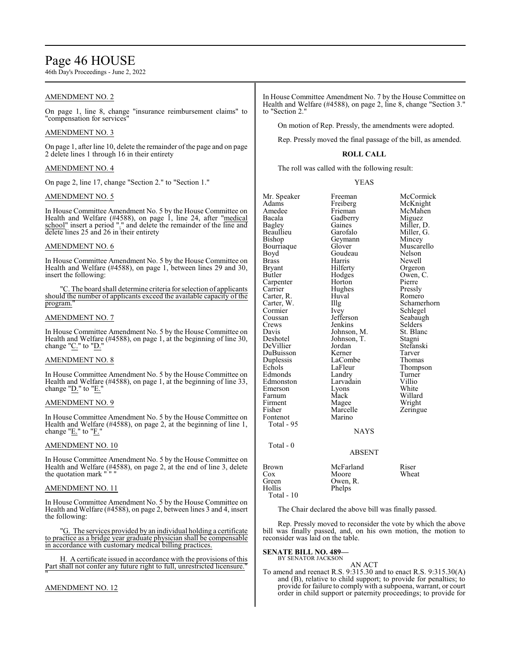# Page 46 HOUSE

46th Day's Proceedings - June 2, 2022

# AMENDMENT NO. 2

On page 1, line 8, change "insurance reimbursement claims" to "compensation for services

# AMENDMENT NO. 3

On page 1, after line 10, delete the remainder of the page and on page 2 delete lines 1 through 16 in their entirety

# AMENDMENT NO. 4

On page 2, line 17, change "Section 2." to "Section 1."

# AMENDMENT NO. 5

In House Committee Amendment No. 5 by the House Committee on Health and Welfare  $(\#4588)$ , on page 1, line 24, after "medical school" insert a period "." and delete the remainder of the line and delete lines 25 and 26 in their entirety

# AMENDMENT NO. 6

In House Committee Amendment No. 5 by the House Committee on Health and Welfare (#4588), on page 1, between lines 29 and 30, insert the following:

"C. The board shall determine criteria for selection of applicants should the number of applicants exceed the available capacity of the program."

### AMENDMENT NO. 7

In House Committee Amendment No. 5 by the House Committee on Health and Welfare (#4588), on page 1, at the beginning of line 30, change "C." to "D."

### AMENDMENT NO. 8

In House Committee Amendment No. 5 by the House Committee on Health and Welfare (#4588), on page 1, at the beginning of line 33, change "D." to "E.

### AMENDMENT NO. 9

In House Committee Amendment No. 5 by the House Committee on Health and Welfare (#4588), on page 2, at the beginning of line 1, change " $E$ ." to " $F$ ."

# AMENDMENT NO. 10

In House Committee Amendment No. 5 by the House Committee on Health and Welfare (#4588), on page 2, at the end of line 3, delete the quotation mark " " "

### AMENDMENT NO. 11

In House Committee Amendment No. 5 by the House Committee on Health and Welfare (#4588), on page 2, between lines 3 and 4, insert the following:

"G. The services provided by an individual holding a certificate to practice as a bridge year graduate physician shall be compensable in accordance with customary medical billing practices.

H. A certificate issued in accordance with the provisions of this Part shall not confer any future right to full, unrestricted licensure." "

# AMENDMENT NO. 12

In House Committee Amendment No. 7 by the House Committee on Health and Welfare (#4588), on page 2, line 8, change "Section 3." to "Section 2."

On motion of Rep. Pressly, the amendments were adopted.

Rep. Pressly moved the final passage of the bill, as amended.

# **ROLL CALL**

The roll was called with the following result:

#### YEAS

| Mr. Speaker<br>Adams<br>Amedee<br>Bacala<br>Bagley<br>Beaullieu<br>Bishop<br>Bourriaque<br>Boyd<br><b>Brass</b><br>Bryant<br>Butler<br>Carpenter<br>Carrier<br>Carter, R.<br>Carter, W.<br>Cormier<br>Coussan<br>Crews<br>Davis<br>Deshotel | Freeman<br>Freiberg<br>Frieman<br>Gadberry<br>Gaines<br>Garofalo<br>Geymann<br>Glover<br>Goudeau<br>Harris<br>Hilferty<br>Hodges<br>Horton<br>Hughes<br>Huval<br>Illg<br>Ivey<br>Jefferson<br>Jenkins<br>Johnson, M.<br>Johnson, T. | McCormick<br>McKnight<br>McMahen<br>Miguez<br>Miller, D.<br>Miller, G.<br>Mincey<br>Muscarello<br>Nelson<br>Newell<br>Orgeron<br>Owen, C.<br>Pierre<br>Pressly<br>Romero<br>Schlegel<br>Seabaugh<br>Selders<br>St. Blanc<br>Stagni |
|---------------------------------------------------------------------------------------------------------------------------------------------------------------------------------------------------------------------------------------------|-------------------------------------------------------------------------------------------------------------------------------------------------------------------------------------------------------------------------------------|------------------------------------------------------------------------------------------------------------------------------------------------------------------------------------------------------------------------------------|
|                                                                                                                                                                                                                                             |                                                                                                                                                                                                                                     |                                                                                                                                                                                                                                    |
|                                                                                                                                                                                                                                             |                                                                                                                                                                                                                                     | Schamerhorn                                                                                                                                                                                                                        |
|                                                                                                                                                                                                                                             |                                                                                                                                                                                                                                     |                                                                                                                                                                                                                                    |
| DeVillier<br>DuBuisson                                                                                                                                                                                                                      | Jordan<br>Kerner                                                                                                                                                                                                                    | Stefanski<br>Tarver                                                                                                                                                                                                                |
| Duplessis<br>Echols<br>Edmonds                                                                                                                                                                                                              | LaCombe<br>LaFleur<br>Landry                                                                                                                                                                                                        | Thomas<br>Thompson<br>Turner<br>Villio                                                                                                                                                                                             |
| Edmonston<br>Emerson<br>Farnum<br>Firment                                                                                                                                                                                                   | Larvadain<br>Lyons<br>Mack<br>Magee                                                                                                                                                                                                 | White<br>Willard<br>Wright                                                                                                                                                                                                         |
| Fisher<br>Fontenot<br>Total - 95                                                                                                                                                                                                            | Marcelle<br>Marino<br><b>NAYS</b>                                                                                                                                                                                                   | Zeringue                                                                                                                                                                                                                           |
| Total - 0                                                                                                                                                                                                                                   |                                                                                                                                                                                                                                     |                                                                                                                                                                                                                                    |
|                                                                                                                                                                                                                                             | <b>ABSENT</b>                                                                                                                                                                                                                       |                                                                                                                                                                                                                                    |
| Brown<br>Cox<br>Green<br>Hollis<br>Total - 10                                                                                                                                                                                               | McFarland<br>Moore<br>Owen, R.<br>Phelps                                                                                                                                                                                            | Riser<br>Wheat                                                                                                                                                                                                                     |

The Chair declared the above bill was finally passed.

Rep. Pressly moved to reconsider the vote by which the above bill was finally passed, and, on his own motion, the motion to reconsider was laid on the table.

**SENATE BILL NO. 489—**

BY SENATOR JACKSON

AN ACT To amend and reenact R.S. 9:315.30 and to enact R.S. 9:315.30(A) and (B), relative to child support; to provide for penalties; to provide for failure to comply with a subpoena, warrant, or court order in child support or paternity proceedings; to provide for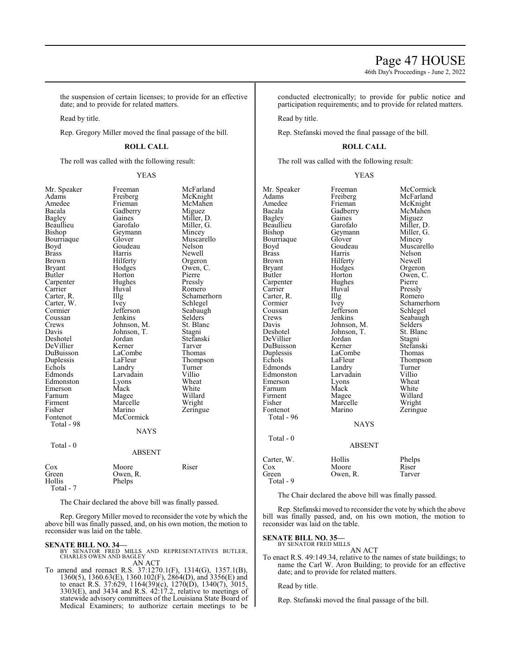46th Day's Proceedings - June 2, 2022

the suspension of certain licenses; to provide for an effective date; and to provide for related matters.

Read by title.

Rep. Gregory Miller moved the final passage of the bill.

# **ROLL CALL**

The roll was called with the following result:

# YEAS

Pierre Pressly Romero Schamerhorn Schlegel Seabaugh Selders<sup>'</sup> St. Blanc

| Mr. Speaker   | Freeman     | McFarland  |
|---------------|-------------|------------|
| Adams         | Freiberg    | McKnight   |
| Amedee        | Frieman     | McMahen    |
| Bacala        | Gadberry    | Miguez     |
| <b>Bagley</b> | Gaines      | Miller, D. |
| Beaullieu     | Garofalo    | Miller, G. |
| Bishop        | Geymann     | Mincey     |
| Bourriaque    | Glover      | Muscarello |
| Boyd          | Goudeau     | Nelson     |
| <b>Brass</b>  | Harris      | Newell     |
| Brown         | Hilferty    | Orgeron    |
| <b>Bryant</b> | Hodges      | Owen, C.   |
| Butler        | Horton      | Pierre     |
| Carpenter     | Hughes      | Pressly    |
| Carrier       | Huval       | Romero     |
| Carter, R.    | Illg        | Schamerho: |
| Carter, W.    | Ivey        | Schlegel   |
| Cormier       | Jefferson   | Seabaugh   |
| Coussan       | Jenkins     | Selders    |
| Crews         | Johnson, M. | St. Blanc  |
| Davis         | Johnson, T. | Stagni     |
| Deshotel      | Jordan      | Stefanski  |
| DeVillier     | Kerner      | Tarver     |
| DuBuisson     | LaCombe     | Thomas     |
| Duplessis     | LaFleur     | Thompson   |
| Echols        | Landry      | Turner     |
| Edmonds       | Larvadain   | Villio     |
| Edmonston     | Lyons       | Wheat      |
| Emerson       | Mack        | White      |
| Farnum        | Magee       | Willard    |
| Firment       | Marcelle    | Wright     |
| Fisher        | Marino      | Zeringue   |
| Fontenot      | McCormick   |            |
| Total - 98    |             |            |
|               | <b>NAYS</b> |            |
|               |             |            |
| Total - 0     |             |            |
|               | ABSENT      |            |
| Cox           | Moore       | Riser      |
| Green         | Owen, R.    |            |
| Hollis        | Phelps      |            |
| Total - 7     |             |            |

The Chair declared the above bill was finally passed.

Rep. Gregory Miller moved to reconsider the vote by which the above bill was finally passed, and, on his own motion, the motion to reconsider was laid on the table.

**SENATE BILL NO. 34—**<br>BY SENATOR FRED MILLS AND REPRESENTATIVES BUTLER,<br>CHARLES OWEN AND BAGLEY AN ACT

To amend and reenact R.S. 37:1270.1(F), 1314(G), 1357.1(B), 1360(5), 1360.63(E), 1360.102(F), 2864(D), and 3356(E) and to enact R.S. 37:629, 1164(39)(c), 1270(D), 1340(7), 3015, 3303(E), and 3434 and R.S. 42:17.2, relative to meetings of statewide advisory committees of the Louisiana State Board of Medical Examiners; to authorize certain meetings to be conducted electronically; to provide for public notice and participation requirements; and to provide for related matters.

Read by title.

Rep. Stefanski moved the final passage of the bill.

### **ROLL CALL**

The roll was called with the following result:

### YEAS

| Mr. Speaker   | Freeman       | McCormick   |
|---------------|---------------|-------------|
| Adams         | Freiberg      | McFarland   |
| Amedee        | Frieman       | McKnight    |
| Bacala        | Gadberry      | McMahen     |
| Bagley        | Gaines        | Miguez      |
| Beaullieu     | Garofalo      | Miller, D.  |
| Bishop        | Geymann       | Miller, G.  |
| Bourriaque    | Glover        | Mincey      |
| Boyd          | Goudeau       | Muscarello  |
| <b>Brass</b>  | Harris        | Nelson      |
| Brown         | Hilferty      | Newell      |
| <b>Bryant</b> | Hodges        | Orgeron     |
| Butler        | Horton        | Owen, C.    |
| Carpenter     | Hughes        | Pierre      |
| Carrier       | Huval         | Pressly     |
| Carter, R.    | Illg          | Romero      |
| Cormier       | Ivey          | Schamerhorn |
| Coussan       | Jefferson     | Schlegel    |
| Crews         | Jenkins       | Seabaugh    |
| Davis         | Johnson, M.   | Selders     |
| Deshotel      | Johnson, T.   | St. Blanc   |
| DeVillier     | Jordan        | Stagni      |
| DuBuisson     | Kerner        | Stefanski   |
| Duplessis     | LaCombe       | Thomas      |
| Echols        | LaFleur       | Thompson    |
| Edmonds       | Landry        | Turner      |
| Edmonston     | Larvadain     | Villio      |
| Emerson       | Lyons         | Wheat       |
| Farnum        | Mack          | White       |
| Firment       | Magee         | Willard     |
| Fisher        | Marcelle      | Wright      |
| Fontenot      | Marino        | Zeringue    |
| Total - 96    |               |             |
|               | <b>NAYS</b>   |             |
|               |               |             |
| Total - 0     |               |             |
|               | <b>ABSENT</b> |             |
| Carter, W.    | Hollis        | Phelps      |
| Cox           | Moore         | Riser       |
| Green         | Owen, R.      | Tarver      |
| Total - 9     |               |             |

The Chair declared the above bill was finally passed.

Rep. Stefanski moved to reconsider the vote by which the above bill was finally passed, and, on his own motion, the motion to reconsider was laid on the table.

**SENATE BILL NO. 35** 

BY SENATOR FRED MILLS AN ACT

To enact R.S. 49:149.34, relative to the names of state buildings; to name the Carl W. Aron Building; to provide for an effective date; and to provide for related matters.

Read by title.

Rep. Stefanski moved the final passage of the bill.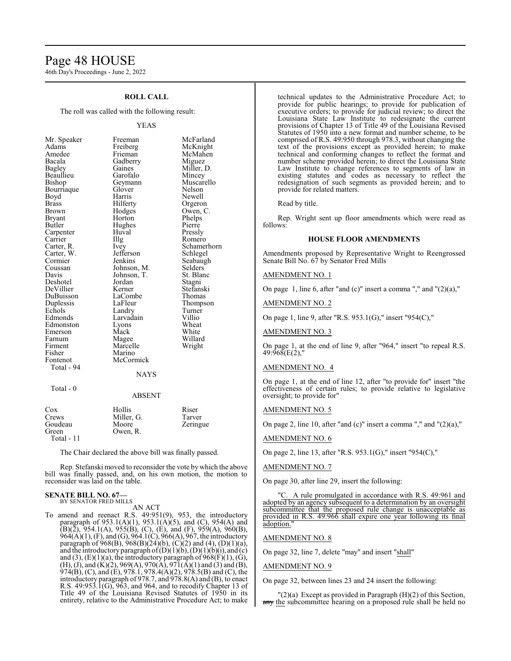# Page 48 HOUSE

46th Day's Proceedings - June 2, 2022

# **ROLL CALL**

The roll was called with the following result:

#### YEAS

| Mr. Speaker                             |
|-----------------------------------------|
| Adams                                   |
| Amedee                                  |
| Bacala                                  |
|                                         |
|                                         |
| Bacana<br>Bagley<br>Beaullieu<br>Bishop |
| Bourriaque                              |
| Boyd                                    |
| <b>Brass</b>                            |
| Brown                                   |
|                                         |
| Brown<br>Bryant<br>Butler               |
| Carpenter                               |
| Carrier                                 |
| Carter, R.<br>Carter, W.                |
|                                         |
| Cormier                                 |
| Commer<br>Coussan<br>Davis              |
|                                         |
| Deshotel                                |
| DeVillier                               |
| DuBuisson                               |
| Duplessis                               |
| Echols                                  |
| Edmonds<br>Edmonston                    |
|                                         |
| Emerson                                 |
| Farnum                                  |
| Firment                                 |
| Fisher                                  |
| Fontenot<br>Total - 94                  |
|                                         |
|                                         |
|                                         |

 $Total - 0$ 

Freeman McFarland<br>Freiberg McKnight Freiberg McKnight<br>
Frieman McMahen McMahen<br>Miguez Gadberry<br>Gaines Miller, D.<br>Mincey Garofalo<br>Geymann Muscarello<br>Nelson Glover Nelson<br>
Harris Newell Boyd Harris Newell Hilferty Orgeron<br>Hodges Owen, C Owen, C.<br>Phelps Horton Phelps<br>Hughes Pierre Hughes<br>Huyal Huval Pressly<br>Illg Romer Illg Romero<br>Ivey Schamer Schamerhorn<br>Schlegel Jefferson<br>Jenkins Seabaugh<br>Selders Johnson, M. Selders<br>Johnson, T. St. Blanc Johnson, T.<br>
Jordan Stagni Jordan<br>Kerner Stefanski<br>Thomas LaCombe<br>LaFleur Thompson<br>Turner Landry Turner<br>
Larvadain Villio Larvadain<br>Lyons Lyons Wheat<br>
Mack White Mack White<br>
Magee Willar Willard<br>Wright Marcelle Marino McCormick **NAYS** ABSENT

| Cox<br>Crews     | Hollis<br>Miller, G. | Riser<br>Tarver |
|------------------|----------------------|-----------------|
| Goudeau<br>Green | Moore<br>Owen, R.    | Zeringue        |
| Total - $11$     |                      |                 |

The Chair declared the above bill was finally passed.

Rep. Stefanski moved to reconsider the vote by which the above bill was finally passed, and, on his own motion, the motion to reconsider was laid on the table.

### **SENATE BILL NO. 67—** BY SENATOR FRED MILLS

AN ACT

To amend and reenact R.S. 49:951(9), 953, the introductory paragraph of  $953.1(A)(1)$ ,  $953.1(A)(5)$ , and (C),  $954(A)$  and  $(B)(\overline{2})$ , 954.1(A), 955(B), (C), (E), and (F), 959(A), 960(B), 964(A)(1), (F), and (G), 964.1(C), 966(A), 967, the introductory paragraph of  $968(B)$ ,  $968(B)(24)(b)$ ,  $(C)(2)$  and  $(4)$ ,  $(D)(1)(a)$ , and the introductory paragraph of  $(D)(1)(b)$ ,  $(D)(1)(b)(i)$ , and  $(c)$ and  $(3)$ ,  $(E)(1)(a)$ , the introductory paragraph of  $968(F)(1)$ ,  $(G)$ , (H), (J), and (K)(2), 969(A), 970(A), 971(A)(1) and (3) and (B), 974(B), (C), and (E), 978.1, 978.4(A)(2), 978.5(B) and (C), the introductory paragraph of 978.7, and 978.8(A) and (B), to enact R.S. 49:953.1(G), 963, and 964, and to recodify Chapter 13 of Title 49 of the Louisiana Revised Statutes of 1950 in its entirety, relative to the Administrative Procedure Act; to make technical updates to the Administrative Procedure Act; to provide for public hearings; to provide for publication of executive orders; to provide for judicial review; to direct the Louisiana State Law Institute to redesignate the current provisions of Chapter 13 of Title 49 of the Louisiana Revised Statutes of 1950 into a new format and number scheme, to be comprised of R.S. 49:950 through 978.3, without changing the text of the provisions except as provided herein; to make technical and conforming changes to reflect the format and number scheme provided herein; to direct the Louisiana State Law Institute to change references to segments of law in existing statutes and codes as necessary to reflect the redesignation of such segments as provided herein; and to provide for related matters.

Read by title.

Rep. Wright sent up floor amendments which were read as follows:

### **HOUSE FLOOR AMENDMENTS**

Amendments proposed by Representative Wright to Reengrossed Senate Bill No. 67 by Senator Fred Mills

AMENDMENT NO. 1

On page 1, line 6, after "and  $(c)$ " insert a comma "," and " $(2)(a)$ ,"

AMENDMENT NO. 2

On page 1, line 9, after "R.S. 953.1(G)," insert "954(C),"

AMENDMENT NO. 3

On page 1, at the end of line 9, after "964," insert "to repeal R.S.  $49:968(E(2),$ 

### AMENDMENT NO. 4

On page 1, at the end of line 12, after "to provide for" insert "the effectiveness of certain rules; to provide relative to legislative oversight; to provide for"

#### AMENDMENT NO. 5

On page 2, line 10, after "and  $(c)$ " insert a comma "," and " $(2)(a)$ ,"

#### AMENDMENT NO. 6

On page 2, line 13, after "R.S. 953.1(G)," insert "954(C),"

# AMENDMENT NO. 7

On page 30, after line 29, insert the following:

"C. A rule promulgated in accordance with R.S. 49:961 and adopted by an agency subsequent to a determination by an oversight subcommittee that the proposed rule change is unacceptable as provided in R.S. 49:966 shall expire one year following its final adoption.

#### AMENDMENT NO. 8

On page 32, line 7, delete "may" and insert "shall"

#### AMENDMENT NO. 9

On page 32, between lines 23 and 24 insert the following:

 $(2)(a)$  Except as provided in Paragraph  $(H)(2)$  of this Section, any the subcommittee hearing on a proposed rule shall be held no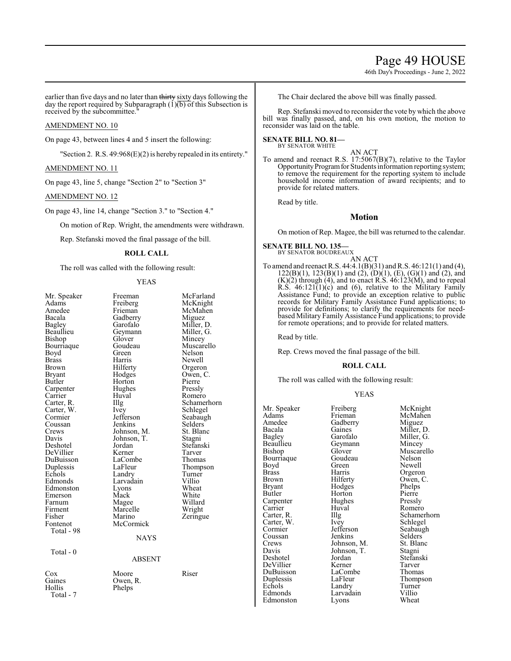# Page 49 HOUSE

46th Day's Proceedings - June 2, 2022

earlier than five days and no later than thirty sixty days following the day the report required by Subparagraph  $(1)(b)$  of this Subsection is received by the subcommittee."

# AMENDMENT NO. 10

On page 43, between lines 4 and 5 insert the following:

"Section 2. R.S. 49:968(E)(2) is hereby repealed in its entirety."

# AMENDMENT NO. 11

On page 43, line 5, change "Section 2" to "Section 3"

# AMENDMENT NO. 12

On page 43, line 14, change "Section 3." to "Section 4."

On motion of Rep. Wright, the amendments were withdrawn.

Rep. Stefanski moved the final passage of the bill.

# **ROLL CALL**

The roll was called with the following result:

#### YEAS

| Mr. Speaker<br>Adams<br>Amedee<br>Bacala<br>Bagley<br>Beaullieu<br>Bishop<br>Bourriaque<br>Boyd<br>Brass<br>Brown<br>Bryant<br>Butler<br>Carpenter<br>Carrier<br>Carter, R.<br>Carter, W.<br>Cormier<br>Coussan<br>Crews<br>Davis<br>Deshotel<br>DeVillier<br>DuBuisson<br>Duplessis<br>Echols<br>Edmonds<br>Edmonston<br>Emerson<br>Farnum<br>Firment<br>Fisher | Freeman<br>Freiberg<br>Frieman<br>Gadberry<br>Garofalo<br>Geymann<br>Glover<br>Goudeau<br>Green<br>Harris<br>Hilferty<br>Hodges<br>Horton<br>Hughes<br>Huval<br>Illg<br><i>lvey</i><br>Jefferson<br>Jenkins<br>Johnson, M.<br>Johnson, T.<br>Jordan<br>Kerner<br>LaCombe<br>LaFleur<br>Landry<br>Larvadain<br>Lyons<br>Mack<br>Magee<br>Marcelle<br>Marino | McFarland<br>McKnight<br>McMahen<br>Miguez<br>Miller, D.<br>Miller, G.<br>Mincey<br>Muscarello<br>Nelson<br>Newell<br>Orgeron<br>Owen, C.<br>Pierre<br>Pressly<br>Romero<br>Schamerhorn<br>Schlegel<br>Seabaugh<br>Selders<br>St. Blanc<br>Stagni<br>Stefanski<br>Tarver<br>Thomas<br>Thompson<br>Turner<br>Villio<br>Wheat<br>White<br>Willard<br>Wright |
|------------------------------------------------------------------------------------------------------------------------------------------------------------------------------------------------------------------------------------------------------------------------------------------------------------------------------------------------------------------|------------------------------------------------------------------------------------------------------------------------------------------------------------------------------------------------------------------------------------------------------------------------------------------------------------------------------------------------------------|-----------------------------------------------------------------------------------------------------------------------------------------------------------------------------------------------------------------------------------------------------------------------------------------------------------------------------------------------------------|
| Fontenot<br>Total - 98                                                                                                                                                                                                                                                                                                                                           | McCormick                                                                                                                                                                                                                                                                                                                                                  | Zeringue                                                                                                                                                                                                                                                                                                                                                  |
| Total - 0                                                                                                                                                                                                                                                                                                                                                        | <b>NAYS</b><br><b>ABSENT</b>                                                                                                                                                                                                                                                                                                                               |                                                                                                                                                                                                                                                                                                                                                           |
| Cox<br>Gaines<br>Hollis<br>Total - 7                                                                                                                                                                                                                                                                                                                             | Moore<br>Owen, R.<br>Phelps                                                                                                                                                                                                                                                                                                                                | Riser                                                                                                                                                                                                                                                                                                                                                     |

The Chair declared the above bill was finally passed.

Rep. Stefanski moved to reconsider the vote by which the above bill was finally passed, and, on his own motion, the motion to reconsider was laid on the table.

# **SENATE BILL NO. 81—**<br>BY SENATOR WHITE

AN ACT

To amend and reenact R.S. 17:5067(B)(7), relative to the Taylor Opportunity Program for Students information reporting system; to remove the requirement for the reporting system to include household income information of award recipients; and to provide for related matters.

Read by title.

# **Motion**

On motion of Rep. Magee, the bill was returned to the calendar.

#### **SENATE BILL NO. 135—** BY SENATOR BOUDREAUX

AN ACT To amend and reenact R.S. 44:4.1(B)(31) and R.S. 46:121(1) and (4),  $122(B)(1)$ ,  $123(B)(1)$  and  $(2)$ ,  $(D)(1)$ ,  $(E)$ ,  $(G)(1)$  and  $(2)$ , and  $(K)(2)$  through  $(4)$ , and to enact R.S.  $46:123(M)$ , and to repeal  $R.S.$  46:121(1)(c) and (6), relative to the Military Family Assistance Fund; to provide an exception relative to public records for Military Family Assistance Fund applications; to provide for definitions; to clarify the requirements for needbased Military Family Assistance Fund applications; to provide for remote operations; and to provide for related matters.

Read by title.

Rep. Crews moved the final passage of the bill.

# **ROLL CALL**

The roll was called with the following result:

#### YEAS

Mr. Speaker Freiberg McKnight<br>
Adams Frieman McMahen Adams Frieman McMahen Amedee Gadberry<br>Bacala Gaines Bacala Gaines Miller, D.<br>Bagley Garofalo Miller, G. Bagley Garofalo Miller, G. Beaullieu Geymann<br>Bishop Glover Bourriaque Goude<br>Boyd Green Boyd Green Newell<br>Brass Harris Orgeron Brass Harris Orgeron<br>Brown Hilferty Owen, C Brown Hilferty Owen, C.<br>Bryant Hodges Phelps Bryant Hodges Phelps<br>Butler Horton Pierre Carpenter Hughes Pressly<br>Carrier Huval Romero Carrier Huv<br>Carter, R. Hllg Carter, W. Ivey<br>Cormier Jefferson Coussan Jenkins Selders<br>Crews Johnson, M. St. Blanc Crews Johnson, M. St. Blanch<br>Davis Johnson, T. Stagni Davis Johnson, T.<br>Deshotel Jordan DeVillier Kerner Tarver<br>DuBuisson LaCombe Thomas DuBuisson LaComb<br>
Duplessis LaFleur Duplessis LaFleur Thompson<br>
Echols Landry Turner Echols Landry Turner<br>Edmonds Larvadain Villio Edmonston

Glover Muscarello<br>Goudeau Nelson Horton Pierre<br>Hughes Pressly Illg Schamerhorn<br>Ivey Schlegel Jefferson Seabaugh<br>Jenkins Selders Jordan Stefanski<br>Kerner Tarver Larvadain Villio<br>Lyons Wheat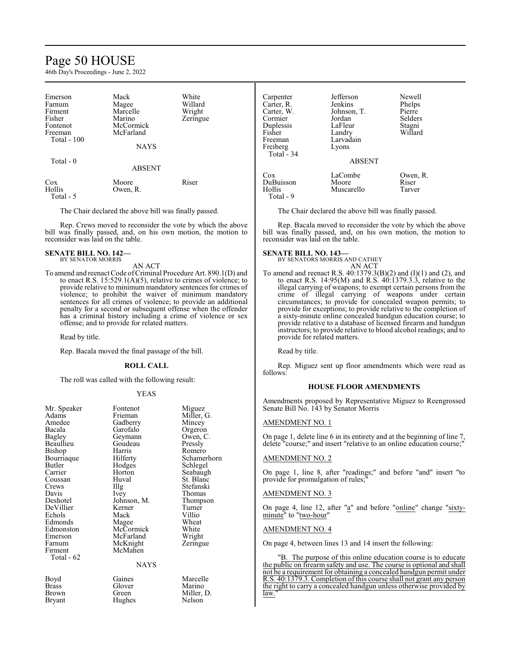# Page 50 HOUSE

46th Day's Proceedings - June 2, 2022

| Emerson      | Mack          | White    | Carpenter  | Jefferson     | Newell   |  |
|--------------|---------------|----------|------------|---------------|----------|--|
| Farnum       | Magee         | Willard  | Carter, R. | Jenkins       | Phelps   |  |
| Firment      | Marcelle      | Wright   | Carter, W. | Johnson, T.   | Pierre   |  |
| Fisher       | Marino        | Zeringue | Cormier    | Jordan        | Selders  |  |
| Fontenot     | McCormick     |          | Duplessis  | LaFleur       | Stagni   |  |
| Freeman      | McFarland     |          | Fisher     | Landry        | Willard  |  |
| Total $-100$ |               |          | Freeman    | Larvadain     |          |  |
|              | <b>NAYS</b>   |          | Freiberg   | Lyons         |          |  |
|              |               |          | Total - 34 |               |          |  |
| Total - 0    |               |          |            | <b>ABSENT</b> |          |  |
|              | <b>ABSENT</b> |          |            |               |          |  |
|              |               |          | Cox        | LaCombe       | Owen, R. |  |
| Cox          | Moore         | Riser    | DuBuisson  | Moore         | Riser    |  |
| Hollis       | Owen, R.      |          | Hollis     | Muscarello    | Tarver   |  |
| Total - 5    |               |          | Total - 9  |               |          |  |

The Chair declared the above bill was finally passed.

Rep. Crews moved to reconsider the vote by which the above bill was finally passed, and, on his own motion, the motion to reconsider was laid on the table.

#### **SENATE BILL NO. 142—** BY SENATOR MORRIS

AN ACT

To amend and reenact Code of Criminal Procedure Art. 890.1(D) and to enact R.S. 15:529.1(A)(5), relative to crimes of violence; to provide relative to minimum mandatory sentences for crimes of violence; to prohibit the waiver of minimum mandatory sentences for all crimes of violence; to provide an additional penalty for a second or subsequent offense when the offender has a criminal history including a crime of violence or sex offense; and to provide for related matters.

Read by title.

Rep. Bacala moved the final passage of the bill.

### **ROLL CALL**

The roll was called with the following result:

#### YEAS

| Mr. Speaker           | Fontenot        | Miguez     |
|-----------------------|-----------------|------------|
| Adams                 | Frieman         | Miller, G. |
| Amedee                | Gadberry        | Mincey     |
| Bacala                | Garofalo        | Orgeron    |
| <b>Bagley</b>         | Geymann         | Owen, C.   |
| Beaullieu             | Goudeau         | Pressly    |
| Bishop                | Harris          | Romero     |
| Bourriaque            | Hilferty        | Schamerho  |
| Butler                | Hodges          | Schlegel   |
| Carrier               | Horton          | Seabaugh   |
| Coussan               | Huval           | St. Blanc  |
| Crews                 | Illg            | Stefanski  |
| Davis                 | <i>lvey</i>     | Thomas     |
| Deshotel              | Johnson, M.     | Thompson   |
| DeVillier             | Kerner          | Turner     |
| Echols                | Mack            | Villio     |
| Edmonds               | Magee           | Wheat      |
|                       |                 |            |
| Edmonston             | McCormick       | White      |
| Emerson               | McFarland       | Wright     |
| Farnum                | McKnight        | Zeringue   |
| Firment<br>Total - 62 | McMahen<br>NAYS |            |
| Boyd                  | Gaines          | Marcelle   |
| <b>Brass</b>          | Glover          | Marino     |

Hughes

merhorn<br>:gel

Brown Green Miller, D.<br>Bryant Hughes Nelson

The Chair declared the above bill was finally passed.

Rep. Bacala moved to reconsider the vote by which the above bill was finally passed, and, on his own motion, the motion to reconsider was laid on the table.

#### **SENATE BILL NO. 143—**

BY SENATORS MORRIS AND CATHEY AN ACT

To amend and reenact R.S. 40:1379.3(B)(2) and (I)(1) and (2), and to enact R.S.  $14:95(M)$  and R.S.  $40:1379.3.3$ , relative to the illegal carrying of weapons; to exempt certain persons from the crime of illegal carrying of weapons under certain circumstances; to provide for concealed weapon permits; to provide for exceptions; to provide relative to the completion of a sixty-minute online concealed handgun education course; to provide relative to a database of licensed firearm and handgun instructors; to provide relative to blood alcohol readings; and to provide for related matters.

Read by title.

Rep. Miguez sent up floor amendments which were read as follows:

### **HOUSE FLOOR AMENDMENTS**

Amendments proposed by Representative Miguez to Reengrossed Senate Bill No. 143 by Senator Morris

#### AMENDMENT NO. 1

On page 1, delete line 6 in its entirety and at the beginning of line 7, delete "course;" and insert "relative to an online education course;"

#### AMENDMENT NO. 2

On page 1, line 8, after "readings;" and before "and" insert "to provide for promulgation of rules;

#### AMENDMENT NO. 3

On page 4, line 12, after "a" and before "online" change "sixtyminute" to "two-hour"

#### AMENDMENT NO. 4

On page 4, between lines 13 and 14 insert the following:

"B. The purpose of this online education course is to educate the public on firearm safety and use. The course is optional and shall not be a requirement for obtaining a concealed handgun permit under R.S. 40:1379.3. Completion of this course shall not grant any person the right to carry a concealed handgun unless otherwise provided by law.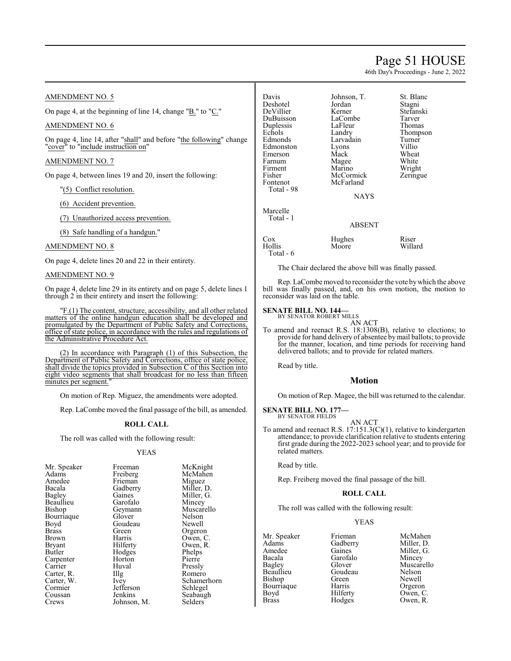# Page 51 HOUSE

46th Day's Proceedings - June 2, 2022

# AMENDMENT NO. 5

On page 4, at the beginning of line 14, change "B." to "C."

# AMENDMENT NO. 6

On page 4, line 14, after "shall" and before "the following" change "cover" to "include instruction on"

# AMENDMENT NO. 7

On page 4, between lines 19 and 20, insert the following:

- "(5) Conflict resolution.
- (6) Accident prevention.
- (7) Unauthorized access prevention.

(8) Safe handling of a handgun."

# AMENDMENT NO. 8

On page 4, delete lines 20 and 22 in their entirety.

# AMENDMENT NO. 9

On page 4, delete line 29 in its entirety and on page 5, delete lines 1 through 2 in their entirety and insert the following:

"F.(1) The content, structure, accessibility, and all other related matters of the online handgun education shall be developed and promulgated by the Department of Public Safety and Corrections, office of state police, in accordance with the rules and regulations of the Administrative Procedure Act.

(2) In accordance with Paragraph (1) of this Subsection, the Department of Public Safety and Corrections, office of state police, shall divide the topics provided in Subsection C of this Section into eight video segments that shall broadcast for no less than fifteen minutes per segment.

On motion of Rep. Miguez, the amendments were adopted.

Rep. LaCombe moved the final passage of the bill, as amended.

### **ROLL CALL**

The roll was called with the following result:

# YEAS

| Freeman                                | McKnight    |
|----------------------------------------|-------------|
| Freiberg                               | McMahen     |
| Frieman                                | Miguez      |
|                                        | Miller, D.  |
| Gaines                                 | Miller, G.  |
| Garofalo                               | Mincey      |
| Geymann                                | Muscarello  |
| Glover                                 | Nelson      |
| Goudeau                                | Newell      |
| Green                                  | Orgeron     |
| Harris                                 | Owen, C.    |
| Hilferty                               | Owen, R.    |
| Hodges                                 | Phelps      |
| Horton                                 | Pierre      |
| Huval                                  | Pressly     |
| $\prod$ <sup><math>\alpha</math></sup> | Romero      |
| Ivey                                   | Schamerhorn |
| Jefferson                              | Schlegel    |
| Jenkins                                | Seabaugh    |
| Johnson, M.                            | Selders     |
|                                        | Gadberry    |

Davis Johnson, T. St. Blanc<br>Deshotel Jordan Stagni Deshotel Jordan<br>DeVillier Kerner DuBuisson LaCombe Tarver<br>
Duplessis LaFleur Thomas Duplessis LaFleu<br>
Echols Landrv Echols Landry Thompson<br>Edmonds Larvadain Turner Edmonston Lyons Villio Emerson Mack Wheat Farnum Magee<br>Firment Marino Firment Marino Wright<br>
Fisher McCormick Zeringue Fisher McCormick<br>Fontenot McFarland Total - 98 Marcelle

Larvadain Turner<br>Lyons Villio McFarland

Kerner Stefanski<br>LaCombe Tarver

**NAYS** 

# Total - 1 ABSENT Cox Hughes Riser<br>
Hollis Moore Willard Moore Total - 6

The Chair declared the above bill was finally passed.

Rep. LaCombe moved to reconsider the vote bywhich the above bill was finally passed, and, on his own motion, the motion to reconsider was laid on the table.

#### **SENATE BILL NO. 144—** BY SENATOR ROBERT MILLS

AN ACT

To amend and reenact R.S. 18:1308(B), relative to elections; to provide for hand delivery of absentee bymail ballots; to provide for the manner, location, and time periods for receiving hand delivered ballots; and to provide for related matters.

Read by title.

# **Motion**

On motion of Rep. Magee, the bill was returned to the calendar.

#### **SENATE BILL NO. 177—** BY SENATOR FIELDS

AN ACT

To amend and reenact R.S. 17:151.3(C)(1), relative to kindergarten attendance; to provide clarification relative to students entering first grade during the 2022-2023 school year; and to provide for related matters.

Read by title.

Rep. Freiberg moved the final passage of the bill.

### **ROLL CALL**

The roll was called with the following result:

#### YEAS

Mr. Speaker Frieman McMahen<br>Adams Gadberry Miller, D. Adams Gadberry Miller, D.<br>Amedee Gaines Miller, G. Amedee Gaines Miller, G.<br>Bacala Garofalo Mincey Bacala Garofalo<br>Bagley Glover Beaullieu Goudeau Nelson Bishop Green Newell<br>Bourriaque Harris Orgeron Bourriaque<br>Boyd Boyd Hilferty Owen, C.<br>Brass Hodges Owen, R.

Glover Muscarello<br>Goudeau Nelson Owen, R.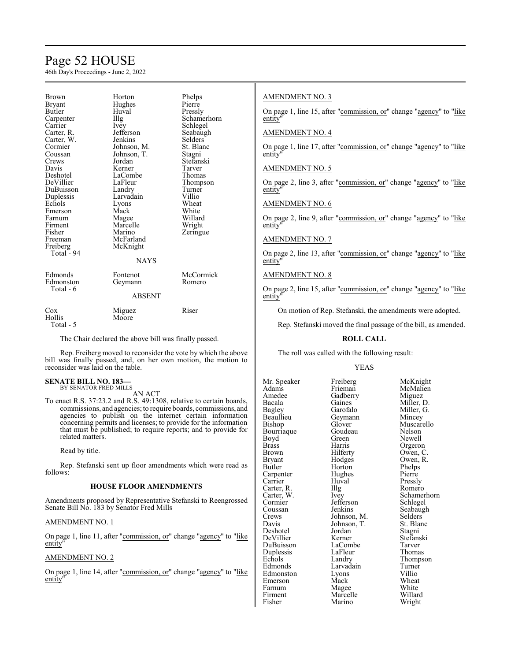# Page 52 HOUSE

46th Day's Proceedings - June 2, 2022

| Brown         | Horton        | Phelps      |
|---------------|---------------|-------------|
| <b>Bryant</b> | Hughes        | Pierre      |
| Butler        | Huval         | Pressly     |
| Carpenter     | Illg          | Schamerhorn |
| Carrier       | <i>lvey</i>   | Schlegel    |
| Carter, R.    | Jefferson     | Seabaugh    |
| Carter, W.    | Jenkins       | Selders     |
| Cormier       | Johnson, M.   | St. Blanc   |
| Coussan       | Johnson, T.   | Stagni      |
| Crews         | Jordan        | Stefanski   |
| Davis         | Kerner        | Tarver      |
| Deshotel      | LaCombe       | Thomas      |
| DeVillier     | LaFleur       | Thompson    |
| DuBuisson     | Landry        | Turner      |
| Duplessis     | Larvadain     | Villio      |
| Echols        | Lyons         | Wheat       |
| Emerson       | Mack          | White       |
| Farnum        | Magee         | Willard     |
| Firment       | Marcelle      | Wright      |
| Fisher        | Marino        | Zeringue    |
| Freeman       | McFarland     |             |
| Freiberg      | McKnight      |             |
| Total - 94    |               |             |
|               | <b>NAYS</b>   |             |
| Edmonds       | Fontenot      | McCormick   |
| Edmonston     | Geymann       | Romero      |
| Total - 6     |               |             |
|               | <b>ABSENT</b> |             |
| $\cos$        | Miguez        | Riser       |
| Hollis        | Moore         |             |
| Total - 5     |               |             |
|               |               |             |

The Chair declared the above bill was finally passed.

Rep. Freiberg moved to reconsider the vote by which the above bill was finally passed, and, on her own motion, the motion to reconsider was laid on the table.

#### **SENATE BILL NO. 183—** BY SENATOR FRED MILLS

AN ACT

To enact R.S. 37:23.2 and R.S. 49:1308, relative to certain boards, commissions, and agencies; to require boards, commissions, and agencies to publish on the internet certain information concerning permits and licenses; to provide for the information that must be published; to require reports; and to provide for related matters.

Read by title.

Rep. Stefanski sent up floor amendments which were read as follows:

# **HOUSE FLOOR AMENDMENTS**

Amendments proposed by Representative Stefanski to Reengrossed Senate Bill No. 183 by Senator Fred Mills

# AMENDMENT NO. 1

On page 1, line 11, after "commission, or" change "agency" to "like entity"

## AMENDMENT NO. 2

On page 1, line 14, after "commission, or" change "agency" to "like entity"

# AMENDMENT NO. 3

On page 1, line 15, after "commission, or" change "agency" to "like entity"

# AMENDMENT NO. 4

On page 1, line 17, after "commission, or" change "agency" to "like entity"

# AMENDMENT NO. 5

On page 2, line 3, after "commission, or" change "agency" to "like entity"

#### AMENDMENT NO. 6

On page 2, line 9, after "commission, or" change "agency" to "like entity"

# AMENDMENT NO. 7

On page 2, line 13, after "commission, or" change "agency" to "like entity"

# AMENDMENT NO. 8

On page 2, line 15, after "commission, or" change "agency" to "like entity

On motion of Rep. Stefanski, the amendments were adopted.

Rep. Stefanski moved the final passage of the bill, as amended.

#### **ROLL CALL**

The roll was called with the following result:

#### YEAS

Mr. Speaker Freiberg McKnight<br>
Adams Frieman McMahen Adams Frieman McMahen<br>Amedee Gadberry Miguez Amedee Gadberry<br>Bacala Gaines Bacala Gaines Miller, D.<br>Bagley Garofalo Miller, G. Bagley Garofalo Miller, eaullieu Geymann Mincey Beaullieu Geymann<br>Bishop Glover Bourriaque Goude<br>Boyd Green Boyd Green Newell<br>Brass Harris Orgerol Brass Harris Orgeron<br>Brown Hilferty Owen, C Brown Hilferty Owen, C.<br>Bryant Hodges Owen, R. Bryant Hodges Owen, R.<br>Butler Horton Phelps Carpenter Hughe<br>Carrier Huyal Carter, R. Illg<br>Carter, W. Ivey Carter, W. Ivey Schamerhorn Cormier Jefferson<br>Coussan Jenkins Coussan Jenkins Seabaugh<br>Crews Iohnson M Selders Crews Johnson, M. Selders<br>Davis Johnson, T. St. Blanc Deshotel Jordan Stagni DeVillier Kerner Stefans<br>DuBuisson LaCombe Tarver DuBuisson LaCombe Tarver Duplessis LaFleur<br>Echols Landry Echols Landry Thompson<br>
Edmonds Larvadain Turner Edmonston Lyons Villio<br>
Emerson Mack Wheat Emerson Mack Wheat<br>
Farnum Magee White Farnum Magee White<br>Firment Marcelle Willard Firment Marcelle<br>Fisher Marino

Glover Muscarello<br>Goudeau Nelson Horton Phelps<br>Hughes Pierre Huval Pressly<br>
Illg Romero Johnson, T. St. Blanch<br>Jordan Stagni Larvadain Turner<br>Lyons Villio Wright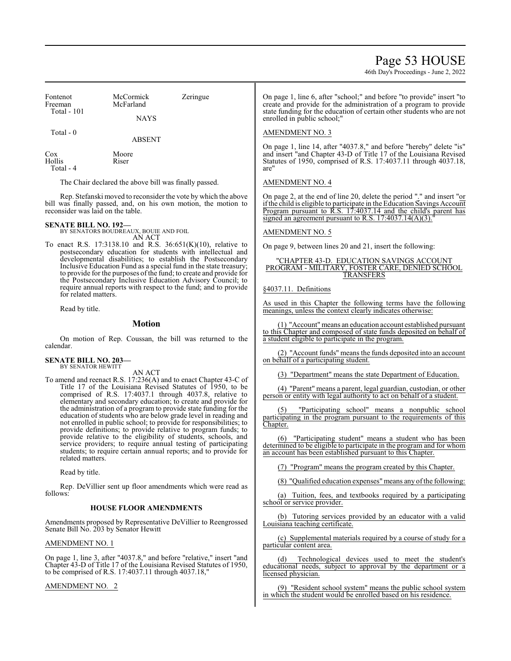# Page 53 HOUSE

46th Day's Proceedings - June 2, 2022

| Fontenot<br>Freeman | McCormick<br>Zeringue<br>McFarland |  |
|---------------------|------------------------------------|--|
| <b>Total - 101</b>  | <b>NAYS</b>                        |  |
| Total - 0           | <b>ABSENT</b>                      |  |

Cox Moore<br>
Hollis Riser Hollis Total - 4

The Chair declared the above bill was finally passed.

Rep. Stefanski moved to reconsider the vote by which the above bill was finally passed, and, on his own motion, the motion to reconsider was laid on the table.

# **SENATE BILL NO. 192—** BY SENATORS BOUDREAUX, BOUIE AND FOIL

AN ACT

To enact R.S. 17:3138.10 and R.S. 36:651(K)(10), relative to postsecondary education for students with intellectual and developmental disabilities; to establish the Postsecondary Inclusive Education Fund as a special fund in the state treasury; to provide for the purposes ofthe fund; to create and provide for the Postsecondary Inclusive Education Advisory Council; to require annual reports with respect to the fund; and to provide for related matters.

Read by title.

### **Motion**

On motion of Rep. Coussan, the bill was returned to the calendar.

#### **SENATE BILL NO. 203—** BY SENATOR HEWITT

AN ACT

To amend and reenact R.S. 17:236(A) and to enact Chapter 43-C of Title 17 of the Louisiana Revised Statutes of 1950, to be comprised of R.S. 17:4037.1 through 4037.8, relative to elementary and secondary education; to create and provide for the administration of a program to provide state funding for the education of students who are below grade level in reading and not enrolled in public school; to provide for responsibilities; to provide definitions; to provide relative to program funds; to provide relative to the eligibility of students, schools, and service providers; to require annual testing of participating students; to require certain annual reports; and to provide for related matters.

Read by title.

Rep. DeVillier sent up floor amendments which were read as follows:

### **HOUSE FLOOR AMENDMENTS**

Amendments proposed by Representative DeVillier to Reengrossed Senate Bill No. 203 by Senator Hewitt

#### AMENDMENT NO. 1

On page 1, line 3, after "4037.8," and before "relative," insert "and Chapter 43-D of Title 17 of the Louisiana Revised Statutes of 1950, to be comprised of R.S. 17:4037.11 through 4037.18,"

AMENDMENT NO. 2

On page 1, line 6, after "school;" and before "to provide" insert "to create and provide for the administration of a program to provide state funding for the education of certain other students who are not enrolled in public school;"

### AMENDMENT NO. 3

On page 1, line 14, after "4037.8," and before "hereby" delete "is" and insert "and Chapter 43-D of Title 17 of the Louisiana Revised Statutes of 1950, comprised of R.S. 17:4037.11 through 4037.18, are"

# AMENDMENT NO. 4

On page 2, at the end of line 20, delete the period "." and insert "or ifthe child is eligible to participate in the Education Savings Account Program pursuant to R.S. 17:4037.14 and the child's parent has signed an agreement pursuant to R.S.  $17:4037.14(A)(3)$ .

# AMENDMENT NO. 5

On page 9, between lines 20 and 21, insert the following:

#### "CHAPTER 43-D. EDUCATION SAVINGS ACCOUNT PROGRAM - MILITARY, FOSTER CARE, DENIED SCHOOL TRANSFERS

§4037.11. Definitions

As used in this Chapter the following terms have the following meanings, unless the context clearly indicates otherwise:

(1) "Account"means an education account established pursuant to this Chapter and composed of state funds deposited on behalf of a student eligible to participate in the program.

(2) "Account funds" means the funds deposited into an account on behalf of a participating student.

(3) "Department" means the state Department of Education.

(4) "Parent" means a parent, legal guardian, custodian, or other person or entity with legal authority to act on behalf of a student.

(5) "Participating school" means a nonpublic school participating in the program pursuant to the requirements of this Chapter.

(6) "Participating student" means a student who has been determined to be eligible to participate in the program and for whom an account has been established pursuant to this Chapter.

(7) "Program" means the program created by this Chapter.

(8) "Qualified education expenses" means any ofthe following:

(a) Tuition, fees, and textbooks required by a participating school or service provider.

(b) Tutoring services provided by an educator with a valid Louisiana teaching certificate.

(c) Supplemental materials required by a course of study for a particular content area.

(d) Technological devices used to meet the student's educational needs, subject to approval by the department or a licensed physician.

(9) "Resident school system" means the public school system in which the student would be enrolled based on his residence.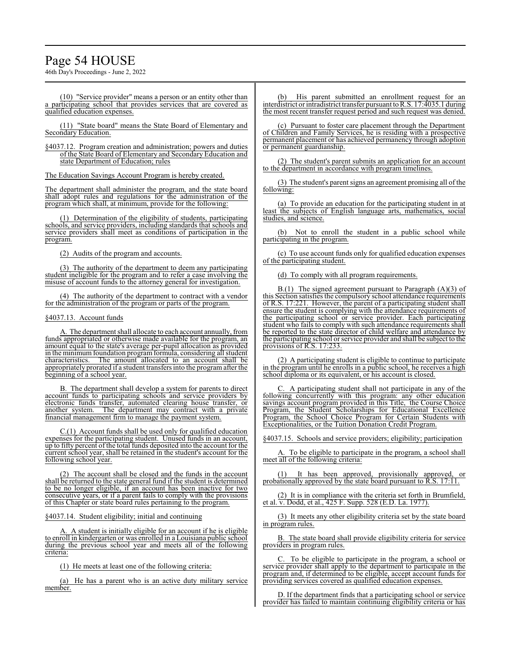# Page 54 HOUSE

46th Day's Proceedings - June 2, 2022

(10) "Service provider" means a person or an entity other than a participating school that provides services that are covered as qualified education expenses.

(11) "State board" means the State Board of Elementary and Secondary Education.

§4037.12. Program creation and administration; powers and duties of the State Board of Elementary and Secondary Education and state Department of Education; rules

The Education Savings Account Program is hereby created.

The department shall administer the program, and the state board shall adopt rules and regulations for the administration of the program which shall, at minimum, provide for the following:

(1) Determination of the eligibility of students, participating schools, and service providers, including standards that schools and service providers shall meet as conditions of participation in the program.

(2) Audits of the program and accounts.

(3) The authority of the department to deem any participating student ineligible for the program and to refer a case involving the misuse of account funds to the attorney general for investigation.

(4) The authority of the department to contract with a vendor for the administration of the program or parts of the program.

#### §4037.13. Account funds

A. The department shall allocate to each account annually, from funds appropriated or otherwise made available for the program, an amount equal to the state's average per-pupil allocation as provided in the minimum foundation program formula, considering all student characteristics. The amount allocated to an account shall be appropriately prorated if a student transfersinto the programafter the beginning of a school year.

B. The department shall develop a system for parents to direct account funds to participating schools and service providers by electronic funds transfer, automated clearing house transfer, or another system. The department may contract with a private financial management firm to manage the payment system.

C.(1) Account funds shall be used only for qualified education expenses for the participating student. Unused funds in an account, up to fifty percent of the total funds deposited into the account for the current school year, shall be retained in the student's account for the following school year.

(2) The account shall be closed and the funds in the account shall be returned to the state general fund if the student is determined to be no longer eligible, if an account has been inactive for two consecutive years, or if a parent fails to comply with the provisions of this Chapter or state board rules pertaining to the program.

§4037.14. Student eligibility; initial and continuing

A. A student is initially eligible for an account if he is eligible to enroll in kindergarten or was enrolled in a Louisiana public school during the previous school year and meets all of the following criteria:

(1) He meets at least one of the following criteria:

(a) He has a parent who is an active duty military service member.

(b) His parent submitted an enrollment request for an interdistrict or intradistrict transfer pursuant toR.S. 17:4035.1 during the most recent transfer request period and such request was denied.

(c) Pursuant to foster care placement through the Department of Children and Family Services, he is residing with a prospective permanent placement or has achieved permanency through adoption or permanent guardianship.

(2) The student's parent submits an application for an account to the department in accordance with program timelines.

(3) The student's parent signs an agreement promising all of the following:

(a) To provide an education for the participating student in at least the subjects of English language arts, mathematics, studies, and science.

(b) Not to enroll the student in a public school while participating in the program.

(c) To use account funds only for qualified education expenses of the participating student.

(d) To comply with all program requirements.

 $B(1)$  The signed agreement pursuant to Paragraph  $(A)(3)$  of this Section satisfies the compulsory school attendance requirements of R.S. 17:221. However, the parent of a participating student shall ensure the student is complying with the attendance requirements of the participating school or service provider. Each participating student who fails to comply with such attendance requirements shall be reported to the state director of child welfare and attendance by the participating school or service provider and shall be subject to the provisions of R.S. 17:233.

(2) A participating student is eligible to continue to participate in the program until he enrolls in a public school, he receives a high school diploma or its equivalent, or his account is closed.

A participating student shall not participate in any of the following concurrently with this program: any other education savings account program provided in this Title, the Course Choice Program, the Student Scholarships for Educational Excellence Program, the School Choice Program for Certain Students with Exceptionalities, or the Tuition Donation Credit Program.

§4037.15. Schools and service providers; eligibility; participation

To be eligible to participate in the program, a school shall meet all of the following criteria:

(1) It has been approved, provisionally approved, or probationally approved by the state board pursuant to R.S. 17:11.

(2) It is in compliance with the criteria set forth in Brumfield, et al. v. Dodd, et al., 425 F. Supp. 528 (E.D. La. 1977).

(3) It meets any other eligibility criteria set by the state board in program rules.

B. The state board shall provide eligibility criteria for service providers in program rules.

C. To be eligible to participate in the program, a school or service provider shall apply to the department to participate in the program and, if determined to be eligible, accept account funds for providing services covered as qualified education expenses.

D. If the department finds that a participating school or service provider has failed to maintain continuing eligibility criteria or has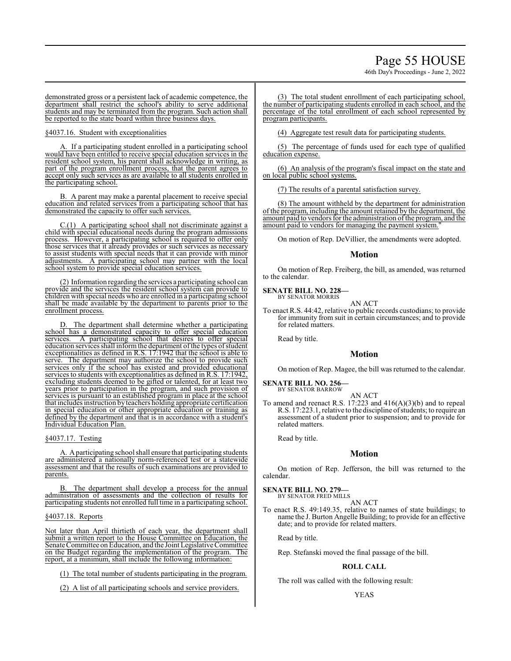# Page 55 HOUSE

46th Day's Proceedings - June 2, 2022

demonstrated gross or a persistent lack of academic competence, the department shall restrict the school's ability to serve additional students and may be terminated from the program. Such action shall be reported to the state board within three business days.

§4037.16. Student with exceptionalities

If a participating student enrolled in a participating school would have been entitled to receive special education services in the resident school system, his parent shall acknowledge in writing, as part of the program enrollment process, that the parent agrees to accept only such services as are available to all students enrolled in the participating school.

B. A parent may make a parental placement to receive special education and related services from a participating school that has demonstrated the capacity to offer such services.

C.(1) A participating school shall not discriminate against a child with special educational needs during the program admissions process. However, a participating school is required to offer only those services that it already provides or such services as necessary to assist students with special needs that it can provide with minor adjustments. A participating school may partner with the local school system to provide special education services.

(2) Information regarding the services a participating school can provide and the services the resident school system can provide to children with special needs who are enrolled in a participating school shall be made available by the department to parents prior to the enrollment process.

D. The department shall determine whether a participating school has a demonstrated capacity to offer special education services. A participating school that desires to offer special education services shall inform the department of the types of student exceptionalities as defined in R.S. 17:1942 that the school is able to serve. The department may authorize the school to provide such The department may authorize the school to provide such services only if the school has existed and provided educational services to students with exceptionalities as defined in R.S. 17:1942, excluding students deemed to be gifted or talented, for at least two years prior to participation in the program, and such provision of services is pursuant to an established program in place at the school that includes instruction by teachers holding appropriate certification in special education or other appropriate education or training as defined by the department and that is in accordance with a student's Individual Education Plan.

# §4037.17. Testing

A. Aparticipating school shall ensure that participating students are administered a nationally norm-referenced test or a statewide assessment and that the results of such examinations are provided to parents.

The department shall develop a process for the annual administration of assessments and the collection of results for participating students not enrolled full time in a participating school.

#### §4037.18. Reports

Not later than April thirtieth of each year, the department shall submit a written report to the House Committee on Education, the Senate Committee on Education, and the Joint Legislative Committee on the Budget regarding the implementation of the program. The report, at a minimum, shall include the following information:

(1) The total number of students participating in the program.

(2) A list of all participating schools and service providers.

(3) The total student enrollment of each participating school, the number of participating students enrolled in each school, and the percentage of the total enrollment of each school represented by program participants.

(4) Aggregate test result data for participating students.

(5) The percentage of funds used for each type of qualified education expense.

(6) An analysis of the program's fiscal impact on the state and on local public school systems.

(7) The results of a parental satisfaction survey.

(8) The amount withheld by the department for administration of the program, including the amount retained by the department, the amount paid to vendors for the administration ofthe program, and the amount paid to vendors for managing the payment system.

On motion of Rep. DeVillier, the amendments were adopted.

### **Motion**

On motion of Rep. Freiberg, the bill, as amended, was returned to the calendar.

**SENATE BILL NO. 228—** BY SENATOR MORRIS

AN ACT

To enact R.S. 44:42, relative to public records custodians; to provide for immunity from suit in certain circumstances; and to provide for related matters.

Read by title.

# **Motion**

On motion of Rep. Magee, the bill was returned to the calendar.

#### **SENATE BILL NO. 256—** BY SENATOR BARROW

AN ACT

To amend and reenact R.S. 17:223 and 416(A)(3)(b) and to repeal R.S. 17:223.1, relative to the discipline ofstudents; to require an assessment of a student prior to suspension; and to provide for related matters.

Read by title.

### **Motion**

On motion of Rep. Jefferson, the bill was returned to the calendar.

**SENATE BILL NO. 279—** BY SENATOR FRED MILLS

AN ACT

To enact R.S. 49:149.35, relative to names of state buildings; to name the J. Burton Angelle Building; to provide for an effective date; and to provide for related matters.

Read by title.

Rep. Stefanski moved the final passage of the bill.

### **ROLL CALL**

The roll was called with the following result:

### YEAS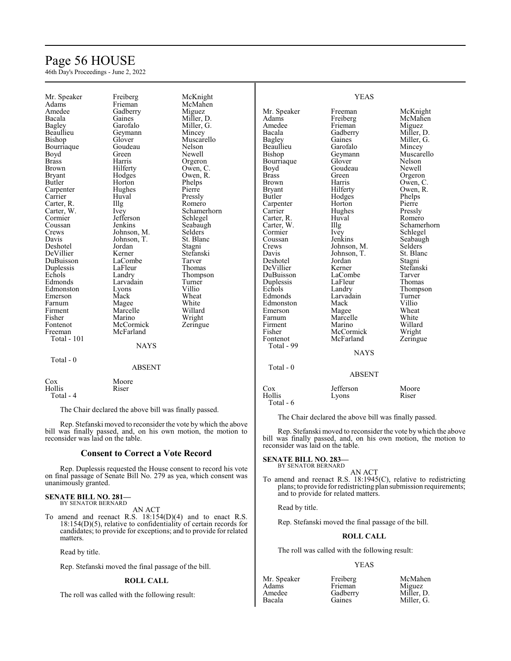# Page 56 HOUSE

46th Day's Proceedings - June 2, 2022

| Mr. Speaker           | Freiberg          | McKnight       |                      | <b>YEAS</b>     |                   |
|-----------------------|-------------------|----------------|----------------------|-----------------|-------------------|
| Adams                 | Frieman           | McMahen        |                      |                 |                   |
| Amedee                | Gadberry          | Miguez         | Mr. Speaker          | Freeman         | McKnight          |
| Bacala                | Gaines            | Miller, D.     | Adams                | Freiberg        | McMahen           |
| Bagley                | Garofalo          | Miller, G.     | Amedee               | Frieman         | Miguez            |
| Beaullieu             | Geymann           | Mincey         | Bacala               | Gadberry        | Miller, D.        |
| Bishop                | Glover            | Muscarello     | <b>Bagley</b>        | Gaines          | Miller, G.        |
| Bourriaque            | Goudeau           | Nelson         | Beaullieu            | Garofalo        | Mincey            |
| Boyd                  | Green             | Newell         | Bishop               | Geymann         | Muscarello        |
| <b>Brass</b>          | Harris            | Orgeron        | Bourriaque           | Glover          | Nelson            |
| Brown                 | Hilferty          | Owen, C.       | Boyd                 | Goudeau         | Newell            |
| <b>Bryant</b>         | Hodges            | Owen, R.       | <b>Brass</b>         | Green           | Orgeron           |
| Butler                | Horton            | Phelps         | Brown                | Harris          | Owen, C.          |
| Carpenter             | Hughes            | Pierre         | <b>Bryant</b>        | Hilferty        | Owen, R.          |
| Carrier               | Huval             | Pressly        | Butler               | Hodges          | Phelps            |
|                       |                   | Romero         |                      |                 | Pierre            |
| Carter, R.            | Illg              |                | Carpenter<br>Carrier | Horton          |                   |
| Carter, W.<br>Cormier | Ivey<br>Jefferson | Schamerhorn    | Carter, R.           | Hughes<br>Huval | Pressly<br>Romero |
|                       |                   | Schlegel       |                      |                 |                   |
| Coussan               | Jenkins           | Seabaugh       | Carter, W.           | Illg            | Schamerhorn       |
| Crews                 | Johnson, M.       | <b>Selders</b> | Cormier              | Ivey<br>Jenkins | Schlegel          |
| Davis                 | Johnson, T.       | St. Blanc      | Coussan              |                 | Seabaugh          |
| Deshotel              | Jordan            | Stagni         | Crews                | Johnson, M.     | <b>Selders</b>    |
| DeVillier             | Kerner            | Stefanski      | Davis                | Johnson, T.     | St. Blanc         |
| DuBuisson             | LaCombe           | Tarver         | Deshotel             | Jordan          | Stagni            |
| Duplessis             | LaFleur           | Thomas         | DeVillier            | Kerner          | Stefanski         |
| Echols                | Landry            | Thompson       | DuBuisson            | LaCombe         | Tarver            |
| Edmonds               | Larvadain         | Turner         | Duplessis            | LaFleur         | Thomas            |
| Edmonston             | Lyons             | Villio         | Echols               | Landry          | Thompson          |
| Emerson               | Mack              | Wheat          | Edmonds              | Larvadain       | Turner            |
| Farnum                | Magee             | White          | Edmonston            | Mack            | Villio            |
| Firment               | Marcelle          | Willard        | Emerson              | Magee           | Wheat             |
| Fisher                | Marino            | Wright         | Farnum               | Marcelle        | White             |
| Fontenot              | McCormick         | Zeringue       | Firment              | Marino          | Willard           |
| Freeman               | McFarland         |                | Fisher               | McCormick       | Wright            |
| <b>Total - 101</b>    |                   |                | Fontenot             | McFarland       | Zeringue          |
|                       | <b>NAYS</b>       |                | Total - 99           |                 |                   |
|                       |                   |                |                      | <b>NAYS</b>     |                   |
| Total - $0$           |                   |                |                      |                 |                   |
|                       | <b>ABSENT</b>     |                | Total - 0            |                 |                   |
|                       |                   |                |                      | <b>ABSENT</b>   |                   |
| Cox                   | Moore             |                |                      |                 |                   |
| Hollis                | Riser             |                | Cox                  | Jefferson       | Moore             |
| Total - 4             |                   |                | Hollis               | Lyons           | Riser             |
|                       |                   |                | Total - 6            |                 |                   |

The Chair declared the above bill was finally passed.

Rep. Stefanski moved to reconsider the vote by which the above bill was finally passed, and, on his own motion, the motion to reconsider was laid on the table.

### **Consent to Correct a Vote Record**

Rep. Duplessis requested the House consent to record his vote on final passage of Senate Bill No. 279 as yea, which consent was unanimously granted.

# **SENATE BILL NO. 281—** BY SENATOR BERNARD

AN ACT

To amend and reenact R.S. 18:154(D)(4) and to enact R.S. 18:154(D)(5), relative to confidentiality of certain records for candidates; to provide for exceptions; and to provide for related matters.

Read by title.

Rep. Stefanski moved the final passage of the bill.

# **ROLL CALL**

The roll was called with the following result:

The Chair declared the above bill was finally passed.

Rep. Stefanski moved to reconsider the vote by which the above bill was finally passed, and, on his own motion, the motion to reconsider was laid on the table.

# **SENATE BILL NO. 283—**

BY SENATOR BERNARD AN ACT

To amend and reenact R.S. 18:1945(C), relative to redistricting plans; to provide for redistricting plan submission requirements; and to provide for related matters.

Read by title.

Rep. Stefanski moved the final passage of the bill.

# **ROLL CALL**

The roll was called with the following result:

Frieman Gadberry Gaines

### YEAS

| мг. эреаке |
|------------|
| Adams      |
| Amedee     |
| Bacala     |
|            |

Mr. Speaker Freiberg McMah

| <b>Nicivianen</b> |  |
|-------------------|--|
| Miguez            |  |
| Miller, D.        |  |
| Miller, G.        |  |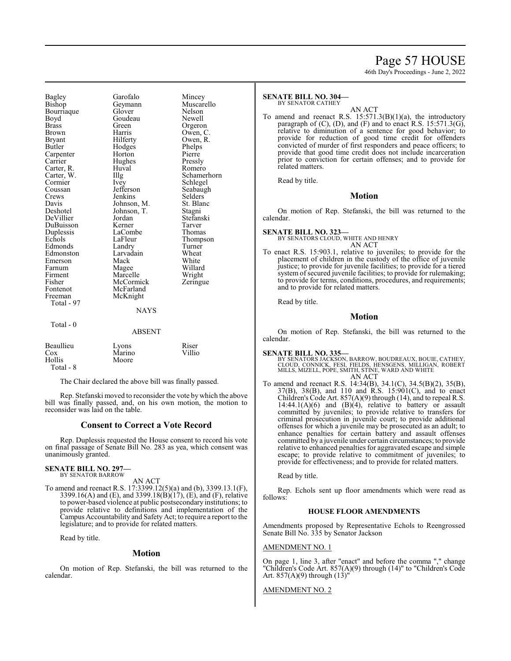# Page 57 HOUSE

46th Day's Proceedings - June 2, 2022

Bagley Garofalo Mincey<br>Bishop Geymann Muscarello Bourriaque Glover Nelson<br>Boyd Goudeau Newell Boyd Goudeau<br>Brass Green Brass Green Orgeron<br>Brown Harris Owen Bryant Hilferty Owen, R.<br>Butler Hodges Phelps Carpenter Horton Pierre<br>Carrier Hughes Pressly Carter, R. Huv<br>Carter, W. Illg Carter, W. Illg Schamerhorn<br>
Cormier Ivey Schlegel Cormier Ivey Schlegel<br>Coussan Jefferson Seabaugh Coussan Jefferson Seabaugh<br>Crews Jenkins Selders Davis Johnson, M. St. Blanc<br>Deshotel Johnson, T. Stagni DeVillier Jordan Stefans<br>DuBuisson Kerner Tarver DuBuisson Kerner Tarver Duplessis LaComb<br>Echols LaFleur Edmonds Landry Turner<br>Edmonston Larvadain Wheat Edmonston Larvadain Wheat<br>Emerson Mack White Emerson Mack<br>Farnum Magee Farnum Magee Willard<br>Firment Marcelle Wright Firment Marcelle Wright<br>
Fisher McCormick Zeringue Fisher McCormick<br>Fontenot McFarland Fontenot McFarland<br>Freeman McKnight Total - 97 Total - 0

Geymann Muscar<br>Glover Nelson Hodges Phelps<br>
Horton Pierre Hughes Pressly<br>Huval Romero **Jenkins** 

Owen, C. Johnson, T. Stagni<br>Jordan Stefanski LaFleur Thompson<br>Landry Turner

#### **NAYS**

|                                         | <b>ABSENT</b>            |                 |
|-----------------------------------------|--------------------------|-----------------|
| Beaullieu<br>Cox<br>Hollis<br>Total - 8 | Lyons<br>Marino<br>Moore | Riser<br>Villio |

McKnight

The Chair declared the above bill was finally passed.

Rep. Stefanski moved to reconsider the vote by which the above bill was finally passed, and, on his own motion, the motion to reconsider was laid on the table.

# **Consent to Correct a Vote Record**

Rep. Duplessis requested the House consent to record his vote on final passage of Senate Bill No. 283 as yea, which consent was unanimously granted.

#### **SENATE BILL NO. 297—** BY SENATOR BARROW

AN ACT

To amend and reenact R.S. 17:3399.12(5)(a) and (b), 3399.13.1(F), 3399.16(A) and (E), and 3399.18(B)(17), (E), and (F), relative to power-based violence at public postsecondary institutions; to provide relative to definitions and implementation of the Campus Accountability and Safety Act; to require a report to the legislature; and to provide for related matters.

Read by title.

# **Motion**

On motion of Rep. Stefanski, the bill was returned to the calendar.

#### **SENATE BILL NO. 304—** BY SENATOR CATHEY

AN ACT

To amend and reenact R.S. 15:571.3(B)(1)(a), the introductory paragraph of (C), (D), and (F) and to enact R.S. 15:571.3(G), relative to diminution of a sentence for good behavior; to provide for reduction of good time credit for offenders convicted of murder of first responders and peace officers; to provide that good time credit does not include incarceration prior to conviction for certain offenses; and to provide for related matters.

Read by title.

#### **Motion**

On motion of Rep. Stefanski, the bill was returned to the calendar.

#### **SENATE BILL NO. 323—** BY SENATORS CLOUD, WHITE AND HENRY AN ACT

To enact R.S. 15:903.1, relative to juveniles; to provide for the placement of children in the custody of the office of juvenile justice; to provide for juvenile facilities; to provide for a tiered system of secured juvenile facilities; to provide for rulemaking; to provide for terms, conditions, procedures, and requirements; and to provide for related matters.

Read by title.

### **Motion**

On motion of Rep. Stefanski, the bill was returned to the calendar.

#### **SENATE BILL NO. 335—**

BY SENATORS JACKSON, BARROW, BOUDREAUX, BOUIE, CATHEY,<br>CLOUD, CONNICK, FESI, FIELDS, HENSGENS, MILLIGAN, ROBERT<br>MILLS, MIZELL, POPE, SMITH, STINE, WARD AND WHITE<br>AN ACT

To amend and reenact R.S. 14:34(B), 34.1(C), 34.5(B)(2), 35(B), 37(B), 38(B), and 110 and R.S. 15:901(C), and to enact Children's Code Art. 857(A)(9) through (14), and to repeal R.S.  $14:44.1(A)(6)$  and  $(B)(4)$ , relative to battery or assault committed by juveniles; to provide relative to transfers for criminal prosecution in juvenile court; to provide additional offenses for which a juvenile may be prosecuted as an adult; to enhance penalties for certain battery and assault offenses committed by a juvenile under certain circumstances; to provide relative to enhanced penalties for aggravated escape and simple escape; to provide relative to commitment of juveniles; to provide for effectiveness; and to provide for related matters.

Read by title.

Rep. Echols sent up floor amendments which were read as follows:

### **HOUSE FLOOR AMENDMENTS**

Amendments proposed by Representative Echols to Reengrossed Senate Bill No. 335 by Senator Jackson

# AMENDMENT NO. 1

On page 1, line 3, after "enact" and before the comma "," change "Children's Code Art. 857(A)(9) through (14)" to "Children's Code Art. 857(A)(9) through (13)"

#### AMENDMENT NO. 2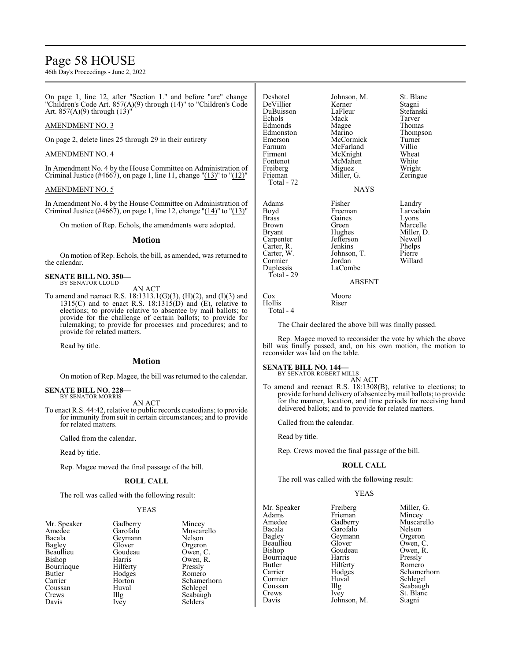# Page 58 HOUSE

46th Day's Proceedings - June 2, 2022

On page 1, line 12, after "Section 1." and before "are" change "Children's Code Art. 857(A)(9) through (14)" to "Children's Code Art. 857(A)(9) through (13)"

# AMENDMENT NO. 3

On page 2, delete lines 25 through 29 in their entirety

### AMENDMENT NO. 4

In Amendment No. 4 by the House Committee on Administration of Criminal Justice (#4667), on page 1, line 11, change "(13)" to "(12)"

### AMENDMENT NO. 5

In Amendment No. 4 by the House Committee on Administration of Criminal Justice (#4667), on page 1, line 12, change " $(14)$ " to " $(13)$ "

On motion of Rep. Echols, the amendments were adopted.

#### **Motion**

On motion of Rep. Echols, the bill, as amended, was returned to the calendar.

#### **SENATE BILL NO. 350—** BY SENATOR CLOUD

AN ACT

To amend and reenact R.S. 18:1313.1(G)(3), (H)(2), and (I)(3) and 1315(C) and to enact R.S. 18:1315(D) and  $(E)$ , relative to elections; to provide relative to absentee by mail ballots; to provide for the challenge of certain ballots; to provide for rulemaking; to provide for processes and procedures; and to provide for related matters.

Read by title.

### **Motion**

On motion of Rep. Magee, the bill was returned to the calendar.

#### **SENATE BILL NO. 228—** BY SENATOR MORRIS

AN ACT

To enact R.S. 44:42, relative to public records custodians; to provide for immunity from suit in certain circumstances; and to provide for related matters.

Called from the calendar.

Read by title.

Rep. Magee moved the final passage of the bill.

### **ROLL CALL**

The roll was called with the following result:

# YEAS

| Mr. Speaker   | Gadberry | Mincey  |
|---------------|----------|---------|
| Amedee        | Garofalo | Muscar  |
| Bacala        | Geymann  | Nelson  |
| <b>Bagley</b> | Glover   | Orgeror |
| Beaullieu     | Goudeau  | Owen,   |
| Bishop        | Harris   | Owen,   |
| Bourriaque    | Hilferty | Pressly |
| Butler        | Hodges   | Romero  |
| Carrier       | Horton   | Schame  |
| Coussan       | Huval    | Schlege |
| Crews         | Illg     | Seabaug |
| Davis         | Ivey     | Selders |

Geymann<br>Glover Glover Orgeron<br>Goudeau Owen, C Goudeau Owen, C.<br>Harris Owen, R. Hilferty Pressly<br>Hodges Romero Hodges<br>Horton Horton Schamerhorn<br>
Huval Schlegel Huval Schlegel<br>Illg Seabaugl Ivey Selders

Muscarello<br>Nelson

Owen, R.<br>Pressly

Seabaugh

| Deshotel<br>DeVillier<br>DuBuisson<br>Echols<br>Edmonds<br>Edmonston<br>Emerson<br>Farnum<br>Firment<br>Fontenot<br>Freiberg<br>Frieman<br>Total - 72 | Johnson, M.<br>Kerner<br>LaFleur<br>Mack<br>Magee<br>Marino<br>McCormick<br>McFarland<br>McKnight<br>McMahen<br>Miguez<br>Miller, G.<br><b>NAYS</b> | St. Blanc<br>Stagni<br>Stefanski<br>Tarver<br>Thomas<br>Thompson<br>Turner<br>Villio<br>Wheat<br>White<br>Wright<br>Zeringue |
|-------------------------------------------------------------------------------------------------------------------------------------------------------|-----------------------------------------------------------------------------------------------------------------------------------------------------|------------------------------------------------------------------------------------------------------------------------------|
| Adams<br>Boyd<br>Brass<br>Brown<br>Bryant<br>Carpenter<br>Carter, R.<br>Carter, W.<br>Cormier<br>Duplessis<br>Total - 29                              | Fisher<br>Freeman<br>Gaines<br>Green<br>Hughes<br>Jefferson<br>Jenkins<br>Johnson, T.<br>Jordan<br>LaCombe<br>ABSENT                                | Landry<br>Larvadain<br>Lyons<br>Marcelle<br>Miller, D.<br>Newell<br>Phelps<br>Pierre<br>Willard                              |

The Chair declared the above bill was finally passed.

Rep. Magee moved to reconsider the vote by which the above bill was finally passed, and, on his own motion, the motion to reconsider was laid on the table.

# **SENATE BILL NO. 144—**

Cox Moore<br>Hollis Riser

Hollis Total - 4

> BY SENATOR ROBERT MILLS AN ACT

To amend and reenact R.S. 18:1308(B), relative to elections; to provide for hand delivery of absentee bymail ballots; to provide for the manner, location, and time periods for receiving hand delivered ballots; and to provide for related matters.

Called from the calendar.

Read by title.

Rep. Crews moved the final passage of the bill.

# **ROLL CALL**

The roll was called with the following result:

### YEAS

| Mr. Speaker | Freiberg    | Miller, G.  |
|-------------|-------------|-------------|
| Adams       | Frieman     | Mincey      |
| Amedee      | Gadberry    | Muscarello  |
| Bacala      | Garofalo    | Nelson      |
| Bagley      | Geymann     | Orgeron     |
| Beaullieu   | Glover      | Owen, C.    |
| Bishop      | Goudeau     | Owen, R.    |
| Bourriaque  | Harris      | Pressly     |
| Butler      | Hilferty    | Romero      |
| Carrier     | Hodges      | Schamerhorn |
| Cormier     | Huval       | Schlegel    |
| Coussan     | Illg        | Seabaugh    |
| Crews       | Ivey        | St. Blanc   |
| Davis       | Johnson, M. | Stagni      |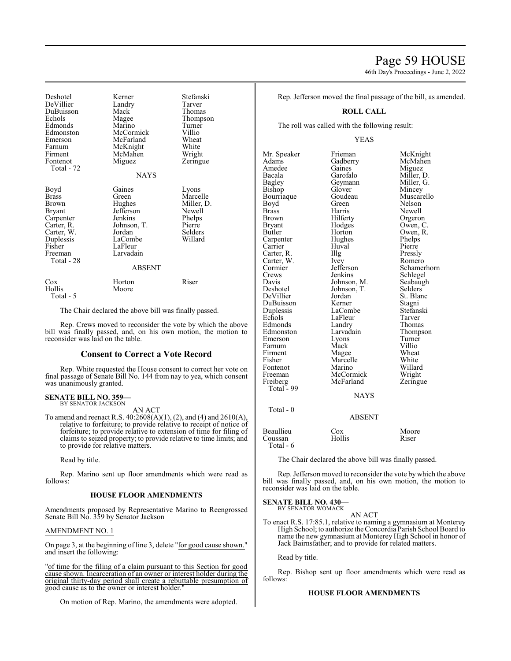# Page 59 HOUSE

46th Day's Proceedings - June 2, 2022

Deshotel Kerner Stefanski DeVillier Landry Tarver DuBuisson Mack<br>Echols Magee Magee Thompson<br>
Marino Turner Edmonds Marino Turner McCormick Villio<br>
McFarland Wheat Emerson McFarland Wheat<br>
Farnum McKnight White Farnum McKnight White<br>Firment McMahen Wright Firment McMahen<br>Fontenot Miguez Zeringue Total - 72 NAYS Boyd Gaines Lyons<br>Brass Green Marce Green Marcelle<br>Brass Miller, D Brown Hughes Miller, D.<br>Bryant Jefferson Newell Jefferson Newell<br>Jenkins Phelps Carpenter Jenkins Phelps<br>Carter R. Johnson T. Pierre Carter, R. Johnson, T. Pierre<br>Carter, W. Jordan Selders Carter, W. Jordan Selders Duplessis<br>Fisher Fisher LaFleur<br>Freeman Larvadai Larvadain Total - 28 ABSENT Cox Horton Riser<br>Hollis Moore Hollis Total - 5

The Chair declared the above bill was finally passed.

Rep. Crews moved to reconsider the vote by which the above bill was finally passed, and, on his own motion, the motion to reconsider was laid on the table.

### **Consent to Correct a Vote Record**

Rep. White requested the House consent to correct her vote on final passage of Senate Bill No. 144 from nay to yea, which consent was unanimously granted.

# **SENATE BILL NO. 359—** BY SENATOR JACKSON

AN ACT

To amend and reenact R.S. 40:2608(A)(1), (2), and (4) and 2610(A), relative to forfeiture; to provide relative to receipt of notice of forfeiture; to provide relative to extension of time for filing of claims to seized property; to provide relative to time limits; and to provide for relative matters.

Read by title.

Rep. Marino sent up floor amendments which were read as follows:

#### **HOUSE FLOOR AMENDMENTS**

Amendments proposed by Representative Marino to Reengrossed Senate Bill No. 359 by Senator Jackson

# AMENDMENT NO. 1

On page 3, at the beginning of line 3, delete "for good cause shown." and insert the following:

"of time for the filing of a claim pursuant to this Section for good cause shown. Incarceration of an owner or interest holder during the original thirty-day period shall create a rebuttable presumption of good cause as to the owner or interest holder."

On motion of Rep. Marino, the amendments were adopted.

Rep. Jefferson moved the final passage of the bill, as amended.

#### **ROLL CALL**

The roll was called with the following result:

YEAS

Mr. Speaker Frieman McKnight<br>
Adams Gadberry McMahen Gadberry McMahen<br>
Gaines Miguez Amedee Gaines<br>Bacala Garofalo Bacala Garofalo Miller, D. Bagley Geymann Miller, G.<br>Bishop Glover Mincey Glover Mincey<br>Goudeau Muscarello Bourriaque Boyd Green Nelson<br>Brass Harris Newell Brass Harris Newell Brown Hilferty Orgeron<br>Bryant Hodges Owen, C Bryant Hodges Owen, C.<br>Butler Horton Owen, R Horton Owen, R.<br>Hughes Phelps Carpenter Hughes Phelps<br>
Carrier Huval Pierre Carrier Huval Pierre<br>Carter, R. Illg Pressly Carter, R. Illg. Pressly<br>Carter W. Ivev Romero Carter, W. Ivey<br>Cormier Jefferson Cormier Jefferson Schamerhorn<br>Crews Jenkins Schlegel Crews Jenkins Schlegel<br>Davis Johnson, M. Seabaugh Davis Johnson, M. Seabaughten Seabaughten Selders<br>Deshotel Johnson, T. Selders Johnson, T.<br>Jordan St. Blanc DeVillier Jordan St. Blanc<br>DuBuisson Kerner Stagni DuBuisson Kerner Stagni<br>
Duplessis LaCombe Stefanski Duplessis LaCombe Stefans<br>Echols LaFleur Tarver Example 12 LaFleur Tarver<br>
Example 2 Landry Thomas Edmonds Landry Thomas<br>
Edmonston Larvadain Thompson Edmonston Larvadain Thomp<br>Emerson Lyons Turner Emerson Lyons Turner<br>
Farnum Mack Villio Farnum Mack Villio<br>Firment Magee Wheat Magee Wheat<br>
Marcelle White Fisher Marcelle White Fontenot Marino Willard<br>
Freeman McCormick Wright Freeman McCormick Wright<br>
Freiberg McFarland Zeringue McFarland Total - 99 NAYS

 Total - 0 ABSENT Beaullieu Cox Moore<br>Coussan Hollis Riser Coussan

The Chair declared the above bill was finally passed.

Rep. Jefferson moved to reconsider the vote by which the above bill was finally passed, and, on his own motion, the motion to reconsider was laid on the table.

#### **SENATE BILL NO. 430—**

Total - 6

BY SENATOR WOMACK AN ACT

To enact R.S. 17:85.1, relative to naming a gymnasium at Monterey High School; to authorize the Concordia Parish School Board to name the new gymnasium at Monterey High School in honor of Jack Bairnsfather; and to provide for related matters.

Read by title.

Rep. Bishop sent up floor amendments which were read as follows:

# **HOUSE FLOOR AMENDMENTS**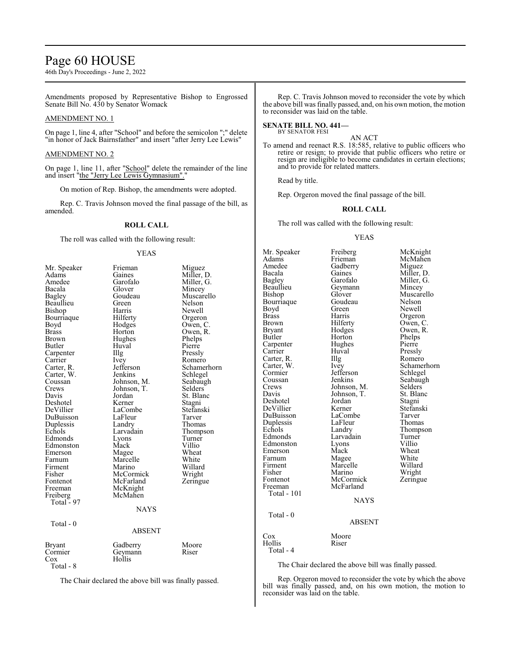# Page 60 HOUSE

46th Day's Proceedings - June 2, 2022

Amendments proposed by Representative Bishop to Engrossed Senate Bill No. 430 by Senator Womack

# AMENDMENT NO. 1

On page 1, line 4, after "School" and before the semicolon ";" delete "in honor of Jack Bairnsfather" and insert "after Jerry Lee Lewis"

#### AMENDMENT NO. 2

On page 1, line 11, after "School" delete the remainder of the line and insert "the "Jerry Lee Lewis Gymnasium"."

On motion of Rep. Bishop, the amendments were adopted.

Rep. C. Travis Johnson moved the final passage of the bill, as amended.

### **ROLL CALL**

The roll was called with the following result:

#### YEAS

| Mr. Speaker   | Frieman       | Miguez      |
|---------------|---------------|-------------|
| Adams         | Gaines        | Miller, D.  |
| Amedee        | Garofalo      | Miller, G.  |
| Bacala        | Glover        | Mincey      |
| <b>Bagley</b> | Goudeau       | Muscarello  |
| Beaullieu     | Green         | Nelson      |
| Bishop        | Harris        | Newell      |
| Bourriaque    | Hilferty      | Orgeron     |
| Boyd          | Hodges        | Owen, C.    |
| <b>Brass</b>  | Horton        | Owen, R.    |
| Brown         | Hughes        | Phelps      |
| Butler        | Huval         | Pierre      |
| Carpenter     | Illg          | Pressly     |
| Carrier       | Ivey          | Romero      |
| Carter, R.    | Jefferson     | Schamerhorn |
| Carter, W.    | Jenkins       | Schlegel    |
| Coussan       | Johnson, M.   | Seabaugh    |
| Crews         | Johnson, T.   | Selders     |
| Davis         | Jordan        | St. Blanc   |
| Deshotel      | Kerner        | Stagni      |
| DeVillier     | LaCombe       | Stefanski   |
| DuBuisson     | LaFleur       | Tarver      |
| Duplessis     | Landry        | Thomas      |
| Echols        | Larvadain     | Thompson    |
| Edmonds       | Lyons         | Turner      |
| Edmonston     | Mack          | Villio      |
| Emerson       | Magee         | Wheat       |
| Farnum        | Marcelle      | White       |
| Firment       | Marino        | Willard     |
| Fisher        | McCormick     | Wright      |
| Fontenot      | McFarland     | Zeringue    |
| Freeman       | McKnight      |             |
| Freiberg      | McMahen       |             |
| Total - 97    |               |             |
|               | NAYS          |             |
|               |               |             |
| Total - 0     |               |             |
|               | <b>ABSENT</b> |             |
|               |               |             |
| Bryant        | Gadberry      | Moore       |
| Cormier       | Geymann       | Riser       |
| $\cos$        | Hollis        |             |
| Total - 8     |               |             |

The Chair declared the above bill was finally passed.

Rep. C. Travis Johnson moved to reconsider the vote by which the above bill was finally passed, and, on his own motion, the motion to reconsider was laid on the table.

**SENATE BILL NO. 441—** BY SENATOR FESI

AN ACT

To amend and reenact R.S. 18:585, relative to public officers who retire or resign; to provide that public officers who retire or resign are ineligible to become candidates in certain elections; and to provide for related matters.

Read by title.

Rep. Orgeron moved the final passage of the bill.

# **ROLL CALL**

The roll was called with the following result:

#### YEAS

Glover Muscarello<br>Goudeau Nelson

Horton Phelps<br>Hughes Pierre

Huval Pressly<br>
Illg Romero

Johnson, T. St. Blanch<br>Jordan Stagni

Larvadain Turner<br>Lyons Villio

Kerner Stefanski<br>LaCombe Tarver

Mr. Speaker Freiberg McKnight<br>
Adams Frieman McMahen Adams Frieman McMahen<br>Amedee Gadberry Miguez Amedee Gadberry<br>Bacala Gaines Bacala Gaines Miller, D.<br>Bagley Garofalo Miller, G. Bagley Garofalo Miller, G.<br>Beaullieu Geymann Mincey Beaullieu Geymann<br>Bishop Glover Bourriaque Goude<br>Boyd Green Boyd Green Newell<br>Brass Harris Orgerou Brass Harris Orgeron<br>Brown Hilferty Owen, C Brown Hilferty Owen, C.<br>Bryant Hodges Owen, R. Bryant Hodges Owen, R.<br>Butler Horton Phelps Carpenter Hughe<br>Carrier Huval Carter, R. Illg<br>Carter, W. Ivey Carter, W. Ivey Schamerhorn Cormier Jefferson<br>Coussan Jenkins Coussan Jenkins Seabaugh<br>Crews Johnson, M. Selders Crews Johnson, M. Selders<br>Davis Johnson, T. St. Blanc Deshotel Jordan<br>DeVillier Kerner DuBuisson LaCombe Tarver<br>
Duplessis LaFleur Thomas Duplessis LaFleur<br>Echols Landry Echols Landry Thompson<br>Edmonds Larvadain Turner Edmonston Lyons Villio<br>Emerson Mack Wheat Emerson Mack Wheat<br>
Farnum Magee White Farnum Magee White<br>
Firment Marcelle Willard Firment Marcelle<br>Fisher Marino Fisher Marino Wright<br>
Fontenot McCormick Zeringue Fontenot McCormick<br>Freeman McFarland Total - 101 Total - 0

ABSENT Cox Moore<br>
Hollis Riser

McFarland

# Total - 4

Hollis

The Chair declared the above bill was finally passed.

Rep. Orgeron moved to reconsider the vote by which the above bill was finally passed, and, on his own motion, the motion to reconsider was laid on the table.

**NAYS**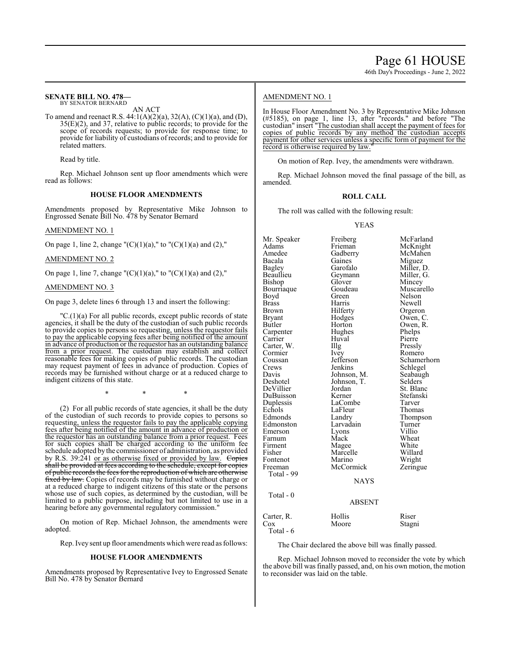# 46th Day's Proceedings - June 2, 2022

#### **SENATE BILL NO. 478—** BY SENATOR BERNARD

AN ACT

To amend and reenact R.S. 44:1(A)(2)(a), 32(A), (C)(1)(a), and (D), 35(E)(2), and 37, relative to public records; to provide for the scope of records requests; to provide for response time; to provide for liability of custodians of records; and to provide for related matters.

Read by title.

Rep. Michael Johnson sent up floor amendments which were read as follows:

#### **HOUSE FLOOR AMENDMENTS**

Amendments proposed by Representative Mike Johnson to Engrossed Senate Bill No. 478 by Senator Bernard

#### AMENDMENT NO. 1

On page 1, line 2, change " $(C)(1)(a)$ ," to " $(C)(1)(a)$  and  $(2)$ ,"

#### AMENDMENT NO. 2

On page 1, line 7, change " $(C)(1)(a)$ ," to " $(C)(1)(a)$  and  $(2)$ ,"

# AMENDMENT NO. 3

On page 3, delete lines 6 through 13 and insert the following:

 $\text{''C}.(1)(a)$  For all public records, except public records of state agencies, it shall be the duty of the custodian of such public records to provide copies to persons so requesting, unless the requestor fails to pay the applicable copying fees after being notified of the amount in advance of production or the requestor has an outstanding balance from a prior request. The custodian may establish and collect reasonable fees for making copies of public records. The custodian may request payment of fees in advance of production. Copies of records may be furnished without charge or at a reduced charge to indigent citizens of this state.

\* \* \*

(2) For all public records of state agencies, it shall be the duty of the custodian of such records to provide copies to persons so requesting, unless the requestor fails to pay the applicable copying fees after being notified of the amount in advance of production or the requestor has an outstanding balance from a prior request. Fees for such copies shall be charged according to the uniform fee schedule adopted bythe commissioner of administration, as provided by R.S. 39:241 or as otherwise fixed or provided by law. Copies shall be provided at fees according to the schedule, except for copies of public records the fees for the reproduction of which are otherwise fixed by law. Copies of records may be furnished without charge or at a reduced charge to indigent citizens of this state or the persons whose use of such copies, as determined by the custodian, will be limited to a public purpose, including but not limited to use in a hearing before any governmental regulatory commission."

On motion of Rep. Michael Johnson, the amendments were adopted.

Rep. Ivey sent up floor amendments which were read as follows:

#### **HOUSE FLOOR AMENDMENTS**

Amendments proposed by Representative Ivey to Engrossed Senate Bill No. 478 by Senator Bernard

#### AMENDMENT NO. 1

In House Floor Amendment No. 3 by Representative Mike Johnson (#5185), on page 1, line 13, after "records." and before "The custodian" insert "The custodian shall accept the payment of fees for copies of public records by any method the custodian accepts payment for other services unless a specific form of payment for the record is otherwise required by law."

On motion of Rep. Ivey, the amendments were withdrawn.

Rep. Michael Johnson moved the final passage of the bill, as amended.

### **ROLL CALL**

The roll was called with the following result:

#### YEAS

Mr. Speaker Freiberg McFarland<br>Adams Frieman McKnight Adams Frieman McKnight<br>Amedee Gadberry McMahen Amedee Gadberry McMahen<br>Bacala Gaines Miguez Bacala Gaines Miguez Bagley Garofalo Miller, D. Beaullieu Geymann<br>Bishop Glover Glover Mincey<br>Goudeau Muscarello Bourriaque Goude<br>Boyd Green Boyd Green Nelson<br>Brass Harris Newell Brass Harris Newell Brown Hilferty Orgeron<br>Bryant Hodges Owen, C Bryant Hodges Owen, C.<br>Butler Horton Owen, R. Horton Owen, R.<br>Hughes Phelps Carpenter Hughes Phelps Huval Pierre<br>Illg Pressly Carter, W. Illg Pressly Cormier Ivey<br>Coussan Jefferson Coussan Jefferson Schamerhorn<br>Crews Jenkins Schlegel Crews Jenkins Schlegel<br>
Davis Johnson, M. Seabaugh Davis Johnson, M. Seabaughten Seabaughten<br>Deshotel Johnson, T. Selders Deshotel Johnson, T.<br>DeVillier Jordan Jordan St. Blanc<br>Kerner Stefanski DuBuisson Kerner Stefans<br>
Duplessis LaCombe Tarver Duplessis LaCombe Tarver<br>
Echols LaFleur Thomas Echols LaFleur<br>
Edmonds Landry Landry Thompson<br>Larvadain Turner Edmonston Larvadain Turner<br>
Emerson Lyons Villio Emerson Lyons Villio<br>
Farnum Mack Wheat Farnum Mack Wheat<br>Firment Magee White Firment Magee White<br>
Fisher Marcelle Willard Marcelle Willard<br>
Marino Wright Fontenot Marino Wright<br>
Freeman McCormick Zeringue McCormick Total - 99 **NAYS**  Total - 0 ABSENT

Carter, R. Hollis Riser<br>Cox Moore Stagn Stagni Total - 6

The Chair declared the above bill was finally passed.

Rep. Michael Johnson moved to reconsider the vote by which the above bill was finally passed, and, on his own motion, the motion to reconsider was laid on the table.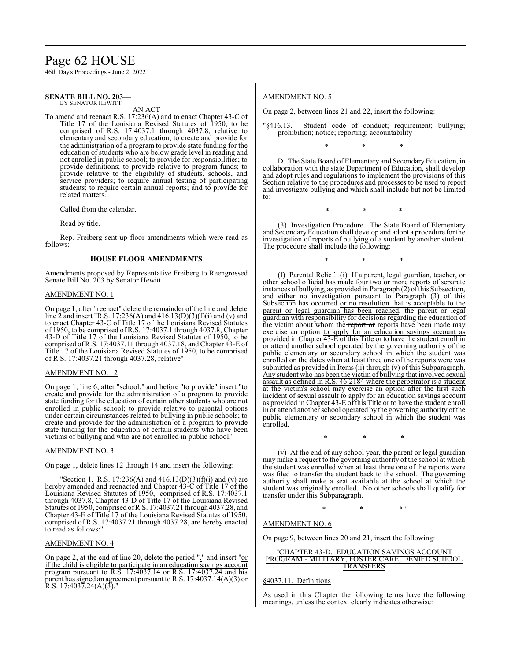# Page 62 HOUSE

46th Day's Proceedings - June 2, 2022

#### **SENATE BILL NO. 203—** BY SENATOR HEWITT

AN ACT

To amend and reenact R.S. 17:236(A) and to enact Chapter 43-C of Title 17 of the Louisiana Revised Statutes of 1950, to be comprised of R.S. 17:4037.1 through 4037.8, relative to elementary and secondary education; to create and provide for the administration of a program to provide state funding for the education of students who are below grade level in reading and not enrolled in public school; to provide for responsibilities; to provide definitions; to provide relative to program funds; to provide relative to the eligibility of students, schools, and service providers; to require annual testing of participating students; to require certain annual reports; and to provide for related matters.

Called from the calendar.

Read by title.

Rep. Freiberg sent up floor amendments which were read as follows:

### **HOUSE FLOOR AMENDMENTS**

Amendments proposed by Representative Freiberg to Reengrossed Senate Bill No. 203 by Senator Hewitt

### AMENDMENT NO. 1

On page 1, after "reenact" delete the remainder of the line and delete line 2 and insert "R.S. 17:236(A) and 416.13(D)(3)(f)(i) and (v) and to enact Chapter 43-C of Title 17 of the Louisiana Revised Statutes of 1950, to be comprised of R.S. 17:4037.1 through 4037.8, Chapter 43-D of Title 17 of the Louisiana Revised Statutes of 1950, to be comprised ofR.S. 17:4037.11 through 4037.18, and Chapter 43-E of Title 17 of the Louisiana Revised Statutes of 1950, to be comprised of R.S. 17:4037.21 through 4037.28, relative"

# AMENDMENT NO. 2

On page 1, line 6, after "school;" and before "to provide" insert "to create and provide for the administration of a program to provide state funding for the education of certain other students who are not enrolled in public school; to provide relative to parental options under certain circumstances related to bullying in public schools; to create and provide for the administration of a program to provide state funding for the education of certain students who have been victims of bullying and who are not enrolled in public school;"

### AMENDMENT NO. 3

On page 1, delete lines 12 through 14 and insert the following:

"Section 1. R.S. 17:236(A) and  $416.13(D)(3)(f)(i)$  and (v) are hereby amended and reenacted and Chapter 43-C of Title 17 of the Louisiana Revised Statutes of 1950, comprised of R.S. 17:4037.1 through 4037.8, Chapter 43-D of Title 17 of the Louisiana Revised Statutes of 1950, comprised ofR.S. 17:4037.21 through 4037.28, and Chapter 43-E of Title 17 of the Louisiana Revised Statutes of 1950, comprised of R.S. 17:4037.21 through 4037.28, are hereby enacted to read as follows:"

### AMENDMENT NO. 4

On page 2, at the end of line 20, delete the period "." and insert "or if the child is eligible to participate in an education savings account program pursuant to R.S. 17:4037.14 or R.S. 17:4037.24 and his parent has signed an agreement pursuant to R.S. 17:4037.14(A)(3) or R.S.  $17:4037.24(A)(3)$ .

# AMENDMENT NO. 5

On page 2, between lines 21 and 22, insert the following:

"§416.13. Student code of conduct; requirement; bullying; prohibition; notice; reporting; accountability

\* \* \*

D. The State Board of Elementary and SecondaryEducation, in collaboration with the state Department of Education, shall develop and adopt rules and regulations to implement the provisions of this Section relative to the procedures and processes to be used to report and investigate bullying and which shall include but not be limited to:

\* \* \*

(3) Investigation Procedure. The State Board of Elementary and SecondaryEducation shall develop and adopt a procedure for the investigation of reports of bullying of a student by another student. The procedure shall include the following:

\* \* \*

(f) Parental Relief. (i) If a parent, legal guardian, teacher, or other school official has made four two or more reports of separate instances of bullying, as provided in  $\overline{\text{Par}}$  agraph (2) of this Subsection, and either no investigation pursuant to Paragraph (3) of this Subsection has occurred or no resolution that is acceptable to the parent or legal guardian has been reached, the parent or legal guardian with responsibility for decisions regarding the education of the victim about whom the report or reports have been made may exercise an option to apply for an education savings account as provided in Chapter 43-E of this Title or to have the student enroll in or attend another school operated by the governing authority of the public elementary or secondary school in which the student was enrolled on the dates when at least three one of the reports were was submitted as provided in Items (ii) through  $(v)$  of this Subparagraph. Any student who has been the victim of bullying that involved sexual assault as defined in R.S. 46:2184 where the perpetrator is a student at the victim's school may exercise an option after the first such incident of sexual assault to apply for an education savings account as provided in Chapter 43-E of this Title or to have the student enroll in or attend another school operated by the governing authority ofthe public elementary or secondary school in which the student was enrolled.

\* \* \*

(v) At the end of any school year, the parent or legal guardian may make a request to the governing authority of the school at which the student was enrolled when at least three one of the reports were was filed to transfer the student back to the school. The governing authority shall make a seat available at the school at which the student was originally enrolled. No other schools shall qualify for transfer under this Subparagraph.

 $*$  \*  $*$  \*  $*$  "

#### AMENDMENT NO. 6

On page 9, between lines 20 and 21, insert the following:

### "CHAPTER 43-D. EDUCATION SAVINGS ACCOUNT PROGRAM - MILITARY, FOSTER CARE, DENIED SCHOOL TRANSFERS

§4037.11. Definitions

As used in this Chapter the following terms have the following meanings, unless the context clearly indicates otherwise: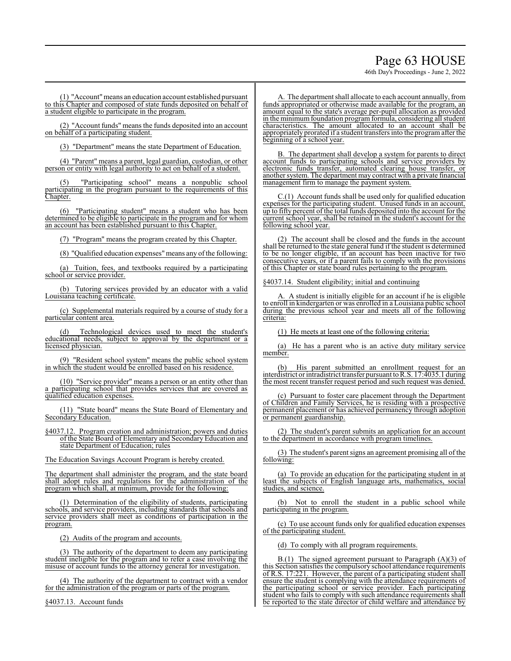# Page 63 HOUSE

46th Day's Proceedings - June 2, 2022

(1) "Account"means an education account established pursuant to this Chapter and composed of state funds deposited on behalf of a student eligible to participate in the program.

(2) "Account funds" means the funds deposited into an account on behalf of a participating student.

(3) "Department" means the state Department of Education.

(4) "Parent" means a parent, legal guardian, custodian, or other person or entity with legal authority to act on behalf of a student.

"Participating school" means a nonpublic school participating in the program pursuant to the requirements of this Chapter.

(6) "Participating student" means a student who has been determined to be eligible to participate in the program and for whom an account has been established pursuant to this Chapter.

(7) "Program" means the program created by this Chapter.

(8) "Qualified education expenses"means any ofthe following:

(a) Tuition, fees, and textbooks required by a participating school or service provider.

(b) Tutoring services provided by an educator with a valid Louisiana teaching certificate.

(c) Supplemental materials required by a course of study for a particular content area.

Technological devices used to meet the student's educational needs, subject to approval by the department or a licensed physician.

(9) "Resident school system" means the public school system in which the student would be enrolled based on his residence.

(10) "Service provider" means a person or an entity other than a participating school that provides services that are covered as qualified education expenses.

(11) "State board" means the State Board of Elementary and Secondary Education.

§4037.12. Program creation and administration; powers and duties of the State Board of Elementary and Secondary Education and state Department of Education; rules

The Education Savings Account Program is hereby created.

The department shall administer the program, and the state board shall adopt rules and regulations for the administration of the program which shall, at minimum, provide for the following:

(1) Determination of the eligibility of students, participating schools, and service providers, including standards that schools and service providers shall meet as conditions of participation in the program.

(2) Audits of the program and accounts.

(3) The authority of the department to deem any participating student ineligible for the program and to refer a case involving the misuse of account funds to the attorney general for investigation.

(4) The authority of the department to contract with a vendor for the administration of the program or parts of the program.

§4037.13. Account funds

A. The department shall allocate to each account annually, from funds appropriated or otherwise made available for the program, an amount equal to the state's average per-pupil allocation as provided in the minimum foundation program formula, considering all student characteristics. The amount allocated to an account shall be appropriately prorated if a student transfers into the programafter the beginning of a school year.

B. The department shall develop a system for parents to direct account funds to participating schools and service providers by electronic funds transfer, automated clearing house transfer, or another system. The department may contract with a private financial management firm to manage the payment system.

 $C.(1)$  Account funds shall be used only for qualified education expenses for the participating student. Unused funds in an account, up to fifty percent of the total funds deposited into the account for the current school year, shall be retained in the student's account for the following school year.

(2) The account shall be closed and the funds in the account shall be returned to the state general fund if the student is determined to be no longer eligible, if an account has been inactive for two consecutive years, or if a parent fails to comply with the provisions of this Chapter or state board rules pertaining to the program.

§4037.14. Student eligibility; initial and continuing

A. A student is initially eligible for an account if he is eligible to enroll in kindergarten or was enrolled in a Louisiana public school during the previous school year and meets all of the following criteria:

(1) He meets at least one of the following criteria:

(a) He has a parent who is an active duty military service member.

His parent submitted an enrollment request for an interdistrict or intradistrict transfer pursuant toR.S. 17:4035.1 during the most recent transfer request period and such request was denied.

(c) Pursuant to foster care placement through the Department of Children and Family Services, he is residing with a prospective permanent placement or has achieved permanency through adoption or permanent guardianship.

(2) The student's parent submits an application for an account to the department in accordance with program timelines.

(3) The student's parent signs an agreement promising all of the following:

(a) To provide an education for the participating student in at least the subjects of English language arts, mathematics, social studies, and science.

(b) Not to enroll the student in a public school while participating in the program.

(c) To use account funds only for qualified education expenses of the participating student.

(d) To comply with all program requirements.

B.(1) The signed agreement pursuant to Paragraph  $(A)(3)$  of this Section satisfies the compulsory school attendance requirements of R.S. 17:221. However, the parent of a participating student shall ensure the student is complying with the attendance requirements of the participating school or service provider. Each participating student who fails to comply with such attendance requirements shall be reported to the state director of child welfare and attendance by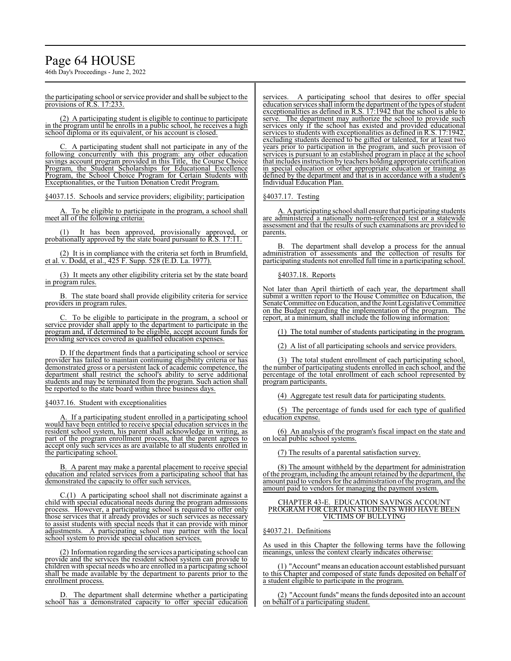# Page 64 HOUSE

46th Day's Proceedings - June 2, 2022

the participating school or service provider and shall be subject to the provisions of R.S. 17:233.

(2) A participating student is eligible to continue to participate in the program until he enrolls in a public school, he receives a high school diploma or its equivalent, or his account is closed.

C. A participating student shall not participate in any of the following concurrently with this program: any other education savings account program provided in this Title, the Course Choice Program, the Student Scholarships for Educational Excellence Program, the School Choice Program for Certain Students with Exceptionalities, or the Tuition Donation Credit Program.

§4037.15. Schools and service providers; eligibility; participation

To be eligible to participate in the program, a school shall meet all of the following criteria:

It has been approved, provisionally approved, or probationally approved by the state board pursuant to R.S. 17:11.

(2) It is in compliance with the criteria set forth in Brumfield, et al. v. Dodd, et al., 425 F. Supp. 528 (E.D. La. 1977).

(3) It meets any other eligibility criteria set by the state board in program rules.

The state board shall provide eligibility criteria for service providers in program rules.

To be eligible to participate in the program, a school or service provider shall apply to the department to participate in the program and, if determined to be eligible, accept account funds for providing services covered as qualified education expenses.

D. If the department finds that a participating school or service provider has failed to maintain continuing eligibility criteria or has demonstrated gross or a persistent lack of academic competence, the department shall restrict the school's ability to serve additional students and may be terminated from the program. Such action shall be reported to the state board within three business days.

# §4037.16. Student with exceptionalities

A. If a participating student enrolled in a participating school would have been entitled to receive special education services in the resident school system, his parent shall acknowledge in writing, as part of the program enrollment process, that the parent agrees to accept only such services as are available to all students enrolled in the participating school.

B. A parent may make a parental placement to receive special education and related services from a participating school that has demonstrated the capacity to offer such services.

C.(1) A participating school shall not discriminate against a child with special educational needs during the program admissions process. However, a participating school is required to offer only those services that it already provides or such services as necessary to assist students with special needs that it can provide with minor adjustments. A participating school may partner with the local school system to provide special education services.

(2) Information regarding the services a participating school can provide and the services the resident school system can provide to children with special needs who are enrolled in a participating school shall be made available by the department to parents prior to the enrollment process.

The department shall determine whether a participating school has a demonstrated capacity to offer special education services. A participating school that desires to offer special education services shall inform the department of the types of student exceptionalities as defined in R.S. 17:1942 that the school is able to serve. The department may authorize the school to provide such services only if the school has existed and provided educational services to students with exceptionalities as defined in R.S. 17:1942, excluding students deemed to be gifted or talented, for at least two years prior to participation in the program, and such provision of services is pursuant to an established program in place at the school that includes instruction by teachers holding appropriate certification in special education or other appropriate education or training as defined by the department and that is in accordance with a student's Individual Education Plan.

# §4037.17. Testing

A. Aparticipating school shall ensure that participating students are administered a nationally norm-referenced test or a statewide assessment and that the results of such examinations are provided to parents.

The department shall develop a process for the annual administration of assessments and the collection of results for participating students not enrolled full time in a participating school.

# §4037.18. Reports

Not later than April thirtieth of each year, the department shall submit a written report to the House Committee on Education, the Senate Committee on Education, and the Joint Legislative Committee on the Budget regarding the implementation of the program. The report, at a minimum, shall include the following information:

(1) The total number of students participating in the program.

(2) A list of all participating schools and service providers.

(3) The total student enrollment of each participating school, the number of participating students enrolled in each school, and the percentage of the total enrollment of each school represented by program participants.

(4) Aggregate test result data for participating students.

(5) The percentage of funds used for each type of qualified education expense.

(6) An analysis of the program's fiscal impact on the state and on local public school systems.

(7) The results of a parental satisfaction survey.

(8) The amount withheld by the department for administration of the program, including the amount retained by the department, the amount paid to vendors for the administration of the program, and the amount paid to vendors for managing the payment system.

#### CHAPTER 43-E. EDUCATION SAVINGS ACCOUNT PROGRAM FOR CERTAIN STUDENTS WHO HAVE BEEN VICTIMS OF BULLYING

### §4037.21. Definitions

As used in this Chapter the following terms have the following meanings, unless the context clearly indicates otherwise:

(1) "Account"means an education account established pursuant to this Chapter and composed of state funds deposited on behalf of a student eligible to participate in the program.

(2) "Account funds" means the funds deposited into an account on behalf of a participating student.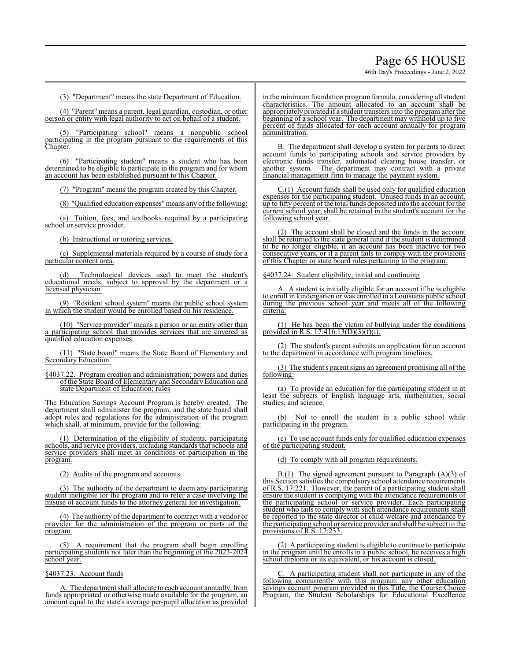# Page 65 HOUSE

46th Day's Proceedings - June 2, 2022

(3) "Department" means the state Department of Education.

(4) "Parent" means a parent, legal guardian, custodian, or other person or entity with legal authority to act on behalf of a student.

(5) "Participating school" means a nonpublic school participating in the program pursuant to the requirements of this Chapter.

(6) "Participating student" means a student who has been determined to be eligible to participate in the program and for whom an account has been established pursuant to this Chapter.

(7) "Program" means the program created by this Chapter.

(8) "Qualified education expenses"means any ofthe following:

(a) Tuition, fees, and textbooks required by a participating school or service provider.

(b) Instructional or tutoring services.

(c) Supplemental materials required by a course of study for a particular content area.

(d) Technological devices used to meet the student's educational needs, subject to approval by the department or a licensed physician.

(9) "Resident school system" means the public school system in which the student would be enrolled based on his residence.

(10) "Service provider" means a person or an entity other than a participating school that provides services that are covered as qualified education expenses.

(11) "State board" means the State Board of Elementary and Secondary Education.

§4037.22. Program creation and administration; powers and duties of the State Board of Elementary and Secondary Education and state Department of Education; rules

The Education Savings Account Program is hereby created. The department shall administer the program, and the state board shall adopt rules and regulations for the administration of the program which shall, at minimum, provide for the following:

(1) Determination of the eligibility of students, participating schools, and service providers, including standards that schools and service providers shall meet as conditions of participation in the program.

(2) Audits of the program and accounts.

(3) The authority of the department to deem any participating student ineligible for the program and to refer a case involving the misuse of account funds to the attorney general for investigation.

(4) The authority of the department to contract with a vendor or provider for the administration of the program or parts of the program.

(5) A requirement that the program shall begin enrolling participating students not later than the beginning of the 2023-2024 school year.

§4037.23. Account funds

A. The department shall allocate to each account annually, from funds appropriated or otherwise made available for the program, an amount equal to the state's average per-pupil allocation as provided

in the minimum foundation program formula, considering all student characteristics. The amount allocated to an account shall be appropriately prorated if a student transfers into the programafter the beginning of a school year. The department may withhold up to five percent of funds allocated for each account annually for program administration.

B. The department shall develop a system for parents to direct account funds to participating schools and service providers by electronic funds transfer, automated clearing house transfer, or another system. The department may contract with a private financial management firm to manage the payment system.

C.(1) Account funds shall be used only for qualified education expenses for the participating student. Unused funds in an account, up to fifty percent ofthe total funds deposited into the account for the current school year, shall be retained in the student's account for the following school year.

(2) The account shall be closed and the funds in the account shall be returned to the state general fund if the student is determined to be no longer eligible, if an account has been inactive for two consecutive years, or if a parent fails to comply with the provisions of this Chapter or state board rules pertaining to the program.

§4037.24. Student eligibility; initial and continuing

A. A student is initially eligible for an account if he is eligible to enroll in kindergarten or was enrolled in a Louisiana public school during the previous school year and meets all of the following criteria:

(1) He has been the victim of bullying under the conditions provided in R.S. 17:416.13(D)(3)(f)(i).

(2) The student's parent submits an application for an account to the department in accordance with program timelines.

(3) The student's parent signs an agreement promising all of the following:

(a) To provide an education for the participating student in at least the subjects of English language arts, mathematics, social studies, and science.

(b) Not to enroll the student in a public school while participating in the program.

(c) To use account funds only for qualified education expenses of the participating student.

(d) To comply with all program requirements.

 $B(1)$  The signed agreement pursuant to Paragraph (A)(3) of this Section satisfies the compulsory school attendance requirements of R.S. 17:221. However, the parent of a participating student shall ensure the student is complying with the attendance requirements of the participating school or service provider. Each participating student who fails to comply with such attendance requirements shall be reported to the state director of child welfare and attendance by the participating school or service provider and shall be subject to the provisions of R.S. 17:233.

(2) A participating student is eligible to continue to participate in the program until he enrolls in a public school, he receives a high school diploma or its equivalent, or his account is closed.

C. A participating student shall not participate in any of the following concurrently with this program: any other education savings account program provided in this Title, the Course Choice Program, the Student Scholarships for Educational Excellence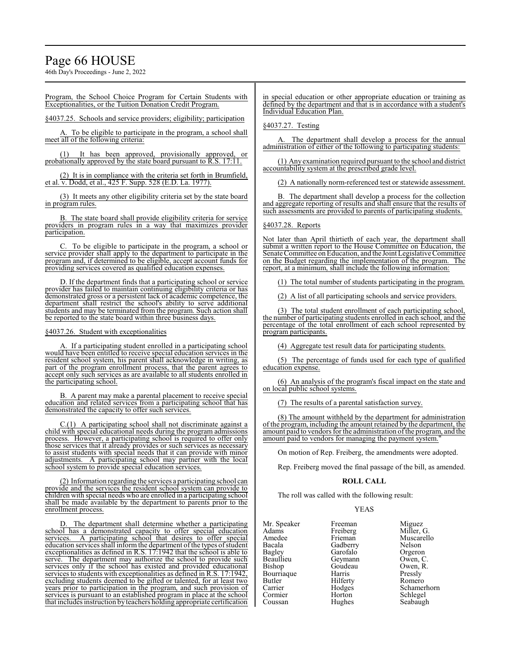# Page 66 HOUSE

46th Day's Proceedings - June 2, 2022

Program, the School Choice Program for Certain Students with Exceptionalities, or the Tuition Donation Credit Program.

§4037.25. Schools and service providers; eligibility; participation

To be eligible to participate in the program, a school shall meet all of the following criteria:

(1) It has been approved, provisionally approved, or probationally approved by the state board pursuant to R.S. 17:11.

(2) It is in compliance with the criteria set forth in Brumfield, et al. v. Dodd, et al., 425 F. Supp. 528 (E.D. La. 1977).

(3) It meets any other eligibility criteria set by the state board in program rules.

B. The state board shall provide eligibility criteria for service providers in program rules in a way that maximizes provider participation.

To be eligible to participate in the program, a school or service provider shall apply to the department to participate in the program and, if determined to be eligible, accept account funds for providing services covered as qualified education expenses.

D. If the department finds that a participating school or service provider has failed to maintain continuing eligibility criteria or has demonstrated gross or a persistent lack of academic competence, the department shall restrict the school's ability to serve additional students and may be terminated from the program. Such action shall be reported to the state board within three business days.

§4037.26. Student with exceptionalities

A. If a participating student enrolled in a participating school would have been entitled to receive special education services in the resident school system, his parent shall acknowledge in writing, as part of the program enrollment process, that the parent agrees to accept only such services as are available to all students enrolled in the participating school.

B. A parent may make a parental placement to receive special education and related services from a participating school that has demonstrated the capacity to offer such services.

C.(1) A participating school shall not discriminate against a child with special educational needs during the program admissions process. However, a participating school is required to offer only those services that it already provides or such services as necessary to assist students with special needs that it can provide with minor adjustments. A participating school may partner with the local school system to provide special education services.

(2) Information regarding the services a participating school can provide and the services the resident school system can provide to children with special needs who are enrolled in a participating school shall be made available by the department to parents prior to the enrollment process.

The department shall determine whether a participating school has a demonstrated capacity to offer special education services. A participating school that desires to offer special education services shall inform the department of the types of student exceptionalities as defined in R.S. 17:1942 that the school is able to serve. The department may authorize the school to provide such services only if the school has existed and provided educational services to students with exceptionalities as defined in R.S. 17:1942, excluding students deemed to be gifted or talented, for at least two years prior to participation in the program, and such provision of services is pursuant to an established program in place at the school that includes instruction by teachers holding appropriate certification

in special education or other appropriate education or training as defined by the department and that is in accordance with a student's Individual Education Plan.

§4037.27. Testing

The department shall develop a process for the annual administration of either of the following to participating students:

(1) Any examination required pursuant to the school and district accountability system at the prescribed grade level.

(2) A nationally norm-referenced test or statewide assessment.

B. The department shall develop a process for the collection and aggregate reporting of results and shall ensure that the results of such assessments are provided to parents of participating students.

### §4037.28. Reports

Not later than April thirtieth of each year, the department shall submit a written report to the House Committee on Education, the Senate Committee on Education, and the Joint Legislative Committee on the Budget regarding the implementation of the program. The report, at a minimum, shall include the following information:

(1) The total number of students participating in the program.

(2) A list of all participating schools and service providers.

(3) The total student enrollment of each participating school, the number of participating students enrolled in each school, and the percentage of the total enrollment of each school represented by program participants.

(4) Aggregate test result data for participating students.

(5) The percentage of funds used for each type of qualified education expense.

(6) An analysis of the program's fiscal impact on the state and on local public school systems.

(7) The results of a parental satisfaction survey.

(8) The amount withheld by the department for administration of the program, including the amount retained by the department, the amount paid to vendors for the administration of the program, and the amount paid to vendors for managing the payment system.

On motion of Rep. Freiberg, the amendments were adopted.

Rep. Freiberg moved the final passage of the bill, as amended.

# **ROLL CALL**

The roll was called with the following result:

# YEAS

| Mr. Speaker<br>Adams<br>Amedee<br>Bacala | Freeman<br>Freiberg<br>Frieman<br>Gadberry | Miguez<br>Miller, G.<br>Muscarello<br>Nelson |
|------------------------------------------|--------------------------------------------|----------------------------------------------|
| Bagley                                   | Garofalo                                   | Orgeron                                      |
| Beaullieu                                | Geymann                                    | Owen, C.                                     |
| Bishop                                   | Goudeau                                    | Owen, R.                                     |
| Bourriaque                               | Harris                                     | Pressly                                      |
| Butler                                   | Hilferty                                   | Romero                                       |
| Carrier                                  | Hodges                                     | Schamerhorn                                  |
| Cormier                                  | Horton                                     | Schlegel                                     |
| Coussan                                  | Hughes                                     | Seabaugh                                     |
|                                          |                                            |                                              |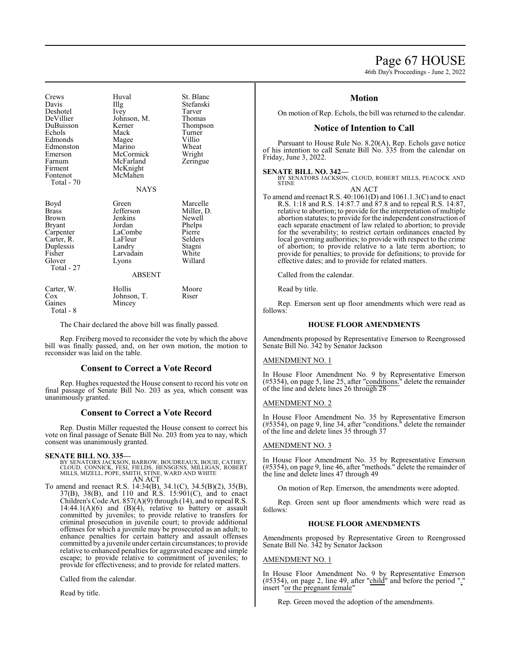# Page 67 HOUSE

46th Day's Proceedings - June 2, 2022

| Crews<br>Davis<br>Deshotel<br>DeVillier<br>DuBuisson<br>Echols<br>Edmonds<br>Edmonston<br>Emerson<br>Farnum<br>Firment<br>Fontenot<br>Total - 70 | Huval<br>Illg<br>Ivey<br>Johnson, M.<br>Kerner<br>Mack<br>Magee<br>Marino<br>McCormick<br>McFarland<br>McKnight<br>McMahen<br><b>NAYS</b> | St. Blanc<br>Stefanski<br>Tarver<br>Thomas<br>Thompson<br>Turner<br>Villio<br>Wheat<br>Wright<br>Zeringue |
|--------------------------------------------------------------------------------------------------------------------------------------------------|-------------------------------------------------------------------------------------------------------------------------------------------|-----------------------------------------------------------------------------------------------------------|
| Boyd<br>Brass<br>Brown<br>Bryant<br>Carpenter<br>Carter, R.<br>Duplessis<br>Fisher<br>Glover<br>Total - 27                                       | Green<br>Jefferson<br>Jenkins<br>Jordan<br>LaCombe<br>LaFleur<br>Landry<br>Larvadain<br>Lyons<br><b>ABSENT</b>                            | Marcelle<br>Miller, D.<br>Newell<br>Phelps<br>Pierre<br>Selders<br>Stagni<br>White<br>Willard             |
| Carter, W.<br>Cox<br>Gaines<br>Total - 8                                                                                                         | Hollis<br>Johnson, T.<br>Mincey                                                                                                           | Moore<br>Riser                                                                                            |

The Chair declared the above bill was finally passed.

Rep. Freiberg moved to reconsider the vote by which the above bill was finally passed, and, on her own motion, the motion to reconsider was laid on the table.

### **Consent to Correct a Vote Record**

Rep. Hughes requested the House consent to record his vote on final passage of Senate Bill No. 203 as yea, which consent was unanimously granted.

# **Consent to Correct a Vote Record**

Rep. Dustin Miller requested the House consent to correct his vote on final passage of Senate Bill No. 203 from yea to nay, which consent was unanimously granted.

#### **SENATE BILL NO. 335—**

BY SENATORS JACKSON, BARROW, BOUDREAUX, BOUIE, CATHEY,<br>CLOUD, CONNICK, FESI, FIELDS, HENSGENS, MILLIGAN, ROBERT<br>MILLS, MIZELL, POPE, SMITH, STINE, WARD AND WHITE AN ACT

To amend and reenact R.S. 14:34(B), 34.1(C), 34.5(B)(2), 35(B), 37(B), 38(B), and 110 and R.S. 15:901(C), and to enact Children's Code Art. 857(A)(9) through (14), and to repeal R.S. 14:44.1(A)(6) and (B)(4), relative to battery or assault committed by juveniles; to provide relative to transfers for criminal prosecution in juvenile court; to provide additional offenses for which a juvenile may be prosecuted as an adult; to enhance penalties for certain battery and assault offenses committed by a juvenile under certain circumstances; to provide relative to enhanced penalties for aggravated escape and simple escape; to provide relative to commitment of juveniles; to provide for effectiveness; and to provide for related matters.

Called from the calendar.

Read by title.

# **Motion**

On motion of Rep. Echols, the bill was returned to the calendar.

# **Notice of Intention to Call**

Pursuant to House Rule No. 8.20(A), Rep. Echols gave notice of his intention to call Senate Bill No. 335 from the calendar on Friday, June 3, 2022.

#### **SENATE BILL NO. 342—**

BY SENATORS JACKSON, CLOUD, ROBERT MILLS, PEACOCK AND STINE

AN ACT

To amend and reenact R.S. 40:1061(D) and 1061.1.3(C) and to enact R.S. 1:18 and R.S. 14:87.7 and 87.8 and to repeal R.S. 14:87, relative to abortion; to provide for the interpretation of multiple abortion statutes; to provide for the independent construction of each separate enactment of law related to abortion; to provide for the severability; to restrict certain ordinances enacted by local governing authorities; to provide with respect to the crime of abortion; to provide relative to a late term abortion; to provide for penalties; to provide for definitions; to provide for effective dates; and to provide for related matters.

Called from the calendar.

Read by title.

Rep. Emerson sent up floor amendments which were read as follows:

# **HOUSE FLOOR AMENDMENTS**

Amendments proposed by Representative Emerson to Reengrossed Senate Bill No. 342 by Senator Jackson

#### AMENDMENT NO. 1

In House Floor Amendment No. 9 by Representative Emerson (#5354), on page 5, line 25, after "conditions." delete the remainder of the line and delete lines 26 through 28

#### AMENDMENT NO. 2

In House Floor Amendment No. 35 by Representative Emerson (#5354), on page 9, line 34, after "conditions." delete the remainder of the line and delete lines 35 through 37

# AMENDMENT NO. 3

In House Floor Amendment No. 35 by Representative Emerson (#5354), on page 9, line 46, after "methods." delete the remainder of the line and delete lines 47 through 49

On motion of Rep. Emerson, the amendments were adopted.

Rep. Green sent up floor amendments which were read as follows:

### **HOUSE FLOOR AMENDMENTS**

Amendments proposed by Representative Green to Reengrossed Senate Bill No. 342 by Senator Jackson

# AMENDMENT NO. 1

In House Floor Amendment No. 9 by Representative Emerson  $(\text{\#5354})$ , on page 2, line 49, after "child" and before the period "." insert "or the pregnant female"

Rep. Green moved the adoption of the amendments.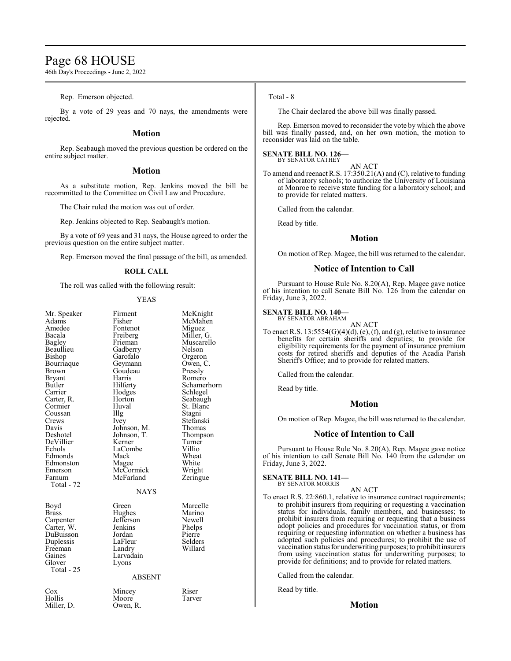# Page 68 HOUSE

46th Day's Proceedings - June 2, 2022

Rep. Emerson objected.

By a vote of 29 yeas and 70 nays, the amendments were rejected.

# **Motion**

Rep. Seabaugh moved the previous question be ordered on the entire subject matter.

### **Motion**

As a substitute motion, Rep. Jenkins moved the bill be recommitted to the Committee on Civil Law and Procedure.

The Chair ruled the motion was out of order.

Rep. Jenkins objected to Rep. Seabaugh's motion.

By a vote of 69 yeas and 31 nays, the House agreed to order the previous question on the entire subject matter.

Rep. Emerson moved the final passage of the bill, as amended.

# **ROLL CALL**

The roll was called with the following result:

#### YEAS

| Mr. Speaker<br>Adams<br>Amedee<br>Bacala<br>Bagley<br>Beaullieu<br>Bishop<br>Bourriaque<br>Brown<br>Bryant<br>Butler<br>Carrier<br>Carter, R.<br>Cormier<br>Coussan<br>Crews<br>Davis<br>Deshotel<br>DeVillier<br>Echols<br>Edmonds<br>Edmonston<br>Emerson<br>Farnum<br>Total - 72 | Firment<br>Fisher<br>Fontenot<br>Freiberg<br>Frieman<br>Gadberry<br>Garofalo<br>Geymann<br>Goudeau<br>Harris<br>Hilferty<br>Hodges<br>Horton<br>Huval<br>Illg<br>Ivey<br>Johnson, M.<br>Johnson, T.<br>Kerner<br>LaCombe<br>Mack<br>Magee<br>McCormick<br>McFarland<br><b>NAYS</b> | McKnight<br>McMahen<br>Miguez<br>Miller, G.<br>Muscarello<br>Nelson<br>Orgeron<br>Owen, C.<br>Pressly<br>Romero<br>Schamerhorn<br>Schlegel<br>Seabaugh<br>St. Blanc<br>Stagni<br>Stefanski<br>Thomas<br>Thompson<br>Turner<br>Villio<br>Wheat<br>White<br>Wright<br>Zeringue |
|-------------------------------------------------------------------------------------------------------------------------------------------------------------------------------------------------------------------------------------------------------------------------------------|------------------------------------------------------------------------------------------------------------------------------------------------------------------------------------------------------------------------------------------------------------------------------------|------------------------------------------------------------------------------------------------------------------------------------------------------------------------------------------------------------------------------------------------------------------------------|
| Boyd<br><b>Brass</b><br>Carpenter<br>Carter, W.<br>DuBuisson<br>Duplessis<br>Freeman<br>Gaines<br>Glover<br>Total - 25                                                                                                                                                              | Green<br>Hughes<br>Jefferson<br>Jenkins<br>Jordan<br>LaFleur<br>Landry<br>Larvadain<br>Lyons<br><b>ABSENT</b>                                                                                                                                                                      | Marcelle<br>Marino<br>Newell<br>Phelps<br>Pierre<br>Selders<br>Willard                                                                                                                                                                                                       |
| $\cos$<br>Hollis<br>Miller, D.                                                                                                                                                                                                                                                      | Mincey<br>Moore<br>Owen, R.                                                                                                                                                                                                                                                        | Riser<br>Tarver                                                                                                                                                                                                                                                              |
|                                                                                                                                                                                                                                                                                     |                                                                                                                                                                                                                                                                                    |                                                                                                                                                                                                                                                                              |

#### Total - 8

The Chair declared the above bill was finally passed.

Rep. Emerson moved to reconsider the vote by which the above bill was finally passed, and, on her own motion, the motion to reconsider was laid on the table.

#### **SENATE BILL NO. 126—** BY SENATOR CATHEY

AN ACT

To amend and reenact R.S. 17:350.21(A) and (C), relative to funding of laboratory schools; to authorize the University of Louisiana at Monroe to receive state funding for a laboratory school; and to provide for related matters.

Called from the calendar.

Read by title.

# **Motion**

On motion of Rep. Magee, the bill was returned to the calendar.

# **Notice of Intention to Call**

Pursuant to House Rule No. 8.20(A), Rep. Magee gave notice of his intention to call Senate Bill No. 126 from the calendar on Friday, June 3, 2022.

# **SENATE BILL NO. 140—** BY SENATOR ABRAHAM

AN ACT

To enact R.S.  $13:5554(G)(4)(d)$ , (e), (f), and (g), relative to insurance benefits for certain sheriffs and deputies; to provide for eligibility requirements for the payment of insurance premium costs for retired sheriffs and deputies of the Acadia Parish Sheriff's Office; and to provide for related matters.

Called from the calendar.

Read by title.

# **Motion**

On motion of Rep. Magee, the bill was returned to the calendar.

# **Notice of Intention to Call**

Pursuant to House Rule No. 8.20(A), Rep. Magee gave notice of his intention to call Senate Bill No. 140 from the calendar on Friday, June 3, 2022.

#### **SENATE BILL NO. 141—** BY SENATOR MORRIS

AN ACT

To enact R.S. 22:860.1, relative to insurance contract requirements; to prohibit insurers from requiring or requesting a vaccination status for individuals, family members, and businesses; to prohibit insurers from requiring or requesting that a business adopt policies and procedures for vaccination status, or from requiring or requesting information on whether a business has adopted such policies and procedures; to prohibit the use of vaccination status for underwriting purposes; to prohibit insurers from using vaccination status for underwriting purposes; to provide for definitions; and to provide for related matters.

Called from the calendar.

Read by title.

**Motion**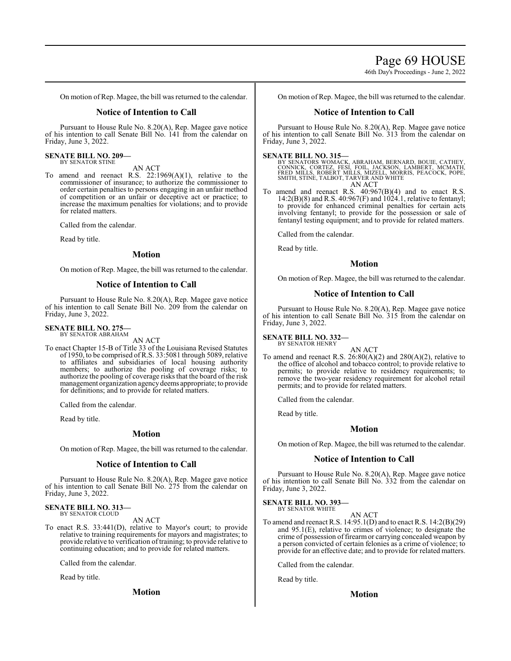46th Day's Proceedings - June 2, 2022

On motion of Rep. Magee, the bill was returned to the calendar.

# **Notice of Intention to Call**

Pursuant to House Rule No. 8.20(A), Rep. Magee gave notice of his intention to call Senate Bill No. 141 from the calendar on Friday, June 3, 2022.

#### **SENATE BILL NO. 209—** BY SENATOR STINE

AN ACT

To amend and reenact R.S. 22:1969(A)(1), relative to the commissioner of insurance; to authorize the commissioner to order certain penalties to persons engaging in an unfair method of competition or an unfair or deceptive act or practice; to increase the maximum penalties for violations; and to provide for related matters.

Called from the calendar.

Read by title.

# **Motion**

On motion of Rep. Magee, the bill was returned to the calendar.

# **Notice of Intention to Call**

Pursuant to House Rule No. 8.20(A), Rep. Magee gave notice of his intention to call Senate Bill No. 209 from the calendar on Friday, June 3, 2022.

#### **SENATE BILL NO. 275—** BY SENATOR ABRAHAM

AN ACT

To enact Chapter 15-B of Title 33 of the Louisiana Revised Statutes of 1950, to be comprised ofR.S. 33:5081 through 5089, relative to affiliates and subsidiaries of local housing authority members; to authorize the pooling of coverage risks; to authorize the pooling of coverage risks that the board of the risk management organization agencydeems appropriate; to provide for definitions; and to provide for related matters.

Called from the calendar.

Read by title.

### **Motion**

On motion of Rep. Magee, the bill was returned to the calendar.

### **Notice of Intention to Call**

Pursuant to House Rule No. 8.20(A), Rep. Magee gave notice of his intention to call Senate Bill No. 275 from the calendar on Friday, June 3, 2022.

# **SENATE BILL NO. 313—** BY SENATOR CLOUD

AN ACT

To enact R.S. 33:441(D), relative to Mayor's court; to provide relative to training requirements for mayors and magistrates; to provide relative to verification of training; to provide relative to continuing education; and to provide for related matters.

Called from the calendar.

Read by title.

**Motion**

On motion of Rep. Magee, the bill was returned to the calendar.

# **Notice of Intention to Call**

Pursuant to House Rule No. 8.20(A), Rep. Magee gave notice of his intention to call Senate Bill No. 313 from the calendar on Friday, June 3, 2022.

#### **SENATE BILL NO. 315—**

BY SENATORS WOMACK, ABRAHAM, BERNARD, BOUIE, CATHEY,<br>CONNICK, CORTEZ, FESI, FOIL, JACKSON, LAMBERT, MCMATH,<br>FRED MILLS, ROBERT MILLS, MIZELL, MORRIS, PEACOCK, POPE,<br>SMITH, STINE, TALBOT, TARVER AND WHITE AN ACT

To amend and reenact R.S. 40:967(B)(4) and to enact R.S. 14:2(B)(8) and R.S. 40:967(F) and  $1024.1$ , relative to fentanyl; to provide for enhanced criminal penalties for certain acts involving fentanyl; to provide for the possession or sale of fentanyl testing equipment; and to provide for related matters.

Called from the calendar.

Read by title.

#### **Motion**

On motion of Rep. Magee, the bill was returned to the calendar.

## **Notice of Intention to Call**

Pursuant to House Rule No. 8.20(A), Rep. Magee gave notice of his intention to call Senate Bill No. 315 from the calendar on Friday, June 3, 2022.

#### **SENATE BILL NO. 332—** BY SENATOR HENRY

To amend and reenact R.S. 26:80(A)(2) and 280(A)(2), relative to the office of alcohol and tobacco control; to provide relative to permits; to provide relative to residency requirements; to remove the two-year residency requirement for alcohol retail permits; and to provide for related matters.

AN ACT

Called from the calendar.

Read by title.

# **Motion**

On motion of Rep. Magee, the bill was returned to the calendar.

# **Notice of Intention to Call**

Pursuant to House Rule No. 8.20(A), Rep. Magee gave notice of his intention to call Senate Bill No. 332 from the calendar on Friday, June 3, 2022.

#### **SENATE BILL NO. 393—** BY SENATOR WHITE

To amend and reenact R.S. 14:95.1(D) and to enact R.S. 14:2(B)(29) and 95.1(E), relative to crimes of violence; to designate the crime of possession of firearm or carrying concealed weapon by a person convicted of certain felonies as a crime of violence; to provide for an effective date; and to provide for related matters.

AN ACT

Called from the calendar.

Read by title.

**Motion**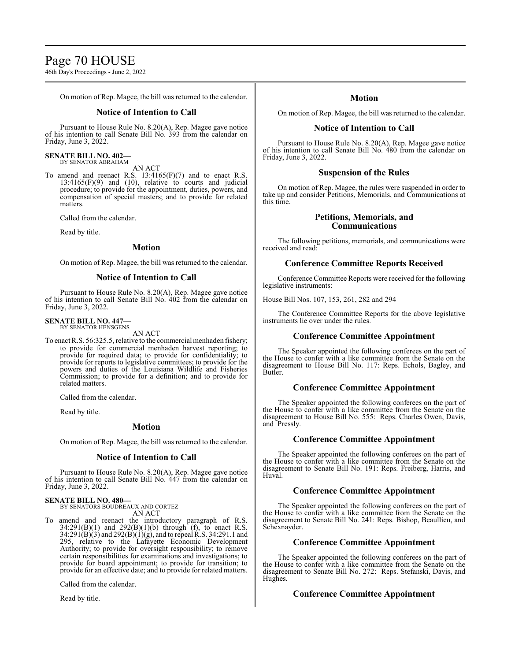# Page 70 HOUSE

46th Day's Proceedings - June 2, 2022

On motion of Rep. Magee, the bill was returned to the calendar.

# **Notice of Intention to Call**

Pursuant to House Rule No. 8.20(A), Rep. Magee gave notice of his intention to call Senate Bill No. 393 from the calendar on Friday, June 3, 2022.

#### **SENATE BILL NO. 402—** BY SENATOR ABRAHAM

AN ACT

To amend and reenact R.S. 13:4165(F)(7) and to enact R.S.  $13:4165(F)(9)$  and  $(10)$ , relative to courts and judicial procedure; to provide for the appointment, duties, powers, and compensation of special masters; and to provide for related matters.

Called from the calendar.

Read by title.

# **Motion**

On motion of Rep. Magee, the bill was returned to the calendar.

# **Notice of Intention to Call**

Pursuant to House Rule No. 8.20(A), Rep. Magee gave notice of his intention to call Senate Bill No. 402 from the calendar on Friday, June 3, 2022.

#### **SENATE BILL NO. 447—** BY SENATOR HENSGENS

AN ACT

To enact R.S. 56:325.5, relative to the commercial menhaden fishery; to provide for commercial menhaden harvest reporting; to provide for required data; to provide for confidentiality; to provide for reports to legislative committees; to provide for the powers and duties of the Louisiana Wildlife and Fisheries Commission; to provide for a definition; and to provide for related matters.

Called from the calendar.

Read by title.

# **Motion**

On motion of Rep. Magee, the bill was returned to the calendar.

### **Notice of Intention to Call**

Pursuant to House Rule No. 8.20(A), Rep. Magee gave notice of his intention to call Senate Bill No. 447 from the calendar on Friday, June 3, 2022.

#### **SENATE BILL NO. 480—**

BY SENATORS BOUDREAUX AND CORTEZ AN ACT

To amend and reenact the introductory paragraph of R.S.  $34:291(B)(1)$  and  $292(B)(1)(b)$  through (f), to enact R.S. 34:291(B)(3) and 292(B)(1)(g), and to repeal R.S. 34:291.1 and 295, relative to the Lafayette Economic Development Authority; to provide for oversight responsibility; to remove certain responsibilities for examinations and investigations; to provide for board appointment; to provide for transition; to provide for an effective date; and to provide for related matters.

Called from the calendar.

Read by title.

# **Motion**

On motion of Rep. Magee, the bill was returned to the calendar.

# **Notice of Intention to Call**

Pursuant to House Rule No. 8.20(A), Rep. Magee gave notice of his intention to call Senate Bill No. 480 from the calendar on Friday, June 3, 2022.

# **Suspension of the Rules**

On motion of Rep. Magee, the rules were suspended in order to take up and consider Petitions, Memorials, and Communications at this time.

# **Petitions, Memorials, and Communications**

The following petitions, memorials, and communications were received and read:

# **Conference Committee Reports Received**

Conference Committee Reports were received for the following legislative instruments:

House Bill Nos. 107, 153, 261, 282 and 294

The Conference Committee Reports for the above legislative instruments lie over under the rules.

### **Conference Committee Appointment**

The Speaker appointed the following conferees on the part of the House to confer with a like committee from the Senate on the disagreement to House Bill No. 117: Reps. Echols, Bagley, and Butler.

# **Conference Committee Appointment**

The Speaker appointed the following conferees on the part of the House to confer with a like committee from the Senate on the disagreement to House Bill No. 555: Reps. Charles Owen, Davis, and Pressly.

# **Conference Committee Appointment**

The Speaker appointed the following conferees on the part of the House to confer with a like committee from the Senate on the disagreement to Senate Bill No. 191: Reps. Freiberg, Harris, and Huval.

# **Conference Committee Appointment**

The Speaker appointed the following conferees on the part of the House to confer with a like committee from the Senate on the disagreement to Senate Bill No. 241: Reps. Bishop, Beaullieu, and Schexnayder.

# **Conference Committee Appointment**

The Speaker appointed the following conferees on the part of the House to confer with a like committee from the Senate on the disagreement to Senate Bill No. 272: Reps. Stefanski, Davis, and Hughes.

### **Conference Committee Appointment**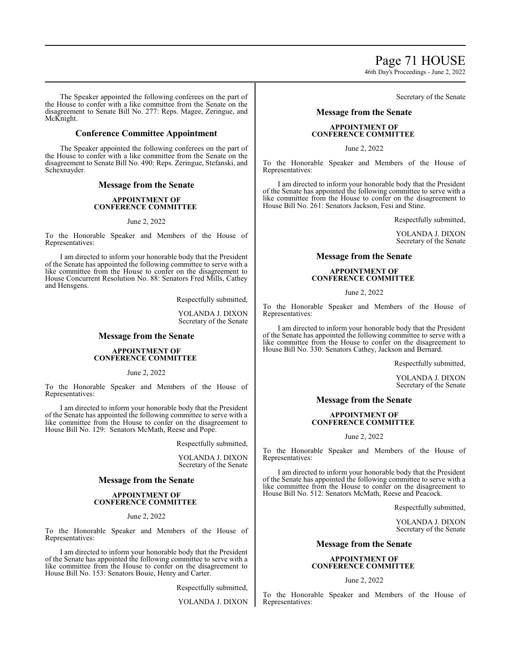Page 71 HOUSE

46th Day's Proceedings - June 2, 2022

The Speaker appointed the following conferees on the part of the House to confer with a like committee from the Senate on the disagreement to Senate Bill No. 277: Reps. Magee, Zeringue, and McKnight.

# **Conference Committee Appointment**

The Speaker appointed the following conferees on the part of the House to confer with a like committee from the Senate on the disagreement to Senate Bill No. 490: Reps. Zeringue, Stefanski, and Schexnayder.

# **Message from the Senate**

#### **APPOINTMENT OF CONFERENCE COMMITTEE**

#### June 2, 2022

To the Honorable Speaker and Members of the House of Representatives:

I am directed to inform your honorable body that the President of the Senate has appointed the following committee to serve with a like committee from the House to confer on the disagreement to House Concurrent Resolution No. 88: Senators Fred Mills, Cathey and Hensgens.

Respectfully submitted,

YOLANDA J. DIXON Secretary of the Senate

# **Message from the Senate**

#### **APPOINTMENT OF CONFERENCE COMMITTEE**

June 2, 2022

To the Honorable Speaker and Members of the House of Representatives:

I am directed to inform your honorable body that the President of the Senate has appointed the following committee to serve with a like committee from the House to confer on the disagreement to House Bill No. 129: Senators McMath, Reese and Pope.

Respectfully submitted,

YOLANDA J. DIXON Secretary of the Senate

# **Message from the Senate**

# **APPOINTMENT OF CONFERENCE COMMITTEE**

### June 2, 2022

To the Honorable Speaker and Members of the House of Representatives:

I am directed to inform your honorable body that the President of the Senate has appointed the following committee to serve with a like committee from the House to confer on the disagreement to House Bill No. 153: Senators Bouie, Henry and Carter.

Respectfully submitted,

YOLANDA J. DIXON

# Secretary of the Senate

# **Message from the Senate**

# **APPOINTMENT OF CONFERENCE COMMITTEE**

#### June 2, 2022

To the Honorable Speaker and Members of the House of Representatives:

I am directed to inform your honorable body that the President of the Senate has appointed the following committee to serve with a like committee from the House to confer on the disagreement to House Bill No. 261: Senators Jackson, Fesi and Stine.

Respectfully submitted,

YOLANDA J. DIXON Secretary of the Senate

# **Message from the Senate**

# **APPOINTMENT OF CONFERENCE COMMITTEE**

June 2, 2022

To the Honorable Speaker and Members of the House of Representatives:

I am directed to inform your honorable body that the President of the Senate has appointed the following committee to serve with a like committee from the House to confer on the disagreement to House Bill No. 330: Senators Cathey, Jackson and Bernard.

Respectfully submitted,

YOLANDA J. DIXON Secretary of the Senate

# **Message from the Senate**

# **APPOINTMENT OF CONFERENCE COMMITTEE**

June 2, 2022

To the Honorable Speaker and Members of the House of Representatives:

I am directed to inform your honorable body that the President of the Senate has appointed the following committee to serve with a like committee from the House to confer on the disagreement to House Bill No. 512: Senators McMath, Reese and Peacock.

Respectfully submitted,

YOLANDA J. DIXON Secretary of the Senate

# **Message from the Senate**

# **APPOINTMENT OF CONFERENCE COMMITTEE**

#### June 2, 2022

To the Honorable Speaker and Members of the House of Representatives: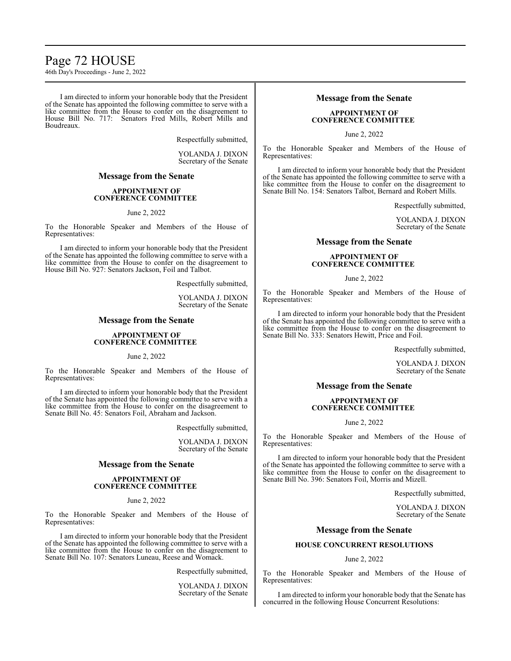# Page 72 HOUSE

46th Day's Proceedings - June 2, 2022

I am directed to inform your honorable body that the President of the Senate has appointed the following committee to serve with a like committee from the House to confer on the disagreement to House Bill No. 717: Senators Fred Mills, Robert Mills and Boudreaux.

Respectfully submitted,

YOLANDA J. DIXON Secretary of the Senate

# **Message from the Senate**

# **APPOINTMENT OF CONFERENCE COMMITTEE**

#### June 2, 2022

To the Honorable Speaker and Members of the House of Representatives:

I am directed to inform your honorable body that the President of the Senate has appointed the following committee to serve with a like committee from the House to confer on the disagreement to House Bill No. 927: Senators Jackson, Foil and Talbot.

Respectfully submitted,

YOLANDA J. DIXON Secretary of the Senate

# **Message from the Senate**

### **APPOINTMENT OF CONFERENCE COMMITTEE**

June 2, 2022

To the Honorable Speaker and Members of the House of Representatives:

I am directed to inform your honorable body that the President of the Senate has appointed the following committee to serve with a like committee from the House to confer on the disagreement to Senate Bill No. 45: Senators Foil, Abraham and Jackson.

Respectfully submitted,

YOLANDA J. DIXON Secretary of the Senate

# **Message from the Senate**

#### **APPOINTMENT OF CONFERENCE COMMITTEE**

### June 2, 2022

To the Honorable Speaker and Members of the House of Representatives:

I am directed to inform your honorable body that the President of the Senate has appointed the following committee to serve with a like committee from the House to confer on the disagreement to Senate Bill No. 107: Senators Luneau, Reese and Womack.

Respectfully submitted,

YOLANDA J. DIXON Secretary of the Senate

# **Message from the Senate**

# **APPOINTMENT OF CONFERENCE COMMITTEE**

June 2, 2022

To the Honorable Speaker and Members of the House of Representatives:

I am directed to inform your honorable body that the President of the Senate has appointed the following committee to serve with a like committee from the House to confer on the disagreement to Senate Bill No. 154: Senators Talbot, Bernard and Robert Mills.

Respectfully submitted,

YOLANDA J. DIXON Secretary of the Senate

# **Message from the Senate**

# **APPOINTMENT OF CONFERENCE COMMITTEE**

June 2, 2022

To the Honorable Speaker and Members of the House of Representatives:

I am directed to inform your honorable body that the President of the Senate has appointed the following committee to serve with a like committee from the House to confer on the disagreement to Senate Bill No. 333: Senators Hewitt, Price and Foil.

Respectfully submitted,

YOLANDA J. DIXON Secretary of the Senate

# **Message from the Senate**

### **APPOINTMENT OF CONFERENCE COMMITTEE**

#### June 2, 2022

To the Honorable Speaker and Members of the House of Representatives:

I am directed to inform your honorable body that the President of the Senate has appointed the following committee to serve with a like committee from the House to confer on the disagreement to Senate Bill No. 396: Senators Foil, Morris and Mizell.

Respectfully submitted,

YOLANDA J. DIXON Secretary of the Senate

# **Message from the Senate**

# **HOUSE CONCURRENT RESOLUTIONS**

### June 2, 2022

To the Honorable Speaker and Members of the House of Representatives:

I am directed to inform your honorable body that the Senate has concurred in the following House Concurrent Resolutions: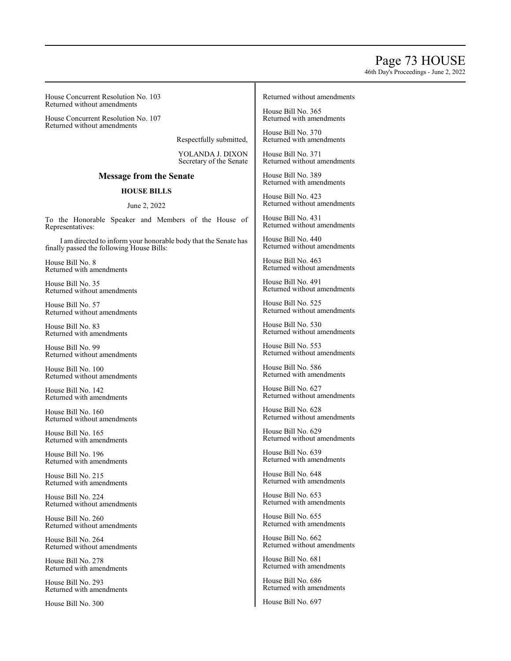# Page 73 HOUSE

46th Day's Proceedings - June 2, 2022

House Concurrent Resolution No. 103 Returned without amendments

House Concurrent Resolution No. 107 Returned without amendments

Respectfully submitted,

YOLANDA J. DIXON Secretary of the Senate

## **Message from the Senate**

## **HOUSE BILLS**

## June 2, 2022

To the Honorable Speaker and Members of the House of Representatives:

I am directed to inform your honorable body that the Senate has finally passed the following House Bills:

House Bill No. 8 Returned with amendments

House Bill No. 35 Returned without amendments

House Bill No. 57 Returned without amendments

House Bill No. 83 Returned with amendments

House Bill No. 99 Returned without amendments

House Bill No. 100 Returned without amendments

House Bill No. 142 Returned with amendments

House Bill No. 160 Returned without amendments

House Bill No. 165 Returned with amendments

House Bill No. 196 Returned with amendments

House Bill No. 215 Returned with amendments

House Bill No. 224 Returned without amendments

House Bill No. 260 Returned without amendments

House Bill No. 264 Returned without amendments

House Bill No. 278 Returned with amendments

House Bill No. 293 Returned with amendments

House Bill No. 300

#### Returned without amendments

House Bill No. 365 Returned with amendments

House Bill No. 370 Returned with amendments

House Bill No. 371 Returned without amendments

House Bill No. 389 Returned with amendments

House Bill No. 423 Returned without amendments

House Bill No. 431 Returned without amendments

House Bill No. 440 Returned without amendments

House Bill No. 463 Returned without amendments

House Bill No. 491 Returned without amendments

House Bill No. 525 Returned without amendments

House Bill No. 530 Returned without amendments

House Bill No. 553 Returned without amendments

House Bill No. 586 Returned with amendments

House Bill No. 627 Returned without amendments

House Bill No. 628 Returned without amendments

House Bill No. 629 Returned without amendments

House Bill No. 639 Returned with amendments

House Bill No. 648 Returned with amendments

House Bill No. 653 Returned with amendments

House Bill No. 655 Returned with amendments

House Bill No. 662 Returned without amendments

House Bill No. 681 Returned with amendments

House Bill No. 686 Returned with amendments

House Bill No. 697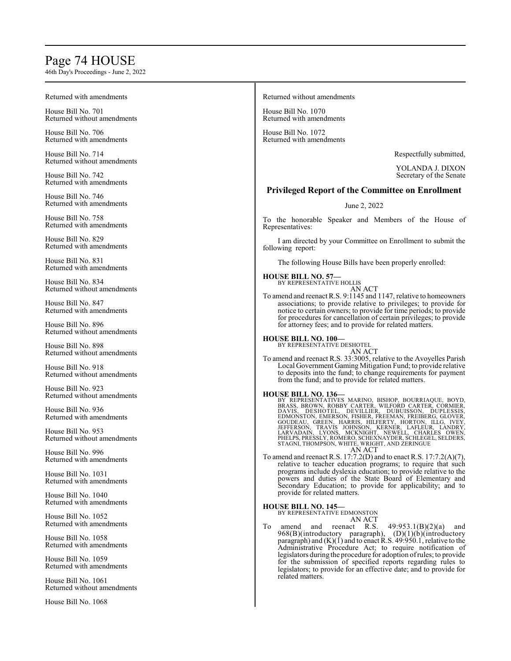# Page 7 4 HOUSE

46th Da y's Pro c e edings - June 2, 2022

| Returned with amendments                           | Returned without amendments                                                                                                                                                                                                                                                                                                                                                                                                                                                                                                                                                                                                                                                                                                                                                                                                                            |
|----------------------------------------------------|--------------------------------------------------------------------------------------------------------------------------------------------------------------------------------------------------------------------------------------------------------------------------------------------------------------------------------------------------------------------------------------------------------------------------------------------------------------------------------------------------------------------------------------------------------------------------------------------------------------------------------------------------------------------------------------------------------------------------------------------------------------------------------------------------------------------------------------------------------|
| House Bill No. 701<br>Returned without amendments  | House Bill No. 1070<br>Returned with amendments                                                                                                                                                                                                                                                                                                                                                                                                                                                                                                                                                                                                                                                                                                                                                                                                        |
| House Bill No. 706<br>Returned with amendments     | House Bill No. 1072<br>Returned with amendments                                                                                                                                                                                                                                                                                                                                                                                                                                                                                                                                                                                                                                                                                                                                                                                                        |
| House Bill No. 714<br>Returned without amendments  | Respectfully submitted,                                                                                                                                                                                                                                                                                                                                                                                                                                                                                                                                                                                                                                                                                                                                                                                                                                |
| House Bill No. 742                                 | YOLANDA J. DIXON<br>Secretary of the Senate                                                                                                                                                                                                                                                                                                                                                                                                                                                                                                                                                                                                                                                                                                                                                                                                            |
| Returned with amendments                           | <b>Privileged Report of the Committee on Enrollment</b>                                                                                                                                                                                                                                                                                                                                                                                                                                                                                                                                                                                                                                                                                                                                                                                                |
| House Bill No. 746<br>Returned with amendments     | June 2, 2022                                                                                                                                                                                                                                                                                                                                                                                                                                                                                                                                                                                                                                                                                                                                                                                                                                           |
| House Bill No. 758<br>Returned with amendments     | To the honorable Speaker and Members of the House of<br>Representatives:                                                                                                                                                                                                                                                                                                                                                                                                                                                                                                                                                                                                                                                                                                                                                                               |
| House Bill No. 829<br>Returned with amendments     | I am directed by your Committee on Enrollment to submit the<br>following report:                                                                                                                                                                                                                                                                                                                                                                                                                                                                                                                                                                                                                                                                                                                                                                       |
| House Bill No. 831<br>Returned with amendments     | The following House Bills have been properly enrolled:                                                                                                                                                                                                                                                                                                                                                                                                                                                                                                                                                                                                                                                                                                                                                                                                 |
| House Bill No. 834<br>Returned without amendments  | <b>HOUSE BILL NO. 57-</b><br>BY REPRESENTATIVE HOLLIS<br>AN ACT                                                                                                                                                                                                                                                                                                                                                                                                                                                                                                                                                                                                                                                                                                                                                                                        |
| House Bill No. 847<br>Returned with amendments     | To amend and reenact R.S. 9:1145 and 1147, relative to homeowners<br>associations; to provide relative to privileges; to provide for<br>notice to certain owners; to provide for time periods; to provide<br>for procedures for cancellation of certain privileges; to provide<br>for attorney fees; and to provide for related matters.<br><b>HOUSE BILL NO. 100-</b>                                                                                                                                                                                                                                                                                                                                                                                                                                                                                 |
| House Bill No. 896<br>Returned without amendments  |                                                                                                                                                                                                                                                                                                                                                                                                                                                                                                                                                                                                                                                                                                                                                                                                                                                        |
| House Bill No. 898<br>Returned without amendments  | BY REPRESENTATIVE DESHOTEL<br>AN ACT                                                                                                                                                                                                                                                                                                                                                                                                                                                                                                                                                                                                                                                                                                                                                                                                                   |
| House Bill No. 918<br>Returned without amendments  | To amend and reenact R.S. 33:3005, relative to the Avoyelles Parish<br>Local Government Gaming Mitigation Fund; to provide relative<br>to deposits into the fund; to change requirements for payment<br>from the fund; and to provide for related matters.                                                                                                                                                                                                                                                                                                                                                                                                                                                                                                                                                                                             |
| House Bill No. 923<br>Returned without amendments  | <b>HOUSE BILL NO. 136-</b><br>BY REPRESENTATIVES MARINO, BISHOP, BOURRIAQUE, BOYD, BRASS, BROWN, ROBBY CARTER, WILFORD CARTER, CORMIER, DESIGNAL DELESSIS, EDMONSTON, EMERSON, TISHER, FREEMAN, FREIBERG, GLOVER,<br>GOUDEAU, GREEN, HARRIS, HILFERTY, HORTON, ILLG, IVEY<br>JEFFERSON, TRAVIS JOHNSON, KERNER, LAFLEUR, LANDRY, LARVIS JOHNSON, MCKNIGHT, NEWADAIN, LYONS, MCKNIGHT, NAMER<br>LARVADAIN, LYONS, MCKNIGHT, NEWELL, CHARLES OWEN,<br>PHELPS, PRESSLY, ROMERO, SCHEXNAYDER, SCHLEGEL, SELDERS,<br>STAG                                                                                                                                                                                                                                                                                                                                   |
| House Bill No. 936<br>Returned with amendments     |                                                                                                                                                                                                                                                                                                                                                                                                                                                                                                                                                                                                                                                                                                                                                                                                                                                        |
| House Bill No. 953<br>Returned without amendments  |                                                                                                                                                                                                                                                                                                                                                                                                                                                                                                                                                                                                                                                                                                                                                                                                                                                        |
| House Bill No. 996<br>Returned with amendments     | AN ACT<br>To amend and reenact R.S. 17:7.2(D) and to enact R.S. 17:7.2(A)(7),                                                                                                                                                                                                                                                                                                                                                                                                                                                                                                                                                                                                                                                                                                                                                                          |
| House Bill No. 1031<br>Returned with amendments    | relative to teacher education programs; to require that such<br>programs include dyslexia education; to provide relative to the<br>powers and duties of the State Board of Elementary and<br>Secondary Education; to provide for applicability; and to<br>provide for related matters.<br><b>HOUSE BILL NO. 145-</b><br>BY REPRESENTATIVE EDMONSTON<br>AN ACT<br>Тo<br>and reenact R.S.<br>49:953.1(B)(2)(a)<br>amend<br>and<br>968(B)(introductory paragraph), (D)(1)(b)(introductory<br>paragraph) and $(K)(1)$ and to enact R.S. 49:950.1, relative to the<br>Administrative Procedure Act; to require notification of<br>legislators during the procedure for adoption of rules; to provide<br>for the submission of specified reports regarding rules to<br>legislators; to provide for an effective date; and to provide for<br>related matters. |
| House Bill No. 1040<br>Returned with amendments    |                                                                                                                                                                                                                                                                                                                                                                                                                                                                                                                                                                                                                                                                                                                                                                                                                                                        |
| House Bill No. 1052<br>Returned with amendments    |                                                                                                                                                                                                                                                                                                                                                                                                                                                                                                                                                                                                                                                                                                                                                                                                                                                        |
| House Bill No. 1058<br>Returned with amendments    |                                                                                                                                                                                                                                                                                                                                                                                                                                                                                                                                                                                                                                                                                                                                                                                                                                                        |
| House Bill No. 1059<br>Returned with amendments    |                                                                                                                                                                                                                                                                                                                                                                                                                                                                                                                                                                                                                                                                                                                                                                                                                                                        |
| House Bill No. 1061<br>Returned without amendments |                                                                                                                                                                                                                                                                                                                                                                                                                                                                                                                                                                                                                                                                                                                                                                                                                                                        |
| House Bill No. 1068                                |                                                                                                                                                                                                                                                                                                                                                                                                                                                                                                                                                                                                                                                                                                                                                                                                                                                        |
|                                                    |                                                                                                                                                                                                                                                                                                                                                                                                                                                                                                                                                                                                                                                                                                                                                                                                                                                        |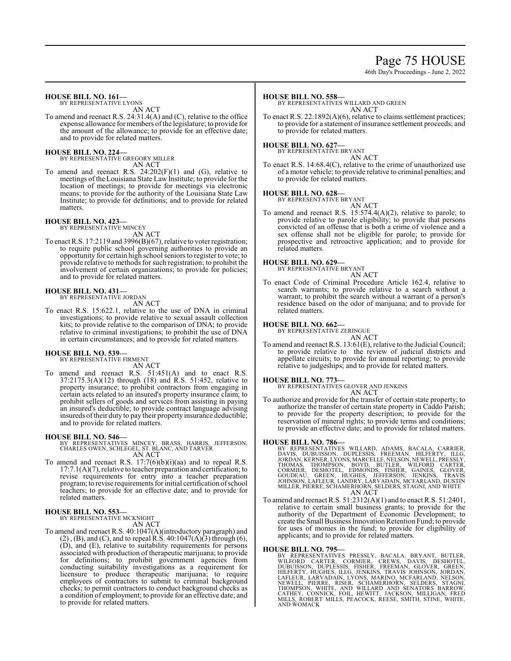# Page 75 HOUSE

46th Day's Proceedings - June 2, 2022

#### **HOUSE BILL NO. 161—**

BY REPRESENTATIVE LYONS AN ACT

To amend and reenact R.S. 24:31.4(A) and (C), relative to the office expense allowance for members ofthe legislature; to provide for the amount of the allowance; to provide for an effective date; and to provide for related matters.

#### **HOUSE BILL NO. 224—**

BY REPRESENTATIVE GREGORY MILLER AN ACT

To amend and reenact R.S.  $24:202(F)(1)$  and  $(G)$ , relative to meetings of the Louisiana State Law Institute; to provide for the location of meetings; to provide for meetings via electronic means; to provide for the authority of the Louisiana State Law Institute; to provide for definitions; and to provide for related matters.

#### **HOUSE BILL NO. 423—**

BY REPRESENTATIVE MINCEY

AN ACT To enact R.S. 17:2119 and 3996(B)(67), relative to voter registration; to require public school governing authorities to provide an opportunity for certain high school seniors to register to vote; to provide relative to methods for such registration; to prohibit the involvement of certain organizations; to provide for policies; and to provide for related matters.

#### **HOUSE BILL NO. 431—**

BY REPRESENTATIVE JORDAN

- AN ACT
- To enact R.S. 15:622.1, relative to the use of DNA in criminal investigations; to provide relative to sexual assault collection kits; to provide relative to the comparison of DNA; to provide relative to criminal investigations; to prohibit the use of DNA in certain circumstances; and to provide for related matters.

#### **HOUSE BILL NO. 539—** BY REPRESENTATIVE FIRMENT

AN ACT

To amend and reenact R.S. 51:451(A) and to enact R.S. 37:2175.3(A)(12) through (18) and R.S. 51:452, relative to property insurance; to prohibit contractors from engaging in certain acts related to an insured's property insurance claim; to prohibit sellers of goods and services from assisting in paying an insured's deductible; to provide contract language advising insureds oftheir duty to pay their property insurance deductible; and to provide for related matters.

#### **HOUSE BILL NO. 546—**

- BY REPRESENTATIVES MINCEY, BRASS, HARRIS, JEFFERSON, CHARLES OWEN, SCHLEGEL, ST. BLANC, AND TARVER AN ACT
- To amend and reenact R.S. 17:7(6)(b)(i)(aa) and to repeal R.S.  $17:7.1(A)(7)$ , relative to teacher preparation and certification; to revise requirements for entry into a teacher preparation program; to revise requirements for initial certification ofschool teachers; to provide for an effective date; and to provide for related matters.

#### **HOUSE BILL NO. 553—**

BY REPRESENTATIVE MCKNIGHT AN ACT

To amend and reenact R.S. 40:1047(A)(introductory paragraph) and  $(2)$ ,  $(B)$ , and  $(C)$ , and to repeal R.S.  $40:1047(A)$  $(3)$  through  $(6)$ , (D), and (E), relative to suitability requirements for persons associated with production of therapeutic marijuana; to provide for definitions; to prohibit government agencies from conducting suitability investigations as a requirement for licensure to produce therapeutic marijuana; to require employees of contractors to submit to criminal background checks; to permit contractors to conduct background checks as a condition of employment; to provide for an effective date; and to provide for related matters.

#### **HOUSE BILL NO. 558—**

BY REPRESENTATIVES WILLARD AND GREEN AN ACT

To enact R.S. 22:1892(A)(6), relative to claims settlement practices; to provide for a statement of insurance settlement proceeds; and to provide for related matters.

#### **HOUSE BILL NO. 627—** BY REPRESENTATIVE BRYANT

AN ACT

To enact R.S. 14:68.4(C), relative to the crime of unauthorized use of a motor vehicle; to provide relative to criminal penalties; and to provide for related matters.

#### **HOUSE BILL NO. 628—**

BY REPRESENTATIVE BRYANT

- AN ACT
- To amend and reenact R.S. 15:574.4(A)(2), relative to parole; to provide relative to parole eligibility; to provide that persons convicted of an offense that is both a crime of violence and a sex offense shall not be eligible for parole; to provide for prospective and retroactive application; and to provide for related matters.

#### **HOUSE BILL NO. 629—**

BY REPRESENTATIVE BRYANT AN ACT

To enact Code of Criminal Procedure Article 162.4, relative to search warrants; to provide relative to a search without a warrant; to prohibit the search without a warrant of a person's residence based on the odor of marijuana; and to provide for related matters.

# **HOUSE BILL NO. 662—** BY REPRESENTATIVE ZERINGUE

AN ACT To amend and reenact R.S. 13:61(E), relative to the Judicial Council; to provide relative to the review of judicial districts and appellate circuits; to provide for annual reporting; to provide relative to judgeships; and to provide for related matters.

**HOUSE BILL NO. 773—** BY REPRESENTATIVES GLOVER AND JENKINS

- AN ACT
- To authorize and provide for the transfer of certain state property; to authorize the transfer of certain state property in Caddo Parish; to provide for the property description; to provide for the reservation of mineral rights; to provide terms and conditions; to provide an effective date; and to provide for related matters.

#### **HOUSE BILL NO. 786—**

BY REPRESENTATIVES WILLARD, ADAMS, BACALA, CARRIER,<br>DAVIS, DUBUISSON, DUPLESSIS, FREEMAN, HILFERTY, ILLG,<br>JORDAN,KERNER,LYONS,MARCELLE,NELSON,NEWELL,PRESSLY,<br>TORDAN, THOMPSON, BOYD, BUTLER, WILFORD CARTER,<br>CORMIER, DESHOTE AN ACT

To amend and reenact R.S. 51:2312(A)(1) and to enact R.S. 51:2401, relative to certain small business grants; to provide for the authority of the Department of Economic Development; to create theSmall Business InnovationRetention Fund; to provide for uses of monies in the fund; to provide for eligibility of applicants; and to provide for related matters.

#### **HOUSE BILL NO. 795—**

BY REPRESENTATIVES PRESSLY, BACALA, BRYANT, BUTLER,<br>WILFORD CARTER, CORMIER, CREWS, DAVIS, DESHOTEL,<br>DUBUISSON, DUPLESSIS, FISHER, FREEMAN, GLOVER, GREEN,<br>HILFERTY, HUGHES, ILLG, JENKINS, TRAVIS JOHNSON, JORDAN,<br>LAFLEUR, L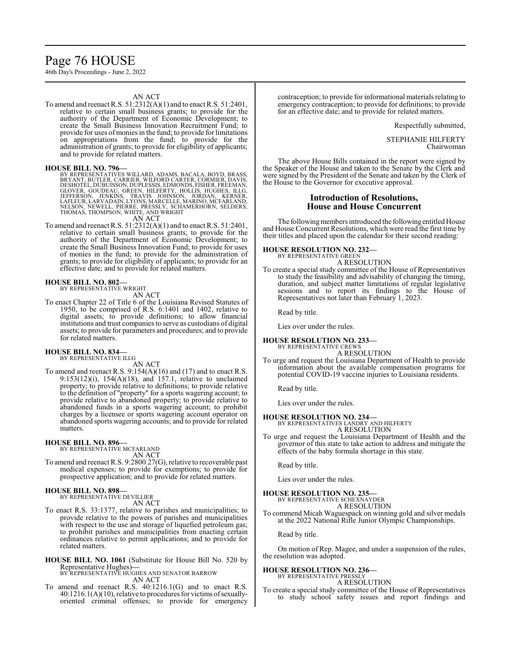# Page 76 HOUSE

46th Day's Proceedings - June 2, 2022

#### AN ACT

To amend and reenact R.S. 51:2312(A)(1) and to enact R.S. 51:2401, relative to certain small business grants; to provide for the authority of the Department of Economic Development; to create the Small Business Innovation Recruitment Fund; to provide for uses of monies in the fund; to provide for limitations on appropriations from the fund; to provide for the administration of grants; to provide for eligibility of applicants; and to provide for related matters.

**HOUSE BILL NO. 796—** BY REPRESENTATIVES WILLARD, ADAMS, BACALA, BOYD, BRASS, BRYANT, BUTLER, CARRIER, WILFORD CARTER, CORMIER, DAVIS, DESHOTEL, DUBUISSON, DUPLESSIS, EDMONDS, FISHER, FREEMAN, GLOVER, GOUDEAU, GREEN, HILFERTY, HOLLIS, HUGHES, ILLG,<br>JEFFERSON, JENKINS, TRAVIS JOHNSON, JORDAN, KERNER,<br>LAFLEUR,LARVADAIN,LYONS,MARCELLE,MARINO,MCFARLAND,<br>NELSON, NEWELL, PIERRE, PRESSLY, SCHAMERHORN, SELDERS,<br>THOMAS,T

To amend and reenact R.S. 51:2312(A)(1) and to enact R.S. 51:2401, relative to certain small business grants; to provide for the authority of the Department of Economic Development; to create the Small Business Innovation Fund; to provide for uses of monies in the fund; to provide for the administration of grants; to provide for eligibility of applicants; to provide for an effective date; and to provide for related matters.

#### **HOUSE BILL NO. 802—** BY REPRESENTATIVE WRIGHT

AN ACT

To enact Chapter 22 of Title 6 of the Louisiana Revised Statutes of 1950, to be comprised of R.S. 6:1401 and 1402, relative to digital assets; to provide definitions; to allow financial institutions and trust companies to serve as custodians of digital assets; to provide for parameters and procedures; and to provide for related matters.

#### **HOUSE BILL NO. 834—** BY REPRESENTATIVE ILLG

AN ACT

To amend and reenact R.S. 9:154(A)(16) and (17) and to enact R.S. 9:153(12)(i), 154(A)(18), and 157.1, relative to unclaimed property; to provide relative to definitions; to provide relative to the definition of "property" for a sports wagering account; to provide relative to abandoned property; to provide relative to abandoned funds in a sports wagering account; to prohibit charges by a licensee or sports wagering account operator on abandoned sports wagering accounts; and to provide for related matters.

#### **HOUSE BILL NO. 896—**

BY REPRESENTATIVE MCFARLAND AN ACT

To amend and reenact R.S. 9:2800.27(G), relative to recoverable past medical expenses; to provide for exemptions; to provide for prospective application; and to provide for related matters.

#### **HOUSE BILL NO. 898—**

BY REPRESENTATIVE DEVILLIER AN ACT

- To enact R.S. 33:1377, relative to parishes and municipalities; to provide relative to the powers of parishes and municipalities with respect to the use and storage of liquefied petroleum gas; to prohibit parishes and municipalities from enacting certain ordinances relative to permit applications; and to provide for related matters.
- **HOUSE BILL NO. 1061** (Substitute for House Bill No. 520 by Representative Hughes)**—** BY REPRESENTATIVE HUGHES AND SENATOR BARROW

AN ACT

To amend and reenact R.S. 40:1216.1(G) and to enact R.S.  $40:1216.1(A)(10)$ , relative to procedures for victims of sexuallyoriented criminal offenses; to provide for emergency contraception; to provide for informational materials relating to emergency contraception; to provide for definitions; to provide for an effective date; and to provide for related matters.

Respectfully submitted,

STEPHANIE HILFERTY Chairwoman

The above House Bills contained in the report were signed by the Speaker of the House and taken to the Senate by the Clerk and were signed by the President of the Senate and taken by the Clerk of the House to the Governor for executive approval.

#### **Introduction of Resolutions, House and House Concurrent**

The following members introduced the following entitled House and House Concurrent Resolutions, which were read the first time by their titles and placed upon the calendar for their second reading:

**HOUSE RESOLUTION NO. 232—** BY REPRESENTATIVE GREEN

A RESOLUTION

To create a special study committee of the House of Representatives to study the feasibility and advisability of changing the timing, duration, and subject matter limitations of regular legislative sessions and to report its findings to the House of Representatives not later than February 1, 2023.

Read by title.

Lies over under the rules.

#### **HOUSE RESOLUTION NO. 233—** BY REPRESENTATIVE CREWS

A RESOLUTION

To urge and request the Louisiana Department of Health to provide information about the available compensation programs for potential COVID-19 vaccine injuries to Louisiana residents.

Read by title.

Lies over under the rules.

# **HOUSE RESOLUTION NO. 234—**<br>BY REPRESENTATIVES LANDRY AND HILFERTY<br>A RESOLUTION

To urge and request the Louisiana Department of Health and the governor of this state to take action to address and mitigate the effects of the baby formula shortage in this state.

Read by title.

Lies over under the rules.

#### **HOUSE RESOLUTION NO. 235—**

BY REPRESENTATIVE SCHEXNAYDER A RESOLUTION

To commend Micah Waguespack on winning gold and silver medals at the 2022 National Rifle Junior Olympic Championships.

Read by title.

On motion of Rep. Magee, and under a suspension of the rules, the resolution was adopted.

#### **HOUSE RESOLUTION NO. 236—** BY REPRESENTATIVE PRESSLY

A RESOLUTION

To create a special study committee of the House of Representatives to study school safety issues and report findings and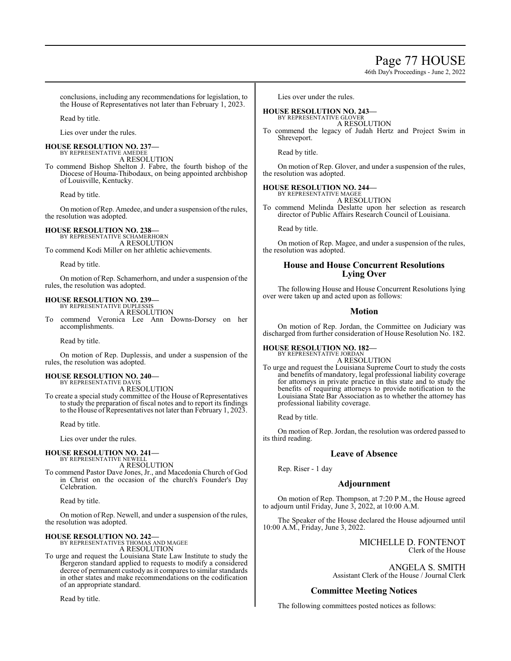# Page 77 HOUSE

46th Day's Proceedings - June 2, 2022

conclusions, including any recommendations for legislation, to the House of Representatives not later than February 1, 2023.

Read by title.

Lies over under the rules.

#### **HOUSE RESOLUTION NO. 237—** BY REPRESENTATIVE AMEDEE

A RESOLUTION To commend Bishop Shelton J. Fabre, the fourth bishop of the Diocese of Houma-Thibodaux, on being appointed archbishop of Louisville, Kentucky.

Read by title.

On motion of Rep. Amedee, and under a suspension of the rules, the resolution was adopted.

# **HOUSE RESOLUTION NO. 238—** BY REPRESENTATIVE SCHAMERHORN

A RESOLUTION

To commend Kodi Miller on her athletic achievements.

Read by title.

On motion of Rep. Schamerhorn, and under a suspension of the rules, the resolution was adopted.

#### **HOUSE RESOLUTION NO. 239—** BY REPRESENTATIVE DUPLESSIS

A RESOLUTION

To commend Veronica Lee Ann Downs-Dorsey on her accomplishments.

Read by title.

On motion of Rep. Duplessis, and under a suspension of the rules, the resolution was adopted.

#### **HOUSE RESOLUTION NO. 240—** BY REPRESENTATIVE DAVIS

A RESOLUTION

To create a special study committee of the House of Representatives to study the preparation of fiscal notes and to report its findings to the House of Representatives not later than February 1, 2023.

Read by title.

Lies over under the rules.

#### **HOUSE RESOLUTION NO. 241—** BY REPRESENTATIVE NEWELL

A RESOLUTION To commend Pastor Dave Jones, Jr., and Macedonia Church of God in Christ on the occasion of the church's Founder's Day Celebration.

Read by title.

On motion of Rep. Newell, and under a suspension of the rules, the resolution was adopted.

**HOUSE RESOLUTION NO. 242—** BY REPRESENTATIVES THOMAS AND MAGEE A RESOLUTION

To urge and request the Louisiana State Law Institute to study the Bergeron standard applied to requests to modify a considered decree of permanent custody as it compares to similar standards in other states and make recommendations on the codification of an appropriate standard.

Read by title.

Lies over under the rules.

#### **HOUSE RESOLUTION NO. 243—** BY REPRESENTATIVE GLOVER

A RESOLUTION

To commend the legacy of Judah Hertz and Project Swim in Shreveport.

Read by title.

On motion of Rep. Glover, and under a suspension of the rules, the resolution was adopted.

# **HOUSE RESOLUTION NO. 244—** BY REPRESENTATIVE MAGEE

A RESOLUTION

To commend Melinda Deslatte upon her selection as research director of Public Affairs Research Council of Louisiana.

Read by title.

On motion of Rep. Magee, and under a suspension of the rules, the resolution was adopted.

#### **House and House Concurrent Resolutions Lying Over**

The following House and House Concurrent Resolutions lying over were taken up and acted upon as follows:

#### **Motion**

On motion of Rep. Jordan, the Committee on Judiciary was discharged from further consideration of House Resolution No. 182.

#### **HOUSE RESOLUTION NO. 182—** BY REPRESENTATIVE JORDAN

A RESOLUTION

To urge and request the Louisiana Supreme Court to study the costs and benefits of mandatory, legal professional liability coverage for attorneys in private practice in this state and to study the benefits of requiring attorneys to provide notification to the Louisiana State Bar Association as to whether the attorney has professional liability coverage.

Read by title.

On motion of Rep. Jordan, the resolution was ordered passed to its third reading.

## **Leave of Absence**

Rep. Riser - 1 day

## **Adjournment**

On motion of Rep. Thompson, at 7:20 P.M., the House agreed to adjourn until Friday, June 3, 2022, at 10:00 A.M.

The Speaker of the House declared the House adjourned until 10:00 A.M., Friday, June 3, 2022.

> MICHELLE D. FONTENOT Clerk of the House

ANGELA S. SMITH Assistant Clerk of the House / Journal Clerk

## **Committee Meeting Notices**

The following committees posted notices as follows: